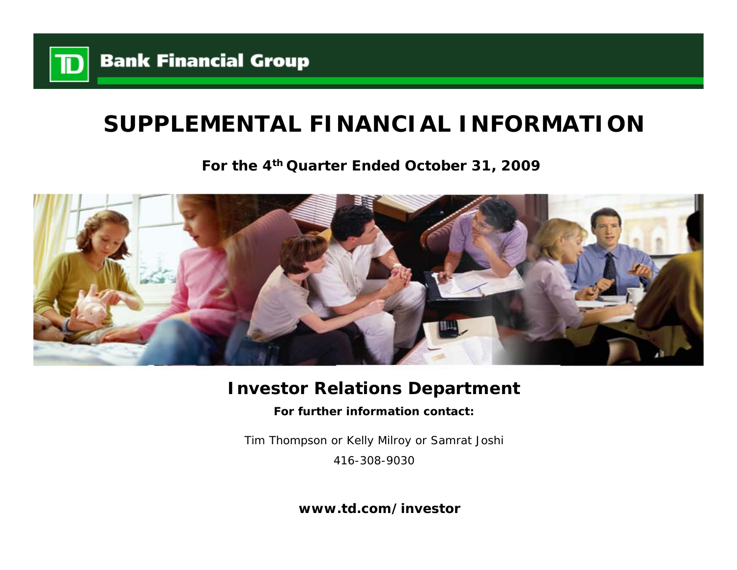

# **SUPPLEMENTAL FINANCIAL INFORMATION**

**For the 4th Quarter Ended October 31, 2009**



## **Investor Relations Department**

**For further information contact:**

Tim Thompson or Kelly Milroy or Samrat Joshi 416-308-9030

**www.td.com/investor**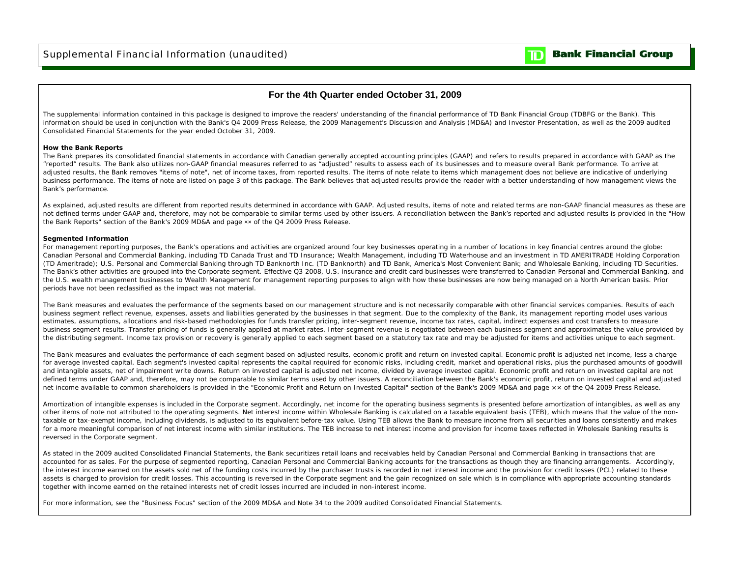

### **For the 4th Quarter ended October 31, 2009**

The supplemental information contained in this package is designed to improve the readers' understanding of the financial performance of TD Bank Financial Group (TDBFG or the Bank). This information should be used in conjunction with the Bank's Q4 2009 Press Release, the 2009 Management's Discussion and Analysis (MD&A) and Investor Presentation, as well as the 2009 audited Consolidated Financial Statements for the year ended October 31, 2009.

#### **How the Bank Reports**

The Bank prepares its consolidated financial statements in accordance with Canadian generally accepted accounting principles (GAAP) and refers to results prepared in accordance with GAAP as the "reported" results. The Bank also utilizes non-GAAP financial measures referred to as "adjusted" results to assess each of its businesses and to measure overall Bank performance. To arrive at adjusted results, the Bank removes "items of note", net of income taxes, from reported results. The items of note relate to items which management does not believe are indicative of underlying business performance. The items of note are listed on page 3 of this package. The Bank believes that adjusted results provide the reader with a better understanding of how management views the Bank's performance.

As explained, adjusted results are different from reported results determined in accordance with GAAP. Adjusted results, items of note and related terms are non-GAAP financial measures as these are not defined terms under GAAP and, therefore, may not be comparable to similar terms used by other issuers. A reconciliation between the Bank's reported and adjusted results is provided in the "How the Bank Reports" section of the Bank's 2009 MD&A and page xx of the Q4 2009 Press Release.

#### **Segmented Information**

For management reporting purposes, the Bank's operations and activities are organized around four key businesses operating in a number of locations in key financial centres around the globe: Canadian Personal and Commercial Banking, including TD Canada Trust and TD Insurance; Wealth Management, including TD Waterhouse and an investment in TD AMERITRADE Holding Corporation (TD Ameritrade); U.S. Personal and Commercial Banking through TD Banknorth Inc. (TD Banknorth) and TD Bank, America's Most Convenient Bank; and Wholesale Banking, including TD Securities. The Bank's other activities are grouped into the Corporate segment. Effective Q3 2008, U.S. insurance and credit card businesses were transferred to Canadian Personal and Commercial Banking, and the U.S. wealth management businesses to Wealth Management for management reporting purposes to align with how these businesses are now being managed on a North American basis. Prior periods have not been reclassified as the impact was not material.

The Bank measures and evaluates the performance of the segments based on our management structure and is not necessarily comparable with other financial services companies. Results of each business segment reflect revenue, expenses, assets and liabilities generated by the businesses in that segment. Due to the complexity of the Bank, its management reporting model uses various estimates, assumptions, allocations and risk-based methodologies for funds transfer pricing, inter-segment revenue, income tax rates, capital, indirect expenses and cost transfers to measure business segment results. Transfer pricing of funds is generally applied at market rates. Inter-segment revenue is negotiated between each business segment and approximates the value provided by the distributing segment. Income tax provision or recovery is generally applied to each segment based on a statutory tax rate and may be adjusted for items and activities unique to each segment.

The Bank measures and evaluates the performance of each segment based on adjusted results, economic profit and return on invested capital. Economic profit is adjusted net income, less a charge for average invested capital. Each segment's invested capital represents the capital required for economic risks, including credit, market and operational risks, plus the purchased amounts of goodwill and intangible assets, net of impairment write downs. Return on invested capital is adjusted net income, divided by average invested capital. Economic profit and return on invested capital are not defined terms under GAAP and, therefore, may not be comparable to similar terms used by other issuers. A reconciliation between the Bank's economic profit, return on invested capital and adjusted net income available to common shareholders is provided in the "Economic Profit and Return on Invested Capital" section of the Bank's 2009 MD&A and page ×× of the Q4 2009 Press Release.

Amortization of intangible expenses is included in the Corporate segment. Accordingly, net income for the operating business segments is presented before amortization of intangibles, as well as any other items of note not attributed to the operating segments. Net interest income within Wholesale Banking is calculated on a taxable equivalent basis (TEB), which means that the value of the nontaxable or tax-exempt income, including dividends, is adjusted to its equivalent before-tax value. Using TEB allows the Bank to measure income from all securities and loans consistently and makes for a more meaningful comparison of net interest income with similar institutions. The TEB increase to net interest income and provision for income taxes reflected in Wholesale Banking results is reversed in the Corporate segment.

As stated in the 2009 audited Consolidated Financial Statements, the Bank securitizes retail loans and receivables held by Canadian Personal and Commercial Banking in transactions that are accounted for as sales. For the purpose of segmented reporting, Canadian Personal and Commercial Banking accounts for the transactions as though they are financing arrangements. Accordingly, the interest income earned on the assets sold net of the funding costs incurred by the purchaser trusts is recorded in net interest income and the provision for credit losses (PCL) related to these assets is charged to provision for credit losses. This accounting is reversed in the Corporate segment and the gain recognized on sale which is in compliance with appropriate accounting standards together with income earned on the retained interests net of credit losses incurred are included in non-interest income.

For more information, see the "Business Focus" section of the 2009 MD&A and Note 34 to the 2009 audited Consolidated Financial Statements.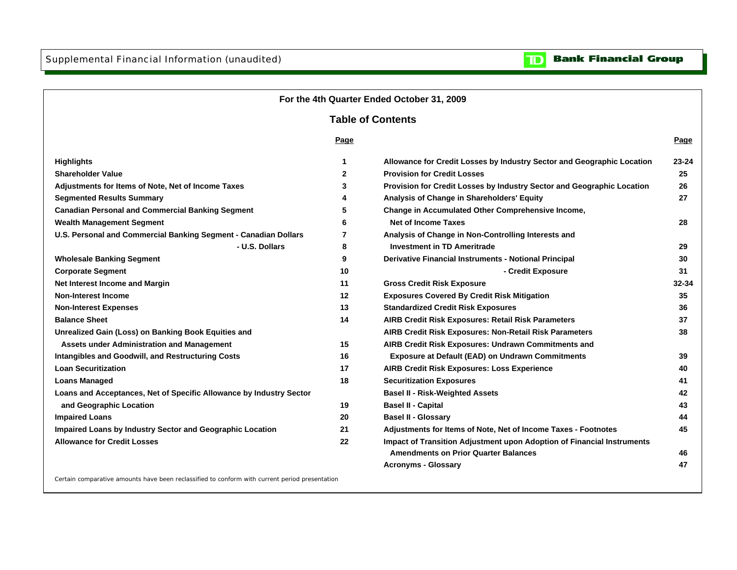**Non-Interest Income**

**Loan Securitization**

**Balance Sheet**



**Bank Financial Group** 

 $\mathbf{D}% _{T}=\mathbf{D}_{T}\!\left( \mathbf{1}_{T}% \mathbf{1}_{T}\mathbf{1}_{T}\mathbf{1}_{T}\mathbf{1}_{T}\mathbf{1}_{T}\mathbf{1}_{T}\mathbf{1}_{T}\mathbf{1}_{T}\mathbf{1}_{T}\mathbf{1}_{T}\mathbf{1}_{T}\mathbf{1}_{T}\mathbf{1}_{T}\mathbf{1}_{T}\mathbf{1}_{T}\mathbf{1}_{T}\mathbf{1}_{T}\mathbf{1}_{T}\mathbf{1}_{T}\mathbf{1}_{T}\mathbf{1}_{T}\mathbf{1}_{T}$ 

Certain comparative amounts have been reclassified to conform with current period presentation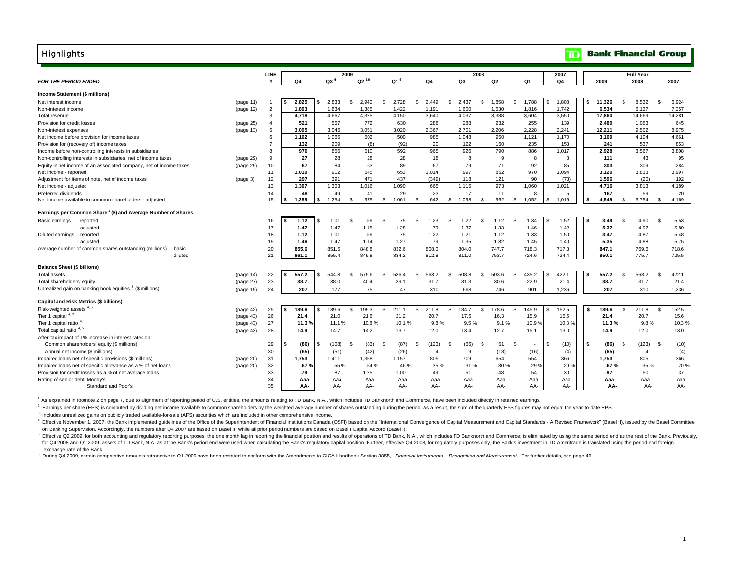#### **Highlights**

#### **Bank Financial Group**  $\mathbf{D}$

| <b>FOR THE PERIOD ENDED</b>                                              |           | <b>LINE</b>    | Q <sub>4</sub> | Q3 <sup>6</sup> | 2009           | $Q2^{1,6}$ | Q1 <sup>6</sup>  |          | Q4             | Q3                      | 2008           | Q2                          | Q <sub>1</sub> | 2007<br>Q <sub>4</sub> |      | 2009         |              | <b>Full Year</b><br>2008 |    | 2007        |
|--------------------------------------------------------------------------|-----------|----------------|----------------|-----------------|----------------|------------|------------------|----------|----------------|-------------------------|----------------|-----------------------------|----------------|------------------------|------|--------------|--------------|--------------------------|----|-------------|
|                                                                          |           |                |                |                 |                |            |                  |          |                |                         |                |                             |                |                        |      |              |              |                          |    |             |
| Income Statement (\$ millions)                                           |           |                |                |                 |                |            |                  |          |                |                         |                |                             |                |                        |      |              |              |                          |    |             |
| Net interest income                                                      | (page 11) |                | 2,825          | 2.833           | \$.            | 2.940      | 2,728<br>£.      |          | 2.449          | 2.437<br>- \$           | \$             | 1,858<br>-S                 | 1,788          | 1,808<br>S             |      | 11.326       | S            | 8.532                    | \$ | 6,924       |
| Non-interest income                                                      | (page 12) | $\overline{2}$ | 1,893          | 1,834           |                | 1,385      | 1,422            |          | 1.191          | 1,600                   |                | 1,530                       | 1,816          | 1,742                  |      | 6,534        |              | 6.137                    |    | 7,357       |
| Total revenue                                                            |           | 3              | 4,718          | 4,667           |                | 4,325      | 4,150            |          | 3,640          | 4,037                   |                | 3,388                       | 3,604          | 3,550                  |      | 17,860       |              | 14,669                   |    | 14,281      |
| Provision for credit losses                                              | (page 25) | $\overline{4}$ | 521            | 557             |                | 772        | 630              |          | 288            | 288                     |                | 232                         | 255            | 139                    |      | 2,480        |              | 1,063                    |    | 645         |
| Non-interest expenses                                                    | (page 13) | 5              | 3,095          | 3.045           |                | 3,051      | 3,020            |          | 2.367          | 2.701                   |                | 2.206                       | 2,228          | 2,241                  |      | 12.211       |              | 9.502                    |    | 8.975       |
| Net income before provision for income taxes                             |           | 6              | 1.102          | 1.065           |                | 502        | 500              |          | 985            | 1.048                   |                | 950                         | 1,121          | 1.170                  |      | 3.169        |              | 4,104                    |    | 4.661       |
| Provision for (recovery of) income taxes                                 |           |                | 132            | 209             |                | (8)        | (92)             |          | 20             | 122                     |                | 160                         | 235            | 153                    |      | 241          |              | 537                      |    | 853         |
| Income before non-controlling interests in subsidiaries                  |           |                | 970            | 856             |                | 510        | 592              |          | 965            | 926                     |                | 790                         | 886            | 1,017                  |      | 2.928        |              | 3.567                    |    | 3,808       |
| Non-controlling interests in subsidiaries, net of income taxes           | (page 29) | 9              | 27             | 28              |                | 28         | 28               |          | 18             | 8                       |                | 9                           | 8              | 8                      |      | 111          |              | 43                       |    | 95          |
| Equity in net income of an associated company, net of income taxes       | (page 29) | 10             | 67             | 84              |                | 63         | 89               |          | 67             | 79                      |                | 71                          | 92             | 85                     |      | 303          |              | 309                      |    | 284         |
| Net income - reported                                                    |           | 11             | 1,010          | 912             |                | 545        | 653              |          | 1.014          | 997                     |                | 852                         | 970            | 1,094                  |      | 3.120        |              | 3.833                    |    | 3.997       |
| Adjustment for items of note, net of income taxes                        | (page 3)  | 12             | 297            | 391             |                | 471        | 437              |          | (349)          | 118                     |                | 121                         | 90             | (73)                   |      | 1.596        |              | (20)                     |    | 192         |
| Net income - adjusted                                                    |           | 13             | 1,307          | 1,303           |                | 1,016      | 1,090            |          | 665            | 1,115                   |                | 973                         | 1,060          | 1,021                  |      | 4,716        |              | 3,813                    |    | 4,189       |
| Preferred dividends                                                      |           | 14<br>15       | 48<br>1,259    | 49<br>1,254     | \$.            | 41<br>975  | 29<br>1.061<br>S |          | 23<br>642      | 17<br>1,098<br>-\$      |                | 11<br>962<br>-S             | 8<br>1.052     | 5<br>1,016<br>s.       | - \$ | 167<br>4.549 | S            | 59<br>3.754              | S. | 20<br>4.169 |
| Net income available to common shareholders - adjusted                   |           |                |                |                 |                |            |                  | <b>S</b> |                |                         |                |                             |                |                        |      |              |              |                          |    |             |
| Earnings per Common Share <sup>2</sup> (\$) and Average Number of Shares |           |                |                |                 |                |            |                  |          |                |                         |                |                             |                |                        |      |              |              |                          |    |             |
| Basic earnings<br>- reported                                             |           | 16             | 1.12           | 1.01            | S.             | .59        | .75<br>- \$      |          | 1.23           | 1.22<br>-\$             | £.             | 1.12<br>-S                  | 1.34           | 1.52                   |      | 3.49         | - \$         | 4.90                     | \$ | 5.53        |
| - adjusted                                                               |           | 17             | 1.47           | 1.47            |                | 1.15       | 1.28             |          | .79            | 1.37                    |                | 1.33                        | 1.46           | 1.42                   |      | 5.37         |              | 4.92                     |    | 5.80        |
| Diluted earnings - reported                                              |           | 18             | 1.12           | 1.01            |                | .59        | .75              |          | 1.22           | 1.21                    |                | 1.12                        | 1.33           | 1.50                   |      | 3.47         |              | 4.87                     |    | 5.48        |
| - adjusted                                                               |           | 19             | 1.46           | 1.47            |                | 1.14       | 1.27             |          | .79            | 1.35                    |                | 1.32                        | 1.45           | 1.40                   |      | 5.35         |              | 4.88                     |    | 5.75        |
| Average number of common shares outstanding (millions)<br>- basic        |           | 20             | 855.6          | 851.5           |                | 848.8      | 832.6            |          | 808.0          | 804.0                   |                | 747.7                       | 718.3          | 717.3                  |      | 847.1        |              | 769.6                    |    | 718.6       |
| - diluted                                                                |           | 21             | 861.1          | 855.4           |                | 849.8      | 834.2            |          | 812.8          | 811.0                   |                | 753.7                       | 724.6          | 724.4                  |      | 850.1        |              | 775.7                    |    | 725.5       |
| <b>Balance Sheet (\$ billions)</b>                                       |           |                |                |                 |                |            |                  |          |                |                         |                |                             |                |                        |      |              |              |                          |    |             |
| <b>Total assets</b>                                                      | (page 14) | 22             | 557.2          | 544.8           | \$             | 575.6      | 586.4<br>\$      | \$       | 563.2          | 508.8<br>$\mathfrak{L}$ | £.             | 503.6<br>£.                 | 435.2          | 422.1<br>s.            |      | 557.2        | $\mathbf{s}$ | 563.2                    | \$ | 422.1       |
| Total shareholders' equity                                               | (page 27) | 23             | 38.7           | 38.0            |                | 40.4       | 39.1             |          | 31.7           | 31.3                    |                | 30.6                        | 22.9           | 21.4                   |      | 38.7         |              | 31.7                     |    | 21.4        |
| Unrealized gain on banking book equities <sup>3</sup> (\$ millions)      | (page 15) | 24             | 207            | 177             |                | 75         | 47               |          | 310            | 698                     |                | 746                         | 901            | 1,236                  |      | 207          |              | 310                      |    | 1,236       |
| Capital and Risk Metrics (\$ billions)                                   |           |                |                |                 |                |            |                  |          |                |                         |                |                             |                |                        |      |              |              |                          |    |             |
| Risk-weighted assets 4, 5                                                | (page 42) | 25             | 189.6<br>\$    | 189.6           | \$             | 199.3      | \$<br>211.1      | \$.      | 211.8          | \$<br>184.7             | $\mathfrak{L}$ | 178.6<br>$\mathbf{\hat{S}}$ | 145.9          | 152.5<br>\$            | -S.  | 189.6        | S.           | 211.8                    | \$ | 152.5       |
| Tier 1 capital 4, 5                                                      | (page 43) | 26             | 21.4           | 21.0            |                | 21.6       | 21.2             |          | 20.7           | 17.5                    |                | 16.3                        | 15.9           | 15.6                   |      | 21.4         |              | 20.7                     |    | 15.6        |
| Tier 1 capital ratio <sup>4,5</sup>                                      | (page 43) | 27             | 11.3 %         | 11.1%           |                | 10.8%      | 10.1             |          | 9.8%           | 9.5%                    |                | 9.1%                        | 10.9%          | 10.3%                  |      | 11.3%        |              | 9.8%                     |    | 10.3%       |
| Total capital ratio <sup>4,5</sup>                                       | (page 43) | 28             | 14.9           | 14.7            |                | 14.2       | 13.7             |          | 12.0           | 13.4                    |                | 12.7                        | 15.1           | 13.0                   |      | 14.9         |              | 12.0                     |    | 13.0        |
| After-tax impact of 1% increase in interest rates on:                    |           |                |                |                 |                |            |                  |          |                |                         |                |                             |                |                        |      |              |              |                          |    |             |
| Common shareholders' equity (\$ millions)                                |           | 29             | (86)           | (108)           | $\mathfrak{L}$ | (83)       | (87)<br>- \$     | \$.      | (123)          | (66)<br>- \$            | - \$           | 51<br>-\$                   |                | \$<br>(10)             | ŝ.   | (86)         | -S           | (123)                    | -9 | (10)        |
| Annual net income (\$ millions)                                          |           | 30             | (65)           | (51)            |                | (42)       | (26)             |          | $\overline{4}$ | 9                       |                | (18)                        | (16)           | (4)                    |      | (65)         |              | $\overline{4}$           |    | (4)         |
| Impaired loans net of specific provisions (\$ millions)                  | (page 20) | 31             | 1,753          | 1,411           |                | 1,358      | 1,157            |          | 805            | 709                     |                | 654                         | 554            | 366                    |      | 1,753        |              | 805                      |    | 366         |
| Impaired loans net of specific allowance as a % of net loans             | (page 20) | 32             | .67%           | .55 %           |                | .54 %      | .46%             |          | .35 %          | .31%                    |                | .30 %                       | .29 %          | .20%                   |      | .67%         |              | .35 %                    |    | .20%        |
| Provision for credit losses as a % of net average loans                  |           | 33             | .79            | .87             |                | 1.25       | 1.00             |          | .49            | .51                     |                | .48                         | .54            | .30                    |      | .97          |              | .50                      |    | .37         |
| Rating of senior debt: Moody's                                           |           | 34             | Aaa            | Aaa             |                | Aaa        | Aaa              |          | Aaa            | Aaa                     |                | Aaa                         | Aaa            | Aaa                    |      | Aaa          |              | Aaa                      |    | Aaa         |
| Standard and Poor's                                                      |           | 35             | AA-            | AA-             |                | AA-        | AA-              |          | AA-            | AA-                     |                | AA-                         | AA-            | AA-                    |      | AA-          |              | AA-                      |    | AA-         |

1 As explained in footnote 2 on page 7, due to alignment of reporting period of U.S. entities, the amounts relating to TD Bank, N.A., which includes TD Banknorth and Commerce, have been included directly in retained earnin

<sup>2</sup> Earnings per share (EPS) is computed by dividing net income available to common shareholders by the weighted average number of shares outstanding during the period. As a result, the sum of the quarterly EPS figures may

<sup>3</sup> Includes unrealized gains on publicly traded available-for-sale (AFS) securities which are included in other comprehensive income.

4 Effective November 1, 2007, the Bank implemented quidelines of the Office of the Superintendent of Financial Institutions Canada (OSFI) based on the "International Convergence of Capital Measurement and Capital Standards on Banking Supervision. Accordingly, the numbers after Q4 2007 are based on Basel II, while all prior period numbers are based on Basel I Capital Accord (Basel I).

 exchange rate of the Bank. <sup>5</sup> Effective Q2 2009, for both accounting and regulatory reporting purposes, the one month lag in reporting the financial position and results of operations of TD Bank, N.A., which includes TD Banknorth and Commerce, is e for Q4 2008 and Q1 2009, assets of TD Bank, N.A. as at the Bank's period end were used when calculating the Bank's regulatory capital position. Further, effective Q4 2008, for regulatory purposes only, the Bank's investmen

<sup>6</sup> During Q4 2009, certain comparative amounts retroactive to Q1 2009 have been restated to conform with the Amendments to CICA Handbook Section 3855, Financial Instruments - Recognition and Measurement. For further detai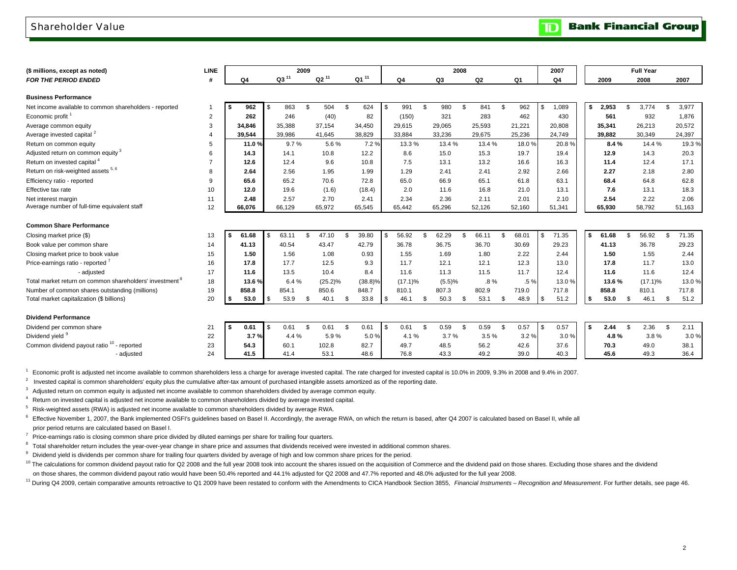### Shareholder Value

**Bank Financial Group**  $\mathbf{D}$ 

| (\$ millions, except as noted)                                      | <b>LINE</b>    |              |                  | 2009 |               |    |              |    |                |      | 2008         |              |                | 2007         |      |              |      | <b>Full Year</b> |              |
|---------------------------------------------------------------------|----------------|--------------|------------------|------|---------------|----|--------------|----|----------------|------|--------------|--------------|----------------|--------------|------|--------------|------|------------------|--------------|
| <b>FOR THE PERIOD ENDED</b>                                         | #              | Q4           | Q3 <sup>11</sup> |      | $Q2^{11}$     |    | $Q1^{11}$    |    | Q <sub>4</sub> |      | Q3           | Q2           | Q <sub>1</sub> | Q4           |      | 2009         |      | 2008             | 2007         |
|                                                                     |                |              |                  |      |               |    |              |    |                |      |              |              |                |              |      |              |      |                  |              |
| <b>Business Performance</b>                                         |                |              |                  |      |               |    |              |    |                |      |              |              |                |              |      |              |      |                  |              |
| Net income available to common shareholders - reported              |                | 962<br>\$    | 863              | \$   | 504           | \$ | 624          | \$ | 991            | \$   | 980<br>\$    | 841          | \$<br>962      | \$<br>1,089  | \$   | 2,953        | \$   | 3.774            | \$<br>3,977  |
| Economic profit <sup>1</sup>                                        | $\overline{2}$ | 262          | 246              |      | (40)          |    | 82           |    | (150)          |      | 321          | 283          | 462            | 430          |      | 561          |      | 932              | 1,876        |
| Average common equity                                               | 3              | 34,846       | 35,388           |      | 37,154        |    | 34,450       |    | 29,615         |      | 29,065       | 25,593       | 21,221         | 20,808       |      | 35,341       |      | 26,213           | 20,572       |
| Average invested capital <sup>2</sup>                               | $\overline{4}$ | 39,544       | 39,986           |      | 41,645        |    | 38,829       |    | 33,884         |      | 33,236       | 29,675       | 25,236         | 24,749       |      | 39,882       |      | 30,349           | 24,397       |
| Return on common equity                                             | 5              | 11.0%        | 9.7%             |      | 5.6%          |    | 7.2%         |    | 13.3%          |      | 13.4 %       | 13.4 %       | 18.0%          | 20.8%        |      | 8.4%         |      | 14.4%            | 19.3%        |
| Adjusted return on common equity <sup>3</sup>                       | 6              | 14.3         | 14.1             |      | 10.8          |    | 12.2         |    | 8.6            |      | 15.0         | 15.3         | 19.7           | 19.4         |      | 12.9         |      | 14.3             | 20.3         |
| Return on invested capital <sup>4</sup>                             |                | 12.6         | 12.4             |      | 9.6           |    | 10.8         |    | 7.5            |      | 13.1         | 13.2         | 16.6           | 16.3         |      | 11.4         |      | 12.4             | 17.1         |
| Return on risk-weighted assets 5, 6                                 | 8              | 2.64         | 2.56             |      | 1.95          |    | 1.99         |    | 1.29           |      | 2.41         | 2.41         | 2.92           | 2.66         |      | 2.27         |      | 2.18             | 2.80         |
| Efficiency ratio - reported                                         | 9              | 65.6         | 65.2             |      | 70.6          |    | 72.8         |    | 65.0           |      | 66.9         | 65.1         | 61.8           | 63.1         |      | 68.4         |      | 64.8             | 62.8         |
| Effective tax rate                                                  | 10             | 12.0         | 19.6             |      | (1.6)         |    | (18.4)       |    | 2.0            |      | 11.6         | 16.8         | 21.0           | 13.1         |      | 7.6          |      | 13.1             | 18.3         |
| Net interest margin                                                 | 11             | 2.48         | 2.57             |      | 2.70          |    | 2.41         |    | 2.34           |      | 2.36         | 2.11         | 2.01           | 2.10         |      | 2.54         |      | 2.22             | 2.06         |
| Average number of full-time equivalent staff                        | 12             | 66.076       | 66.129           |      | 65,972        |    | 65.545       |    | 65.442         |      | 65.296       | 52.126       | 52,160         | 51,341       |      | 65.930       |      | 58.792           | 51,163       |
|                                                                     |                |              |                  |      |               |    |              |    |                |      |              |              |                |              |      |              |      |                  |              |
| <b>Common Share Performance</b>                                     |                |              |                  |      |               |    |              |    |                |      |              |              |                |              |      |              |      |                  |              |
| Closing market price (\$)                                           | 13             | 61.68<br>-S. | 63.11            | \$   | 47.10         | \$ | 39.80        | S. | 56.92          | \$.  | 62.29<br>\$  | 66.11        | \$<br>68.01    | \$<br>71.35  | - \$ | 61.68        | \$   | 56.92            | \$<br>71.35  |
| Book value per common share                                         | 14             | 41.13        | 40.54            |      | 43.47         |    | 42.79        |    | 36.78          |      | 36.75        | 36.70        | 30.69          | 29.23        |      | 41.13        |      | 36.78            | 29.23        |
| Closing market price to book value                                  | 15             | 1.50         | 1.56             |      | 1.08          |    | 0.93         |    | 1.55           |      | 1.69         | 1.80         | 2.22           | 2.44         |      | 1.50         |      | 1.55             | 2.44         |
| Price-earnings ratio - reported '                                   | 16             | 17.8         | 17.7             |      | 12.5          |    | 9.3          |    | 11.7           |      | 12.1         | 12.1         | 12.3           | 13.0         |      | 17.8         |      | 11.7             | 13.0         |
| - adjusted                                                          | 17             | 11.6         | 13.5             |      | 10.4          |    | 8.4          |    | 11.6           |      | 11.3         | 11.5         | 11.7           | 12.4         |      | 11.6         |      | 11.6             | 12.4         |
| Total market return on common shareholders' investment <sup>8</sup> | 18             | 13.6%        | 6.4%             |      | $(25.2)\%$    |    | (38.8)%      |    | $(17.1)\%$     |      | (5.5)%       | $.8\%$       | .5%            | 13.0%        |      | 13.6%        |      | $(17.1)\%$       | 13.0%        |
| Number of common shares outstanding (millions)                      | 19             | 858.8        | 854.1            |      | 850.6         |    | 848.7        |    | 810.1          |      | 807.3        | 802.9        | 719.0          | 717.8        |      | 858.8        |      | 810.1            | 717.8        |
| Total market capitalization (\$ billions)                           | 20             | 53.0         | \$<br>53.9       | \$   | 40.1          | \$ | 33.8         | \$ | 46.1           | \$.  | 50.3<br>\$   | 53.1         | \$<br>48.9     | \$<br>51.2   | -\$  | 53.0         | \$   | 46.1             | \$<br>51.2   |
| <b>Dividend Performance</b>                                         |                |              |                  |      |               |    |              |    |                |      |              |              |                |              |      |              |      |                  |              |
|                                                                     |                | 0.61         | 0.61             | Ŝ.   | 0.61          | S. | 0.61         | \$ | 0.61           | - \$ | 0.59<br>Ŝ.   | 0.59         | \$<br>0.57     | \$<br>0.57   | - \$ | 2.44         | - \$ | 2.36             | \$<br>2.11   |
| Dividend per common share<br>Dividend yield 9                       | 21<br>22       | l Si<br>3.7% | 4.4 %            |      | 5.9%          |    | 5.0%         |    | 4.1%           |      | 3.7%         | 3.5%         | 3.2%           | 3.0%         |      | 4.8%         |      | 3.8%             | 3.0%         |
| Common dividend payout ratio <sup>10</sup> - reported               |                | 54.3         |                  |      |               |    |              |    |                |      |              |              |                |              |      |              |      |                  |              |
|                                                                     | 23<br>24       | 41.5         | 60.1<br>41.4     |      | 102.8<br>53.1 |    | 82.7<br>48.6 |    | 49.7<br>76.8   |      | 48.5<br>43.3 | 56.2<br>49.2 | 42.6<br>39.0   | 37.6<br>40.3 |      | 70.3<br>45.6 |      | 49.0<br>49.3     | 38.1<br>36.4 |
| - adjusted                                                          |                |              |                  |      |               |    |              |    |                |      |              |              |                |              |      |              |      |                  |              |

<sup>1</sup> Economic profit is adjusted net income available to common shareholders less a charge for average invested capital. The rate charged for invested capital is 10.0% in 2009, 9.3% in 2008 and 9.4% in 2007.

 $2$  Invested capital is common shareholders' equity plus the cumulative after-tax amount of purchased intangible assets amortized as of the reporting date.

 $3$  Adjusted return on common equity is adjusted net income available to common shareholders divided by average common equity.

4 Return on invested capital is adjusted net income available to common shareholders divided by average invested capital.

5 Risk-weighted assets (RWA) is adjusted net income available to common shareholders divided by average RWA.

<sup>6</sup> Effective November 1, 2007, the Bank implemented OSFI's guidelines based on Basel II. Accordingly, the average RWA, on which the return is based, after Q4 2007 is calculated based on Basel II, while all prior period returns are calculated based on Basel I.

 $7$  Price-earnings ratio is closing common share price divided by diluted earnings per share for trailing four quarters.

<sup>8</sup> Total shareholder return includes the year-over-year change in share price and assumes that dividends received were invested in additional common shares.

<sup>9</sup> Dividend yield is dividends per common share for trailing four quarters divided by average of high and low common share prices for the period.

<sup>10</sup> The calculations for common dividend payout ratio for Q2 2008 and the full year 2008 took into account the shares issued on the acquisition of Commerce and the dividend paid on those shares. Excluding those shares and on those shares, the common dividend payout ratio would have been 50.4% reported and 44.1% adjusted for Q2 2008 and 47.7% reported and 48.0% adjusted for the full year 2008.

<sup>11</sup> During Q4 2009, certain comparative amounts retroactive to Q1 2009 have been restated to conform with the Amendments to CICA Handbook Section 3855, Financial Instruments - Recognition and Measurement. For further deta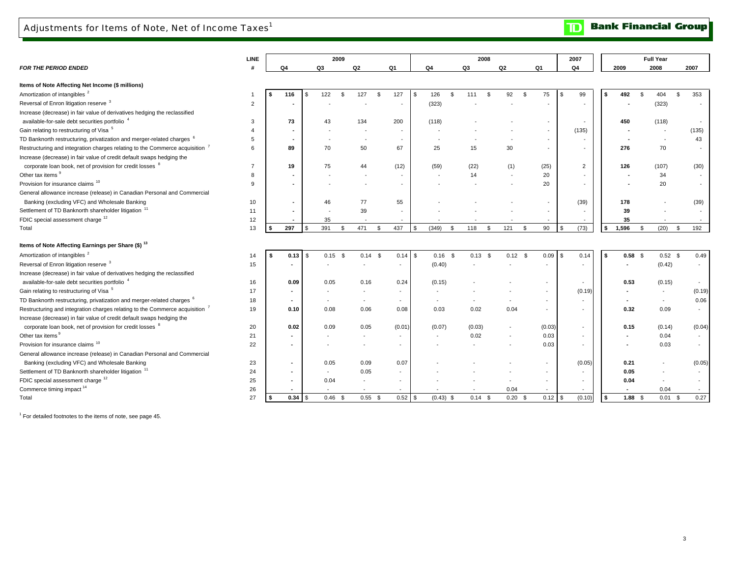### Adjustments for Items of Note, Net of Income Taxes<sup>1</sup>

**LINE***FOR THE PERIOD ENDED* **# Q4 Q3 Q2 Q1 Q4 Q3 Q2 Q1 Q4 2009 2008 2007 Items of Note Affecting Net Income (\$ millions)**  Amortization of intangibles <sup>2</sup> 1 1 1 128 116 \$ 127 \$ 127 \$ 127 \$ 127 \$ 127 \$ 111 \$ 92 \$ 75 \$ 99 \$ 492 \$ 404 \$ 353 Reversal of Enron litigation reserve <sup>3</sup> <sup>2</sup> **-** - - - (323) - - - - **-** - (323) Increase (decrease) in fair value of derivatives hedging the reclassified available-for-sale debt securities portfolio <sup>4</sup> <sup>3</sup> **<sup>73</sup>** <sup>134</sup> <sup>43</sup> <sup>200</sup> (118) - - - - **<sup>450</sup>** - (118) Gain relating to restructuring of Visa <sup>5</sup> <sup>4</sup> **-** - - - - - - - (135) **-** (135) - 5 **-** - - - - - - - - **-** 43 - 6 **89** 50 70 67 25 15 30 - - **276** - 70 Increase (decrease) in fair value of credit default swaps hedging the corporate loan book, net of provision for credit losses <sup>8</sup> <sup>7</sup> **<sup>19</sup>** <sup>44</sup> <sup>75</sup> (12) (59) (22) (1) (25) 2 **<sup>126</sup>** (30) (107) Other tax items  $\frac{9}{2}$  8 **-** - - - - 14 - 20 - **-** - 34 Provision for insurance claims<sup>10</sup> 9 **-** - - - - - - 20 - **-** - 20 General allowance increase (release) in Canadian Personal and Commercial Banking (excluding VFC) and Wholesale Banking **10 10 - 12 46 77** 55 - - - - - - - - - (39) | 178 Settlement of TD Banknorth shareholder litigation <sup>11</sup> <sup>11</sup> **-** <sup>39</sup> - - - - - - - **<sup>39</sup>** - - FDIC special assessment charge  $12$  **12 1** - 35 - - - - - - - - - - - - - - - | 35 Total 13 **\$ 297** \$ 471 391 \$ 437 \$ (349) \$ 118 \$ 121 \$ 90 \$ (73) \$ **\$ 1,596** \$ 192 (20) \$ **Items of Note Affecting Earnings per Share (\$) <sup>13</sup>** Amortization of intangibles <sup>2</sup> 15 2.58 \$ 0.49 \$ 0.14 \$ 0.14 \$ 0.14 \$ 0.14 \$ 0.14 \$ 0.13 \$ 0.12 \$ 0.09 \$ 0.14 \$ **0.58** \$ 0.52 \$ 0.49 \$ 0.58 \$ 0.49 \$ 0.58 \$ 0.49 \$ 0.58 \$ 0.49 \$ 0.58 \$ 0.49 \$ 0.58 \$ 0.49 \$ 0.58 \$ 0.49 \$ 0.5 Reversal of Enron litigation reserve <sup>3</sup> 15 **-** 15 **-** 15 - 15 - 15 - 15 - 16.42) - (0.40) - - - - - - - - (0.42) -Increase (decrease) in fair value of derivatives hedging the reclassified available-for-sale debt securities portfolio<sup>4</sup> 16 16 0.09 0.05 0.16 0.24 (0.15) - - - - - - - - - - - - - - 1 0.53 (0.15) -Gain relating to restructuring of Visa <sup>5</sup> <sup>17</sup> **-** - - - - - - - (0.19) **-** (0.19) - 18 **-** - - - - - - - - **-** 0.06 - 19 **0.10** 0.06 0.08 0.08 0.03 0.02 0.04 - - **0.32** - 0.09 Increase (decrease) in fair value of credit default swaps hedging the corporate loan book, net of provision for credit losses <sup>8</sup> <sup>20</sup> **0.02** 0.05 0.09 (0.01) (0.07) (0.03) - (0.03) - **0.15** (0.04) (0.14) Other tax items  $\frac{9}{21}$  **-** - - - - 0.02 - 0.03 - **-** - 0.04 Provision for insurance claims 10 22 **-** - - - - - - 0.03 - **-** - 0.03 General allowance increase (release) in Canadian Personal and Commercial 23 **-** 0.09 0.05 0.07 - - - - (0.05) **0.21** (0.05) - Settlement of TD Banknorth shareholder litigation <sup>11</sup> <sup>24</sup> **-** 0.05 - - - - - - - **0.05** - - FDIC special assessment charge <sup>12</sup> <sup>25</sup> **-** - 0.04 - - - - - - **0.04** - - Commerce timing impact <sup>14</sup> <sup>26</sup> **-** - - - - - 0.04 - - **-** - 0.04 Total $\sim$  27 **\$ 0.34** \$ 0.55 0.46 \$ 0.52 \$ (0.43) \$ 0.14 \$ 0.20 \$ 0.12 \$ (0.10) \$ **\$ 1.88** \$ 0.27 0.01 \$ **2009 Full Year** Banking (excluding VFC) and Wholesale Banking Restructuring and integration charges relating to the Commerce acquisition <sup>7</sup> **2007**TD Banknorth restructuring, privatization and merger-related charges <sup>6</sup> TD Banknorth restructuring, privatization and merger-related charges <sup>6</sup> Restructuring and integration charges relating to the Commerce acquisition <sup>7</sup> **2008**

 $1$  For detailed footnotes to the items of note, see page 45.

3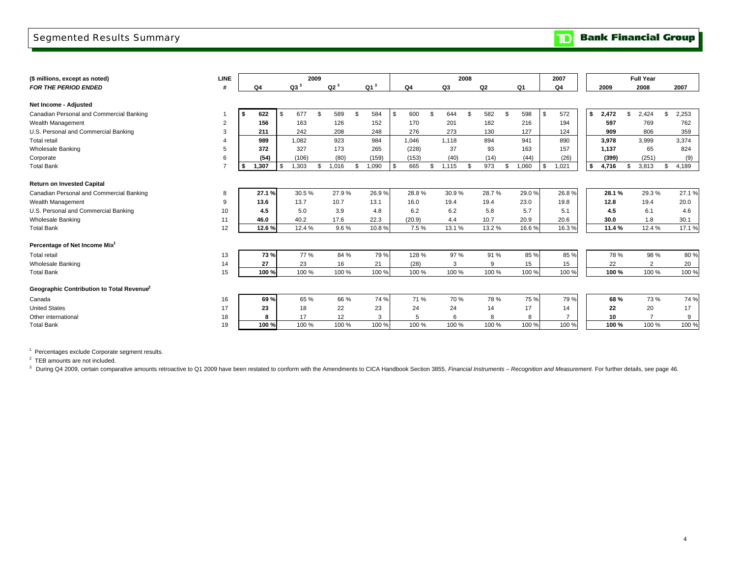### Segmented Results Summary

**TD** Bank Financial Group

| (\$ millions, except as noted)                        | <b>LINE</b>    |             |     |        | 2009           |        |     |        |      |        |     |       | 2008 |           |       | 2007        |             |               | <b>Full Year</b> |             |
|-------------------------------------------------------|----------------|-------------|-----|--------|----------------|--------|-----|--------|------|--------|-----|-------|------|-----------|-------|-------------|-------------|---------------|------------------|-------------|
| <b>FOR THE PERIOD ENDED</b>                           |                | Q4          |     | $Q3^3$ |                | $Q2^3$ |     | $Q1^3$ |      | Q4     |     | Q3    |      | Q2        | Q1    | Q4          | 2009        |               | 2008             | 2007        |
|                                                       |                |             |     |        |                |        |     |        |      |        |     |       |      |           |       |             |             |               |                  |             |
| Net Income - Adjusted                                 |                |             |     |        |                |        |     |        |      |        |     |       |      |           |       |             |             |               |                  |             |
| Canadian Personal and Commercial Banking              |                | 622<br>- \$ | Ŝ.  | 677    | $\mathfrak{L}$ | 589    | \$  | 584    | - \$ | 600    |     | 644   | \$   | 582<br>\$ | 598   | \$<br>572   | \$<br>2,472 | $\mathcal{F}$ | 2.424            | \$<br>2,253 |
| Wealth Management                                     | $\overline{2}$ | 156         |     | 163    |                | 126    |     | 152    |      | 170    |     | 201   |      | 182       | 216   | 194         | 597         |               | 769              | 762         |
| U.S. Personal and Commercial Banking                  | 3              | 211         |     | 242    |                | 208    |     | 248    |      | 276    |     | 273   |      | 130       | 127   | 124         | 909         |               | 806              | 359         |
| <b>Total retail</b>                                   |                | 989         |     | 1,082  |                | 923    |     | 984    |      | 1.046  |     | 1.118 |      | 894       | 941   | 890         | 3,978       |               | 3,999            | 3,374       |
| <b>Wholesale Banking</b>                              |                | 372         |     | 327    |                | 173    |     | 265    |      | (228)  |     | 37    |      | 93        | 163   | 157         | 1.137       |               | 65               | 824         |
| Corporate                                             | 6              | (54)        |     | (106)  |                | (80)   |     | (159)  |      | (153)  |     | (40)  |      | (14)      | (44)  | (26)        | (399)       |               | (251)            | (9)         |
| <b>Total Bank</b>                                     | $\overline{7}$ | 1,307       | \$. | 1,303  |                | 1,016  | \$. | 1,090  | - \$ | 665    | \$. | 1.115 | \$   | 973<br>\$ | 1,060 | \$<br>1,021 | \$<br>4,716 | \$.           | 3,813            | 4,189       |
|                                                       |                |             |     |        |                |        |     |        |      |        |     |       |      |           |       |             |             |               |                  |             |
| <b>Return on Invested Capital</b>                     |                |             |     |        |                |        |     |        |      |        |     |       |      |           |       |             |             |               |                  |             |
| Canadian Personal and Commercial Banking              | 8              | 27.1%       |     | 30.5%  |                | 27.9%  |     | 26.9%  |      | 28.8%  |     | 30.9% |      | 28.7%     | 29.0% | 26.8%       | 28.1%       |               | 29.3%            | 27.1%       |
| Wealth Management                                     | 9              | 13.6        |     | 13.7   |                | 10.7   |     | 13.1   |      | 16.0   |     | 19.4  |      | 19.4      | 23.0  | 19.8        | 12.8        |               | 19.4             | 20.0        |
| U.S. Personal and Commercial Banking                  | 10             | 4.5         |     | 5.0    |                | 3.9    |     | 4.8    |      | 6.2    |     | 6.2   |      | 5.8       | 5.7   | 5.1         | 4.5         |               | 6.1              | 4.6         |
| <b>Wholesale Banking</b>                              | 11             | 46.0        |     | 40.2   |                | 17.6   |     | 22.3   |      | (20.9) |     | 4.4   |      | 10.7      | 20.9  | 20.6        | 30.0        |               | 1.8              | 30.1        |
| <b>Total Bank</b>                                     | 12             | 12.6%       |     | 12.4 % |                | 9.6%   |     | 10.8%  |      | 7.5%   |     | 13.1% |      | 13.2 %    | 16.6% | 16.3%       | 11.4%       |               | 12.4 %           | 17.1%       |
| Percentage of Net Income Mix <sup>1</sup>             |                |             |     |        |                |        |     |        |      |        |     |       |      |           |       |             |             |               |                  |             |
| <b>Total retail</b>                                   | 13             | 73%         |     | 77 %   |                | 84 %   |     | 79 %   |      | 128 %  |     | 97 %  |      | 91 %      | 85 %  | 85 %        | 78 %        |               | 98 %             | 80 %        |
| <b>Wholesale Banking</b>                              | 14             | 27          |     | 23     |                | 16     |     | 21     |      | (28)   |     | 3     |      | 9         | 15    | 15          | 22          |               | 2                | 20          |
| <b>Total Bank</b>                                     | 15             | 100 %       |     | 100 %  |                | 100 %  |     | 100 %  |      | 100 %  |     | 100 % |      | 100 %     | 100 % | 100 %       | 100 %       |               | 100 %            | 100 %       |
| Geographic Contribution to Total Revenue <sup>2</sup> |                |             |     |        |                |        |     |        |      |        |     |       |      |           |       |             |             |               |                  |             |
| Canada                                                | 16             | 69%         |     | 65 %   |                | 66 %   |     | 74 %   |      | 71 %   |     | 70 %  |      | 78 %      | 75 %  | 79%         | 68%         |               | 73 %             | 74 %        |
| <b>United States</b>                                  | 17             | 23          |     | 18     |                | 22     |     | 23     |      | 24     |     | 24    |      | 14        | 17    | 14          | 22          |               | 20               | 17          |
| Other international                                   | 18             | 8           |     | 17     |                | 12     |     | 3      |      | 5      |     | 6     |      | 8         | 8     |             | 10          |               | $\overline{7}$   | 9           |
| <b>Total Bank</b>                                     | 19             | 100 %       |     | 100 %  |                | 100 %  |     | 100 %  |      | 100 %  |     | 100 % |      | 100 %     | 100 % | 100 %       | 100 %       |               | 100 %            | 100 %       |

 $1$  Percentages exclude Corporate segment results.

<sup>2</sup> TEB amounts are not included.<br><sup>3</sup> During Q4 2009, certain comparative amounts retroactive to Q1 2009 have been restated to conform with the Amendments to CICA Handbook Section 3855, *Financial Instruments – Recognition*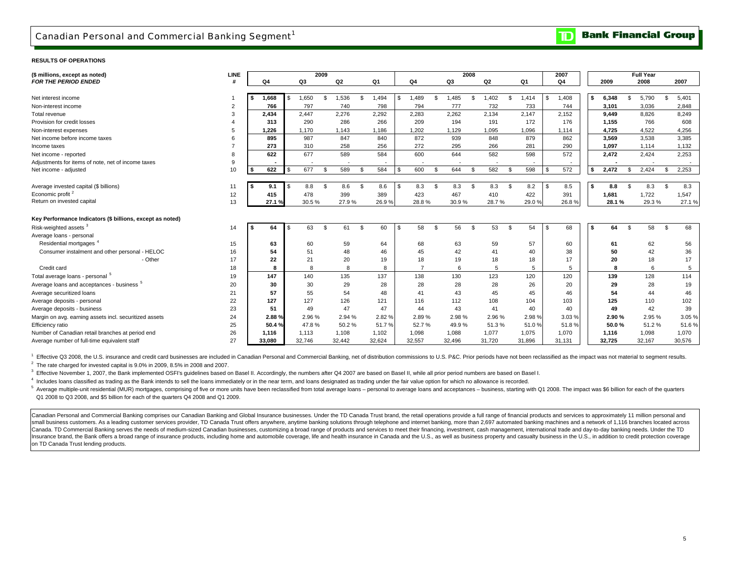**Bank Financial Group**  $\mathbf{D}% _{T}=\mathbf{D}_{T}\!\left( \mathbf{1}_{T}% \mathbf{1}_{T}\mathbf{1}_{T}\mathbf{1}_{T}\mathbf{1}_{T}\mathbf{1}_{T}\mathbf{1}_{T}\mathbf{1}_{T}\mathbf{1}_{T}\mathbf{1}_{T}\mathbf{1}_{T}\mathbf{1}_{T}\mathbf{1}_{T}\mathbf{1}_{T}\mathbf{1}_{T}\mathbf{1}_{T}\mathbf{1}_{T}\mathbf{1}_{T}\mathbf{1}_{T}\mathbf{1}_{T}\mathbf{1}_{T}\mathbf{1}_{T}\mathbf{1}_{T}$ 

#### **RESULTS OF OPERATIONS**

| (\$ millions, except as noted)                            | LINE           |      |        |    |        | 2009 |                          |      |                |      |        |                |        | 2008 |                |                |        |      | 2007   |     |        |     | <b>Full Year</b> |      |        |
|-----------------------------------------------------------|----------------|------|--------|----|--------|------|--------------------------|------|----------------|------|--------|----------------|--------|------|----------------|----------------|--------|------|--------|-----|--------|-----|------------------|------|--------|
| <b>FOR THE PERIOD ENDED</b>                               |                |      | Q4     |    | Q3     |      | Q2                       |      | Q <sub>1</sub> |      | Q4     |                | Q3     |      | Q <sub>2</sub> |                | Q1     |      | Q4     |     | 2009   |     | 2008             |      | 2007   |
|                                                           |                |      |        |    |        |      |                          |      |                |      |        |                |        |      |                |                |        |      |        |     |        |     |                  |      |        |
| Net interest income                                       |                |      | 1,668  | \$ | 1,650  | \$   | 1,536                    | £.   | 1,494          | \$   | 1,489  | \$             | 1,485  | s.   | 1,402          | $\mathcal{S}$  | 1,414  |      | 1,408  |     | 6,348  |     | 5.790            | \$   | 5,401  |
| Non-interest income                                       | $\overline{2}$ |      | 766    |    | 797    |      | 740                      |      | 798            |      | 794    |                | 777    |      | 732            |                | 733    |      | 744    |     | 3,101  |     | 3,036            |      | 2.848  |
| Total revenue                                             | 3              |      | 2,434  |    | 2.447  |      | 2.276                    |      | 2.292          |      | 2.283  |                | 2.262  |      | 2,134          |                | 2,147  |      | 2,152  |     | 9.449  |     | 8.826            |      | 8.249  |
| Provision for credit losses                               |                |      | 313    |    | 290    |      | 286                      |      | 266            |      | 209    |                | 194    |      | 191            |                | 172    |      | 176    |     | 1.155  |     | 766              |      | 608    |
| Non-interest expenses                                     | 5              |      | 1.226  |    | 1.170  |      | 1.143                    |      | 1.186          |      | 1.202  |                | 1.129  |      | 1.095          |                | 1,096  |      | 1,114  |     | 4.725  |     | 4.522            |      | 4.256  |
| Net income before income taxes                            | 6              |      | 895    |    | 987    |      | 847                      |      | 840            |      | 872    |                | 939    |      | 848            |                | 879    |      | 862    |     | 3,569  |     | 3,538            |      | 3,385  |
| Income taxes                                              |                |      | 273    |    | 310    |      | 258                      |      | 256            |      | 272    |                | 295    |      | 266            |                | 281    |      | 290    |     | 1,097  |     | 1,114            |      | 1,132  |
| Net income - reported                                     | 8              |      | 622    |    | 677    |      | 589                      |      | 584            |      | 600    |                | 644    |      | 582            |                | 598    |      | 572    |     | 2,472  |     | 2,424            |      | 2,253  |
| Adjustments for items of note, net of income taxes        | 9              |      |        |    |        |      | $\overline{\phantom{a}}$ |      |                |      |        |                |        |      |                |                |        |      |        |     |        |     |                  |      | $\sim$ |
| Net income - adjusted                                     | 10             | l \$ | 622    | \$ | 677    | \$   | 589                      | -S   | 584            | \$   | 600    | $\mathfrak{L}$ | 644    | \$.  | 582            | - \$           | 598    |      | 572    |     | 2,472  | \$  | 2,424            | - 95 | 2,253  |
|                                                           |                |      |        |    |        |      |                          |      |                |      |        |                |        |      |                |                |        |      |        |     |        |     |                  |      |        |
| Average invested capital (\$ billions)                    | 11             |      | 9.1    | \$ | 8.8    | \$.  | 8.6                      | \$   | 8.6            | - \$ | 8.3    | \$             | 8.3    | -S   | 8.3            | - \$           | 8.2    | l \$ | 8.5    |     | 8.8    | \$. | 8.3              | \$   | 8.3    |
| Economic profit <sup>2</sup>                              | 12             |      | 415    |    | 478    |      | 399                      |      | 389            |      | 423    |                | 467    |      | 410            |                | 422    |      | 391    |     | 1,681  |     | 1,722            |      | 1,547  |
| Return on invested capital                                | 13             |      | 27.1%  |    | 30.5%  |      | 27.9%                    |      | 26.9%          |      | 28.8%  |                | 30.9%  |      | 28.7%          |                | 29.0%  |      | 26.8%  |     | 28.1%  |     | 29.3%            |      | 27.1%  |
|                                                           |                |      |        |    |        |      |                          |      |                |      |        |                |        |      |                |                |        |      |        |     |        |     |                  |      |        |
| Key Performance Indicators (\$ billions, except as noted) |                |      |        |    |        |      |                          |      |                |      |        |                |        |      |                |                |        |      |        |     |        |     |                  |      |        |
| Risk-weighted assets <sup>3</sup>                         | 14             |      | 64     | S  | 63     | \$   | 61                       | - \$ | 60             | \$   | 58     | $\mathfrak{L}$ | 56     | \$.  | 53             | $\mathfrak{s}$ | 54     | l \$ | 68     | -S. | 64     | \$  | 58               | \$   | 68     |
| Average loans - personal                                  |                |      |        |    |        |      |                          |      |                |      |        |                |        |      |                |                |        |      |        |     |        |     |                  |      |        |
| Residential mortgages <sup>4</sup>                        | 15             |      | 63     |    | 60     |      | 59                       |      | 64             |      | 68     |                | 63     |      | 59             |                | 57     |      | 60     |     | 61     |     | 62               |      | 56     |
| Consumer instalment and other personal - HELOC            | 16             |      | 54     |    | 51     |      | 48                       |      | 46             |      | 45     |                | 42     |      | 41             |                | 40     |      | 38     |     | 50     |     | 42               |      | 36     |
| - Other                                                   | 17             |      | 22     |    | 21     |      | 20                       |      | 19             |      | 18     |                | 19     |      | 18             |                | 18     |      | 17     |     | 20     |     | 18               |      | 17     |
| Credit card                                               | 18             |      | 8      |    | 8      |      | 8                        |      | 8              |      |        |                | 6      |      | 5              |                | 5      |      | 5      |     |        |     | ĥ                |      | 5      |
| Total average loans - personal 5                          | 19             |      | 147    |    | 140    |      | 135                      |      | 137            |      | 138    |                | 130    |      | 123            |                | 120    |      | 120    |     | 139    |     | 128              |      | 114    |
| Average loans and acceptances - business <sup>5</sup>     | 20             |      | 30     |    | 30     |      | 29                       |      | 28             |      | 28     |                | 28     |      | 28             |                | 26     |      | 20     |     | 29     |     | 28               |      | 19     |
| Average securitized loans                                 | 21             |      | 57     |    | 55     |      | 54                       |      | 48             |      | 41     |                | 43     |      | 45             |                | 45     |      | 46     |     | 54     |     | 44               |      | 46     |
| Average deposits - personal                               | 22             |      | 127    |    | 127    |      | 126                      |      | 121            |      | 116    |                | 112    |      | 108            |                | 104    |      | 103    |     | 125    |     | 110              |      | 102    |
| Average deposits - business                               | 23             |      | 51     |    | 49     |      | 47                       |      | 47             |      | 44     |                | 43     |      | 41             |                | 40     |      | 40     |     | 49     |     | 42               |      | 39     |
| Margin on avg. earning assets incl. securitized assets    | 24             |      | 2.88%  |    | 2.96%  |      | 2.94 %                   |      | 2.82 %         |      | 2.89%  |                | 2.98%  |      | 2.96%          |                | 2.98%  |      | 3.03%  |     | 2.90%  |     | 2.95 %           |      | 3.05 % |
| Efficiency ratio                                          | 25             |      | 50.4%  |    | 47.8%  |      | 50.2%                    |      | 51.7%          |      | 52.7%  |                | 49.9%  |      | 51.3%          |                | 51.0%  |      | 51.8%  |     | 50.0%  |     | 51.2%            |      | 51.6%  |
| Number of Canadian retail branches at period end          | 26             |      | 1,116  |    | 1,113  |      | 1,108                    |      | 1,102          |      | 1,098  |                | 1,088  |      | 1,077          |                | 1,075  |      | 1,070  |     | 1,116  |     | 1,098            |      | 1,070  |
| Average number of full-time equivalent staff              | 27             |      | 33.080 |    | 32,746 |      | 32,442                   |      | 32,624         |      | 32,557 |                | 32.496 |      | 31.720         |                | 31,896 |      | 31,131 |     | 32,725 |     | 32,167           |      | 30,576 |

 $2$  The rate charged for invested capital is 9.0% in 2009, 8.5% in 2008 and 2007. <sup>1</sup> Effective Q3 2008, the U.S. insurance and credit card businesses are included in Canadian Personal and Commercial Banking, net of distribution commissions to U.S. P&C. Prior periods have not been reclassified as the im

<sup>3</sup> Effective November 1. 2007, the Bank implemented OSFI's quidelines based on Basel II. Accordingly, the numbers after Q4 2007 are based on Basel II, while all prior period numbers are based on Basel I.

4 Includes loans classified as trading as the Bank intends to sell the loans immediately or in the near term, and loans designated as trading under the fair value option for which no allowance is recorded.

 Q1 2008 to Q3 2008, and \$5 billion for each of the quarters Q4 2008 and Q1 2009. <sup>5</sup> Average multiple-unit residential (MUR) mortgages, comprising of five or more units have been reclassified from total average loans - personal to average loans and acceptances - business, starting with Q1 2008. The imp

Canadian Personal and Commercial Banking comprises our Canadian Banking and Global Insurance businesses. Under the TD Canada Trust brand, the retail operations provide a full range of financial products and services to app small business customers. As a leading customer services provider, TD Canada Trust offers anywhere, anytime banking solutions through telephone and internet banking, more than 2,697 automated banking machines and a network Canada. TD Commercial Banking serves the needs of medium-sized Canadian businesses, customizing a broad range of products and services to meet their financing, investment, cash management, international trade and day-to-da Insurance brand, the Bank offers a broad range of insurance products, including home and automobile coverage, life and health insurance in Canada and the U.S., as well as business property and casualty business in the U.S. on TD Canada Trust lending products.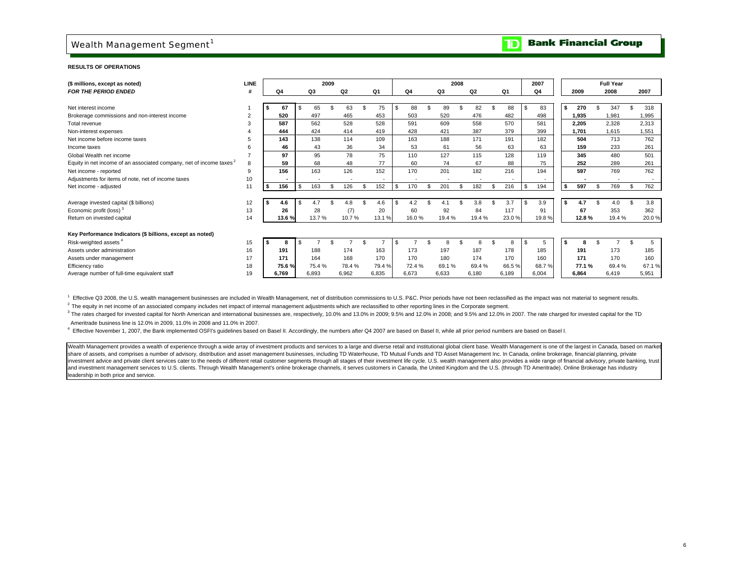### Wealth Management Segment<sup>1</sup>

#### **Bank Financial Group**  $\mathbf{D}% _{T}=\mathbf{D}_{T}\!\left( \mathbf{1}_{T}% \mathbf{1}_{T}\mathbf{1}_{T}\mathbf{1}_{T}\mathbf{1}_{T}\mathbf{1}_{T}\mathbf{1}_{T}\mathbf{1}_{T}\mathbf{1}_{T}\mathbf{1}_{T}\mathbf{1}_{T}\mathbf{1}_{T}\mathbf{1}_{T}\mathbf{1}_{T}\mathbf{1}_{T}\mathbf{1}_{T}\mathbf{1}_{T}\mathbf{1}_{T}\mathbf{1}_{T}\mathbf{1}_{T}\mathbf{1}_{T}\mathbf{1}_{T}\mathbf{1}_{T}$

#### **RESULTS OF OPERATIONS**

| (\$ millions, except as noted)                                                  | <b>LINE</b> |           |      |       | 2009 |                |           |                |       | 2008 |                |     |       | 2007      |      |       | <b>Full Year</b> |       |
|---------------------------------------------------------------------------------|-------------|-----------|------|-------|------|----------------|-----------|----------------|-------|------|----------------|-----|-------|-----------|------|-------|------------------|-------|
| <b>FOR THE PERIOD ENDED</b>                                                     |             | Q4        |      | Q3    |      | Q <sub>2</sub> | Q1        | Q <sub>4</sub> | Q3    |      | Q <sub>2</sub> |     | Q1    | Q4        |      | 2009  | 2008             | 2007  |
|                                                                                 |             |           |      |       |      |                |           |                |       |      |                |     |       |           |      |       |                  |       |
| Net interest income                                                             |             | 67        |      | 65    |      | 63             | 75        | 88             | 89    |      | 82             |     | 88    | \$<br>83  | l \$ | 270   | 347              | 318   |
| Brokerage commissions and non-interest income                                   |             | 520       |      | 497   |      | 465            | 453       | 503            | 520   |      | 476            |     | 482   | 498       |      | 1,935 | 1,981            | 1,995 |
| Total revenue                                                                   |             | 587       |      | 562   |      | 528            | 528       | 591            | 609   |      | 558            |     | 570   | 581       |      | 2,205 | 2,328            | 2,313 |
| Non-interest expenses                                                           |             | 444       |      | 424   |      | 414            | 419       | 428            | 421   |      | 387            |     | 379   | 399       |      | 1,701 | 1,615            | 1,551 |
| Net income before income taxes                                                  |             | 143       |      | 138   |      | 114            | 109       | 163            | 188   |      | 171            |     | 191   | 182       |      | 504   | 713              | 762   |
| Income taxes                                                                    |             | 46        |      | 43    |      | 36             | 34        | 53             | 61    |      | 56             |     | 63    | 63        |      | 159   | 233              | 261   |
| Global Wealth net income                                                        |             | 97        |      | 95    |      | 78             | 75        | 110            | 127   |      | 115            |     | 128   | 119       |      | 345   | 480              | 501   |
| Equity in net income of an associated company, net of income taxes <sup>2</sup> | 8           | 59        |      | 68    |      | 48             | 77        | 60             | 74    |      | 67             |     | 88    | 75        |      | 252   | 289              | 261   |
| Net income - reported                                                           | 9           | 156       |      | 163   |      | 126            | 152       | 170            | 201   |      | 182            |     | 216   | 194       |      | 597   | 769              | 762   |
| Adjustments for items of note, net of income taxes                              | 10          |           |      |       |      |                |           |                |       |      |                |     |       |           |      |       |                  |       |
| Net income - adjusted                                                           | 11          | \$<br>156 | . \$ | 163   | \$   | 126            | \$<br>152 | \$<br>170      | 201   |      | 182            | \$. | 216   | \$<br>194 | l \$ | 597   | 769              | 762   |
|                                                                                 |             |           |      |       |      |                |           |                |       |      |                |     |       |           |      |       |                  |       |
| Average invested capital (\$ billions)                                          | 12          | \$<br>4.6 |      | 4.7   |      | 4.8            | 4.6       | 4.2            |       |      | 3.8            |     | 3.7   | \$<br>3.9 | l S  | 4.7   |                  | 3.8   |
| Economic profit (loss) <sup>3</sup>                                             | 13          | 26        |      | 28    |      | (7)            | 20        | 60             | 92    |      | 84             |     | 117   | 91        |      | 67    | 353              | 362   |
| Return on invested capital                                                      | 14          | 13.6%     |      | 13.7% |      | 10.7%          | 13.1%     | 16.0%          | 19.4% |      | 19.4%          |     | 23.0% | 19.8%     |      | 12.8% | 19.4%            | 20.0% |
|                                                                                 |             |           |      |       |      |                |           |                |       |      |                |     |       |           |      |       |                  |       |
| Key Performance Indicators (\$ billions, except as noted)                       |             |           |      |       |      |                |           |                |       |      |                |     |       |           |      |       |                  |       |
| Risk-weighted assets <sup>4</sup>                                               | 15          |           |      |       |      |                |           |                |       |      |                |     |       | \$<br>b.  | l \$ |       |                  | 5     |
| Assets under administration                                                     | 16          | 191       |      | 188   |      | 174            | 163       | 173            | 197   |      | 187            |     | 178   | 185       |      | 191   | 173              | 185   |
| Assets under management                                                         | 17          | 171       |      | 164   |      | 168            | 170       | 170            | 180   |      | 174            |     | 170   | 160       |      | 171   | 170              | 160   |
| Efficiency ratio                                                                | 18          | 75.6%     |      | 75.4% |      | 78.4%          | 79.4%     | 72.4 %         | 69.1% |      | 69.4%          |     | 66.5% | 68.7%     |      | 77.1% | 69.4%            | 67.1% |
| Average number of full-time equivalent staff                                    | 19          | 6.769     |      | 6.893 |      | 6,962          | 6.835     | 6.673          | 6.633 |      | 6.180          |     | 6.189 | 6,004     |      | 6.864 | 6,419            | 5,951 |

<sup>1</sup> Effective Q3 2008, the U.S. wealth management businesses are included in Wealth Management, net of distribution commissions to U.S. P&C. Prior periods have not been reclassified as the impact was not material to segmen

 $2$  The equity in net income of an associated company includes net impact of internal management adjustments which are reclassified to other reporting lines in the Corporate segment.

3 The rates charged for invested capital for North American and international businesses are, respectively, 10.0% and 13.0% in 2009; 9.5% and 12.0% in 2008; and 9.5% and 12.0% in 2008; and 12.0% in 2007. The rate charged f 3 Ameritrade business line is 12.0% in 2009, 11.0% in 2008 and 11.0% in 2007.

<sup>4</sup> Effective November 1, 2007, the Bank implemented OSFI's guidelines based on Basel II. Accordingly, the numbers after Q4 2007 are based on Basel II, while all prior period numbers are based on Basel I.

Wealth Management provides a wealth of experience through a wide array of investment products and services to a large and diverse retail and institutional global client base. Wealth Management is one of the largest in Cana share of assets, and comprises a number of advisory, distribution and asset management businesses, including TD Waterhouse, TD Mutual Funds and TD Asset Management Inc. In Canada, online brokerage, financial planning, priv investment advice and private client services cater to the needs of different retail customer segments through all stages of their investment life cycle. U.S. wealth management also provides a wide range of financial advis and investment management services to U.S. clients. Through Wealth Management's online brokerage channels, it serves customers in Canada, the United Kingdom and the U.S. (through TD Ameritrade). Online Brokerage has indust leadership in both price and service.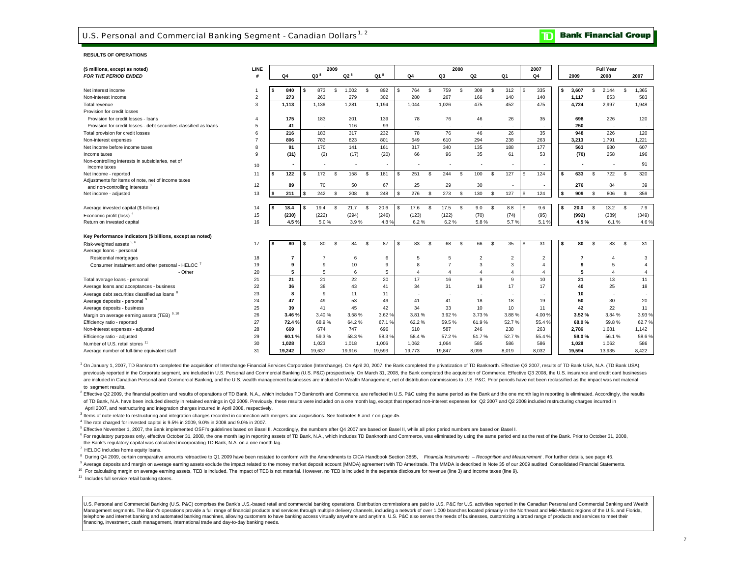#### **RESULTS OF OPERATIONS**

| (\$ millions, except as noted)                                    | LINE           |    |                |     |                | 2009 |               |                 |                          |          |                          | 2008 |                |          |                |     | 2007           |   |        |     | <b>Full Year</b>         |     |                |
|-------------------------------------------------------------------|----------------|----|----------------|-----|----------------|------|---------------|-----------------|--------------------------|----------|--------------------------|------|----------------|----------|----------------|-----|----------------|---|--------|-----|--------------------------|-----|----------------|
| <b>FOR THE PERIOD ENDED</b>                                       | #              |    | Q <sub>4</sub> |     | $Q3^8$         |      | $Q2^8$        | Q1 <sup>8</sup> | Q4                       |          | Q3                       |      | Q2             |          | Q1             |     | Q4             |   | 2009   |     | 2008                     |     | 2007           |
|                                                                   |                |    |                |     |                |      |               |                 |                          |          |                          |      |                |          |                |     |                |   |        |     |                          |     |                |
| Net interest income                                               |                | s  | 840            | \$. | 873            | \$   | 1.002         | \$<br>892       | \$<br>764                | \$       | 759                      | \$.  | 309            | <b>S</b> | 312            |     | 335            |   | 3.607  | \$. | 2.144                    | S   | 1.365          |
| Non-interest income                                               | $\overline{2}$ |    | 273            |     | 263            |      | 279           | 302             | 280                      |          | 267                      |      | 166            |          | 140            |     | 140            |   | 1,117  |     | 853                      |     | 583            |
| Total revenue                                                     | 3              |    | 1.113          |     | 1.136          |      | 1.281         | 1.194           | 1.044                    |          | 1.026                    |      | 475            |          | 452            |     | 475            |   | 4.724  |     | 2.997                    |     | 1.948          |
| Provision for credit losses                                       |                |    |                |     |                |      |               |                 |                          |          |                          |      |                |          |                |     |                |   |        |     |                          |     |                |
| Provision for credit losses - loans                               | 4              |    | 175            |     | 183            |      | 201           | 139             | 78                       |          | 76                       |      | 46             |          | 26             |     | 35             |   | 698    |     | 226                      |     | 120            |
| Provision for credit losses - debt securities classified as loans | 5              |    | 41             |     | ۰.             |      | 116           | 93              | $\overline{\phantom{a}}$ |          | $\overline{\phantom{a}}$ |      | $\sim$         |          | $\sim$         |     | $\sim$         |   | 250    |     | $\overline{\phantom{a}}$ |     | $\sim$         |
| Total provision for credit losses                                 | 6              |    | 216            |     | 183            |      | 317           | 232             | 78                       |          | 76                       |      | 46             |          | 26             |     | 35             |   | 948    |     | 226                      |     | 120            |
| Non-interest expenses                                             | $\overline{7}$ |    | 806            |     | 783            |      | 823           | 801             | 649                      |          | 610                      |      | 294            |          | 238            |     | 263            |   | 3.213  |     | 1.791                    |     | 1.221          |
| Net income before income taxes                                    | 8              |    | 91             |     | 170            |      | 141           | 161             | 317                      |          | 340                      |      | 135            |          | 188            |     | 177            |   | 563    |     | 980                      |     | 607            |
| Income taxes                                                      | q              |    | (31)           |     | (2)            |      | (17)          | (20)            | 66                       |          | 96                       |      | 35             |          | 61             |     | 53             |   | (70)   |     | 258                      |     | 196            |
| Non-controlling interests in subsidiaries, net of                 |                |    |                |     |                |      |               | ٠               |                          |          |                          |      |                |          |                |     | ٠              |   |        |     | $\overline{\phantom{a}}$ |     | 91             |
| income taxes                                                      | 10             |    |                |     |                |      |               |                 |                          |          |                          |      |                |          |                |     |                |   |        |     |                          |     |                |
| Net income - reported                                             | 11             | s  | 122            | S   | 172            | S.   | 158           | \$<br>181       | \$<br>251                | -S       | 244                      | \$   | 100            | -S       | 127            |     | 124            |   | 633    | \$. | 722                      | S.  | 320            |
| Adjustments for items of note, net of income taxes                | 12             |    | 89             |     | 70             |      | 50            | 67              | 25                       |          | 29                       |      | 30             |          |                |     | ٠              |   | 276    |     | 84                       |     | 39             |
| and non-controlling interests <sup>3</sup>                        |                |    | 211            | \$. |                | \$.  |               |                 | \$<br>276                |          |                          |      | 130            |          |                |     |                |   | 909    |     |                          | \$. | 359            |
| Net income - adjusted                                             | 13             | s  |                |     | 242            |      | 208           | \$<br>248       |                          | <b>S</b> | 273                      | \$   |                | <b>S</b> | 127            | £.  | 124            | s |        | \$. | 806                      |     |                |
|                                                                   |                |    |                | \$  |                | S    |               | \$              | \$                       | -S       |                          |      |                | <b>S</b> |                |     |                |   | 20.0   |     |                          | S   |                |
| Average invested capital (\$ billions)                            | 14<br>15       | s. | 18.4<br>(230)  |     | 19.4<br>(222)  |      | 21.7<br>(294) | 20.6<br>(246)   | 17.6<br>(123)            |          | 17.5                     | -S   | 9.0            |          | 8.8<br>(74)    | £.  | 9.6<br>(95)    |   | (992)  | \$. | 13.2<br>(389)            |     | 7.9            |
| Economic profit (loss) <sup>4</sup>                               |                |    |                |     |                |      |               |                 |                          |          | (122)                    |      | (70)           |          |                |     |                |   |        |     |                          |     | (349)          |
| Return on invested capital                                        | 16             |    | 4.5%           |     | 5.0%           |      | 3.9%          | 4.8%            | 6.2%                     |          | 6.2%                     |      | 5.8%           |          | 5.7%           |     | 5.1%           |   | 4.5%   |     | 6.1%                     |     | 4.6%           |
| Key Performance Indicators (\$ billions, except as noted)         |                |    |                |     |                |      |               |                 |                          |          |                          |      |                |          |                |     |                |   |        |     |                          |     |                |
| Risk-weighted assets 5, 6                                         | 17             |    | 80             | S   | 80             | \$   | 84            | \$<br>87        | \$<br>83                 | -S       | 68                       | \$   | 66             | <b>S</b> | 35             | \$. | 31             |   | 80     | S.  | 83                       | -S  | 31             |
| Average loans - personal                                          |                |    |                |     |                |      |               |                 |                          |          |                          |      |                |          |                |     |                |   |        |     |                          |     |                |
| Residential mortgages                                             | 18             |    | $\overline{7}$ |     | $\overline{7}$ |      | 6             | 6               | 5                        |          | 5                        |      | $\overline{2}$ |          | $\overline{2}$ |     | 2              |   | 7      |     | 4                        |     | 3              |
| Consumer instalment and other personal - HELOC <sup>7</sup>       | 19             |    | 9              |     | 9              |      | 10            | 9               | 8                        |          | $\overline{7}$           |      | 3              |          | 3              |     | $\mathbf{4}$   |   | 9      |     | 5                        |     | $\overline{4}$ |
| - Other                                                           | 20             |    | 5              |     | 5              |      | 6             | 5               | $\boldsymbol{\Delta}$    |          | $\overline{4}$           |      | $\overline{4}$ |          | 4              |     | $\overline{4}$ |   | 5      |     | $\boldsymbol{\Delta}$    |     | 4              |
| Total average loans - personal                                    | 21             |    | 21             |     | 21             |      | 22            | 20              | 17                       |          | 16                       |      | 9              |          | 9              |     | 10             |   | 21     |     | 13                       |     | 11             |
| Average loans and acceptances - business                          | 22             |    | 36             |     | 38             |      | 43            | 41              | 34                       |          | 31                       |      | 18             |          | 17             |     | 17             |   | 40     |     | 25                       |     | 18             |
| Average debt securities classified as loans                       | 23             |    | 8              |     | $\mathbf{Q}$   |      | 11            | 11              |                          |          | ٠                        |      | ٠              |          | $\sim$         |     | ٠              |   | 10     |     |                          |     |                |
| Average deposits - personal 9                                     | 24             |    | 47             |     | 49             |      | 53            | 49              | 41                       |          | 41                       |      | 18             |          | 18             |     | 19             |   | 50     |     | 30                       |     | 20             |
| Average deposits - business                                       | 25             |    | 39             |     | 41             |      | 45            | 42              | 34                       |          | 33                       |      | 10             |          | 10             |     | 11             |   | 42     |     | 22                       |     | 11             |
| Margin on average earning assets (TEB) 9, 10                      | 26             |    | 3.46%          |     | 3.40 %         |      | 3.58%         | 3.62%           | 3.81%                    |          | 3.92%                    |      | 3.73%          |          | 3.88 %         |     | 4.00%          |   | 3.52%  |     | 3.84%                    |     | 3.93 %         |
| Efficiency ratio - reported                                       | 27             |    | 72.4%          |     | 68.9%          |      | 64.2%         | 67.1%           | 62.2%                    |          | 59.5%                    |      | 61.9%          |          | 52.7%          |     | 55.4%          |   | 68.0%  |     | 59.8%                    |     | 62.7%          |
| Non-interest expenses - adjusted                                  | 28             |    | 669            |     | 674            |      | 747           | 696             | 610                      |          | 587                      |      | 246            |          | 238            |     | 263            |   | 2,786  |     | 1,681                    |     | 1,142          |
| Efficiency ratio - adjusted                                       | 29             |    | 60.1%          |     | 59.3%          |      | 58.3%         | 58.3%           | 58.4%                    |          | 57.2%                    |      | 51.7%          |          | 52.7%          |     | 55.4 %         |   | 59.0%  |     | 56.1%                    |     | 58.6%          |
| Number of U.S. retail stores <sup>11</sup>                        | 30             |    | 1.028          |     | 1,023          |      | 1.018         | 1,006           | 1,062                    |          | 1,064                    |      | 585            |          | 586            |     | 586            |   | 1.028  |     | 1,062                    |     | 586            |
| Average number of full-time equivalent staff                      | 31             |    | 19.242         |     | 19.637         |      | 19.916        | 19.593          | 19.773                   |          | 19,847                   |      | 8.099          |          | 8.019          |     | 8.032          |   | 19.594 |     | 13.935                   |     | 8,422          |

<sup>1</sup> On January 1, 2007, TD Banknorth completed the acquisition of Interchange Financial Services Corporation (Interchange). On April 20, 2007, the Bank completed the privatization of TD Banknorth. Effective Q3 2007, result previously reported in the Corporate segment, are included in U.S. Personal and Commercial Banking (U.S. P&C) prospectively. On March 31, 2008, the Bank completed the acquisition of Commerce. Effective Q3 2008, the U.S. in are included in Canadian Personal and Commercial Banking, and the U.S. wealth management businesses are included in Wealth Management, net of distribution commissions to U.S. P&C. Prior periods have not been reclassified a to segment results.

2 Effective Q2 2009, the financial position and results of operations of TD Bank, N.A., which includes TD Banknorth and Commerce, are reflected in U.S. P&C using the same period as the Bank and the one month lag in reporti of TD Bank, N.A. have been included directly in retained earnings in Q2 2009. Previously, these results were included on a one month lag, except that reported non-interest expenses for Q2 2007 and Q2 2008 included restruct

April 2007, and restructuring and integration charges incurred in April 2008, respectively.

<sup>3</sup> Items of note relate to restructuring and integration charges recorded in connection with mergers and acquisitions. See footnotes 6 and 7 on page 45.

<sup>4</sup> The rate charged for invested capital is 9.5% in 2009, 9.0% in 2008 and 9.0% in 2007.

5 Effective November 1, 2007, the Bank implemented OSFI's guidelines based on Basel II. Accordingly, the numbers after Q4 2007 are based on Basel II, while all prior period numbers are based on Basel I.

<sup>6</sup> For regulatory purposes only, effective October 31, 2008, the one month lag in reporting assets of TD Bank, N.A., which includes TD Banknorth and Commerce, was eliminated by using the same period end as the rest of the the Bank's regulatory capital was calculated incorporating TD Bank, N.A. on a one month lag.

<sup>7</sup> HELOC includes home equity loans.

<sup>8</sup> During Q4 2009, certain comparative amounts retroactive to Q1 2009 have been restated to conform with the Amendments to CICA Handbook Section 3855, Financial Instruments - Recognition and Measurement. For further detai

Average deposits and margin on average earning assets exclude the impact related to the money market deposit account (MMDA) agreement with TD Ameritrade. The MMDA is described in Note 35 of our 2009 audited Consolidated Fi

<sup>10</sup> For calculating margin on average earning assets, TEB is included. The impact of TEB is not material. However, no TEB is included in the separate disclosure for revenue (line 3) and income taxes (line 9).

<sup>11</sup> Includes full service retail banking stores.

U.S. Personal and Commercial Banking (U.S. P&C) comprises the Bank's U.S.-based retail and commercial banking operations. Distribution commissions are paid to U.S. P&C for U.S. activities reported in the Canadian Personal Management segments. The Bank's operations provide a full range of financial products and services through multiple delivery channels, including a network of over 1,000 branches located primarily in the Northeast and Mid-A telephone and internet banking and automated banking machines, allowing customers to have banking access virtually anywhere and anytime. U.S. P&C also serves the needs of businesses, customizing a broad range of products a financing, investment, cash management, international trade and day-to-day banking needs.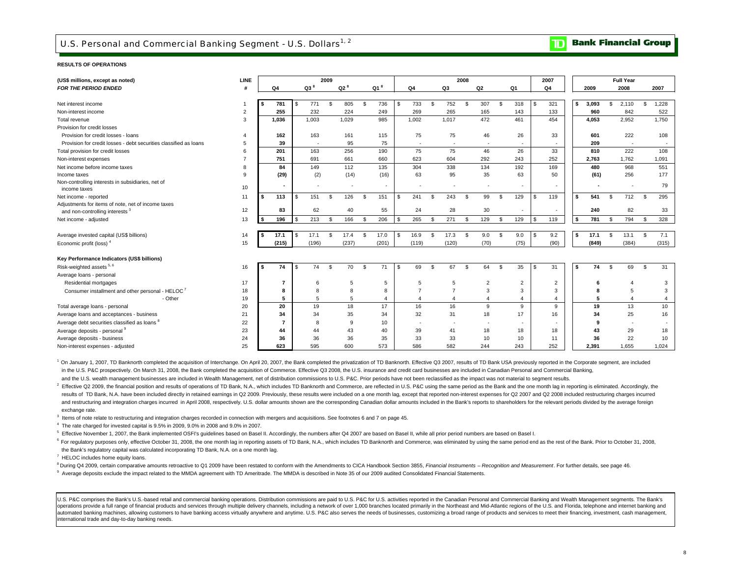### **TD** Bank Financial Group

#### **RESULTS OF OPERATIONS**

| (US\$ millions, except as noted)                                  | <b>LINE</b>    |     |                |     |                 | 2009 |                          |          |                          |      |       |      |                | 2008          |                          |      |                          |      | 2007           |    |       |          | <b>Full Year</b>         |    |                |
|-------------------------------------------------------------------|----------------|-----|----------------|-----|-----------------|------|--------------------------|----------|--------------------------|------|-------|------|----------------|---------------|--------------------------|------|--------------------------|------|----------------|----|-------|----------|--------------------------|----|----------------|
| <b>FOR THE PERIOD ENDED</b>                                       |                |     | Q4             |     | Q3 <sup>8</sup> |      | Q2 <sup>8</sup>          |          | Q1 $^8$                  |      | Q4    |      | Q3             |               | Q2                       |      | Q1                       |      | Q4             |    | 2009  |          | 2008                     |    | 2007           |
|                                                                   |                |     |                |     |                 |      |                          |          |                          |      |       |      |                |               |                          |      |                          |      |                |    |       |          |                          |    |                |
| Net interest income                                               |                | s   | 781            | S   | 771             | \$   | 805                      | s.       | 736                      | \$   | 733   | - \$ | 752            | -S            | 307                      | - \$ | 318                      |      | 321            | s. | 3.093 | \$.      | 2,110                    | ፍ  | 1,228          |
| Non-interest income                                               | $\overline{2}$ |     | 255            |     | 232             |      | 224                      |          | 249                      |      | 269   |      | 265            |               | 165                      |      | 143                      |      | 133            |    | 960   |          | 842                      |    | 522            |
| Total revenue                                                     | 3              |     | 1,036          |     | 1,003           |      | 1,029                    |          | 985                      |      | 1,002 |      | 1,017          |               | 472                      |      | 461                      |      | 454            |    | 4,053 |          | 2,952                    |    | 1,750          |
| Provision for credit losses                                       |                |     |                |     |                 |      |                          |          |                          |      |       |      |                |               |                          |      |                          |      |                |    |       |          |                          |    |                |
| Provision for credit losses - loans                               |                |     | 162            |     | 163             |      | 161                      |          | 115                      |      | 75    |      | 75             |               | 46                       |      | 26                       |      | 33             |    | 601   |          | 222                      |    | 108            |
| Provision for credit losses - debt securities classified as loans | 5              |     | 39             |     | $\sim$          |      | 95                       |          | 75                       |      |       |      |                |               | $\overline{\phantom{a}}$ |      | $\overline{\phantom{a}}$ |      | ٠              |    | 209   |          |                          |    | $\sim$         |
| Total provision for credit losses                                 | 6              |     | 201            |     | 163             |      | 256                      |          | 190                      |      | 75    |      | 75             |               | 46                       |      | 26                       |      | 33             |    | 810   |          | 222                      |    | 108            |
| Non-interest expenses                                             |                |     | 751            |     | 691             |      | 661                      |          | 660                      |      | 623   |      | 604            |               | 292                      |      | 243                      |      | 252            |    | 2,763 |          | 1,762                    |    | 1,091          |
| Net income before income taxes                                    | 8              |     | 84             |     | 149             |      | 112                      |          | 135                      |      | 304   |      | 338            |               | 134                      |      | 192                      |      | 169            |    | 480   |          | 968                      |    | 551            |
| Income taxes                                                      | $\mathbf{Q}$   |     | (29)           |     | (2)             |      | (14)                     |          | (16)                     |      | 63    |      | 95             |               | 35                       |      | 63                       |      | 50             |    | (61)  |          | 256                      |    | 177            |
| Non-controlling interests in subsidiaries, net of                 |                |     | $\blacksquare$ |     | $\sim$          |      | $\overline{\phantom{a}}$ |          | $\overline{\phantom{a}}$ |      |       |      |                |               | ٠                        |      | $\overline{\phantom{a}}$ |      | $\sim$         |    |       |          | $\overline{\phantom{a}}$ |    | 79             |
| income taxes                                                      | 10             |     |                |     |                 |      |                          |          |                          |      |       |      |                |               |                          |      |                          |      |                |    |       |          |                          |    |                |
| Net income - reported                                             | 11             | s.  | 113            | \$. | 151             | \$.  | 126                      | -S       | 151                      | \$.  | 241   | -S   | 243            | -S            | 99                       | - \$ | 129                      |      | 119            | s. | 541   | -S       | 712                      | \$ | 295            |
| Adjustments for items of note, net of income taxes                |                |     |                |     |                 |      |                          |          |                          |      | 24    |      |                |               |                          |      |                          |      |                |    | 240   |          |                          |    |                |
| and non-controlling interests <sup>3</sup>                        | 12             |     | 83             |     | 62              |      | 40                       |          | 55                       |      |       |      | 28             |               | 30                       |      |                          |      | $\sim$         |    |       |          | 82                       |    | 33             |
| Net income - adjusted                                             | 13             | s   | 196            | \$  | 213             | \$   | 166                      | \$       | 206                      | \$   | 265   | -S   | 271            | Ŝ.            | 129                      | - \$ | 129                      | £.   | 119            | \$ | 781   | \$       | 794                      | \$ | 328            |
|                                                                   |                |     |                |     |                 |      |                          |          |                          |      |       |      |                |               |                          |      |                          |      |                |    |       |          |                          |    |                |
| Average invested capital (US\$ billions)                          | 14             | IS. | 17.1           | s.  | 17.1            | \$.  | 17.4                     | \$       | 17.0                     | - \$ | 16.9  | \$.  | 17.3           | $\mathcal{S}$ | 9.0                      | - \$ | 9.0                      |      | 9.2            | \$ | 17.1  | <b>S</b> | 13.1                     | \$ | 7.1            |
| Economic profit (loss) <sup>4</sup>                               | 15             |     | (215)          |     | (196)           |      | (237)                    |          | (201)                    |      | (119) |      | (120)          |               | (70)                     |      | (75)                     |      | (90)           |    | (849) |          | (384)                    |    | (315)          |
| Key Performance Indicators (US\$ billions)                        |                |     |                |     |                 |      |                          |          |                          |      |       |      |                |               |                          |      |                          |      |                |    |       |          |                          |    |                |
| Risk-weighted assets 5, 6                                         | 16             | - 5 | 74             | s.  | 74              | \$   | 70                       | <b>S</b> | 71                       | \$   | 69    | S.   | 67             | -S            | 64                       | - \$ | 35                       | - \$ | 31             | \$ | 74    | \$       | 69                       | \$ | 31             |
| Average loans - personal                                          |                |     |                |     |                 |      |                          |          |                          |      |       |      |                |               |                          |      |                          |      |                |    |       |          |                          |    |                |
| Residential mortgages                                             | 17             |     | 7              |     | 6               |      | 5                        |          | 5                        |      | 5     |      | 5              |               | $\overline{2}$           |      | $\overline{2}$           |      | $\overline{2}$ |    | 6     |          | $\overline{4}$           |    | 3              |
| Consumer installment and other personal - HELOC <sup>7</sup>      | 18             |     |                |     |                 |      | 8                        |          | 8                        |      |       |      | $\overline{7}$ |               | 3                        |      | 3                        |      | 3              |    |       |          | 5                        |    | 3              |
| - Other                                                           | 19             |     | 5              |     | 5               |      | 5                        |          |                          |      |       |      | $\overline{A}$ |               | $\overline{4}$           |      | $\overline{4}$           |      | 4              |    | 5     |          |                          |    | $\overline{4}$ |
| Total average loans - personal                                    | 20             |     | 20             |     | 19              |      | 18                       |          | 17                       |      | 16    |      | 16             |               | 9                        |      | 9                        |      | 9              |    | 19    |          | 13                       |    | 10             |
| Average loans and acceptances - business                          | 21             |     | 34             |     | 34              |      | 35                       |          | 34                       |      | 32    |      | 31             |               | 18                       |      | 17                       |      | 16             |    | 34    |          | 25                       |    | 16             |
| Average debt securities classified as loans <sup>8</sup>          | 22             |     | 7              |     | 8               |      | 9                        |          | 10                       |      |       |      |                |               |                          |      | $\overline{a}$           |      |                |    |       |          |                          |    |                |
| Average deposits - personal 9                                     | 23             |     | 44             |     | 44              |      | 43                       |          | 40                       |      | 39    |      | 41             |               | 18                       |      | 18                       |      | 18             |    | 43    |          | 29                       |    | 18             |
| Average deposits - business                                       | 24             |     | 36             |     | 36              |      | 36                       |          | 35                       |      | 33    |      | 33             |               | 10                       |      | 10                       |      | 11             |    | 36    |          | 22                       |    | 10             |
| Non-interest expenses - adjusted                                  | 25             |     | 623            |     | 595             |      | 600                      |          | 573                      |      | 586   |      | 582            |               | 244                      |      | 243                      |      | 252            |    | 2,391 |          | 1,655                    |    | 1,024          |

and the U.S. wealth management businesses are included in Wealth Management, net of distribution commissions to U.S. P&C. Prior periods have not been reclassified as the impact was not material to segment results. in the U.S. P&C prospectively. On March 31, 2008, the Bank completed the acquisition of Commerce. Effective Q3 2008, the U.S. insurance and credit card businesses are included in Canadian Personal and Commercial Banking, <sup>1</sup> On January 1, 2007, TD Banknorth completed the acquisition of Interchange. On April 20, 2007, the Bank completed the privatization of TD Banknorth. Effective Q3 2007, results of TD Bank USA previously reported in the C

exchange rate. results of TD Bank, N.A. have been included directly in retained earnings in Q2 2009. Previously, these results were included on a one month lag, except that reported non-interest expenses for Q2 2007 and Q2 2008 included and restructuring and integration charges incurred in April 2008, respectively. U.S. dollar amounts shown are the corresponding Canadian dollar amounts included in the Bank's reports to shareholders for the relevant period <sup>2</sup> Effective Q2 2009, the financial position and results of operations of TD Bank, N.A., which includes TD Banknorth and Commerce, are reflected in U.S. P&C using the same period as the Bank and the one month lag in repor

3 Items of note relate to restructuring and integration charges recorded in connection with mergers and acquisitions. See footnotes 6 and 7 on page 45.

4 The rate charged for invested capital is 9.5% in 2009, 9.0% in 2008 and 9.0% in 2007.

<sup>5</sup> Effective November 1, 2007, the Bank implemented OSFI's quidelines based on Basel II. Accordingly, the numbers after Q4 2007 are based on Basel II, while all prior period numbers are based on Basel I.

<sup>6</sup> For regulatory purposes only, effective October 31, 2008, the one month lag in reporting assets of TD Bank, N.A., which includes TD Banknorth and Commerce, was eliminated by using the same period end as the rest of the the Bank's regulatory capital was calculated incorporating TD Bank, N.A. on a one month lag.

<sup>7</sup> HELOC includes home equity loans.

<sup>8</sup> During Q4 2009, certain comparative amounts retroactive to Q1 2009 have been restated to conform with the Amendments to CICA Handbook Section 3855, Financial Instruments - Recognition and Measurement. For further detai

9 Average deposits exclude the impact related to the MMDA agreement with TD Ameritrade. The MMDA is described in Note 35 of our 2009 audited Consolidated Financial Statements.

U.S. P&C comprises the Bank's U.S. based retail and commercial banking operations. Distribution commissions are paid to U.S. P&C for U.S. activities reported in the Canadian Personal and Commercial Banking and Wealth Manag operations provide a full range of financial products and services through multiple delivery channels, including a network of over 1,000 branches located primarily in the Northeast and Mid-Atlantic regions of the U.S. and automated banking machines, allowing customers to have banking access virtually anywhere and anytime. U.S. P&C also serves the needs of businesses, customizing a broad range of products and services to meet their financing international trade and day-to-day banking needs.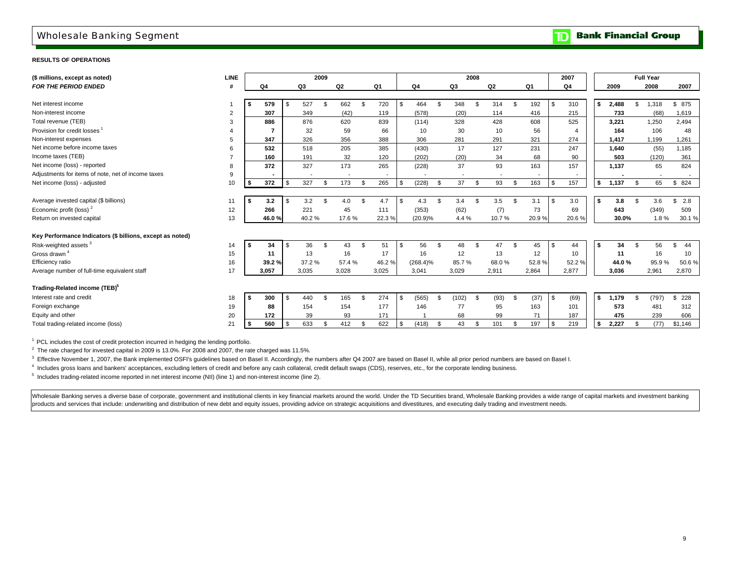### Wholesale Banking Segment

**RESULTS OF OPERATIONS**

| (\$ millions, except as noted)                            | <b>LINE</b>    |        |      |                          | 2009           |                |                |       |             |                | 2008 |                |     |       | 2007           |                 |            |       |                | <b>Full Year</b>         |           |
|-----------------------------------------------------------|----------------|--------|------|--------------------------|----------------|----------------|----------------|-------|-------------|----------------|------|----------------|-----|-------|----------------|-----------------|------------|-------|----------------|--------------------------|-----------|
| <b>FOR THE PERIOD ENDED</b>                               |                | Q4     |      | Q3                       |                | Q <sub>2</sub> |                | Q1    | Q4          | Q3             |      | Q <sub>2</sub> |     | Q1    | Q4             |                 |            | 2009  |                | 2008                     | 2007      |
|                                                           |                |        |      |                          |                |                |                |       |             |                |      |                |     |       |                |                 |            |       |                |                          |           |
| Net interest income                                       |                | 579    | . ፍ  | 527                      |                | 662            | $\mathfrak{L}$ | 720   | \$<br>464   | \$<br>348      | \$   | 314            | \$  | 192   | \$             | 310             | s.         | 2,488 | \$             | 1,318                    | \$ 875    |
| Non-interest income                                       | 2              | 307    |      | 349                      |                | (42)           |                | 119   | (578)       | (20)           |      | 114            |     | 416   |                | 215             |            | 733   |                | (68)                     | 1,619     |
| Total revenue (TEB)                                       | 3              | 886    |      | 876                      |                | 620            |                | 839   | (114)       | 328            |      | 428            |     | 608   |                | 525             |            | 3,221 |                | 1,250                    | 2,494     |
| Provision for credit losses <sup>1</sup>                  |                |        |      | 32                       |                | 59             |                | 66    | 10          | 30             |      | 10             |     | 56    |                |                 |            | 164   |                | 106                      | 48        |
| Non-interest expenses                                     | 5              | 347    |      | 326                      |                | 356            |                | 388   | 306         | 281            |      | 291            |     | 321   |                | 274             |            | 1.417 |                | 1,199                    | 1,261     |
| Net income before income taxes                            | 6              | 532    |      | 518                      |                | 205            |                | 385   | (430)       | 17             |      | 127            |     | 231   |                | 247             |            | 1.640 |                | (55)                     | 1,185     |
| Income taxes (TEB)                                        | $\overline{7}$ | 160    |      | 191                      |                | 32             |                | 120   | (202)       | (20)           |      | 34             |     | 68    |                | 90              |            | 503   |                | (120)                    | 361       |
| Net income (loss) - reported                              | 8              | 372    |      | 327                      |                | 173            |                | 265   | (228)       | 37             |      | 93             |     | 163   |                | 157             |            | 1,137 |                | 65                       | 824       |
| Adjustments for items of note, net of income taxes        | 9              |        |      | $\overline{\phantom{a}}$ |                |                |                |       |             | $\blacksquare$ |      | $\blacksquare$ |     |       |                |                 |            |       |                | $\overline{\phantom{a}}$ |           |
| Net income (loss) - adjusted                              | 10             | 372    | l \$ | 327                      | $\mathfrak{s}$ | 173            | $\mathfrak{L}$ | 265   | \$<br>(228) | \$<br>37       | \$   | 93             | \$. | 163   | \$             | 157             | $\sqrt{5}$ | 1,137 | \$             | 65                       | \$824     |
|                                                           |                |        |      |                          |                |                |                |       |             |                |      |                |     |       |                |                 |            |       |                |                          |           |
| Average invested capital (\$ billions)                    | 11             | 3.2    | - \$ | 3.2                      | $\mathcal{F}$  | 4.0            | $\mathfrak{L}$ | 4.7   | \$<br>4.3   | \$<br>3.4      |      | 3.5            | \$  | 3.1   | $\mathfrak{s}$ | 3.0             | \$         | 3.8   | $\mathfrak{L}$ | 3.6                      | \$<br>2.8 |
| Economic profit (loss) $2$                                | 12             | 266    |      | 221                      |                | 45             |                | 111   | (353)       | (62)           |      | (7)            |     | 73    |                | 69              |            | 643   |                | (349)                    | 509       |
| Return on invested capital                                | 13             | 46.0%  |      | 40.2%                    |                | 17.6%          |                | 22.3% | (20.9)%     | 4.4%           |      | 10.7%          |     | 20.9% |                | 20.6%           |            | 30.0% |                | 1.8%                     | 30.1%     |
|                                                           |                |        |      |                          |                |                |                |       |             |                |      |                |     |       |                |                 |            |       |                |                          |           |
| Key Performance Indicators (\$ billions, except as noted) |                |        |      |                          |                |                |                |       |             |                |      |                |     |       |                |                 |            |       |                |                          |           |
| Risk-weighted assets <sup>3</sup>                         | 14             | 34     | - \$ | 36                       | $\mathcal{F}$  | 43             | $\mathfrak{L}$ | 51    | \$<br>56    | \$<br>48       | \$.  | 47             | \$  | 45    | <b>\$</b>      | 44              | Ŝ.         | 34    | $\mathfrak{L}$ | 56                       | 44        |
| Gross drawn <sup>4</sup>                                  | 15             | 11     |      | 13                       |                | 16             |                | 17    | 16          | 12             |      | 13             |     | 12    |                | 10 <sup>1</sup> |            | 11    |                | 16                       | 10        |
| Efficiency ratio                                          | 16             | 39.2 % |      | 37.2 %                   |                | 57.4 %         |                | 46.2% | $(268.4)\%$ | 85.7%          |      | 68.0%          |     | 52.8% |                | 52.2%           |            | 44.0% |                | 95.9%                    | 50.6%     |
| Average number of full-time equivalent staff              | 17             | 3,057  |      | 3,035                    |                | 3,028          |                | 3,025 | 3,041       | 3,029          |      | 2,911          |     | 2,864 |                | 2,877           |            | 3,036 |                | 2,961                    | 2,870     |
| Trading-Related income (TEB) <sup>5</sup>                 |                |        |      |                          |                |                |                |       |             |                |      |                |     |       |                |                 |            |       |                |                          |           |
| Interest rate and credit                                  | 18             | 300    | -\$  | 440                      | $\mathcal{L}$  | 165            | $\mathfrak{L}$ | 274   | \$<br>(565) | \$<br>(102)    | \$   | (93)           | \$  | (37)  | \$             | (69)            | s.         | 1,179 | \$             | (797)                    | \$228     |
| Foreign exchange                                          | 19             | 88     |      | 154                      |                | 154            |                | 177   | 146         | 77             |      | 95             |     | 163   |                | 101             |            | 573   |                | 481                      | 312       |
| Equity and other                                          | 20             | 172    |      | 39                       |                | 93             |                | 171   |             | 68             |      | 99             |     | 71    |                | 187             |            | 475   |                | 239                      | 606       |
| Total trading-related income (loss)                       | 21             | 560    | \$   | 633                      |                | 412            | $\mathfrak{L}$ | 622   | \$<br>(418) | \$<br>43       | \$.  | 101            | \$. | 197   | \$             | 219             | \$         | 2,227 | -\$            | (77)                     | \$1,146   |
|                                                           |                |        |      |                          |                |                |                |       |             |                |      |                |     |       |                |                 |            |       |                |                          |           |

 $1$  PCL includes the cost of credit protection incurred in hedging the lending portfolio.

 $2$  The rate charged for invested capital in 2009 is 13.0%. For 2008 and 2007, the rate charged was 11.5%.

<sup>3</sup> Effective November 1, 2007, the Bank implemented OSFI's guidelines based on Basel II. Accordingly, the numbers after Q4 2007 are based on Basel II, while all prior period numbers are based on Basel I.

4 Includes gross loans and bankers' acceptances, excluding letters of credit and before any cash collateral, credit default swaps (CDS), reserves, etc., for the corporate lending business.

<sup>5</sup> Includes trading-related income reported in net interest income (NII) (line 1) and non-interest income (line 2).

Wholesale Banking serves a diverse base of corporate, government and institutional clients in key financial markets around the world. Under the TD Securities brand, Wholesale Banking provides a wide range of capital market products and services that include: underwriting and distribution of new debt and equity issues, providing advice on strategic acquisitions and divestitures, and executing daily trading and investment needs.

**Bank Financial Group**  $\mathbf{D}$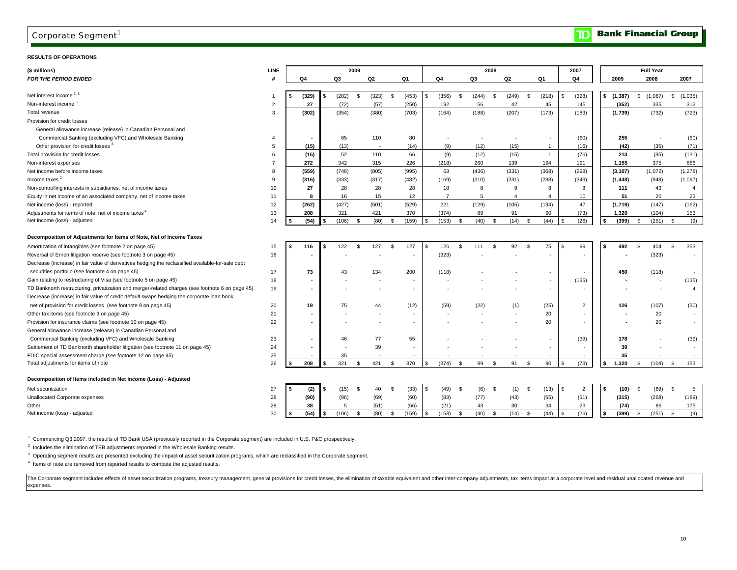### Corporate Segment $^1$

#### **RESULTS OF OPERATIONS**

| (\$ millions)                                                                                     | <b>LINE</b>    |     |                          |                         | 2009 |                          |      |        |            |                |          |                          | 2008 |                          |      |                |            | 2007           |    |                          |      | <b>Full Year</b>         |    |                          |
|---------------------------------------------------------------------------------------------------|----------------|-----|--------------------------|-------------------------|------|--------------------------|------|--------|------------|----------------|----------|--------------------------|------|--------------------------|------|----------------|------------|----------------|----|--------------------------|------|--------------------------|----|--------------------------|
| <b>FOR THE PERIOD ENDED</b>                                                                       | #              |     | Q4                       | Q3                      |      | Q2                       |      | Q1     |            | Q4             |          | Q3                       |      | Q2                       |      | Q1             |            | Q4             |    | 2009                     |      | 2008                     |    | 2007                     |
|                                                                                                   |                |     |                          |                         |      |                          |      |        |            |                |          |                          |      |                          |      |                |            |                |    |                          |      |                          |    |                          |
| Net interest income <sup>2, 3</sup>                                                               | 1              | \$  | (329)                    | (282)<br>\$             | - 96 | (323)                    | - \$ | (453)  | \$         | (356)          | -S       | (244)                    | - \$ | (249)                    | - \$ | (218)          | \$         | (328)          | \$ | (1, 387)                 | \$   | (1,067)                  | S. | (1,035)                  |
| Non-interest income <sup>3</sup>                                                                  | $\overline{2}$ |     | 27                       | (72)                    |      | (57)                     |      | (250)  |            | 192            |          | 56                       |      | 42                       |      | 45             |            | 145            |    | (352)                    |      | 335                      |    | 312                      |
| Total revenue                                                                                     | 3              |     | (302)                    | (354)                   |      | (380)                    |      | (703)  |            | (164)          |          | (188)                    |      | (207)                    |      | (173)          |            | (183)          |    | (1,739)                  |      | (732)                    |    | (723)                    |
| Provision for credit losses                                                                       |                |     |                          |                         |      |                          |      |        |            |                |          |                          |      |                          |      |                |            |                |    |                          |      |                          |    |                          |
| General allowance increase (release) in Canadian Personal and                                     |                |     |                          |                         |      |                          |      |        |            |                |          |                          |      |                          |      |                |            |                |    |                          |      |                          |    |                          |
| Commercial Banking (excluding VFC) and Wholesale Banking                                          | 4              |     |                          | 65                      |      | 110                      |      | 80     |            |                |          | $\overline{\phantom{a}}$ |      | $\overline{\phantom{a}}$ |      |                |            | (60)           |    | 255                      |      | $\sim$                   |    | (60)                     |
| Other provision for credit losses <sup>3</sup>                                                    | 5              |     | (15)                     | (13)                    |      | $\overline{\phantom{a}}$ |      | (14)   |            | (9)            |          | (12)                     |      | (15)                     |      | $\overline{1}$ |            | (16)           |    | (42)                     |      | (35)                     |    | (71)                     |
| Total provision for credit losses                                                                 | 6              |     | (15)                     | 52                      |      | 110                      |      | 66     |            | (9)            |          | (12)                     |      | (15)                     |      | $\mathbf{1}$   |            | (76)           |    | 213                      |      | (35)                     |    | (131)                    |
| Non-interest expenses                                                                             | $\overline{7}$ |     | 272                      | 342                     |      | 315                      |      | 226    |            | (218)          |          | 260                      |      | 139                      |      | 194            |            | 191            |    | 1,155                    |      | 375                      |    | 686                      |
| Net income before income taxes                                                                    | 8              |     | (559)                    | (748)                   |      | (805)                    |      | (995)  |            | 63             |          | (436)                    |      | (331)                    |      | (368)          |            | (298)          |    | (3, 107)                 |      | (1,072)                  |    | (1, 278)                 |
| Income taxes <sup>2</sup>                                                                         | 9              |     | (316)                    | (333)                   |      | (317)                    |      | (482)  |            | (169)          |          | (310)                    |      | (231)                    |      | (238)          |            | (343)          |    | (1, 448)                 |      | (948)                    |    | (1,097)                  |
| Non-controlling interests in subsidiaries, net of income taxes                                    | 10             |     | 27                       | 28                      |      | 28                       |      | 28     |            | 18             |          | 8                        |      | 9                        |      | 8              |            | 8              |    | 111                      |      | 43                       |    | $\overline{4}$           |
| Equity in net income of an associated company, net of income taxes                                | 11             |     | 8                        | 16                      |      | 15                       |      | 12     |            | $\overline{7}$ |          | 5                        |      | $\overline{4}$           |      | $\overline{4}$ |            | 10             |    | 51                       |      | 20                       |    | 23                       |
| Net income (loss) - reported                                                                      | 12             |     | (262)                    | (427)                   |      | (501)                    |      | (529)  |            | 221            |          | (129)                    |      | (105)                    |      | (134)          |            | 47             |    | (1,719)                  |      | (147)                    |    | (162)                    |
| Adjustments for items of note, net of income taxes <sup>4</sup>                                   | 13             |     | 208                      | 321                     |      | 421                      |      | 370    |            | (374)          |          | 89                       |      | 91                       |      | 90             |            | (73)           |    | 1,320                    |      | (104)                    |    | 153                      |
| Net income (loss) - adjusted                                                                      | 14             |     | (54)                     | (106)<br>\$             | - \$ | (80)                     | - \$ | (159)  | \$         | (153)          | \$       | (40)                     | - \$ | (14)                     | - \$ | (44)           | \$.        | (26)           |    | (399)                    | - \$ | (251)                    | S, | (9)                      |
|                                                                                                   |                |     |                          |                         |      |                          |      |        |            |                |          |                          |      |                          |      |                |            |                |    |                          |      |                          |    |                          |
| Decomposition of Adjustments for Items of Note, Net of Income Taxes                               |                |     |                          |                         |      |                          |      |        |            |                |          |                          |      |                          |      |                |            |                |    |                          |      |                          |    |                          |
| Amortization of intangibles (see footnote 2 on page 45)                                           | 15             | \$  | 116                      | 122<br>\$               | s.   | 127                      | \$   | 127    | \$.        | 126            | <b>S</b> | 111                      | S.   | 92                       | \$   | 75             | \$         | 99             | \$ | 492                      | \$   | 404                      | s. | 353                      |
| Reversal of Enron litigation reserve (see footnote 3 on page 45)                                  | 16             |     |                          |                         |      |                          |      |        |            | (323)          |          |                          |      |                          |      |                |            |                |    |                          |      | (323)                    |    | $\overline{\phantom{a}}$ |
| Decrease (increase) in fair value of derivatives hedging the reclassified available-for-sale debt |                |     |                          |                         |      |                          |      |        |            |                |          |                          |      |                          |      |                |            |                |    |                          |      |                          |    |                          |
| securities portfolio (see footnote 4 on page 45)                                                  | 17             |     | 73                       | 43                      |      | 134                      |      | 200    |            | (118)          |          |                          |      |                          |      | $\sim$         |            |                |    | 450                      |      | (118)                    |    |                          |
| Gain relating to restructuring of Visa (see footnote 5 on page 45)                                | 18             |     |                          |                         |      |                          |      |        |            |                |          |                          |      |                          |      | $\sim$         |            | (135)          |    |                          |      | $\overline{\phantom{a}}$ |    | (135)                    |
| TD Banknorth restructuring, privatization and merger-related charges (see footnote 6 on page 45)  | 19             |     | $\blacksquare$           |                         |      |                          |      | $\sim$ |            |                |          |                          |      |                          |      | $\sim$         |            |                |    | $\overline{a}$           |      | $\blacksquare$           |    | $\overline{4}$           |
| Decrease (increase) in fair value of credit default swaps hedging the corporate loan book,        |                |     |                          |                         |      |                          |      |        |            |                |          |                          |      |                          |      |                |            |                |    |                          |      |                          |    |                          |
| net of provision for credit losses (see footnote 8 on page 45)                                    | 20             |     | 19                       | 75                      |      | 44                       |      | (12)   |            | (59)           |          | (22)                     |      | (1)                      |      | (25)           |            | $\overline{2}$ |    | 126                      |      | (107)                    |    | (30)                     |
| Other tax items (see footnote 9 on page 45)                                                       | 21             |     |                          |                         |      |                          |      |        |            |                |          |                          |      |                          |      | 20             |            |                |    |                          |      | 20                       |    | $\sim$                   |
| Provision for insurance claims (see footnote 10 on page 45)                                       | 22             |     | $\overline{\phantom{a}}$ |                         |      |                          |      |        |            |                |          |                          |      | $\overline{a}$           |      | 20             |            |                |    | $\overline{\phantom{a}}$ |      | 20                       |    |                          |
| General allowance increase (release) in Canadian Personal and                                     |                |     |                          |                         |      |                          |      |        |            |                |          |                          |      |                          |      |                |            |                |    |                          |      |                          |    |                          |
| Commercial Banking (excluding VFC) and Wholesale Banking                                          | 23             |     | $\overline{\phantom{a}}$ | 46                      |      | 77                       |      | 55     |            |                |          |                          |      |                          |      | $\sim$         |            | (39)           |    | 178                      |      |                          |    | (39)                     |
| Settlement of TD Banknorth shareholder litigation (see footnote 11 on page 45)                    | 24             |     |                          |                         |      | 39                       |      |        |            |                |          |                          |      |                          |      |                |            |                |    | 39                       |      |                          |    |                          |
| FDIC special assessment charge (see footnote 12 on page 45)                                       | 25             |     |                          | 35                      |      |                          |      |        |            |                |          |                          |      |                          |      |                |            |                |    | 35                       |      |                          |    |                          |
| Total adjustments for items of note                                                               | 26             |     | 208                      | 321<br>\$               | -S   | 421                      | - \$ | 370    | S          | (374)          | -\$      | 89                       | - \$ | 91                       | - \$ | 90             | \$         | (73)           |    | 1,320                    | S.   | (104)                    | \$ | 153                      |
|                                                                                                   |                |     |                          |                         |      |                          |      |        |            |                |          |                          |      |                          |      |                |            |                |    |                          |      |                          |    |                          |
| Decomposition of Items included in Net Income (Loss) - Adjusted                                   |                |     |                          |                         |      |                          |      |        |            |                |          |                          |      |                          |      |                |            |                |    |                          |      |                          |    |                          |
| Net securitization                                                                                | 27             | l S | (2)                      | (15)<br>- \$            | \$   | 40                       | \$   | (33)   | <b>\$</b>  | (49)           | \$       | (6)                      | \$   | (1)                      | -\$  | (13)           | \$         | $\overline{2}$ | s. | (10)                     | - \$ | (69)                     | S, | $\sqrt{5}$               |
| Unallocated Corporate expenses                                                                    | 28             |     | (90)                     | (96)                    |      | (69)                     |      | (60)   |            | (83)           |          | (77)                     |      | (43)                     |      | (65)           |            | (51)           |    | (315)                    |      | (268)                    |    | (189)                    |
| Other                                                                                             | 29             |     | 38                       | 5                       |      | (51)                     |      | (66)   |            | (21)           |          | 43                       |      | 30                       |      | 34             |            | 23             |    | (74)                     |      | 86                       |    | 175                      |
| Net income (loss) - adjusted                                                                      | 30             |     | (54)                     | (106)<br>$\mathfrak{L}$ | -S   | (80)                     | \$   | (159)  | $\sqrt{3}$ | (153)          | \$       | (40)                     | \$   | (14)                     | - \$ | (44)           | $\sqrt{3}$ | (26)           | \$ | (399)                    | \$   | $(251)$ \$               |    | (9)                      |
|                                                                                                   |                |     |                          |                         |      |                          |      |        |            |                |          |                          |      |                          |      |                |            |                |    |                          |      |                          |    |                          |

1 Commencing Q3 2007, the results of TD Bank USA (previously reported in the Corporate segment) are included in U.S. P&C prospectively.

<sup>2</sup> Includes the elimination of TEB adjustments reported in the Wholesale Banking results.

<sup>3</sup> Operating segment results are presented excluding the impact of asset securitization programs, which are reclassified in the Corporate segment.

4 Items of note are removed from reported results to compute the adjusted results.

The Corporate segment includes effects of asset securitization programs, treasury management, general provisions for credit losses, the elimination of taxable equivalent and other inter-company adjustments, tax items impac expenses.

 $\mathbf{D}$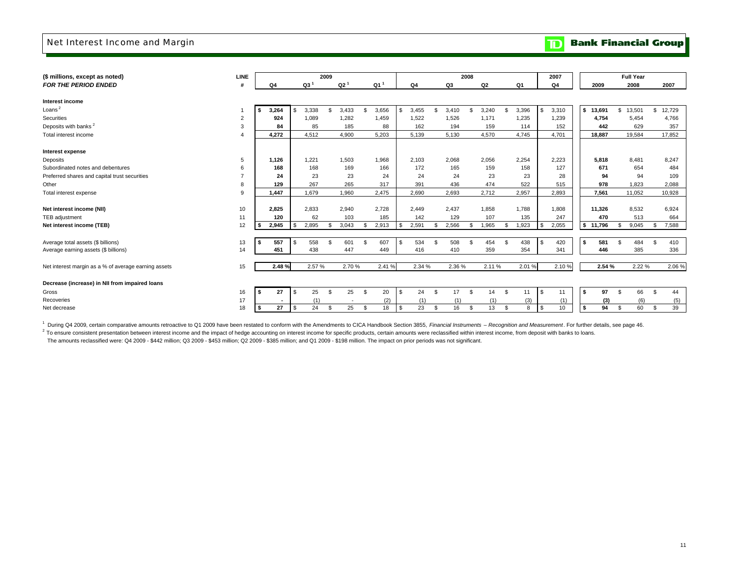### Net Interest Income and Margin

**Bank Financial Group**  $\mathbf{D}$ 

| <b>LINE</b> |       |          |                 |          |                 |       |                 |               |        |                |                  |       |                |       |        |       | 2007       |       |        |                               |        |                                                        |          |
|-------------|-------|----------|-----------------|----------|-----------------|-------|-----------------|---------------|--------|----------------|------------------|-------|----------------|-------|--------|-------|------------|-------|--------|-------------------------------|--------|--------------------------------------------------------|----------|
|             | Ο4    |          | Q3 <sup>1</sup> |          | Q2 <sup>1</sup> |       | Q1 <sup>1</sup> |               | Q4     |                | Q3               |       | Q <sub>2</sub> |       | Q1     |       | Q4         |       | 2009   |                               |        |                                                        | 2007     |
|             |       |          |                 |          |                 |       |                 |               |        |                |                  |       |                |       |        |       |            |       |        |                               |        |                                                        |          |
|             |       |          |                 |          |                 |       |                 |               |        |                |                  |       |                |       |        |       |            |       |        |                               |        |                                                        |          |
|             |       | \$.      |                 | £.       |                 | \$.   |                 | \$            |        | $\mathfrak{L}$ |                  | ٩     |                |       |        |       |            | l S   |        | \$                            |        | $\mathbb{S}$                                           | 12,729   |
| 2           | 924   |          | 1.089           |          | 1,282           |       | 1,459           |               | 1,522  |                | 1,526            |       | 1,171          |       | 1,235  |       | 1,239      |       | 4,754  |                               | 5,454  |                                                        | 4,766    |
| 3           | 84    |          | 85              |          | 185             |       | 88              |               | 162    |                | 194              |       | 159            |       | 114    |       | 152        |       | 442    |                               | 629    |                                                        | 357      |
|             | 4.272 |          | 4.512           |          | 4,900           |       | 5.203           |               | 5,139  |                | 5,130            |       | 4,570          |       | 4.745  |       | 4,701      |       | 18.887 |                               |        |                                                        | 17.852   |
|             |       |          |                 |          |                 |       |                 |               |        |                |                  |       |                |       |        |       |            |       |        |                               |        |                                                        |          |
|             |       |          |                 |          |                 |       |                 |               |        |                |                  |       |                |       |        |       |            |       |        |                               |        |                                                        |          |
| 5           | 1,126 |          | 1.221           |          | 1,503           |       | 1,968           |               | 2,103  |                | 2,068            |       | 2,056          |       | 2,254  |       | 2,223      |       | 5,818  |                               | 8,481  |                                                        | 8,247    |
| 6           | 168   |          | 168             |          | 169             |       | 166             |               | 172    |                | 165              |       | 159            |       | 158    |       | 127        |       | 671    |                               | 654    |                                                        | 484      |
|             | 24    |          | 23              |          | 23              |       | 24              |               | 24     |                | 24               |       | 23             |       | 23     |       | 28         |       | 94     |                               | 94     |                                                        | 109      |
| 8           | 129   |          | 267             |          | 265             |       | 317             |               | 391    |                | 436              |       | 474            |       | 522    |       | 515        |       | 978    |                               | 1.823  |                                                        | 2,088    |
| 9           | 1.447 |          | 1.679           |          | 1.960           |       | 2.475           |               | 2.690  |                | 2,693            |       | 2,712          |       | 2,957  |       | 2,893      |       | 7,561  |                               |        |                                                        | 10,928   |
|             |       |          |                 |          |                 |       |                 |               |        |                |                  |       |                |       |        |       |            |       |        |                               |        |                                                        |          |
| 10          | 2.825 |          | 2,833           |          | 2,940           |       | 2,728           |               | 2,449  |                | 2,437            |       | 1,858          |       | 1,788  |       | 1,808      |       |        |                               | 8,532  |                                                        | 6,924    |
| 11          | 120   |          | 62              |          | 103             |       | 185             |               | 142    |                | 129              |       | 107            |       | 135    |       | 247        |       | 470    |                               | 513    |                                                        | 664      |
| 12          | 2,945 | \$       | 2,895           | \$.      | 3,043           | \$.   | 2,913           | \$            | 2,591  | -9             | 2,566            | £.    | 1,965          |       | 1,923  |       | 2,055      |       |        |                               | 9,045  |                                                        | 7,588    |
|             |       |          |                 |          |                 |       |                 |               |        |                |                  |       |                |       |        |       |            |       |        |                               |        |                                                        |          |
| 13          | 557   | <b>S</b> | 558             | \$.      | 601             | s.    | 607             | \$            | 534    |                | 508              | -9    | 454            | \$    | 438    | \$    | 420        | l S   | 581    |                               | 484    | \$.                                                    | 410      |
| 14          | 451   |          | 438             |          | 447             |       | 449             |               | 416    |                | 410              |       | 359            |       | 354    |       | 341        |       | 446    |                               | 385    |                                                        | 336      |
|             |       |          |                 |          |                 |       |                 |               |        |                |                  |       |                |       |        |       |            |       |        |                               |        |                                                        |          |
| 15          | 2.48% |          | 2.57%           |          |                 |       | 2.41 %          |               | 2.34 % |                |                  |       |                |       | 2.01%  |       | 2.10%      |       |        |                               | 2.22 % |                                                        | 2.06%    |
|             |       |          |                 |          |                 |       |                 |               |        |                |                  |       |                |       |        |       |            |       |        |                               |        |                                                        |          |
|             |       |          |                 |          |                 |       |                 |               |        |                |                  |       |                |       |        |       |            |       |        |                               |        |                                                        |          |
| 16          | 27    | l \$     | 25              | <b>S</b> | 25              | S.    | 20              | <sup>\$</sup> | 24     |                | 17               | \$    | 14             | S.    | 11     |       | 11         | l s   | 97     | S.                            | 66     |                                                        | 44       |
| 17          |       |          | (1)             |          |                 |       | (2)             |               | (1)    |                | (1)              |       | (1)            |       | (3)    |       | (1)        |       | (3)    |                               | (6)    |                                                        | (5)      |
| 18          | 27    | l \$     | 24              | <b>S</b> | 25              | S.    | 18              | \$            | 23     |                | 16               | \$    | 13             | \$    | 8      |       | 10         | l S   | 94     | <b>S</b>                      | 60     | \$                                                     | 39       |
|             |       | 3,264    |                 | 3,338    | 2009            | 3,433 | 2.70%           | 3,656         |        | 3,455          | -9<br>\$<br>- \$ | 3.410 | 2008<br>2.36 % | 3,240 | 2.11 % | 3,396 | \$<br>- \$ | 3,310 |        | 13,691<br>11,326<br>\$ 11,796 | 2.54 % | <b>Full Year</b><br>2008<br>13,501<br>19,584<br>11.052 | <b>S</b> |

<sup>1</sup> During Q4 2009, certain comparative amounts retroactive to Q1 2009 have been restated to conform with the Amendments to CICA Handbook Section 3855, Financial Instruments - Recognition and Measurement. For further detai

<sup>2</sup> To ensure consistent presentation between interest income and the impact of hedge accounting on interest income for specific products, certain amounts were reclassified within interest income, from deposit with banks t

The amounts reclassified were: Q4 2009 - \$442 million; Q3 2009 - \$453 million; Q2 2009 - \$385 million; and Q1 2009 - \$198 million. The impact on prior periods was not significant.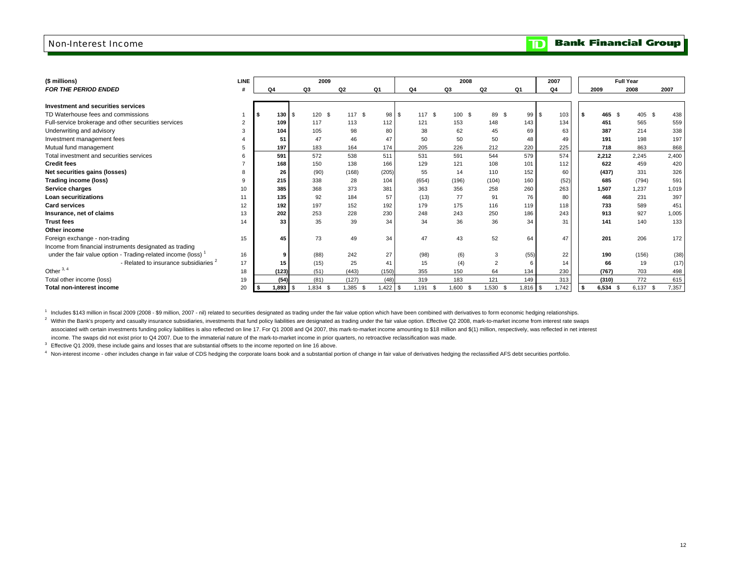### Non-Interest Income

#### **Bank Financial Group**  $\overline{\mathbf{D}}$

| (\$ millions)                                                            | <b>LINE</b> |                          | 2009          |               |            |                | 2008     |                |            | 2007           |              | <b>Full Year</b> |               |
|--------------------------------------------------------------------------|-------------|--------------------------|---------------|---------------|------------|----------------|----------|----------------|------------|----------------|--------------|------------------|---------------|
| <b>FOR THE PERIOD ENDED</b>                                              |             | Q <sub>4</sub>           | Q3            | Q2            | Q1         | Q <sub>4</sub> | Q3       | Q2             | Q1         | Q <sub>4</sub> | 2009         | 2008             | 2007          |
|                                                                          |             |                          |               |               |            |                |          |                |            |                |              |                  |               |
| Investment and securities services                                       |             |                          |               |               |            |                |          |                |            |                |              |                  |               |
| TD Waterhouse fees and commissions                                       |             | 130S                     | 120<br>- \$   | 117 \$        | 98 \$      | 117 \$         | 100 \$   | 89 \$          | 99         | l \$<br>103    | 465 S<br>∣S. | 405 \$           | 438           |
| Full-service brokerage and other securities services                     |             | 109                      | 117           | 113           | 112        | 121            | 153      | 148            | 143        | 134            | 451          | 565              | 559           |
| Underwriting and advisory                                                |             | 104                      | 105           | 98            | 80         | 38             | 62       | 45             | 69         | 63             | 387          | 214              | 338           |
| Investment management fees                                               |             | 51                       | 47            | 46            | 47         | 50             | 50       | 50             | 48         | 49             | 191          | 198              | 197           |
| Mutual fund management                                                   |             | 197                      | 183           | 164           | 174        | 205            | 226      | 212            | 220        | 225            | 718          | 863              | 868           |
| Total investment and securities services                                 |             | 591                      | 572           | 538           | 511        | 531            | 591      | 544            | 579        | 574            | 2,212        | 2.245            | 2,400         |
| <b>Credit fees</b>                                                       |             | 168                      | 150           | 138           | 166        | 129            | 121      | 108            | 101        | 112            | 622          | 459              | 420           |
| Net securities gains (losses)                                            |             | 26                       | (90)          | (168)         | (205)      | 55             | 14       | 110            | 152        | 60             | (437)        | 331              | 326           |
| Trading income (loss)                                                    |             | 215                      | 338           | 28            | 104        | (654)          | (196)    | (104)          | 160        | (52)           | 685          | (794)            | 591           |
| Service charges                                                          | 10          | 385                      | 368           | 373           | 381        | 363            | 356      | 258            | 260        | 263            | 1.507        | 1.237            | 1,019         |
| <b>Loan securitizations</b>                                              | 11          | 135                      | 92            | 184           | 57         | (13)           | 77       | 91             | 76         | 80             | 468          | 231              | 397           |
| <b>Card services</b>                                                     | 12          | 192                      | 197           | 152           | 192        | 179            | 175      | 116            | 119        | 118            | 733          | 589              | 451           |
| Insurance, net of claims                                                 | 13          | 202                      | 253           | 228           | 230        | 248            | 243      | 250            | 186        | 243            | 913          | 927              | 1,005         |
| <b>Trust fees</b>                                                        | 14          | 33                       | 35            | 39            | 34         | 34             | 36       | 36             | 34         | 31             | 141          | 140              | 133           |
| Other income                                                             |             |                          |               |               |            |                |          |                |            |                |              |                  |               |
| Foreign exchange - non-trading                                           | 15          | 45                       | 73            | 49            | 34         | 47             | 43       | 52             | 64         | 47             | 201          | 206              | 172           |
| Income from financial instruments designated as trading                  |             |                          |               |               |            |                |          |                |            |                |              |                  |               |
| under the fair value option - Trading-related income (loss) <sup>1</sup> | 16          | 9                        | (88)          | 242           | 27         | (98)           | (6)      | 3              | (55)       | 22             | 190          | (156)            | (38)          |
| - Related to insurance subsidiaries <sup>2</sup>                         | 17          | 15                       | (15)          | 25            | 41         | 15             | (4)      | $\overline{2}$ |            | 14             | 66           | 19               | (17)          |
| Other $3, 4$                                                             | 18          | (123)                    | (51)          | (443)         | (150)      | 355            | 150      | 64             | 134        | 230            | (767)        | 703              | 498           |
| Total other income (loss)                                                | 19          | (54)                     | (81)          | (127)         | (48)       | 319            | 183      | 121            | 149        | 313            | (310)        | 772              | 615           |
| <b>Total non-interest income</b>                                         | 20          | $1.893$ $\sqrt{5}$<br>\$ | 1.834<br>- \$ | 1,385<br>- \$ | $1,422$ \$ | $1,191$ \$     | 1,600 \$ | $1.530$ \$     | $1,816$ \$ | 1,742          | $6,534$ \$   | 6,137            | 7,357<br>- \$ |

1 Includes \$143 million in fiscal 2009 (2008 - \$9 million, 2007 - nil) related to securities designated as trading under the fair value option which have been combined with derivatives to form economic hedging relationships. <sup>2</sup> Within the Bank's property and casualty insurance subsidiaries, investments that fund policy liabilities are designated as trading under the fair value option. Effective Q2 2008, mark-to-market income from interest rat associated with certain investments funding policy liabilities is also reflected on line 17. For Q1 2008 and Q4 2007, this mark-to-market income amounting to \$18 million and \$(1) million, respectively, was reflected in net income. The swaps did not exist prior to Q4 2007. Due to the immaterial nature of the mark-to-market income in prior quarters, no retroactive reclassification was made.

<sup>3</sup> Effective Q1 2009, these include gains and losses that are substantial offsets to the income reported on line 16 above.

4 Non-interest income - other includes change in fair value of CDS hedging the corporate loans book and a substantial portion of change in fair value of derivatives hedging the reclassified AFS debt securities portfolio.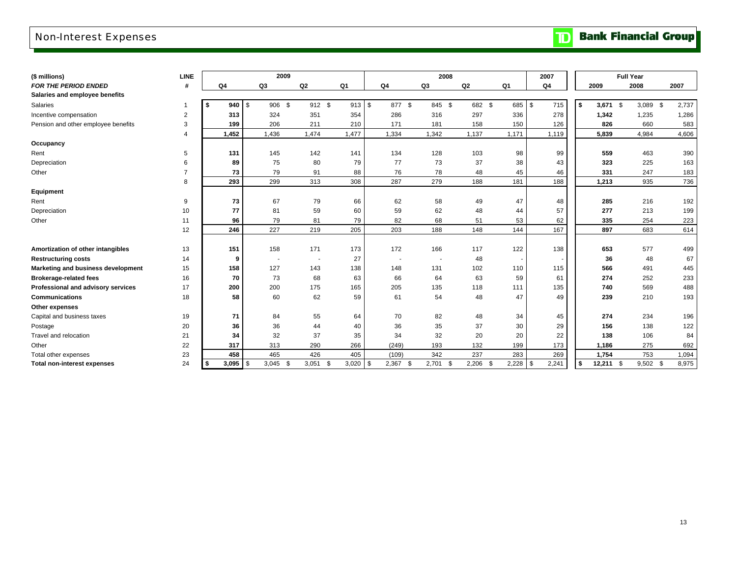## Non-Interest Expenses

**Bank Financial Group**  $\mathbf{D}$ 

| (\$ millions)                       | <b>LINE</b>    |                    | 2009           |                |        |                      | 2008        |               |       | 2007                  |                    | <b>Full Year</b> |       |
|-------------------------------------|----------------|--------------------|----------------|----------------|--------|----------------------|-------------|---------------|-------|-----------------------|--------------------|------------------|-------|
| <b>FOR THE PERIOD ENDED</b>         | #              | Q4                 | Q3             | Q <sub>2</sub> | Q1     | Q <sub>4</sub>       | Q3          | Q2            | Q1    | Q4                    | 2009               | 2008             | 2007  |
| Salaries and employee benefits      |                |                    |                |                |        |                      |             |               |       |                       |                    |                  |       |
| Salaries                            |                | 940<br>\$          | 906 \$<br>l \$ | 912 \$         | 913 \$ | 877 \$               | 845 \$      | 682 \$        | 685   | \$<br>715             | \$<br>$3,671$ \$   | 3,089<br>- \$    | 2,737 |
| Incentive compensation              | 2              | 313                | 324            | 351            | 354    | 286                  | 316         | 297           | 336   | 278                   | 1,342              | 1,235            | 1,286 |
| Pension and other employee benefits | 3              | 199                | 206            | 211            | 210    | 171                  | 181         | 158           | 150   | 126                   | 826                | 660              | 583   |
|                                     | $\overline{4}$ | 1,452              | 1,436          | 1,474          | 1,477  | 1,334                | 1,342       | 1,137         | 1,171 | 1,119                 | 5,839              | 4,984            | 4,606 |
| Occupancy                           |                |                    |                |                |        |                      |             |               |       |                       |                    |                  |       |
| Rent                                | 5              | 131                | 145            | 142            | 141    | 134                  | 128         | 103           | 98    | 99                    | 559                | 463              | 390   |
| Depreciation                        | 6              | 89                 | 75             | 80             | 79     | 77                   | 73          | 37            | 38    | 43                    | 323                | 225              | 163   |
| Other                               | $\overline{7}$ | 73                 | 79             | 91             | 88     | 76                   | 78          | 48            | 45    | 46                    | 331                | 247              | 183   |
|                                     | 8              | 293                | 299            | 313            | 308    | 287                  | 279         | 188           | 181   | 188                   | 1,213              | 935              | 736   |
| Equipment                           |                |                    |                |                |        |                      |             |               |       |                       |                    |                  |       |
| Rent                                | 9              | 73                 | 67             | 79             | 66     | 62                   | 58          | 49            | 47    | 48                    | 285                | 216              | 192   |
| Depreciation                        | 10             | 77                 | 81             | 59             | 60     | 59                   | 62          | 48            | 44    | 57                    | 277                | 213              | 199   |
| Other                               | 11             | 96                 | 79             | 81             | 79     | 82                   | 68          | 51            | 53    | 62                    | 335                | 254              | 223   |
|                                     | 12             | 246                | 227            | 219            | 205    | 203                  | 188         | 148           | 144   | 167                   | 897                | 683              | 614   |
|                                     |                |                    |                |                |        |                      |             |               |       |                       |                    |                  |       |
| Amortization of other intangibles   | 13             | 151                | 158            | 171            | 173    | 172                  | 166         | 117           | 122   | 138                   | 653                | 577              | 499   |
| <b>Restructuring costs</b>          | 14             | 9                  | ٠.             |                | 27     |                      |             | 48            |       |                       | 36                 | 48               | 67    |
| Marketing and business development  | 15             | 158                | 127            | 143            | 138    | 148                  | 131         | 102           | 110   | 115                   | 566                | 491              | 445   |
| <b>Brokerage-related fees</b>       | 16             | 70                 | 73             | 68             | 63     | 66                   | 64          | 63            | 59    | 61                    | 274                | 252              | 233   |
| Professional and advisory services  | 17             | 200                | 200            | 175            | 165    | 205                  | 135         | 118           | 111   | 135                   | 740                | 569              | 488   |
| <b>Communications</b>               | 18             | 58                 | 60             | 62             | 59     | 61                   | 54          | 48            | 47    | 49                    | 239                | 210              | 193   |
| Other expenses                      |                |                    |                |                |        |                      |             |               |       |                       |                    |                  |       |
| Capital and business taxes          | 19             | 71                 | 84             | 55             | 64     | 70                   | 82          | 48            | 34    | 45                    | 274                | 234              | 196   |
| Postage                             | 20             | 36                 | 36             | 44             | 40     | 36                   | 35          | 37            | 30    | 29                    | 156                | 138              | 122   |
| Travel and relocation               | 21             | 34                 | 32             | 37             | 35     | 34                   | 32          | 20            | 20    | 22                    | 138                | 106              | 84    |
| Other                               | 22             | 317                | 313            | 290            | 266    | (249)                | 193         | 132           | 199   | 173                   | 1,186              | 275              | 692   |
| Total other expenses                | 23             | 458                | 465            | 426            | 405    | (109)                | 342         | 237           | 283   | 269                   | 1,754              | 753              | 1,094 |
| <b>Total non-interest expenses</b>  | 24             | $3,095$ \ \$<br>Ŝ. | 3,045<br>-\$   | 3,051<br>-\$   | 3,020  | - \$<br>2,367<br>-\$ | 2,701<br>\$ | 2,206<br>- \$ | 2,228 | $\mathbf{s}$<br>2,241 | \$<br>12,211<br>\$ | $9,502$ \$       | 8,975 |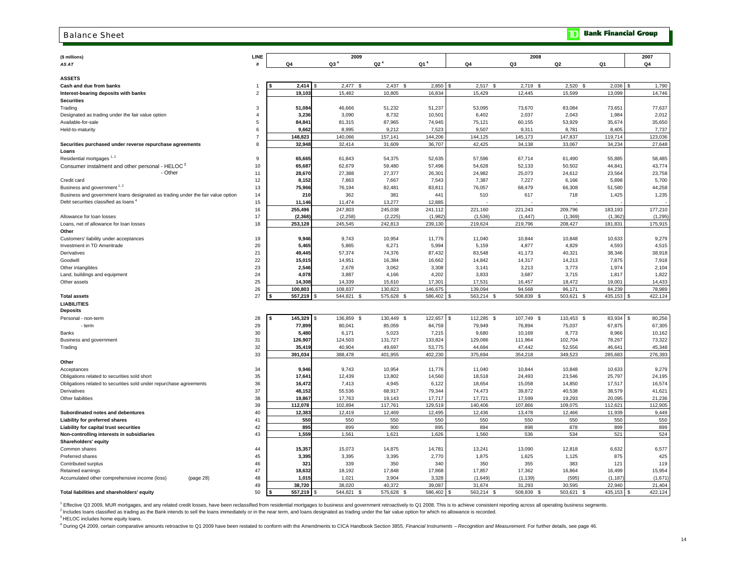#### **Bank Financial Group** Balance Sheetm **(\$ millions) LINE 2009 2008 2007** *AS AT* **# Q4 Q3 4 Q2 4 Q1 4 Q4 Q3 Q2 Q1 Q4 ASSETSCash and due from banks** 1 **\$ 2,414** \$ 2,437 2,477 \$ 2,850 \$ 2,517 \$ 2,719 \$ 2,520 \$ 2,036 \$ 1,790 \$ **Interest-bearing deposits with banks** 2 **19,103** 10,805 15,482 16,834 15,429 12,445 15,599 13,099 14,746 **Securities**Trading 3 **51,084** 51,232 46,666 51,237 53,095 73,670 83,084 73,651 77,637 Designated as trading under the fair value option the fair value option the fair value option the fair value option the trading the state of the state of the state of the state of the state of the state of the state of the Available-for-sale 5 **84,841** 87,965 81,315 74,945 75,121 60,155 53,929 35,674 35,650 Held-to-maturity 6 **9,662** 9,212 8,995 7,523 9,507 9,311 8,781 8,405 7,737 7 **148,823** 157,141 140,066 144,206 144,125 145,173 147,837 119,714 123,036 **Securities purchased under reverse repurchase agreements** 8 **32,948** 31,609 32,414 36,707 42,425 34,138 33,067 34,234 27,648 **Loans**Residential mortgages  $1, 2$ Residential mortgages 1, 2 <sup>9</sup> **65,665** 54,375 61,843 52,635 57,596 67,714 61,490 55,885 58,485 Consumer instalment and other personal - HELOC 3 10 **65,687** 59,480 62,679 57,496 54,628 52,133 50,502 44,841 43,774 - Other11 **28,670** 27,377 27,388 26,301 24,982 25,073 24,612 23,564 23,758 Credit card 12 **8,152** 7,667 7,863 7,543 7,387 7,227 6,166 5,898 5,700 Business and government <sup>1, 2</sup> 13 144,258 **75,966** 76,194 82,481 83,811 83,811 86,307 68,479 66,308 51,580 44,258 Business and government loans designated as trading under the fair value option 14 **210** 362 381 441 510 617 718 1,425 1,235 1,235 Debt securities classified as loans  $4$  **11,146** 13,277 11,474 12,885 - - - - - 16 **255,496** 245,038 247,803 241,112 221,160 221,243 209,796 183,193 177,210 Allowance for loan losses 17 **(2,368)** (2,225) (2,258) (1,982) (1,536) (1,447) (1,369) (1,362) (1,295) Loans, net of allowance for loan losses 18 **253,128** 242,813 245,545 239,130 219,624 219,796 208,427 181,831 175,915 **Other**Customers' liability under acceptances 19 **9,946** 10,954 9,743 11,776 11,040 10,844 10,848 10,633 9,279 Investment in TD Ameritrade 20 **5,465** 6,271 5,865 5,994 5,159 4,877 4,829 4,593 4,515 Derivatives $\sim$  21 **49,445** 74,376 57,374 87,432 83,548 41,173 40,321 38,346 38,918 Goodwillе произведения с произведения с произведения с произведения с произведения с произведения с произведения с про<br>В 222 июля по произведения с произведения с произведения с произведения с произведения с произведения с произв **15,015** 16,384 14,951 16,662 14,842 14,317 14,213 7,875 7,918 Other intangibles 2 2**,546** 2,678 3,062 3,308 l 3,141 3,213 1,974 l 2,104 Land, buildings and equipment 24 **4,078** 4,166 3,887 4,202 3,833 3,687 3,715 1,817 1,822 Other assets $\sim$  25 **14,308** 15,610 14,339 17,301 17,531 16,457 18,472 19,001 14,433 26 **100,803** 130,823 108,837 146,675 139,094 94,568 96,171 84,239 78,989 **Total assets** 27 **\$ 557,219** \$ 575,628 544,821 \$ 586,402 \$ 563,214 \$ 508,839 \$ 503,621 \$ 435,153 \$ 422,124 \$ **LIABILITIESDeposits** Personal - non-term 28**8 |\$ 145,329 |**\$ 136,859 \$ 130,449 \$ 122,657 |\$ 112,285 \$ 107,749 \$ 110,453 \$ 83,934 |\$ 80,256 - term 29 **77,899** 85,059 80,041 84,759 79,949 76,894 75,037 67,875 67,305 Bankss and the contract of the contract of the contract of the contract of the contract of the contract of the contract of the contract of the contract of the contract of the contract of the contract of the contract of the cont **5,480** 5,023 6,171 7,215 9,680 10,169 8,773 8,966 10,162 Business and government 31 **126,907** 131,727 124,503 133,824 129,086 111,964 102,704 78,267 73,322 Trading 32 **35,419** 49,697 40,904 53,775 44,694 47,442 52,556 46,641 45,348 33 **391,034** 401,955 388,478 402,230 375,694 354,218 349,523 285,683 276,393 **Other**Acceptances 34 **9,946** 10,954 9,743 11,776 11,040 10,844 10,848 10,633 9,279 Obligations related to securities sold short 35 **17,641** 13,802 12,439 14,560 18,518 24,493 23,546 25,797 24,195 Obligations related to securities sold under repurchase agreements 36 **16,472** 4,945 7,413 6,122 18,654 15,058 14,850 17,517 16,574 Derivatives $\sim$  37 **48,152** 68,917 55,536 79,344 74,473 39,872 40,538 38,579 41,621 Other liabilitiess and the state of the state of the state of the state of the state of the state of the state of the state of the state of the state of the state of the state of the state of the state of the state of the state of the stat **19,867** 19,143 17,763 17,717 17,721 17,599 19,293 20,095 21,236 39 **112,078** 117,761 102,894 129,519 140,406 107,866 109,075 112,621 112,905 **Subordinated notes and debentures** 40 **12,383** 12,469 12,419 12,495 12,436 13,478 12,466 11,939 9,449 **Liability for preferred shares** 41 **550** 550 550 550 550 550 550 550 550 **Liability for capital trust securities** 42 895 895 899 900 895 895 894 898 878 899 899 **Non-controlling interests in subsidiaries** 43 **1,559** 1,621 1,561 1,626 1,560 536 534 521 524 **Shareholders' equity**  Common shares $\sim$  44 **15,357** 14,875 15,073 14,781 13,241 13,090 12,818 6,632 6,577 Preferred shares 45 **3,395** 3,395 3,395 2,770 1,875 1,625 1,125 875 425 Contributed surplus 46 **321** 350 339 340 350 355 383 121 119 Retained earnings 47 **18,632** 17,848 18,192 17,868 17,857 17,362 16,864 16,499 15,954 Accumulated other comprehensive income (loss) (page 28) 48 1,015 1,021 3,904 3,328 (1,649) (1,139) (595) (1,187) (1,671) (1,671) (1,671) (1,671) (1,671) (1,671) (1,671) (1,671) (1,671) (1,671) (1,671) (1,671) (1,671) (1,67

#### **Total liabilities and shareholders' equity** 50 **\$ 557,219** \$ 544,821 \$ 575,628 \$ 586,402 \$ 568,402 \$ 508,839 \$ 503,621 \$ 435,153 \$ 422,124

<sup>1</sup> Effective Q3 2009, MUR mortgages, and any related credit losses, have been reclassified from residential mortgages to business and government retroactively to Q1 2008. This is to achieve consistent reporting across all

**38,720** 40,372 38,020 39,087 31,674 31,293 30,595 22,940 21,404

<sup>2</sup> Includes loans classified as trading as the Bank intends to sell the loans immediately or in the near term, and loans designated as trading under the fair value option for which no allowance is recorded.

49

<sup>3</sup> HELOC includes home equity loans.

4 During Q4 2009, certain comparative amounts retroactive to Q1 2009 have been restated to conform with the Amendments to CICA Handbook Section 3855, Financial Instruments - Recognition and Measurement. For further details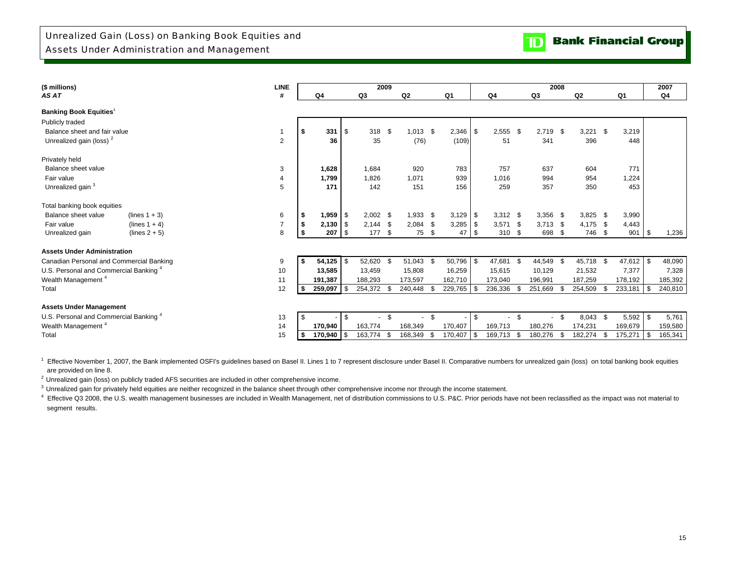| (\$ millions)                                     |                  | <b>LINE</b>    |      |                |                          | 2009       |      |                |      |            |      |                          |      |            | 2008 |            |      |                |      | 2007    |
|---------------------------------------------------|------------------|----------------|------|----------------|--------------------------|------------|------|----------------|------|------------|------|--------------------------|------|------------|------|------------|------|----------------|------|---------|
| AS AT                                             |                  | #              |      | Q <sub>4</sub> |                          | Q3         |      | Q <sub>2</sub> |      | Q1         |      | Q <sub>4</sub>           |      | Q3         |      | Q2         |      | Q <sub>1</sub> |      | Q4      |
| <b>Banking Book Equities</b>                      |                  |                |      |                |                          |            |      |                |      |            |      |                          |      |            |      |            |      |                |      |         |
| Publicly traded                                   |                  |                |      |                |                          |            |      |                |      |            |      |                          |      |            |      |            |      |                |      |         |
| Balance sheet and fair value                      |                  |                |      | 331            | -\$                      | 318        | - \$ | $1,013$ \$     |      | $2,346$ \$ |      | 2,555                    | - \$ | $2,719$ \$ |      | 3,221      | \$   | 3,219          |      |         |
| Unrealized gain (loss) <sup>2</sup>               |                  | $\overline{2}$ |      | 36             |                          | 35         |      | (76)           |      | (109)      |      | 51                       |      | 341        |      | 396        |      | 448            |      |         |
| Privately held                                    |                  |                |      |                |                          |            |      |                |      |            |      |                          |      |            |      |            |      |                |      |         |
| Balance sheet value                               |                  | 3              |      | 1,628          |                          | 1,684      |      | 920            |      | 783        |      | 757                      |      | 637        |      | 604        |      | 771            |      |         |
| Fair value                                        |                  | 4              |      | 1,799          |                          | 1,826      |      | 1,071          |      | 939        |      | 1,016                    |      | 994        |      | 954        |      | 1,224          |      |         |
| Unrealized gain <sup>3</sup>                      |                  | 5              |      | 171            |                          | 142        |      | 151            |      | 156        |      | 259                      |      | 357        |      | 350        |      | 453            |      |         |
|                                                   |                  |                |      |                |                          |            |      |                |      |            |      |                          |      |            |      |            |      |                |      |         |
| Total banking book equities                       |                  |                |      |                |                          |            |      |                |      |            |      |                          |      |            |      |            |      |                |      |         |
| Balance sheet value                               | (lines $1 + 3$ ) | 6              | - \$ | 1,959          | $\overline{\phantom{a}}$ | $2,002$ \$ |      | $1,933$ \$     |      |            |      | $3,312$ \$               |      | $3,356$ \$ |      | $3,825$ \$ |      | 3,990          |      |         |
| Fair value                                        | $(lines 1 + 4)$  | $\overline{7}$ | -S   | 2,130          | $\overline{\phantom{a}}$ | $2.144$ \$ |      | $2,084$ \$     |      | $3,285$ \$ |      | $3,571$ \$               |      | $3.713$ \$ |      | 4,175 \$   |      | 4,443          |      |         |
| Unrealized gain                                   | $(lines 2 + 5)$  | 8              |      | 207            | l \$                     | 177 \$     |      | 75 \$          |      | 47         | l \$ | 310 \$                   |      | 698        | - \$ | 746 \$     |      | 901            | \$   | 1,236   |
| <b>Assets Under Administration</b>                |                  |                |      |                |                          |            |      |                |      |            |      |                          |      |            |      |            |      |                |      |         |
| Canadian Personal and Commercial Banking          |                  | 9              |      | $54,125$ \$    |                          | 52,620     | - \$ | 51,043 \$      |      | 50,796 \$  |      | 47,681                   | - \$ | 44,549 \$  |      | 45,718 \$  |      | 47,612         | \$   | 48,090  |
| U.S. Personal and Commercial Banking <sup>4</sup> |                  | 10             |      | 13,585         |                          | 13.459     |      | 15,808         |      | 16,259     |      | 15,615                   |      | 10,129     |      | 21,532     |      | 7,377          |      | 7,328   |
| Wealth Management <sup>4</sup>                    |                  | 11             |      | 191,387        |                          | 188,293    |      | 173,597        |      | 162,710    |      | 173,040                  |      | 196,991    |      | 187,259    |      | 178,192        |      | 185,392 |
| Total                                             |                  | 12             |      | 259,097        | $\overline{\phantom{a}}$ | 254,372 \$ |      | 240,448        | - \$ | 229,765    |      | 236,336                  | \$   | 251,669    | -96  | 254,509    | -S   | 233,181        | - \$ | 240,810 |
|                                                   |                  |                |      |                |                          |            |      |                |      |            |      |                          |      |            |      |            |      |                |      |         |
| <b>Assets Under Management</b>                    |                  |                |      |                |                          |            |      |                |      |            |      |                          |      |            |      |            |      |                |      |         |
| U.S. Personal and Commercial Banking <sup>4</sup> |                  | 13             | \$   |                | -\$                      |            | \$.  | $\sim$         | \$   |            | \$   | $\overline{\phantom{0}}$ | - \$ |            | - \$ | 8,043      | - \$ | 5,592          | \$   | 5,761   |
| Wealth Management <sup>4</sup>                    |                  | 14             |      | 170,940        |                          | 163,774    |      | 168,349        |      | 170,407    |      | 169,713                  |      | 180,276    |      | 174,231    |      | 169,679        |      | 159,580 |
| Total                                             |                  | 15             |      | 170,940        |                          | 163,774    | - \$ | 168,349        | - \$ | 170,407    | - \$ | 169,713 \$               |      | 180,276    | \$   | 182,274    | \$   | 175,271        | -\$  | 165,341 |

 are provided on line 8. <sup>1</sup> Effective November 1, 2007, the Bank implemented OSFI's guidelines based on Basel II. Lines 1 to 7 represent disclosure under Basel II. Comparative numbers for unrealized gain (loss) on total banking book equities

<sup>2</sup> Unrealized gain (loss) on publicly traded AFS securities are included in other comprehensive income.

<sup>3</sup> Unrealized gain for privately held equities are neither recognized in the balance sheet through other comprehensive income nor through the income statement.

 segment results. <sup>4</sup> Effective Q3 2008, the U.S. wealth management businesses are included in Wealth Management, net of distribution commissions to U.S. P&C. Prior periods have not been reclassified as the impact was not material to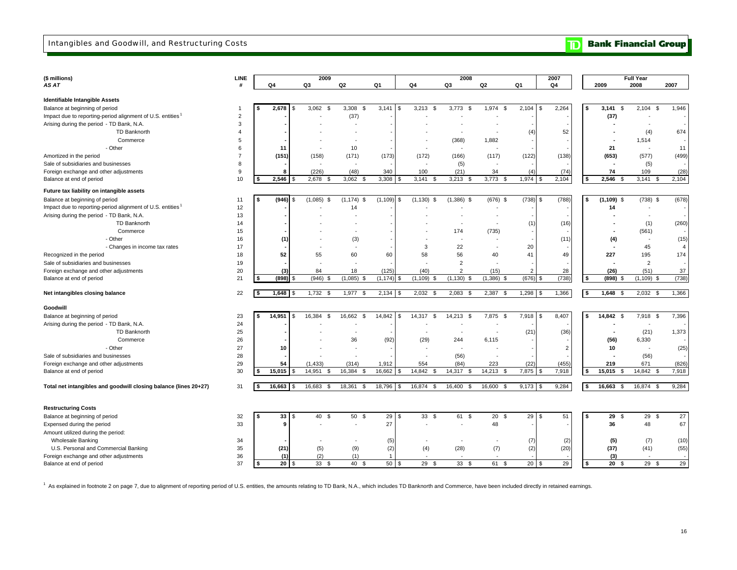### Intangibles and Goodwill, and Restructuring Costs

|  |  | <b>D</b> Bank Financial Group |  |
|--|--|-------------------------------|--|
|--|--|-------------------------------|--|

| (\$ millions)                                                    | <b>LINE</b>         |      |                    | 2009              |                          |                         |                | 2008                     |                          |                   | 2007           |                         |                          | <b>Full Year</b>                  |                |
|------------------------------------------------------------------|---------------------|------|--------------------|-------------------|--------------------------|-------------------------|----------------|--------------------------|--------------------------|-------------------|----------------|-------------------------|--------------------------|-----------------------------------|----------------|
| AS AT                                                            | #                   |      | Q4                 | Q3                | Q2                       | Q1                      | Q4             | Q3                       | Q2                       | Q1                | Q4             |                         | 2009                     | 2008                              | 2007           |
| Identifiable Intangible Assets                                   |                     |      |                    |                   |                          |                         |                |                          |                          |                   |                |                         |                          |                                   |                |
| Balance at beginning of period                                   | -1                  | l \$ | 2,678              | 3,062<br><b>S</b> | 3,308<br>Ŝ.              | 3,141<br>\$             | 3,213<br>\$    | 3,773<br>\$              | 1,974<br>\$              | 2,104<br>-S       | 2,264          | \$                      | 3,141<br>\$              | 2,104<br>\$                       | 1,946          |
| Impact due to reporting-period alignment of U.S. entities        | $\overline{2}$      |      |                    |                   | (37)                     |                         |                |                          |                          |                   |                |                         |                          | ÷                                 |                |
|                                                                  | 3                   |      |                    |                   |                          |                         |                |                          |                          |                   |                |                         | (37)                     |                                   |                |
| Arising during the period - TD Bank, N.A.<br>TD Banknorth        | $\overline{4}$      |      |                    |                   | $\overline{\phantom{a}}$ |                         |                | $\overline{\phantom{a}}$ | $\sim$<br>$\blacksquare$ |                   |                |                         |                          | $\overline{\phantom{a}}$          |                |
|                                                                  | 5                   |      |                    |                   |                          |                         |                |                          | 1,882                    | (4)               | 52             |                         |                          | (4)                               | 674            |
| Commerce                                                         |                     |      |                    |                   |                          |                         |                | (368)                    |                          |                   |                |                         |                          | 1,514                             |                |
| - Other                                                          | 6<br>$\overline{7}$ |      | 11<br>(151)        |                   | 10                       |                         | (172)          | (166)                    | (117)                    |                   | (138)          |                         | 21<br>(653)              | $\sim$                            | 11             |
| Amortized in the period                                          | 8                   |      |                    | (158)             | (171)                    | (173)                   |                |                          |                          | (122)             |                |                         |                          | (577)                             | (499)          |
| Sale of subsidiaries and businesses                              |                     |      |                    |                   |                          |                         |                | (5)                      |                          |                   |                |                         |                          | (5)                               |                |
| Foreign exchange and other adjustments                           | 9<br>10             |      | 8<br>2,546         | (226)             | (48)<br>3,062            | 340<br>3,308<br>\$      | 100<br>- \$    | (21)<br>3,213<br>- \$    | 34<br>3,773              | (4)               | (74)           |                         | 74<br>2,546<br>\$        | 109                               | (28)           |
| Balance at end of period                                         |                     |      |                    | 2,678<br>- \$     |                          |                         | 3,141          |                          |                          | 1,974             | 2,104          | -\$                     |                          | 3,141<br>Ŝ.                       | 2,104          |
| Future tax liability on intangible assets                        |                     |      |                    |                   |                          |                         |                |                          |                          |                   |                |                         |                          |                                   |                |
| Balance at beginning of period                                   | 11                  | \$   | (946)<br>\$        | $(1,085)$ \$      | $(1, 174)$ \$            | (1, 109)<br>\$          | $(1, 130)$ \$  | $(1,386)$ \$             | $(676)$ \$               | (738)<br><b>S</b> | (788)          | s.                      | $(1, 109)$ \$            | $(738)$ \$                        | (678)          |
| Impact due to reporting-period alignment of U.S. entities        | 12                  |      |                    |                   | 14                       |                         |                |                          | $\overline{\phantom{a}}$ |                   |                |                         | 14                       | $\sim$                            |                |
| Arising during the period - TD Bank, N.A.                        | 13                  |      |                    |                   | ٠                        |                         |                |                          | $\overline{\phantom{a}}$ |                   |                |                         |                          | $\sim$                            |                |
| TD Banknorth                                                     | 14                  |      |                    |                   | $\overline{\phantom{a}}$ |                         |                | $\overline{\phantom{a}}$ | $\overline{\phantom{a}}$ | (1)               | (16)           |                         |                          | (1)                               | (260)          |
| Commerce                                                         | 15                  |      |                    |                   |                          |                         |                | 174                      | (735)                    |                   |                |                         |                          | (561)                             |                |
| - Other                                                          | 16                  |      | (1)                |                   | (3)                      |                         |                | $\overline{\phantom{a}}$ | $\sim$                   |                   | (11)           |                         | (4)                      | $\sim$                            | (15)           |
| - Changes in income tax rates                                    | 17                  |      |                    |                   | $\overline{\phantom{a}}$ |                         | 3              | 22                       | $\overline{\phantom{a}}$ | 20                |                |                         | $\overline{\phantom{a}}$ | 45                                | $\overline{4}$ |
| Recognized in the period                                         | 18                  |      | 52                 | 55                | 60                       | 60                      | 58             | 56                       | 40                       | 41                | 49             |                         | 227                      | 195                               | 174            |
| Sale of subsidiaries and businesses                              | 19                  |      |                    |                   | ٠                        |                         |                | $\overline{2}$           | $\overline{\phantom{a}}$ |                   |                |                         |                          | $\overline{2}$                    |                |
| Foreign exchange and other adjustments                           | 20                  |      | $^{(3)}$           | 84                | 18                       | (125)                   | (40)           | $\overline{2}$           | (15)                     | $\overline{2}$    | 28             |                         | (26)                     | (51)                              | 37             |
| Balance at end of period                                         | 21                  |      | (898)              | $(946)$ \$        | (1,085)<br>- \$          | (1, 174)<br>\$          | (1, 109)<br>.S | $(1, 130)$ \$            | (1, 386)<br>- \$         | (676)<br>-S       | (738)          | \$                      | $(898)$ \$               | $(1, 109)$ \$                     | (738)          |
| Net intangibles closing balance                                  | 22                  |      | 1,648              | $1,732$ \$        | 1,977 \$                 | $2,134$ \$              | $2,032$ \$     | $2,083$ \$               | 2,387 \$                 | 1,298<br>- \$     | 1,366          | 5                       | $1,648$ \$               | 2,032<br>-\$                      | 1,366          |
| Goodwill                                                         |                     |      |                    |                   |                          |                         |                |                          |                          |                   |                |                         |                          |                                   |                |
| Balance at beginning of period                                   | 23                  | s.   | 14,951<br>l \$     | 16,384<br>\$      | 16,662<br>Ŝ.             | 14,842<br>\$            | 14,317<br>\$   | 14,213<br><b>S</b>       | 7,875 \$                 | 7,918<br>- \$     | 8,407          | \$                      | 14,842 \$                | 7,918 \$                          | 7,396          |
| Arising during the period - TD Bank, N.A.                        | 24                  |      |                    |                   |                          |                         |                |                          |                          |                   |                |                         |                          | $\overline{\phantom{a}}$          |                |
| <b>TD Banknorth</b>                                              | 25                  |      |                    |                   | $\overline{\phantom{a}}$ |                         | $\sim$         | $\overline{\phantom{a}}$ | $\sim$                   | (21)              | (36)           |                         | $\overline{\phantom{a}}$ | (21)                              | 1,373          |
| Commerce                                                         | 26                  |      |                    |                   | 36                       |                         |                | 244                      | 6,115                    |                   |                |                         |                          |                                   |                |
| - Other                                                          | 27                  |      | 10                 |                   |                          | (92)                    | (29)           |                          |                          |                   | $\overline{2}$ |                         | (56)<br>10               | 6,330<br>$\overline{\phantom{a}}$ | (25)           |
| Sale of subsidiaries and businesses                              | 28                  |      |                    |                   | ٠                        |                         |                | (56)                     | $\sim$                   |                   |                |                         |                          | (56)                              |                |
| Foreign exchange and other adjustments                           | 29                  |      | 54                 | (1, 433)          | (314)                    | 1,912                   | 554            | (84)                     | 223                      | (22)              | (455)          |                         | 219                      | 671                               | (826)          |
| Balance at end of period                                         | 30                  |      | 15,015             | 14,951<br>- \$    | 16,384<br>$\mathfrak{L}$ | 16,662<br>\$            | 14,842<br>.S   | 14,317<br>£.             | 14,213                   | 7,875             | 7,918          | 5                       | 15,015<br>\$             | 14,842<br>Ŝ.                      | 7,918          |
|                                                                  |                     |      |                    |                   |                          |                         |                |                          |                          |                   |                |                         |                          |                                   |                |
| Total net intangibles and goodwill closing balance (lines 20+27) | 31                  | \$   | 16,663<br><b>S</b> | 16,683<br>\$      | 18,361<br>\$             | 18,796<br>$\mathsf{\$}$ | 16,874 \$      | 16,400<br>\$             | 16,600<br>-S             | $9,173$ \$        | 9,284          | $\overline{\mathbf{s}}$ | 16,663<br>\$             | 16,874<br>\$                      | 9,284          |
| <b>Restructuring Costs</b>                                       |                     |      |                    |                   |                          |                         |                |                          |                          |                   |                |                         |                          |                                   |                |
| Balance at beginning of period                                   | 32                  | l \$ | 33<br>l \$         | 40 \$             | 50 \$                    | 29<br>$\mathfrak{s}$    | $33 \quad $$   | 61 \$                    | $20 \quad$               | 29<br>$\sqrt{3}$  | 51             | s.                      | 29 \$                    | 29 \$                             | 27             |
| Expensed during the period                                       | 33                  |      | g                  |                   | $\blacksquare$           | 27                      |                |                          | 48                       |                   |                |                         | 36                       | 48                                | 67             |
| Amount utilized during the period:                               |                     |      |                    |                   |                          |                         |                |                          |                          |                   |                |                         |                          |                                   |                |
| <b>Wholesale Banking</b>                                         | 34                  |      |                    |                   | ٠                        | (5)                     |                |                          |                          | (7)               | (2)            |                         | (5)                      | (7)                               | (10)           |
| U.S. Personal and Commercial Banking                             | 35                  |      | (21)               | (5)               | (9)                      | (2)                     | (4)            | (28)                     | (7)                      | (2)               | (20)           |                         | (37)                     | (41)                              | (55)           |
| Foreign exchange and other adjustments                           | 36                  |      | (1)                | (2)               | (1)                      | $\mathbf{1}$            |                |                          |                          |                   |                |                         | (3)                      |                                   |                |
| Balance at end of period                                         | 37                  | - 1  | $20$ $\sqrt{5}$    | 33S               | 40 \$                    | 50<br>£.                | 29S            | 33<br>-S                 | 61<br>\$                 | 20<br>- \$        | 29             | 5                       | 20S                      | 29 \$                             | 29             |

<sup>1</sup> As explained in footnote 2 on page 7, due to alignment of reporting period of U.S. entities, the amounts relating to TD Bank, N.A., which includes TD Banknorth and Commerce, have been included directly in retained earn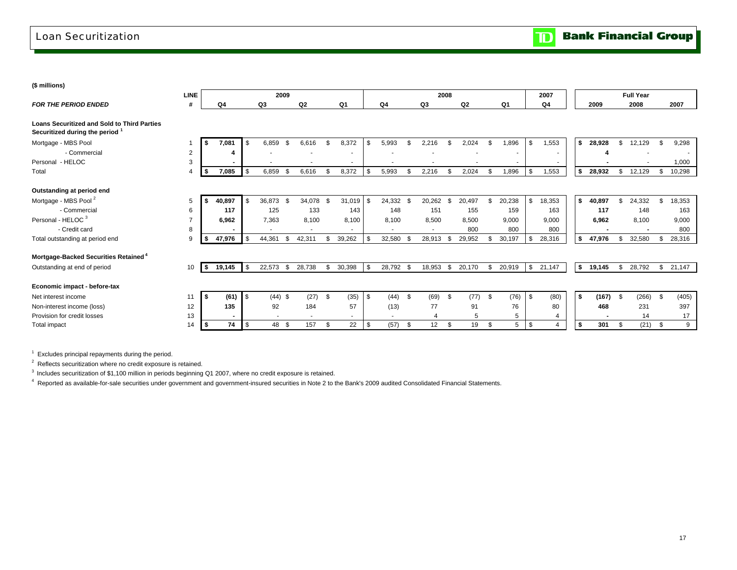### Loan Securitization

| (\$ millions)                                                                         |                |          |        |                |           |      |        |    |                |                |                          |      |                          |      |        |      |                |     |                |    |        |      |                  |      |        |  |
|---------------------------------------------------------------------------------------|----------------|----------|--------|----------------|-----------|------|--------|----|----------------|----------------|--------------------------|------|--------------------------|------|--------|------|----------------|-----|----------------|----|--------|------|------------------|------|--------|--|
|                                                                                       | <b>LINE</b>    |          |        |                | 2009      |      |        |    |                |                |                          |      |                          | 2008 |        |      |                |     | 2007           |    |        |      | <b>Full Year</b> |      |        |  |
| <b>FOR THE PERIOD ENDED</b>                                                           | #              |          | Q4     |                | Q3        |      | Q2     |    | Q <sub>1</sub> |                | Q4                       |      | Q3                       |      | Q2     |      | Q <sub>1</sub> |     | Q <sub>4</sub> |    | 2009   |      | 2008             |      | 2007   |  |
| <b>Loans Securitized and Sold to Third Parties</b><br>Securitized during the period 1 |                |          |        |                |           |      |        |    |                |                |                          |      |                          |      |        |      |                |     |                |    |        |      |                  |      |        |  |
| Mortgage - MBS Pool                                                                   |                | Ŝ.       | 7,081  | $\mathfrak{L}$ | 6,859     | - \$ | 6,616  | \$ | 8,372          | \$.            | 5,993                    | \$   | 2,216                    | \$   | 2,024  | \$.  | ,896           | \$. | 1,553          | \$ | 28,928 | \$   | 12,129           |      | 9,298  |  |
| - Commercial                                                                          | $\overline{2}$ |          |        |                |           |      |        |    |                |                |                          |      |                          |      |        |      |                |     |                |    |        |      |                  |      |        |  |
| Personal - HELOC                                                                      | 3              |          |        |                |           |      |        |    |                |                |                          |      |                          |      |        |      |                |     |                |    |        |      |                  |      | 1.000  |  |
| Total                                                                                 | 4              | - \$     | 7,085  | -S             | 6,859     |      | 6,616  | \$ | 8,372          | \$             | 5,993                    | \$   | 2,216                    | \$   | 2,024  | \$   | 1,896          | \$  | 1,553          | \$ | 28,932 | \$   | 12,129           | \$   | 10,298 |  |
| Outstanding at period end                                                             |                |          |        |                |           |      |        |    |                |                |                          |      |                          |      |        |      |                |     |                |    |        |      |                  |      |        |  |
| Mortgage - MBS Pool <sup>2</sup>                                                      | 5              |          | 40,897 |                | 36,873 \$ |      | 34,078 | -S | 31,019         | $\mathfrak{s}$ | 24,332 \$                |      | 20,262                   | \$   | 20,497 | \$   | 20,238         | \$  | 18,353         | S. | 40,897 | \$   | 24,332           | \$   | 18,353 |  |
| - Commercial                                                                          | 6              |          | 117    |                | 125       |      | 133    |    | 143            |                | 148                      |      | 151                      |      | 155    |      | 159            |     | 163            |    | 117    |      | 148              |      | 163    |  |
| Personal - HELOC <sup>3</sup>                                                         | $\overline{7}$ |          | 6,962  |                | 7,363     |      | 8,100  |    | 8,100          |                | 8,100                    |      | 8,500                    |      | 8,500  |      | 9,000          |     | 9,000          |    | 6,962  |      | 8,100            |      | 9,000  |  |
| - Credit card                                                                         | 8              |          |        |                |           |      |        |    |                |                | $\overline{\phantom{a}}$ |      | $\overline{\phantom{a}}$ |      | 800    |      | 800            |     | 800            |    |        |      |                  |      | 800    |  |
| Total outstanding at period end                                                       | 9              |          | 47,976 |                | 44,361    | \$   | 42,311 | \$ | 39,262         |                | 32,580                   | - \$ | 28,913                   | \$   | 29,952 | \$   | 30,197         |     | 28,316         | s. | 47,976 | \$.  | 32,580           |      | 28,316 |  |
| Mortgage-Backed Securities Retained <sup>4</sup>                                      |                |          |        |                |           |      |        |    |                |                |                          |      |                          |      |        |      |                |     |                |    |        |      |                  |      |        |  |
| Outstanding at end of period                                                          | 10             | <b>S</b> | 19,145 | -S             | 22,573    | -\$  | 28,738 | \$ | 30,398         | <b>\$</b>      | 28,792 \$                |      | 18,953                   | \$   | 20,170 | \$   | 20,919         | \$  | 21,147         | \$ | 19,145 | \$   | 28,792           | \$   | 21,147 |  |
| Economic impact - before-tax                                                          |                |          |        |                |           |      |        |    |                |                |                          |      |                          |      |        |      |                |     |                |    |        |      |                  |      |        |  |
| Net interest income                                                                   | 11             | l Si     | (61)   | l \$           | $(44)$ \$ |      | (27)   | \$ | (35)           | <b>\$</b>      | (44)                     | \$   | (69)                     | \$   | (77)   | - \$ | (76)           | \$  | (80)           | \$ | (167)  | - \$ | (266)            | - \$ | (405)  |  |
| Non-interest income (loss)                                                            | 12             |          | 135    |                | 92        |      | 184    |    | 57             |                | (13)                     |      | 77                       |      | 91     |      | 76             |     | 80             |    | 468    |      | 231              |      | 397    |  |
| Provision for credit losses                                                           | 13             |          |        |                |           |      |        |    | $\overline{a}$ |                |                          |      |                          |      | 5      |      | 5              |     |                |    |        |      | 14               |      | 17     |  |
| Total impact                                                                          | 14             |          | 74     | - \$           | 48 \$     |      | 157    | \$ | 22             | \$             | (57)                     | \$   | 12                       | -\$  | 19     | \$   | 5              | \$  | $\overline{4}$ | \$ | 301    | \$   | (21)             | \$   | 9      |  |
|                                                                                       |                |          |        |                |           |      |        |    |                |                |                          |      |                          |      |        |      |                |     |                |    |        |      |                  |      |        |  |

 $1$  Excludes principal repayments during the period.

2 Reflects securitization where no credit exposure is retained.

<sup>3</sup> Includes securitization of \$1,100 million in periods beginning Q1 2007, where no credit exposure is retained.

4 Reported as available-for-sale securities under government and government-insured securities in Note 2 to the Bank's 2009 audited Consolidated Financial Statements.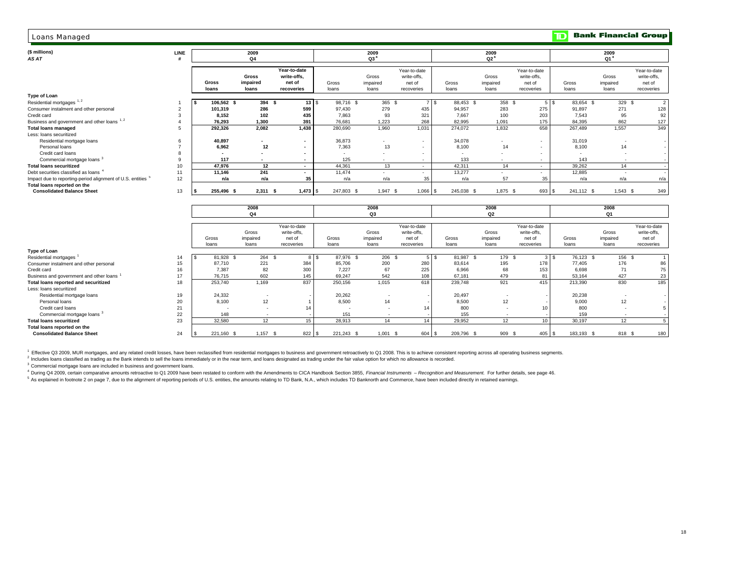#### Loans Managed

#### *AS AT***(\$ millions) 2009**

| <b>Loans Managed</b>                                                   |             |                |                            |                                                     |                |                            |                                                     |                         |                            |                                                     | םד               |                            | <b>Bank Financial Group</b>                         |
|------------------------------------------------------------------------|-------------|----------------|----------------------------|-----------------------------------------------------|----------------|----------------------------|-----------------------------------------------------|-------------------------|----------------------------|-----------------------------------------------------|------------------|----------------------------|-----------------------------------------------------|
| (\$ millions)<br>AS AT                                                 | <b>LINE</b> |                | 2009<br>Q4                 |                                                     |                | 2009<br>Q3 <sup>4</sup>    |                                                     |                         | 2009<br>Q2 <sup>4</sup>    |                                                     |                  | 2009<br>Q1 <sup>4</sup>    |                                                     |
|                                                                        |             | Gross<br>loans | Gross<br>impaired<br>loans | Year-to-date<br>write-offs,<br>net of<br>recoveries | Gross<br>loans | Gross<br>impaired<br>loans | Year-to-date<br>write-offs,<br>net of<br>recoveries | Gross<br>loans          | Gross<br>impaired<br>loans | Year-to-date<br>write-offs.<br>net of<br>recoveries | Gross<br>loans   | Gross<br>impaired<br>loans | Year-to-date<br>write-offs.<br>net of<br>recoveries |
| Type of Loan                                                           |             |                |                            |                                                     |                |                            |                                                     |                         |                            |                                                     |                  |                            |                                                     |
| Residential mortgages <sup>1,2</sup>                                   |             | 106,562 \$     | 394 \$                     | 13 S                                                | 98,716 \$      | 365 \$                     |                                                     | 88,453 \$<br><b>7</b> S | 358 \$                     |                                                     | 83,654 \$<br>5 S | 329 \$                     | 2                                                   |
| Consumer instalment and other personal                                 |             | 101,319        | 286                        | 599                                                 | 97,430         | 279                        | 435                                                 | 94,957                  | 283                        | 275                                                 | 91,897           | 271                        | 128                                                 |
| Credit card                                                            |             | 8.152          | 102                        | 435                                                 | 7.863          | 93                         | 321                                                 | 7.667                   | 100                        | 203                                                 | 7.543            | 95                         | 92                                                  |
| Business and government and other loans 1, 2                           |             | 76,293         | 1.300                      | 391                                                 | 76,681         | 1.223                      | 268                                                 | 82,995                  | 1.091                      | 175                                                 | 84,395           | 862                        | 127                                                 |
| <b>Total loans managed</b>                                             |             | 292,326        | 2,082                      | 1,438                                               | 280,690        | 1,960                      | 1,031                                               | 274,072                 | 1.832                      | 658                                                 | 267,489          | 1,557                      | 349                                                 |
| Less: loans securitized                                                |             |                |                            |                                                     |                |                            |                                                     |                         |                            |                                                     |                  |                            |                                                     |
| Residential mortgage loans                                             |             | 40,897         | $\overline{\phantom{a}}$   | $\sim$                                              | 36,873         | ۰                          | $\sim$                                              | 34,078                  | ۰                          | $\overline{\phantom{a}}$                            | 31,019           |                            | $\sim$                                              |
| Personal loans                                                         |             | 6.962          | 12                         | $\sim$                                              | 7.363          | 13                         | $\sim$                                              | 8.100                   | 14                         | $\overline{\phantom{a}}$                            | 8,100            | 14                         | $\sim$                                              |
| Credit card loans                                                      |             |                |                            | $\overline{\phantom{a}}$                            |                | $\overline{\phantom{a}}$   | ۰.                                                  |                         | ٠                          | $\overline{\phantom{a}}$                            |                  |                            | $\sim$                                              |
| Commercial mortgage loans <sup>3</sup>                                 |             | 117            | $\overline{\phantom{a}}$   | $\sim$                                              | 125            | $\overline{\phantom{a}}$   | $\sim$                                              | 133                     | ۰.                         | $\overline{\phantom{a}}$                            | 143              |                            |                                                     |
| <b>Total loans securitized</b>                                         | 10          | 47,976         | 12                         | $\sim$                                              | 44,361         | 13                         | $\sim$                                              | 42,311                  | 14                         | $\sim$                                              | 39,262           | 14                         |                                                     |
| Debt securities classified as loans                                    | 11          | 11,146         | 241                        | $\overline{\phantom{a}}$                            | 11,474         |                            |                                                     | 13,277                  |                            |                                                     | 12,885           |                            |                                                     |
| Impact due to reporting-period alignment of U.S. entities <sup>5</sup> | 12          | n/a            | n/a                        | 35                                                  | n/a            | n/a                        | 35                                                  | n/a                     | 57                         | 35                                                  | n/a              | n/a                        | n/a                                                 |
| Total loans reported on the<br><b>Consolidated Balance Sheet</b>       | 13          | 255,496 \$     | $2,311$ \$                 | $1.473$ $\sqrt{3}$                                  | 247,803 \$     | 1,947                      | $1,066$ \$<br>\$                                    | 245,038 \$              | 1,875 \$                   | 693 \$                                              | 241,112 \$       | $1,543$ \$                 | 349                                                 |

|                                               |          |            | 2008              |              |            | 2008       |              |               | 2008           |                 |            | 2008     |              |
|-----------------------------------------------|----------|------------|-------------------|--------------|------------|------------|--------------|---------------|----------------|-----------------|------------|----------|--------------|
|                                               |          |            | Q4                |              |            | Q3         |              |               | Q <sub>2</sub> |                 |            | Q1       |              |
|                                               |          |            |                   |              |            |            |              |               |                |                 |            |          |              |
|                                               |          |            |                   | Year-to-date |            |            | Year-to-date |               |                | Year-to-date    |            |          | Year-to-date |
|                                               |          |            | Gross             | write-offs.  |            | Gross      | write-offs,  |               | Gross          | write-offs.     |            | Gross    | write-offs,  |
|                                               |          | Gross      | impaired          | net of       | Gross      | impaired   | net of       | Gross         | impaired       | net of          | Gross      | impaired | net of       |
|                                               |          | loans      | loans             | recoveries   | loans      | loans      | recoveries   | loans         | loans          | recoveries      | loans      | loans    | recoveries   |
| Type of Loan                                  |          |            |                   |              |            |            |              |               |                |                 |            |          |              |
| Residential mortgages<br>14                   | <b>S</b> | 81,928 \$  | 264 \$            | 8 \$         | 87,976 \$  | 206 \$     |              | 81,987<br>5 S | 179 \$         | 3 <sup>1</sup>  | 76,123 \$  | 156 \$   |              |
| Consumer instalment and other personal<br>15  |          | 87,710     | 221               | 384          | 85.706     | 200        | 280          | 83,614        | 195            | 178             | 77,405     | 176      | 86           |
| Credit card<br>16                             |          | 7,387      | 82                | 300          | 7.227      | 67         | 225          | 6,966         | 68             | 153             | 6,698      | 71       | 75           |
| Business and government and other loans<br>17 |          | 76,715     | 602               | 145          | 69,247     | 542        | 108          | 67,181        | 479            | 81              | 53,164     | 427      | 23           |
| Total loans reported and securitized<br>18    |          | 253,740    | 1,169             | 837          | 250,156    | 1,015      | 618          | 239,748       | 921            | 415             | 213,390    | 830      | 185          |
| Less: loans securitized                       |          |            |                   |              |            |            |              |               |                |                 |            |          |              |
| 19<br>Residential mortgage loans              |          | 24,332     |                   |              | 20,262     |            |              | 20,497        |                |                 | 20,238     |          |              |
| 20<br>Personal loans                          |          | 8,100      | 12                |              | 8.500      | 14         |              | 8,500         | 12             |                 | 9.000      | 12       |              |
| 21<br>Credit card loans                       |          |            |                   | 14           |            |            | 14           | 800           |                | 10              | 800        | <b>.</b> |              |
| 22<br>Commercial mortgage loans <sup>3</sup>  |          | 148        |                   |              | 151        |            |              | 155           |                |                 | 159        |          |              |
| 23<br><b>Total loans securitized</b>          |          | 32,580     | $12 \overline{ }$ | 15           | 28,913     | 14         | 14           | 29,952        | 12             | 10 <sup>1</sup> | 30,197     | 12       |              |
| Total loans reported on the                   |          |            |                   |              |            |            |              |               |                |                 |            |          |              |
| 24<br><b>Consolidated Balance Sheet</b>       |          | 221,160 \$ | $1,157$ \$        | 822 \$       | 221,243 \$ | $1,001$ \$ | 604 \$       | 209,796 \$    | 909 \$         | 405S            | 183,193 \$ | 818 \$   | 180          |

<sup>1</sup> Effective Q3 2009, MUR mortgages, and any related credit losses, have been reclassified from residential mortgages to business and government retroactively to Q1 2008. This is to achieve consistent reporting across all

<sup>2</sup> Includes loans classified as trading as the Bank intends to sell the loans immediately or in the near term, and loans designated as trading under the fair value option for which no allowance is recorded.

<sup>3</sup> Commercial mortgage loans are included in business and government loans.

4 During Q4 2009, certain comparative amounts retroactive to Q1 2009 have been restated to conform with the Amendments to CICA Handbook Section 3855, Financial Instruments - Recognition and Measurement. For further details

s accept of the control of the dignment of reporting periods of U.S. entities, the amounts relating to TD Bank, N.A., which includes TD Banknorth and Commerce, have been included directly in retained earnings.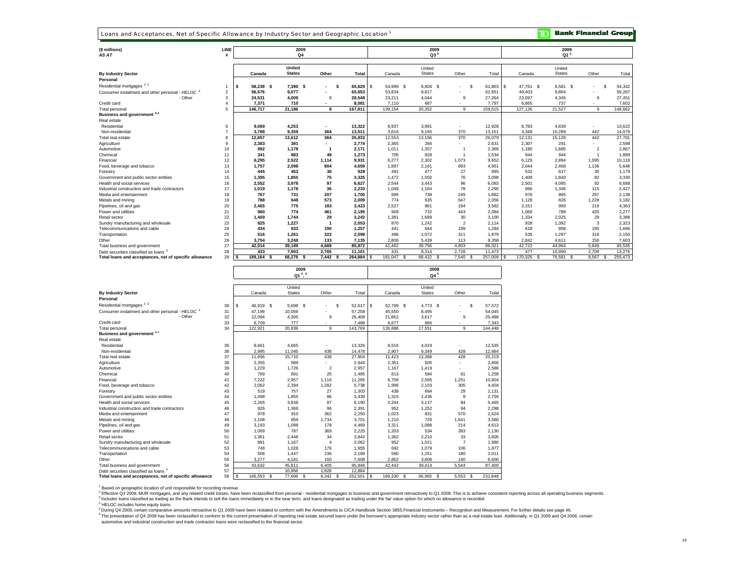Loans and Acceptances, Net of Specific Allowance by Industry Sector and Geographic Location<sup>1</sup>

**TD** Bank Financial Group

| (\$ millions)<br>AS AT                                  | LINE                    |           | 2009<br>Q4    |                          |              |              | 2009<br>Q3 <sup>5</sup> |                |                              |                 | 2009<br>$Q2^5$ |                |               |
|---------------------------------------------------------|-------------------------|-----------|---------------|--------------------------|--------------|--------------|-------------------------|----------------|------------------------------|-----------------|----------------|----------------|---------------|
|                                                         |                         |           | <b>United</b> |                          |              |              | United                  |                |                              |                 | United         |                |               |
| <b>By Industry Sector</b>                               |                         | Canada    | <b>States</b> | Other                    | Total        | Canada       | <b>States</b>           | Other          | Total                        | Canada          | <b>States</b>  | Other          | Total         |
| Personal                                                |                         |           |               |                          |              |              |                         |                |                              |                 |                |                |               |
| Residential mortgages <sup>2,3</sup>                    |                         | 58,239 \$ | 7.390 \$      | . .                      | 65,629<br>-S | 54.999<br>-S | 6.804 \$<br>- \$        |                | $\mathbf{\hat{s}}$<br>61.803 | 47.761 \$<br>-S | 6.581          | - S            | 54,342        |
| $-$ HELOC $4$<br>Consumer instalment and other personal | $\overline{\mathbf{2}}$ | 56,576    | 9.077         | $\overline{\phantom{0}}$ | 65,653       | 53,834       | 8,817                   |                | 62,651                       | 49,403          | 9,864          |                | 59,267        |
| - Other                                                 | 3                       | 24,531    | 4,009         | 8                        | 28,548       | 23,211       | 4,044                   | 9              | 27,264                       | 23,097          | 4,345          | 9              | 27,451        |
| Credit card                                             |                         | 7,371     | 710           |                          | 8,081        | 7,110        | 687                     |                | 7.797                        | 6,865           | 737            |                | 7,602         |
| Total personal                                          | 5                       | 146,717   | 21,186        | 8                        | 167,911      | 139,154      | 20,352                  | 9              | 159,515                      | 127,126         | 21,527         | 9              | 148,662       |
| Business and government <sup>2,3</sup>                  |                         |           |               |                          |              |              |                         |                |                              |                 |                |                |               |
| Real estate                                             |                         |           |               |                          |              |              |                         |                |                              |                 |                |                |               |
| Residential                                             | 6                       | 9,069     | 4,253         |                          | 13,322       | 8,937        | 3,991                   |                | 12,928                       | 8,783           | 4,839          |                | 13,622        |
| Non-residential                                         | 7                       | 3,788     | 9,359         | 364                      | 13,511       | 3.616        | 9,165                   | 370            | 13,151                       | 3,348           | 10,289         | 442            | 14,079        |
| Total real estate                                       | 8                       | 12,857    | 13,612        | 364                      | 26,833       | 12,553       | 13,156                  | 370            | 26,079                       | 12,131          | 15,128         | 442            | 27,701        |
| Agriculture                                             | 9                       | 2,383     | 391           |                          | 2,774        | 2.365        | 266                     |                | 2,631                        | 2.307           | 291            |                | 2,598         |
| Automotive                                              | 10                      | 992       | 1.178         |                          | 2,171        | 1.011        | 1,357                   |                | 2,369                        | 1.180           | 1.685          | $\mathfrak{p}$ | 2,867         |
| Chemical                                                | 11                      | 341       | 883           | 49                       | 1,273        | 705          | 828                     |                | 1.534                        | 944             | 944            |                | 1,889         |
| Financial                                               | 12                      | 6,295     | 2.522         | 1,114                    | 9,931        | 6.277        | 2,302                   | 1,073          | 9,652                        | 6,129           | 2,894          | 1.095          | 10,118        |
| Food, beverage and tobacco                              | 13                      | 1,757     | 2.098         | 804                      | 4,659        | 1.897        | 2,161                   | 893            | 4,951                        | 2.044           | 2.468          | 1.136          | 5,648         |
| Forestry                                                | 14                      | 445       | 453           | 30                       | 928          | 491          | 477                     | 27             | 995                          | 532             | 617            | 30             | 1,179         |
| Government and public sector entities                   | 15                      | 1,395     | 1.855         | 75                       | 3,325        | 1.472        | 1,550                   | 76             | 3,098                        | 1,408           | 1,840          | 82             | 3,330         |
| Health and social services                              | 16                      | 2,552     | 3.978         | 97                       | 6,627        | 2.544        | 3.443                   | 96             | 6.083                        | 2,501           | 4.095          | 92             | 6,688         |
| Industrial construction and trade contractors           | 17                      | 1,019     | 1.178         | 36                       | 2,233        | 1.048        | 1,164                   | 78             | 2,290                        | 966             | 1,346          | 115            | 2,427         |
| Media and entertainment                                 | 18                      | 767       | 731           | 207                      | 1,705        | 895          | 738                     | 249            | 1.882                        | 976             | 865            | 297            | 2,138         |
| Metals and mining                                       | 19                      | 788       | 648           | 573                      | 2,009        | 774          | 635                     | 647            | 2,056                        | 1,128           | 826            | 1.228          | 3,182         |
| Pipelines, oil and gas                                  | 20                      | 2,465     | 775           | 183                      | 3,423        | 2,527        | 861                     | 194            | 3,582                        | 3,151           | 993            | 219            | 4,363         |
| Power and utilities                                     | 21                      | 960       | 774           | 461                      | 2,195        | 909          | 732                     | 443            | 2,084                        | 1,068           | 789            | 420            | 2,277         |
| Retail sector                                           | 22                      | 1,469     | 1.744         | 29                       | 3,242        | 1,381        | 1,689                   | 30             | 3,100                        | 1,334           | 2,025          | 29             | 3,388         |
| Sundry manufacturing and wholesale                      | 23                      | 825       | 1.227         |                          | 2,053        | 870          | 1,242                   | $\overline{2}$ | 2,114                        | 928             | 1,392          | 3              | 2,323         |
| Telecommunications and cable                            | 24                      | 434       | 633           | 190                      | 1,257        | 441          | 644                     | 199            | 1,284                        | 618             | 858            | 190            | 1,666         |
| Transportation                                          | 25                      | 516       | 1,261         | 322                      | 2,099        | 496          | 1,072                   | 311            | 1,879                        | 535             | 1,297          | 318            | 2,150         |
| Other                                                   | 26                      | 3,754     | 3,248         | 133                      | 7,135        | 2.806        | 5,439                   | 113            | 8,358                        | 2,842           | 4,611          | 150            | 7,603         |
| Total business and government                           | 27                      | 42,014    | 39,189        | 4,669                    | 85,872       | 41,462       | 39,756                  | 4,803          | 86,021                       | 42,722          | 44,964         | 5,849          | 93,535        |
| Debt securities classified as loans <sup>5</sup>        | 28                      | 433       | 7,903         | 2,765                    | 11,101       | 431          | 8,314                   | 2,728          | 11,473                       | 477             | 10,090         | 2,709          | 13,276        |
| Total loans and acceptances, net of specific allowance  | 29                      | 189.164   | 68.278<br>-S  | 7.442S<br>- 5            | 264.884      | 181.047      | 68.422<br>- \$          | 7.540<br>- \$  | 257,009 \$                   | 170.325         | 76.581<br>- \$ | 8.567<br>-S    | 255.473<br>-8 |

|                                                             |    |                 |              | 2009<br>Q1 <sup>5</sup> , 6 |                |               |                  |               | 2008<br>$04^6$    |                               |
|-------------------------------------------------------------|----|-----------------|--------------|-----------------------------|----------------|---------------|------------------|---------------|-------------------|-------------------------------|
|                                                             |    |                 |              | United                      |                |               |                  | United        |                   |                               |
| <b>By Industry Sector</b>                                   |    | Canada          |              | <b>States</b>               | Other          | Total         | Canada           | <b>States</b> | Other             | Total                         |
| Personal                                                    |    |                 |              |                             |                |               |                  |               |                   |                               |
| Residential mortgages <sup>2,3</sup>                        | 30 | \$<br>46.919 \$ |              | 5,698 \$                    |                | s<br>52,617   | l s<br>52,799 \$ | $4,773$ \$    |                   | 57,572<br>\$                  |
| Consumer instalment and other personal - HELOC <sup>4</sup> | 31 | 47.199          |              | 10,059                      |                | 57,258        | 45.550           | 8.495         |                   | 54,045                        |
| - Other                                                     | 32 | 22,094          |              | 4,305                       | 9              | 26,408        | 21,862           | 3,617         | 9                 | 25,488                        |
| Credit card                                                 | 33 | 6.709           |              | 777                         |                | 7.486         | 6.677            | 666           |                   | 7.343                         |
| Total personal                                              | 34 | 122.921         |              | 20,839                      | 9              | 143.769       | 126,888          | 17.551        | 9                 | 144.448                       |
| Business and government <sup>2,3</sup>                      |    |                 |              |                             |                |               |                  |               |                   |                               |
| Real estate                                                 |    |                 |              |                             |                |               |                  |               |                   |                               |
| Residential                                                 | 35 | 8,661           |              | 4,665                       |                | 13,326        | 8,516            | 4,019         |                   | 12,535                        |
| Non-residential                                             | 36 | 2.995           |              | 11.045                      | 438            | 14,478        | 2.907            | 9.349         | 428               | 12.684                        |
| Total real estate                                           | 37 | 11,656          |              | 15,710                      | 438            | 27,804        | 11,423           | 13,368        | 428               | 25,219                        |
| Agriculture                                                 | 38 | 2,355           |              | 589                         |                | 2,944         | 2,351            | 505           |                   | 2,856                         |
| Automotive                                                  | 39 | 1,229           |              | 1,726                       | $\overline{2}$ | 2,957         | 1.167            | 1.419         |                   | 2.586                         |
| Chemical                                                    | 40 | 769             |              | 691                         | 25             | 1,485         | 613              | 584           | 61                | 1.258                         |
| Financial                                                   | 41 | 7,222           |              | 2,957                       | 1,116          | 11,295        | 6,758            | 2,595         | 1,251             | 10,604                        |
| Food, beverage and tobacco                                  | 42 | 2.062           |              | 2,394                       | 1,282          | 5,738         | 1,996            | 2,103         | 305               | 4.404                         |
| Forestry                                                    | 43 | 519             |              | 757                         | 27             | 1,303         | 438              | 664           | 29                | 1.131                         |
| Government and public sector entities                       | 44 | 1,498           |              | 1,855                       | 86             | 3,439         | 1,315            | 1,436         | 8                 | 2.759                         |
| Health and social services                                  | 45 | 2.265           |              | 3,838                       | 87             | 6.190         | 2,244            | 3.137         | 84                | 5.465                         |
| Industrial construction and trade contractors               | 46 | 926             |              | 1,369                       | 96             | 2,391         | 952              | 1,252         | 94                | 2.298                         |
| Media and entertainment                                     | 47 | 978             |              | 910                         | 362            | 2,250         | 1,023            | 831           | 570               | 2.424                         |
| Metals and mining                                           | 48 | 1,108           |              | 859                         | 1,734          | 3,701         | 1,210            | 729           | 1,641             | 3,580                         |
| Pipelines, oil and gas                                      | 49 | 3,193           |              | 1,098                       | 178            | 4,469         | 3,311            | 1,088         | 214               | 4.613                         |
| Power and utilities                                         | 50 | 1,069           |              | 787                         | 369            | 2,225         | 1,203            | 534           | 393               | 2.130                         |
| Retail sector                                               | 51 | 1,361           |              | 2,448                       | 34             | 3,843         | 1,362            | 2,210         | 33                | 3,605                         |
| Sundry manufacturing and wholesale                          | 52 | 891             |              | 1.167                       | $\overline{4}$ | 2,062         | 952              | 1,021         | $\overline{7}$    | 1.980                         |
| Telecommunications and cable                                | 53 | 748             |              | 1,028                       | 179            | 1,955         | 692              | 1,079         | 106               | 1.877                         |
| Transportation                                              | 54 | 506             |              | 1,447                       | 236            | 2,189         | 580              | 1,251         | 180               | 2,011                         |
| Other                                                       | 55 | 3.277           |              | 4,181                       | 150            | 7,608         | 2,852            | 3.608         | 140               | 6.600                         |
| Total business and government                               | 56 | 43,632          |              | 45,811                      | 6,405          | 95,848        | 42,442           | 39,414        | 5,544             | 87,400                        |
| Debt securities classified as loans <sup>5</sup>            | 57 | ä,              |              | 10,956                      | 1,928          | 12,884        |                  |               | ٠                 | $\sim$                        |
| Total loans and acceptances, net of specific allowance      | 58 | \$<br>166.553   | $\mathbf{s}$ | 77,606<br>$\mathbf{s}$      | 8.342          | 252,501<br>-S | l s<br>169,330   | 56.965<br>s   | 5.553<br><b>S</b> | 231.848<br>$\mathbf{\hat{s}}$ |

<sup>1</sup> Based on geographic location of unit responsible for recording revenue.

<sup>2</sup> Effective Q3 2009, MUR mortgages, and any related credit losses, have been reclassified from personal - residential mortgages to business and government retroactively to Q1 2008. This is to achieve consistent reporting

<sup>4</sup> HELOC includes home equity loans.

<sup>5</sup>During Q4 2009, certain comparative amounts retroactive to Q1 2009 have been restated to conform with the Amendments to CICA Handbook Section 3855,Financial Instruments – Recognition and Measurement. For further details

automotive and industrial construction and trade contractor loans were reclassified to the financial sector.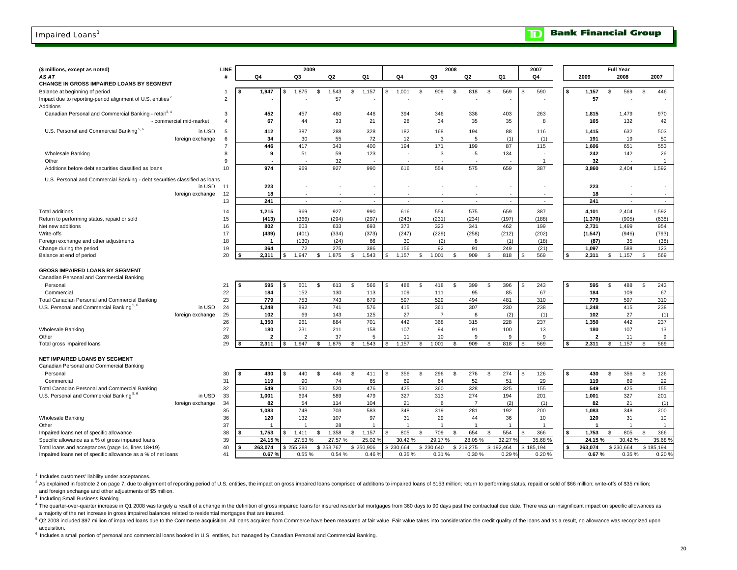#### Impaired Loans<sup>1</sup>

#### **Bank Financial Group**  $\mathbf{D}$

| (\$ millions, except as noted)                                             |                         | LINE           |                   |     | 2009           |               |            |     |           |                |     |                | 2008               |                |               |                          |    | 2007                     |          |          |                    | <b>Full Year</b> |               |                |
|----------------------------------------------------------------------------|-------------------------|----------------|-------------------|-----|----------------|---------------|------------|-----|-----------|----------------|-----|----------------|--------------------|----------------|---------------|--------------------------|----|--------------------------|----------|----------|--------------------|------------------|---------------|----------------|
| AS AT                                                                      |                         | #              | Q4                |     | Q3             |               | Q2         |     | Q1        | Q4             |     | Q3             |                    | Q2             |               | Q1                       |    | Q4                       |          | 2009     |                    | 2008             |               | 2007           |
| CHANGE IN GROSS IMPAIRED LOANS BY SEGMENT                                  |                         |                |                   |     |                |               |            |     |           |                |     |                |                    |                |               |                          |    |                          |          |          |                    |                  |               |                |
| Balance at beginning of period                                             |                         | $\overline{1}$ | 1,947             | \$. | 1,875          | \$            | 1,543      | \$  | 1,157     | 1,001<br>\$    | \$. | 909            | <b>S</b>           | 818            | \$            | 569                      | S  | 590                      | \$       | 1,157    | \$                 | 569              | \$            | 446            |
| Impact due to reporting-period alignment of U.S. entities <sup>2</sup>     |                         | $\overline{2}$ |                   |     |                |               | 57         |     |           |                |     |                |                    |                |               |                          |    |                          |          | 57       |                    |                  |               |                |
| Additions                                                                  |                         |                |                   |     |                |               |            |     |           |                |     |                |                    |                |               |                          |    |                          |          |          |                    |                  |               |                |
| Canadian Personal and Commercial Banking - retail <sup>3, 4</sup>          |                         | 3              | 452               |     | 457            |               | 460        |     | 446       | 394            |     | 346            |                    | 336            |               | 403                      |    | 263                      |          | 1,815    |                    | 1,479            |               | 970            |
|                                                                            | - commercial mid-market | $\overline{4}$ | 67                |     | 44             |               | 33         |     | 21        | 28             |     | 34             |                    | 35             |               | 35                       |    | 8                        |          | 165      |                    | 132              |               | 42             |
| U.S. Personal and Commercial Banking <sup>5, 6</sup>                       | in USD                  | 5              | 412               |     | 387            |               | 288        |     | 328       | 182            |     | 168            |                    | 194            |               | 88                       |    | 116                      |          | 1,415    |                    | 632              |               | 503            |
|                                                                            | foreign exchange        | 6              | 34                |     | 30             |               | 55         |     | 72        | 12             |     | 3              |                    | 5              |               | (1)                      |    | (1)                      |          | 191      |                    | 19               |               | 50             |
|                                                                            |                         | $\overline{7}$ | 446               |     | 417            |               | 343        |     | 400       | 194            |     | 171            |                    | 199            |               | 87                       |    | 115                      |          | 1,606    |                    | 651              |               | 553            |
| <b>Wholesale Banking</b>                                                   |                         | 8              | 9                 |     | 51             |               | 59         |     | 123       |                |     | 3              |                    | 5              |               | 134                      |    |                          |          | 242      |                    | 142              |               | 26             |
| Other                                                                      |                         | 9              |                   |     |                |               | 32         |     |           |                |     |                |                    |                |               |                          |    |                          |          | 32       |                    |                  |               | $\overline{1}$ |
| Additions before debt securities classified as loans                       |                         | 10             | 974               |     | 969            |               | 927        |     | 990       | 616            |     | 554            |                    | 575            |               | 659                      |    | 387                      |          | 3,860    |                    | 2,404            |               | 1,592          |
| U.S. Personal and Commercial Banking - debt securities classified as loans |                         |                |                   |     |                |               |            |     |           |                |     |                |                    |                |               |                          |    |                          |          |          |                    |                  |               |                |
|                                                                            | in USD                  | 11             | 223               |     |                |               |            |     |           |                |     |                |                    |                |               | ٠                        |    |                          |          | 223      |                    |                  |               |                |
|                                                                            | foreign exchange        | 12             | 18                |     |                |               |            |     |           |                |     |                |                    |                |               |                          |    |                          |          | 18       |                    |                  |               |                |
|                                                                            |                         | 13             | 241               |     | $\sim$         |               | $\sim$     |     | $\sim$    | $\sim$         |     | $\sim$         |                    | $\sim$         |               | $\overline{\phantom{a}}$ |    | $\overline{\phantom{a}}$ |          | 241      |                    | $\sim$           |               | $\sim$         |
| <b>Total additions</b>                                                     |                         | 14             | 1,215             |     | 969            |               | 927        |     | 990       | 616            |     | 554            |                    | 575            |               | 659                      |    | 387                      |          | 4,101    |                    | 2,404            |               | 1,592          |
| Return to performing status, repaid or sold                                |                         | 15             | (413)             |     | (366)          |               | (294)      |     | (297)     | (243)          |     | (231)          |                    | (234)          |               | (197)                    |    | (188)                    |          | (1, 370) |                    | (905)            |               | (638)          |
| Net new additions                                                          |                         | 16             | 802               |     | 603            |               | 633        |     | 693       | 373            |     | 323            |                    | 341            |               | 462                      |    | 199                      |          | 2,731    |                    | 1,499            |               | 954            |
| Write-offs                                                                 |                         | 17             | (439)             |     | (401)          |               | (334)      |     | (373)     | (247)          |     | (229)          |                    | (258)          |               | (212)                    |    | (202)                    |          | (1, 547) |                    | (946)            |               | (793)          |
| Foreign exchange and other adjustments                                     |                         | 18             | $\mathbf 1$       |     | (130)          |               | (24)       |     | 66        | 30             |     | (2)            |                    | 8              |               | (1)                      |    | (18)                     |          | (87)     |                    | 35               |               | (38)           |
| Change during the period                                                   |                         | 19             | 364               |     | 72             |               | 275        |     | 386       | 156            |     | 92             |                    | 91             |               | 249                      |    | (21)                     |          | 1.097    |                    | 588              |               | 123            |
| Balance at end of period                                                   |                         | 20             | 2,311             |     | 1,947          | s.            | 1,875      | \$  | 1,543     | 1,157<br>\$    | \$  | 1,001          | -S                 | 909            | \$            | 818                      |    | 569                      | \$       | 2,311    | \$                 | 1,157            | -S            | 569            |
|                                                                            |                         |                |                   |     |                |               |            |     |           |                |     |                |                    |                |               |                          |    |                          |          |          |                    |                  |               |                |
| <b>GROSS IMPAIRED LOANS BY SEGMENT</b>                                     |                         |                |                   |     |                |               |            |     |           |                |     |                |                    |                |               |                          |    |                          |          |          |                    |                  |               |                |
| Canadian Personal and Commercial Banking                                   |                         |                | 595<br>\$         |     | 601            | s.            |            | \$  | 566       | 488            | s.  |                | \$                 | 399            | \$            |                          |    |                          | s        | 595      | S.                 | 488              | \$            |                |
| Personal<br>Commercial                                                     |                         | 21             | 184               | \$  | 152            |               | 613<br>130 |     | 113       | \$<br>109      |     | 418<br>111     |                    | 95             |               | 396<br>85                | \$ | 243<br>67                |          | 184      |                    | 109              |               | 243<br>67      |
| Total Canadian Personal and Commercial Banking                             |                         | 22<br>23       | 779               |     | 753            |               | 743        |     | 679       | 597            |     | 529            |                    | 494            |               | 481                      |    | 310                      |          | 779      |                    | 597              |               | 310            |
| U.S. Personal and Commercial Banking <sup>5, 6</sup>                       | in USD                  | 24             | 1,248             |     | 892            |               | 741        |     | 576       | 415            |     | 361            |                    | 307            |               | 230                      |    | 238                      |          | 1,248    |                    | 415              |               | 238            |
|                                                                            | foreign exchange        | 25             | 102               |     | 69             |               | 143        |     | 125       | 27             |     | $\overline{7}$ |                    | 8              |               | (2)                      |    | (1)                      |          | 102      |                    | 27               |               | (1)            |
|                                                                            |                         | 26             | 1,350             |     | 961            |               | 884        |     | 701       | 442            |     | 368            |                    | 315            |               | 228                      |    | 237                      |          | 1,350    |                    | 442              |               | 237            |
| Wholesale Banking                                                          |                         | 27             | 180               |     | 231            |               | 211        |     | 158       | 107            |     | 94             |                    | 91             |               | 100                      |    | 13                       |          | 180      |                    | 107              |               | 13             |
| Other                                                                      |                         | 28             | 2                 |     | $\mathcal{D}$  |               | 37         |     | 5         | 11             |     | 10             |                    | 9              |               | 9                        |    | 9                        |          |          |                    | 11               |               | 9              |
| Total gross impaired loans                                                 |                         | 29             | 2,311             | £.  | 1,947          | \$.           | 1,875      | \$. | 1,543     | 1,157<br>£.    | S   | 1,001          | -\$                | 909            | - \$          | 818                      | S  | 569                      | <b>S</b> | 2,311    | \$                 | 1,157            | -S            | 569            |
|                                                                            |                         |                |                   |     |                |               |            |     |           |                |     |                |                    |                |               |                          |    |                          |          |          |                    |                  |               |                |
| NET IMPAIRED LOANS BY SEGMENT                                              |                         |                |                   |     |                |               |            |     |           |                |     |                |                    |                |               |                          |    |                          |          |          |                    |                  |               |                |
| Canadian Personal and Commercial Banking                                   |                         |                |                   |     |                |               |            |     |           |                |     |                |                    |                |               |                          |    |                          |          |          |                    |                  |               |                |
| Personal                                                                   |                         | 30             | 430               | \$  | 440            | \$            | 446        | Ŝ.  | 411       | 356<br>\$      | \$  | 296            | \$                 | 276            | \$            | 274                      | \$ | 126                      | \$       | 430      | \$                 | 356              | <b>S</b>      | 126            |
| Commercial                                                                 |                         | 31             | 119               |     | 90             |               | 74         |     | 65        | 69             |     | 64             |                    | 52             |               | 51                       |    | 29                       |          | 119      |                    | 69               |               | 29             |
| Total Canadian Personal and Commercial Banking                             |                         | 32             | 549               |     | 530            |               | 520        |     | 476       | 425            |     | 360            |                    | 328            |               | 325                      |    | 155                      |          | 549      |                    | 425              |               | 155            |
| U.S. Personal and Commercial Banking <sup>5,6</sup>                        | in USD                  | 33             | 1,001             |     | 694            |               | 589        |     | 479       | 327            |     | 313            |                    | 274            |               | 194                      |    | 201                      |          | 1,001    |                    | 327              |               | 201            |
|                                                                            | foreign exchange        | 34             | 82                |     | 54             |               | 114        |     | 104       | 21             |     | 6              |                    | $\overline{7}$ |               | (2)                      |    | (1)                      |          | 82       |                    | 21               |               | (1)            |
|                                                                            |                         | 35             | 1,083             |     | 748            |               | 703        |     | 583       | 348            |     | 319            |                    | 281            |               | 192                      |    | 200                      |          | 1,083    |                    | 348              |               | 200            |
| <b>Wholesale Banking</b>                                                   |                         | 36             | 120               |     | 132            |               | 107        |     | 97        | 31             |     | 29             |                    | 44             |               | 36                       |    | 10                       |          | 120      |                    | 31               |               | 10             |
| Other                                                                      |                         | 37             | 1                 |     | $\overline{1}$ |               | 28         |     | -1        | $\overline{1}$ |     | $\overline{1}$ |                    | $\overline{1}$ |               | $\overline{1}$           |    | $\overline{1}$           |          |          |                    | $\overline{1}$   |               | $\overline{1}$ |
| Impaired loans net of specific allowance                                   |                         | 38             | 1.753             |     | 1.411          | $\mathcal{S}$ | 1.358      |     | 1.157     | 805<br>£.      | £.  | 709            | $\mathbf{\hat{z}}$ | 654            | $\mathcal{S}$ | 554                      |    | 366                      | l s      | 1.753    | $\mathbf{\hat{z}}$ | 805              | $\mathcal{R}$ | 366            |
| Specific allowance as a % of gross impaired loans                          |                         | 39             | 24.15             |     | 27.53 %        |               | 27.57 %    |     | 25.02     | 30.42%         |     | 29.17%         |                    | 28.05%         |               | 32.27 %                  |    | 35.68                    |          | 24.15%   |                    | 30.42%           |               | 35.68%         |
| Total loans and acceptances (page 14, lines 18+19)                         |                         | 40             | 263.074           |     | \$255.288      | \$253,767     |            |     | \$250,906 | \$230.664      |     | \$230,640      |                    | \$219,275      |               | \$192.464                |    | \$185.194                | s.       | 263.074  |                    | \$230.664        |               | \$185.194      |
| Impaired loans net of specific allowance as a % of net loans               |                         | 41             | 0.67 <sub>9</sub> |     | 0.55%          |               | 0.54%      |     | 0.46      | 0.35 %         |     | 0.31%          |                    | 0.30%          |               | 0.29 <sup>°</sup>        |    | 0.209                    |          | 0.67%    |                    | 0.35%            |               | 0.20%          |

<sup>1</sup> Includes customers' liability under acceptances.

<sup>2</sup> As explained in footnote 2 on page 7, due to alignment of reporting period of U.S. entities, the impact on gross impaired loans comprised of additions to impaired loans of \$153 million; return to performing status, rep and foreign exchange and other adjustments of \$5 million.

<sup>3</sup> Including Small Business Banking.

4 The quarter-over-quarter increase in Q1 2008 was largely a result of a change in the definition of gross impaired loans for insured residential mortgages from 360 days to 90 days past the contractual due date. There was a majority of the net increase in gross impaired balances related to residential mortgages that are insured.

<sup>5</sup> Q2 2008 included \$97 million of impaired loans due to the Commerce acquisition. All loans acquired from Commerce have been measured at fair value. Fair value fakes into consideration the credit quality of the loans and acquisition.

6 Includes a small portion of personal and commercial loans booked in U.S. entities, but managed by Canadian Personal and Commercial Banking.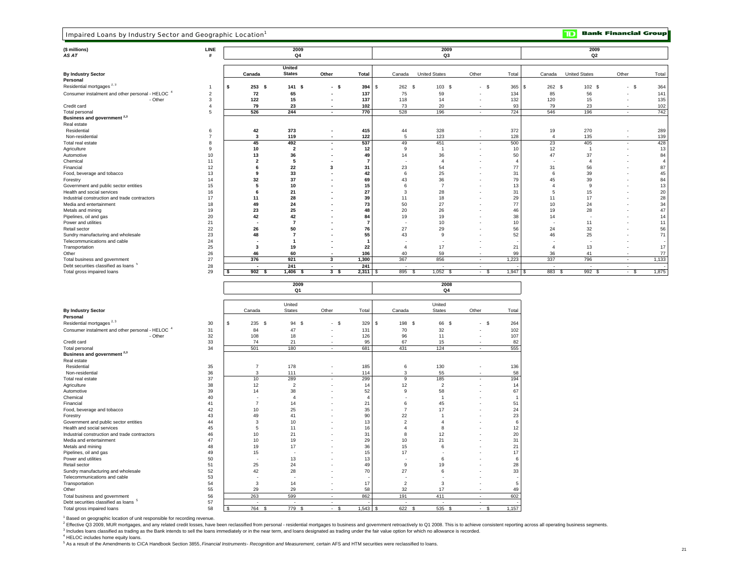| Impaired Loans by Industry Sector and Geographic Location <sup>1</sup> |                |                          |                                |                          |                |                          |                      |                          |                |                | םד                   | <b>Bank Financial Group</b> |                |
|------------------------------------------------------------------------|----------------|--------------------------|--------------------------------|--------------------------|----------------|--------------------------|----------------------|--------------------------|----------------|----------------|----------------------|-----------------------------|----------------|
| (\$ millions)<br>AS AT                                                 | LINE           |                          | 2009<br>Q4                     |                          |                |                          | 2009<br>Q3           |                          |                |                | 2009<br>Q2           |                             |                |
| <b>By Industry Sector</b>                                              |                | Canada                   | <b>United</b><br><b>States</b> | Other                    | <b>Total</b>   | Canada                   | <b>United States</b> | Other                    | Total          | Canada         | <b>United States</b> | Other                       | Total          |
| Personal                                                               |                |                          |                                |                          |                |                          |                      |                          |                |                |                      |                             |                |
| Residential mortgages $2, 3$                                           | $\overline{1}$ | \$<br>253S               | 141S                           | - \$                     | 394            | \$<br>$262$ \$           | 103 \$               | $-$ \$                   | 365            | 262S<br>l s    | 102 \$               | $-$ \$                      | 364            |
| Consumer instalment and other personal - HELOC 4                       | $\overline{c}$ | 72                       | 65                             |                          | 137            | 75                       | 59                   |                          | 134            | 85             | 56                   |                             | 141            |
| - Other                                                                | 3              | 122                      | 15                             |                          | 137            | 118                      | 14                   |                          | 132            | 120            | 15                   | $\overline{\phantom{a}}$    | 135            |
| Credit card                                                            | $\overline{4}$ | 79                       | 23                             |                          | 102            | 73                       | 20                   |                          | 93             | 79             | 23                   | $\overline{\phantom{a}}$    | 102            |
| Total personal                                                         | 5              | 526                      | 244                            | $\overline{\phantom{a}}$ | 770            | 528                      | 196                  | $\sim$                   | 724            | 546            | 196                  | $\overline{\phantom{a}}$    | 742            |
| Business and government <sup>2,3</sup>                                 |                |                          |                                |                          |                |                          |                      |                          |                |                |                      |                             |                |
| Real estate                                                            |                |                          |                                |                          |                |                          |                      |                          |                |                |                      |                             |                |
| Residential                                                            | 6              | 42                       | 373                            | $\overline{a}$           | 415            | 44                       | 328                  | ÷,                       | 372            | 19             | 270                  | ÷                           | 289            |
| Non-residential                                                        | $\overline{7}$ | $\mathbf{3}$             | 119                            |                          | 122            | 5                        | 123                  |                          | 128            | $\overline{4}$ | 135                  |                             | 139            |
| Total real estate                                                      | 8              | 45                       | 492                            |                          | 537            | 49                       | 451                  | $\overline{\phantom{a}}$ | 500            | 23             | 405                  | $\blacksquare$              | 428            |
| Agriculture                                                            | 9              | 10                       | $\overline{2}$                 |                          | 12             | 9                        | -1                   |                          | 10             | 12             | $\overline{1}$       |                             | 13             |
| Automotive                                                             | 10             | 13                       | 36                             |                          | 49             | 14                       | 36                   |                          | 50             | 47             | 37                   |                             | 84             |
| Chemical                                                               | 11             | $\overline{2}$           | 5                              |                          | - 7            |                          | $\overline{4}$       |                          | -4             |                | $\mathbf{A}$         |                             | $\overline{a}$ |
| Financial                                                              | 12             | 6<br>9                   | 22                             | 3                        | 31             | 23                       | 54                   |                          | 77             | 31             | 56                   |                             | 87<br>45       |
| Food, beverage and tobacco                                             | 13<br>14       | 32                       | 33<br>37                       |                          | 42<br>69       | 6<br>43                  | 25<br>36             |                          | 31<br>79       | 6<br>45        | 39<br>39             |                             | 84             |
| Forestry                                                               |                |                          |                                |                          |                |                          |                      |                          |                | $\overline{4}$ | 9                    |                             |                |
| Government and public sector entities<br>Health and social services    | 15<br>16       | 5<br>6                   | 10<br>21                       |                          | 15<br>27       | 6<br>3                   | $\overline{7}$<br>28 |                          | 13<br>31       | 5              | 15                   |                             | 13<br>20       |
| Industrial construction and trade contractors                          | 17             | 11                       | 28                             |                          | 39             | 11                       | 18                   |                          | 29             | 11             | 17                   |                             | 28             |
| Media and entertainment                                                | 18             | 49                       | 24                             |                          | 73             | 50                       | 27                   |                          | 77             | 10             | 24                   |                             | 34             |
| Metals and mining                                                      | 19             | 23                       | 25                             |                          | 48             | 20                       | 26                   |                          | 46             | 19             | 28                   |                             | 47             |
| Pipelines, oil and gas                                                 | 20             | 42                       | 42                             |                          | 84             | 19                       | 19                   |                          | 38             | 14             |                      |                             | 14             |
| Power and utilities                                                    | 21             |                          | $\overline{7}$                 |                          | $\overline{7}$ |                          | 10                   |                          | 10             |                | 11                   |                             | 11             |
| Retail sector                                                          | 22             | 26                       | 50                             |                          | 76             | 27                       | 29                   |                          | 56             | 24             | 32                   |                             | 56             |
| Sundry manufacturing and wholesale                                     | 23             | 48                       | $\overline{7}$                 |                          | 55             | 43                       | 9                    |                          | 52             | 46             | 25                   |                             | 71             |
| Telecommunications and cable                                           | 24             | $\blacksquare$           | $\overline{\mathbf{1}}$        |                          | -1             | $\overline{\phantom{a}}$ |                      |                          |                |                |                      |                             | ٠.             |
| Transportation                                                         | 25             | $\mathbf{3}$             | 19                             |                          | 22             | $\overline{4}$           | 17                   |                          | 21             | $\overline{4}$ | 13                   | J.                          | 17             |
| Other                                                                  | 26             | 46                       | 60                             |                          | 106            | 40                       | 59                   |                          | 99             | 36             | 41                   |                             | 77             |
| Total business and government                                          | 27             | 376                      | 921                            | 3                        | 1,300          | 367                      | 856                  | ٠                        | 1,223          | 337            | 796                  | $\overline{\phantom{a}}$    | 1,133          |
| Debt securities classified as loans <sup>5</sup>                       | 28             |                          | 241                            |                          | 241            |                          |                      |                          |                |                |                      |                             |                |
| Total gross impaired loans                                             | 29             | \$<br>902 <sub>5</sub>   | $1,406$ \$                     | 3 <sup>5</sup>           | $2,311$ \$     | 895 \$                   | $1,052$ \$           | $-$ \$                   | $1,947$ \$     | 883 \$         | $992$ \$             | $-$ \$                      | 1,875          |
|                                                                        |                |                          | 2009<br>Q <sub>1</sub>         |                          |                |                          | 2008<br>$\mathsf Q4$ |                          |                |                |                      |                             |                |
|                                                                        |                |                          | United                         |                          |                |                          | United               |                          |                |                |                      |                             |                |
| <b>By Industry Sector</b>                                              |                | Canada                   | <b>States</b>                  | Other                    | Total          | Canada                   | <b>States</b>        | Other                    | Total          |                |                      |                             |                |
| Personal                                                               |                |                          |                                |                          |                |                          |                      |                          |                |                |                      |                             |                |
| Residential mortgages <sup>2, 3</sup>                                  | 30             | \$<br>235<br>\$          | 94<br>\$                       | $-$ \$                   | 329            | \$<br>198 \$             | 66 \$                | \$<br>$\sim$             | 264            |                |                      |                             |                |
| Consumer instalment and other personal - HELOC <sup>4</sup>            | 31             | 84                       | 47                             |                          | 131            | 70                       | 32                   | ÷                        | 102            |                |                      |                             |                |
| - Other                                                                | 32             | 108                      | 18                             |                          | 126            | 96                       | 11                   |                          | 107            |                |                      |                             |                |
| Credit card                                                            | 33             | 74                       | 21                             |                          | 95             | 67                       | 15                   |                          | 82             |                |                      |                             |                |
| Total personal                                                         | 34             | 501                      | 180                            | $\sim$                   | 681            | 431                      | 124                  | $\sim$                   | 555            |                |                      |                             |                |
| Business and government <sup>2,3</sup>                                 |                |                          |                                |                          |                |                          |                      |                          |                |                |                      |                             |                |
| Real estate<br>Residential                                             | 35             | $\overline{7}$           | 178                            |                          | 185            | 6                        | 130                  |                          | 136            |                |                      |                             |                |
| Non-residential                                                        | 36             | 3                        | 111                            |                          | 114            | 3                        | 55                   |                          | 58             |                |                      |                             |                |
| Total real estate                                                      | 37             | 10                       | 289                            | $\overline{a}$           | 299            | 9                        | 185                  | ÷,                       | 194            |                |                      |                             |                |
| Agriculture                                                            | 38             | 12                       | $\overline{2}$                 |                          | 14             | 12                       | $\overline{2}$       |                          | 14             |                |                      |                             |                |
| Automotive                                                             | 39             | 14                       | 38                             |                          | 52             | 9                        | 58                   |                          | 67             |                |                      |                             |                |
| Chemical                                                               | 40             | $\overline{\phantom{a}}$ | $\overline{4}$                 |                          | $\overline{4}$ | $\overline{\phantom{a}}$ | $\overline{1}$       |                          | $\overline{1}$ |                |                      |                             |                |
| Financial                                                              | 41             | $\overline{7}$           | 14                             |                          | 21             | 6                        | 45                   |                          | 51             |                |                      |                             |                |
| Food, beverage and tobacco                                             | 42             | 10                       | 25                             |                          | 35             | $\overline{7}$           | 17                   |                          | 24             |                |                      |                             |                |
| Forestry                                                               | 43             | 49                       | 41                             |                          | 90             | 22                       | $\overline{1}$       | ÷,                       | 23             |                |                      |                             |                |
| Government and public sector entities                                  | 44             | 3                        | 10                             |                          | 13             | $\overline{2}$           | $\overline{4}$       |                          | 6              |                |                      |                             |                |
| Health and social services                                             | 45             | $\,$ 5                   | 11                             |                          | 16             | $\overline{4}$           | 8                    |                          | 12             |                |                      |                             |                |
| Industrial construction and trade contractors                          | 46             | 10                       | 21                             |                          | 31             | 8                        | 12                   |                          | 20             |                |                      |                             |                |
| Media and entertainment                                                | 47             | 10                       | 19                             |                          | 29             | 10                       | 21                   |                          | 31             |                |                      |                             |                |
| Metals and mining                                                      | 48             | 19                       | 17                             |                          | 36             | 15                       | 6                    |                          | 21             |                |                      |                             |                |
| Pipelines, oil and gas                                                 | 49             | 15                       |                                |                          | 15             | 17                       |                      |                          | 17             |                |                      |                             |                |
| Power and utilities                                                    | 50             | $\overline{\phantom{a}}$ | 13                             |                          | 13             |                          | 6                    |                          | 6              |                |                      |                             |                |
| Retail sector<br>Sundry manufacturing and wholesale                    | 51<br>52       | 25<br>42                 | 24<br>28                       |                          | 49<br>70       | 9<br>27                  | 19<br>6              |                          | 28<br>33       |                |                      |                             |                |
| Telecommunications and cable                                           | 53             |                          |                                |                          |                |                          |                      |                          |                |                |                      |                             |                |

<sup>1</sup> Based on geographic location of unit responsible for recording revenue.

2 Effective Q3 2009, MUR mortgages, and any related credit losses, have been reclassified from personal - residential mortgages to business and government retroactively to Q1 2008. This is to achieve consistent reporting a

<sup>3</sup> Includes loans classified as trading as the Bank intends to sell the loans immediately or in the near term, and loans designated as trading under the fair value option for which no allowance is recorded.

Total gross impaired loans 68 \$ 764 \$ 779 \$ 545 \$ 522 \$ 535 \$ - \$

Transportation 54 | 3 14 - 17 | 2 3 - 5 Other 55 29 29 - 58 32 17 - 49

Debt securities classified as loans <sup>5</sup> 57 - - - - - - - -

4 HELOC includes home equity loans.

5 As a result of the Amendments to CICA Handbook Section 3855, *Financial Instruments*- *Recognition and Measurement,* certain AFS and HTM securities were reclassified to loans.

Telecommunications and cable<br>
The communications and cable<br>
Transportation and cable 54 3 14 - 17 2 3

Total business and government 56 263 599 - 862 191 411<br>Debt securities classified as loans <sup>5</sup> 57 263 599 - 862 191 411

 $\overline{\phantom{a}}$ 

 $\frac{49}{602}$ 

 $1,157$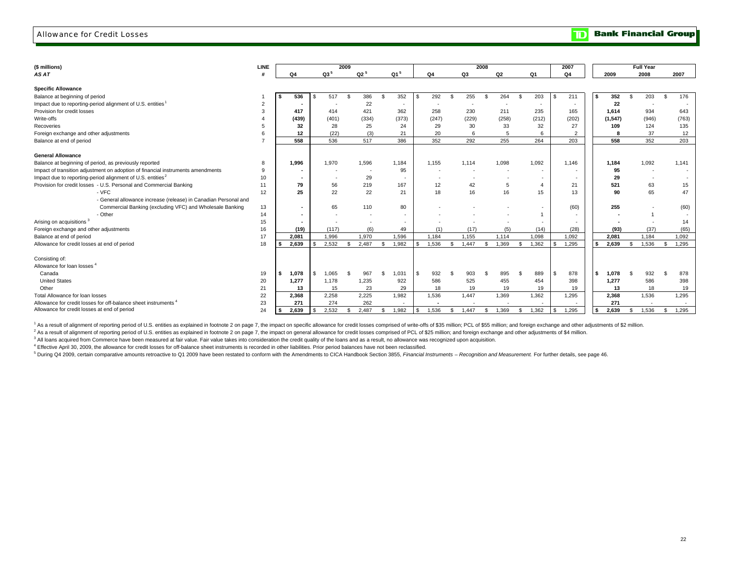### Allowance for Credit Losses

|  |  | <b>The Bank Financial Group</b> |  |
|--|--|---------------------------------|--|
|--|--|---------------------------------|--|

| (\$ millions)                                                                   | <b>LINE</b>    |  |                          |        | 2009 |                          |                          |    |        |     |       | 2008               |       |     |        | 2007   |    |          |      | <b>Full Year</b>         |      |        |
|---------------------------------------------------------------------------------|----------------|--|--------------------------|--------|------|--------------------------|--------------------------|----|--------|-----|-------|--------------------|-------|-----|--------|--------|----|----------|------|--------------------------|------|--------|
| AS AT                                                                           |                |  | Q4                       | $Q3^5$ |      | $Q2^5$                   | $Q1^5$                   |    | Q4     |     | Q3    |                    | Q2    |     | Q1     | Q4     |    | 2009     |      | 2008                     | 2007 |        |
| <b>Specific Allowance</b>                                                       |                |  |                          |        |      |                          |                          |    |        |     |       |                    |       |     |        |        |    |          |      |                          |      |        |
| Balance at beginning of period                                                  |                |  | 536                      | 517    | - \$ | 386                      | 352<br>S.                |    | 292    | S.  | 255   | $\mathbf{\hat{S}}$ | 264   | \$  | 203    | 211    | S  | 352      | -S   | 203                      | \$.  | 176    |
| Impact due to reporting-period alignment of U.S. entities                       | $\overline{2}$ |  |                          |        |      | 22                       | $\sim$                   |    |        |     |       |                    |       |     | $\sim$ | $\sim$ |    | 22       |      |                          |      |        |
| Provision for credit losses                                                     | 3              |  | 417                      | 414    |      | 421                      | 362                      |    | 258    |     | 230   |                    | 211   |     | 235    | 165    |    | 1.614    |      | 934                      |      | 643    |
| Write-offs                                                                      |                |  | (439)                    | (401)  |      | (334)                    | (373)                    |    | (247)  |     | (229) |                    | (258) |     | (212)  | (202)  |    | (1, 547) |      | (946)                    |      | (763)  |
| Recoveries                                                                      |                |  | 32                       | 28     |      | 25                       | 24                       |    | 29     |     | 30    |                    | 33    |     | 32     | 27     |    | 109      |      | 124                      |      | 135    |
| Foreign exchange and other adjustments                                          | 6              |  | 12                       | (22)   |      | (3)                      | 21                       |    | 20     |     |       |                    | 5     |     | 6      | 2      |    | 8        |      | 37                       |      | 12     |
| Balance at end of period                                                        | $\overline{z}$ |  | 558                      | 536    |      | 517                      | 386                      |    | 352    |     | 292   |                    | 255   |     | 264    | 203    |    | 558      |      | 352                      |      | 203    |
| <b>General Allowance</b>                                                        |                |  |                          |        |      |                          |                          |    |        |     |       |                    |       |     |        |        |    |          |      |                          |      |        |
| Balance at beginning of period, as previously reported                          | 8              |  | 1,996                    | 1,970  |      | 1,596                    | 1,184                    |    | 1,155  |     | 1,114 |                    | 1,098 |     | 1,092  | 1.146  |    | 1,184    |      | 1,092                    |      | 1,141  |
| Impact of transition adjustment on adoption of financial instruments amendments | 9              |  | $\blacksquare$           | ٠.     |      | $\sim$                   | 95                       |    | $\sim$ |     | . .   |                    |       |     |        |        |    | 95       |      | $\overline{\phantom{a}}$ |      | $\sim$ |
| Impact due to reporting-period alignment of U.S. entities <sup>2</sup>          | 10             |  | $\overline{\phantom{a}}$ |        |      | 29                       | $\overline{\phantom{a}}$ |    |        |     |       |                    |       |     |        |        |    | 29       |      | $\overline{\phantom{a}}$ |      |        |
| Provision for credit losses - U.S. Personal and Commercial Banking              | 11             |  | 79                       | 56     |      | 219                      | 167                      |    | 12     |     | 42    |                    | 5     |     |        | 21     |    | 521      |      | 63                       |      | 15     |
| - VFC                                                                           | 12             |  | 25                       | 22     |      | 22                       | 21                       |    | 18     |     | 16    |                    | 16    |     | 15     | 13     |    | 90       |      | 65                       |      | 47     |
| - General allowance increase (release) in Canadian Personal and                 |                |  |                          |        |      |                          |                          |    |        |     |       |                    |       |     |        |        |    |          |      |                          |      |        |
| Commercial Banking (excluding VFC) and Wholesale Banking                        | 13             |  | $\sim$                   | 65     |      | 110                      | 80                       |    |        |     |       |                    |       |     |        | (60)   |    | 255      |      |                          |      | (60)   |
| - Other                                                                         | 14             |  | $\sim$                   | ٠      |      | $\overline{\phantom{a}}$ | $\sim$                   |    |        |     |       |                    |       |     |        | $\sim$ |    |          |      |                          |      |        |
| Arising on acquisitions <sup>3</sup>                                            | 15             |  | $\overline{\phantom{a}}$ |        |      |                          | $\overline{a}$           |    |        |     |       |                    |       |     |        |        |    |          |      |                          |      | 14     |
| Foreign exchange and other adjustments                                          | 16             |  | (19)                     | (117)  |      | (6)                      | 49                       |    | (1)    |     | (17)  |                    | (5)   |     | (14)   | (28)   |    | (93)     |      | (37)                     |      | (65)   |
| Balance at end of period                                                        | 17             |  | 2.081                    | 1.996  |      | 1.970                    | 1.596                    |    | 1.184  |     | 1.155 |                    | 1.114 |     | 1.098  | 1.092  |    | 2.081    |      | 1.184                    |      | 1.092  |
| Allowance for credit losses at end of period                                    | 18             |  | 2.639                    | 2.532  | ¢    | 2.487                    | $\mathbf{s}$<br>1.982    |    | 1.536  | \$. | 1.447 | \$                 | 1.369 | £.  | 1,362  | 1.295  | s. | 2.639    | - \$ | 1.536                    | £.   | 1.295  |
|                                                                                 |                |  |                          |        |      |                          |                          |    |        |     |       |                    |       |     |        |        |    |          |      |                          |      |        |
| Consisting of:                                                                  |                |  |                          |        |      |                          |                          |    |        |     |       |                    |       |     |        |        |    |          |      |                          |      |        |
| Allowance for loan losses <sup>4</sup>                                          |                |  |                          |        |      |                          |                          |    |        |     |       |                    |       |     |        |        |    |          |      |                          |      |        |
| Canada                                                                          | 19             |  | 1,078                    | 1.065  | -96  | 967                      | 1,031<br>s.              | \$ | 932    | £.  | 903   | £.                 | 895   | \$. | 889    | 878    | \$ | 1,078    | - \$ | 932                      |      | 878    |
| <b>United States</b>                                                            | 20             |  | 1,277                    | 1,178  |      | 1,235                    | 922                      |    | 586    |     | 525   |                    | 455   |     | 454    | 398    |    | 1,277    |      | 586                      |      | 398    |
| Other                                                                           | 21             |  | 13                       | 15     |      | 23                       | 29                       |    | 18     |     | 19    |                    | 19    |     | 19     | 19     |    | 13       |      | 18                       |      | 19     |
| Total Allowance for loan losses                                                 | 22             |  | 2,368                    | 2,258  |      | 2,225                    | 1,982                    |    | 1,536  |     | 1,447 |                    | 1,369 |     | 1,362  | 1,295  |    | 2,368    |      | 1,536                    |      | 1,295  |
| Allowance for credit losses for off-balance sheet instruments 4                 | 23             |  | 271                      | 274    |      | 262                      |                          |    |        |     |       |                    |       |     |        | $\sim$ |    | 271      |      |                          |      |        |
| Allowance for credit losses at end of period                                    | 24             |  | 2,639                    | 2,532  | \$   | 2,487                    | 1,982<br>\$.             | \$ | 1,536  | \$. | 1,447 | \$.                | 1,369 | \$. | 1,362  | 1,295  |    | 2.639    | \$   | 1,536                    |      | 1,295  |

1 As a result of alignment of reporting period of U.S. entities as explained in footnote 2 on page 7, the impact on specific allowance for credit losses comprised of write-offs of \$35 million; PCL of \$55 million; and forei

<sup>2</sup> As a result of alignment of reporting period of U.S. entities as explained in footnote 2 on page 7, the impact on general allowance for credit losses comprised of PCL of \$25 million; and foreign exchange and other adju

<sup>3</sup> All loans acquired from Commerce have been measured at fair value. Fair value takes into consideration the credit quality of the loans and as a result, no allowance was recognized upon acquisition.

4 Effective April 30, 2009, the allowance for credit losses for off-balance sheet instruments is recorded in other liabilities. Prior period balances have not been reclassified.

<sup>5</sup> During Q4 2009, certain comparative amounts retroactive to Q1 2009 have been restated to conform with the Amendments to CICA Handbook Section 3855, Financial Instruments - Recognition and Measurement. For further detai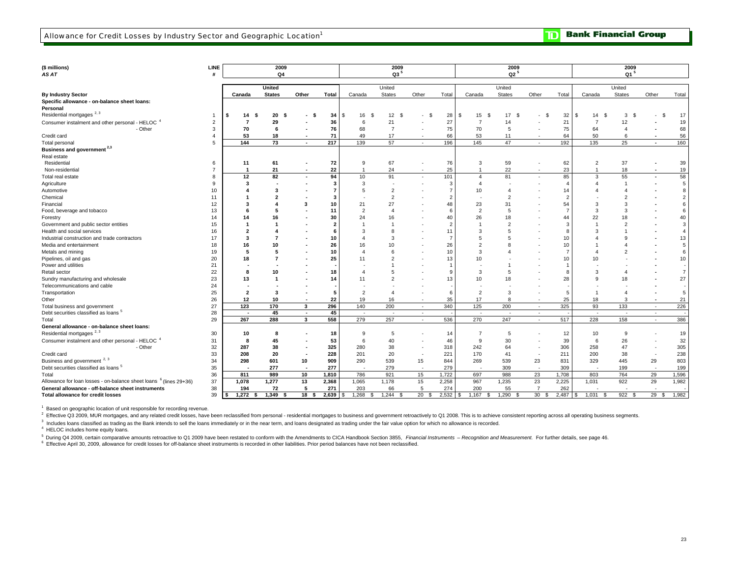| (\$ millions)                                                                 | <b>LINE</b>    |                         | 2009          |                          |              |                   | 2009            |            |       |                | 2009           |                          |                         |                       | 2009            |                |                 |
|-------------------------------------------------------------------------------|----------------|-------------------------|---------------|--------------------------|--------------|-------------------|-----------------|------------|-------|----------------|----------------|--------------------------|-------------------------|-----------------------|-----------------|----------------|-----------------|
| AS AT                                                                         |                |                         | Q4            |                          |              |                   | Q3 <sup>5</sup> |            |       |                | $Q2^5$         |                          |                         |                       | Q1 <sup>5</sup> |                |                 |
|                                                                               |                |                         |               |                          |              |                   |                 |            |       |                |                |                          |                         |                       |                 |                |                 |
|                                                                               |                |                         | United        |                          |              |                   | United          |            |       |                | United         |                          |                         |                       | United          |                |                 |
| <b>By Industry Sector</b>                                                     |                | Canada                  | <b>States</b> | Other                    | <b>Total</b> | Canada            | <b>States</b>   | Other      | Total | Canada         | <b>States</b>  | Other                    | Total                   | Canada                | States          | Other          | Total           |
| Specific allowance - on-balance sheet loans:                                  |                |                         |               |                          |              |                   |                 |            |       |                |                |                          |                         |                       |                 |                |                 |
| Personal                                                                      |                |                         |               |                          |              |                   |                 |            |       |                |                |                          |                         |                       |                 |                |                 |
| Residential mortgages <sup>2,3</sup>                                          |                | 14                      | 20<br>- \$    | - \$                     | 34           | \$.<br>16<br>- 9  | 12S             | - \$       | 28    | 15<br>-S<br>-9 | 17<br>\$       | \$.                      | 32                      | 14<br>- \$<br>- \$    | 3<br>- \$       |                | 17              |
| Consumer instalment and other personal - HELOC <sup>4</sup>                   | $\overline{2}$ | 7                       | 29            |                          | 36           | 6                 | 21              |            | 27    | $\overline{7}$ | 14             |                          | 21                      | $\overline{7}$        | 12              |                | 19              |
| - Other                                                                       | 3              | 70                      | 6             |                          | 76           | 68                | $\overline{7}$  |            | 75    | 70             | 5              |                          | 75                      | 64                    | $\overline{4}$  |                | 68              |
| Credit card                                                                   | $\overline{4}$ | 53                      | 18            |                          | 71           | 49                | 17              |            | 66    | 53             | 11             |                          | 64                      | 50                    | 6               |                | 56              |
| Total personal                                                                | 5              | 144                     | 73            | $\sim$                   | 217          | 139               | 57              | $\sim$     | 196   | 145            | 47             | $\overline{\phantom{a}}$ | 192                     | 135                   | 25              | $\blacksquare$ | 160             |
| Business and government <sup>2,3</sup>                                        |                |                         |               |                          |              |                   |                 |            |       |                |                |                          |                         |                       |                 |                |                 |
| Real estate                                                                   |                |                         |               |                          |              |                   |                 |            |       |                |                |                          |                         |                       |                 |                |                 |
| Residential                                                                   | 6              | 11                      | 61            |                          | 72           | 9                 | 67              |            | 76    | 3              | 59             |                          | 62                      | $\overline{2}$        | 37              |                | 39              |
| Non-residential                                                               | $\overline{7}$ | $\overline{\mathbf{1}}$ | 21            |                          | 22           | $\overline{1}$    | 24              |            | 25    | $\overline{1}$ | 22             |                          | 23                      | $\overline{1}$        | 18              |                | 19              |
| Total real estate                                                             | 8              | 12                      | 82            | $\sim$                   | 94           | 10                | 91              | $\sim$     | 101   | $\overline{4}$ | 81             |                          | 85                      | 3                     | 55              |                | 58              |
| Agriculture                                                                   | 9              | 3                       |               |                          |              | 3                 |                 |            | 3     | $\overline{4}$ |                |                          | $\overline{\mathbf{r}}$ | $\mathbf{A}$          |                 |                | 5               |
| Automotive                                                                    | 10             |                         | 3             |                          |              |                   | $\overline{2}$  |            |       | 10             | 4              |                          | 14                      | $\mathbf{A}$          |                 |                | 8               |
| Chemical                                                                      | 11             |                         |               |                          | 3            |                   | $\overline{2}$  |            |       |                | $\overline{2}$ |                          | 2                       |                       |                 |                | $\overline{2}$  |
| Financial                                                                     | 12             |                         |               | 3                        | 10           | 21                | 27              |            | 48    | 23             | 31             |                          | 54                      | 3                     | 3               |                | 6               |
| Food, beverage and tobacco                                                    | 13             |                         |               |                          | 11           |                   | $\overline{4}$  |            | f     | $\overline{2}$ | 5              |                          | $\overline{ }$          | 3                     | 3               |                | 6               |
| Forestry                                                                      | 14             | 14                      | 16            |                          | 30           | 24                | 16              |            | 40    | 26             | 18             |                          | 44                      | 22                    | 18              |                | 40              |
| Government and public sector entities                                         | 15             |                         |               |                          |              |                   |                 |            |       |                | $\overline{2}$ |                          | 3                       |                       |                 |                | 3               |
| Health and social services                                                    | 16             | 2                       |               |                          | 6            |                   | 8               |            | 11    | 3              | 5              |                          | ۶                       | 3                     |                 |                | $\overline{4}$  |
| Industrial construction and trade contractors                                 | 17             | 3                       |               |                          | 10           |                   | 3               |            |       | 5              | 5              |                          | 10                      |                       |                 |                | 13              |
| Media and entertainment                                                       | 18             | 16                      | 10            |                          | 26           | 16                | 10              |            | 26    | $\overline{2}$ | 8              |                          | 10                      |                       |                 |                | 5               |
| Metals and mining                                                             | 19             | -5                      | 5             |                          | 10           |                   | 6               |            | 10    | 3              |                |                          | $\overline{ }$          |                       |                 |                | 6               |
| Pipelines, oil and gas                                                        | 20             | 18                      |               |                          | 25           | 11                | $\overline{2}$  |            | 13    | 10             |                |                          | 10                      | 10                    |                 |                | 10              |
| Power and utilities                                                           | 21             |                         |               |                          |              |                   |                 |            |       |                |                |                          |                         |                       |                 |                |                 |
| Retail sector                                                                 | 22             | -8                      | 10            |                          | 18           |                   | 5               |            | 9     | 3              | 5              |                          | 8                       | 3                     | 4               |                | $7\overline{ }$ |
| Sundry manufacturing and wholesale                                            | 23             | 13                      |               |                          | 14           | 11                | $\overline{2}$  |            | 13    | 10             | 18             |                          | 28                      | $\mathbf{q}$          | 18              |                | 27              |
| Telecommunications and cable                                                  | 24             |                         |               |                          |              |                   |                 |            |       |                |                |                          |                         |                       |                 |                |                 |
| Transportation                                                                | 25             | $\overline{2}$          | 3             |                          | 5            | $\overline{2}$    | $\overline{4}$  |            | 6     | $\overline{2}$ | 3              |                          | 5                       | -1                    |                 |                | 5               |
| Other                                                                         | 26             | 12                      | 10            |                          | 22           | 19                | 16              | $\sim$     | 35    | 17             | 8              |                          | 25                      | 18                    | 3               |                | 21              |
| Total business and government                                                 | 27             | 123                     | 170           | 3                        | 296          | 140               | 200             | <b>A</b>   | 340   | 125            | 200            | $\overline{a}$           | 325                     | 93                    | 133             | ٠              | 226             |
| Debt securities classified as loans <sup>5</sup>                              | 28             | $\blacksquare$          | 45            | $\sim$                   | 45           | $\sim$            | $\sim$          | $\sim$     |       | $\sim$         | $\sim$         | $\sim$                   |                         | $\sim$                | $\sim$          | $\sim$         | $\sim$          |
| Total                                                                         | 29             | 267                     | 288           | 3                        | 558          | 279               | 257             | $\sim$     | 536   | 270            | 247            | $\sim$                   | 517                     | 228                   | 158             | $\sim$         | 386             |
| General allowance - on-balance sheet loans:                                   |                |                         |               |                          |              |                   |                 |            |       |                |                |                          |                         |                       |                 |                |                 |
| Residential mortgages <sup>2,3</sup>                                          | 30             | 10                      | -8            |                          | 18           | 9                 | 5               |            | 14    | $\overline{7}$ | 5              |                          | 12                      | 10                    | 9               |                | 19              |
| Consumer instalment and other personal - HELOC <sup>4</sup>                   | 31             | 8                       | 45            |                          | 53           | 6                 | 40              |            | 46    | 9              | 30             |                          | 39                      | 6                     | 26              |                | 32              |
| - Other                                                                       | 32             | 287                     | 38            |                          | 325          | 280               | 38              |            | 318   | 242            | 64             |                          | 306                     | 258                   | 47              |                | 305             |
| Credit card                                                                   | 33             | 208                     | 20            |                          | 228          | 201               | 20              |            | 221   | 170            | 41             |                          | 211                     | 200                   | 38              |                | 238             |
| Business and government <sup>2, 3</sup>                                       | 34             | 298                     | 601           | 10                       | 909          | 290               | 539             | 15         | 844   | 269            | 539            | 23                       | 831                     | 329                   | 445             | 29             | 803             |
| Debt securities classified as loans <sup>5</sup>                              | 35             |                         | 277           | $\overline{\phantom{a}}$ | 277          |                   | 279             | $\sim$     | 279   |                | 309            |                          | 309                     |                       | 199             |                | 199             |
| Total                                                                         | 36             | 811                     | 989           | 10                       | 1,810        | 786               | 921             | 15         | 1,722 | 697            | 988            | 23                       | 1,708                   | 803                   | 764             | 29             | 1,596           |
| Allowance for loan losses - on-balance sheet loans <sup>6</sup> (lines 29+36) | 37             | 1,078                   | 1,277         | 13                       | 2,368        | 1,065             | 1,178           | 15         | 2,258 | 967            | 1,235          | 23                       | 2,225                   | 1,031                 | 922             | 29             | 1,982           |
| General allowance - off-balance sheet instruments                             | 38             | 194                     | 72            | 5                        | 271          | 203               | 66              | 5          | 274   | 200            | 55             | $\overline{7}$           | 262                     |                       |                 |                |                 |
| <b>Total allowance for credit losses</b>                                      | 39             | 1,272<br>\$<br>-S       | 1,349<br>- \$ | 18 <sup>5</sup>          | 2,639        | 1,268<br>\$<br>-S | 1,244           | 20<br>- \$ | 2,532 | 1,167<br>\$    | 1,290<br>£.    | 30 <sup>2</sup><br>S.    | 2,487                   | 1,031<br>- \$<br>- \$ | 922S            | 29S            | 1,982           |

<sup>1</sup> Based on geographic location of unit responsible for recording revenue.

2 Effective Q3 2009, MUR mortgages, and any related credit losses, have been reclassified from personal - residential mortgages to business and government retroactively to Q1 2008. This is to achieve consistent reporting a

<sup>3</sup> Includes loans classified as trading as the Bank intends to sell the loans immediately or in the near term, and loans designated as trading under the fair value option for which no allowance is recorded.

4 HELOC includes home equity loans.

<sup>5</sup> During Q4 2009, certain comparative amounts retroactive to Q1 2009 have been restated to conform with the Amendments to CICA Handbook Section 3855, Financial Instruments - Recognition and Measurement. For further detai

<sup>6</sup> Effective April 30, 2009, allowance for credit losses for off-balance sheet instruments is recorded in other liabilities. Prior period balances have not been reclassified.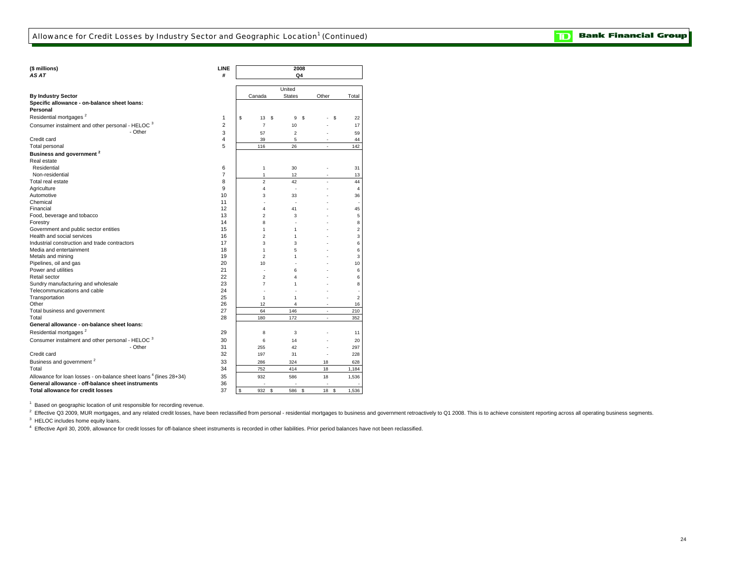| (\$ millions)                                                                 | LINE           |                | 2008           |                |                  |
|-------------------------------------------------------------------------------|----------------|----------------|----------------|----------------|------------------|
| AS AT                                                                         | #              |                | Q4             |                |                  |
|                                                                               |                |                | United         |                |                  |
| <b>By Industry Sector</b>                                                     |                | Canada         | <b>States</b>  | Other          | Total            |
| Specific allowance - on-balance sheet loans:                                  |                |                |                |                |                  |
| Personal                                                                      |                |                |                |                |                  |
| Residential mortgages <sup>2</sup>                                            | 1              | \$<br>13<br>\$ | 9<br>- S       | \$             | 22               |
| Consumer instalment and other personal - HELOC 3                              | $\overline{2}$ | $\overline{7}$ | 10             |                | 17               |
| - Other                                                                       | 3              | 57             | $\overline{2}$ |                | 59               |
| Credit card                                                                   | 4              | 39             | 5              |                | 44               |
| Total personal                                                                | 5              | 116            | 26             | $\overline{a}$ | 142              |
|                                                                               |                |                |                |                |                  |
| Business and government <sup>2</sup><br>Real estate                           |                |                |                |                |                  |
| Residential                                                                   | 6              | 1              | 30             |                | 31               |
| Non-residential                                                               | 7              | 1              | 12             |                | 13               |
| Total real estate                                                             | 8              | $\overline{2}$ | 42             | $\overline{a}$ | 44               |
| Agriculture                                                                   | 9              | 4              | $\overline{a}$ |                | $\overline{4}$   |
| Automotive                                                                    | 10             | 3              | 33             |                | 36               |
| Chemical                                                                      | 11             |                | ÷              |                |                  |
| Financial                                                                     | 12             | 4              | 41             |                | 45               |
| Food, beverage and tobacco                                                    | 13             | $\overline{2}$ | 3              |                | 5                |
| Forestry                                                                      | 14             | 8              |                |                | 8                |
| Government and public sector entities                                         | 15             | 1              | 1              |                | 2                |
| Health and social services                                                    | 16             | $\overline{2}$ | 1              |                | 3                |
| Industrial construction and trade contractors                                 | 17             | 3              | 3              |                | 6                |
| Media and entertainment                                                       | 18             | 1              | 5              |                | 6                |
| Metals and mining                                                             | 19             | $\overline{2}$ | 1              |                | 3                |
| Pipelines, oil and gas                                                        | 20             | 10             |                |                | 10               |
| Power and utilities                                                           | 21             |                | 6              |                | 6                |
| Retail sector                                                                 | 22             | $\overline{2}$ | $\overline{4}$ |                | 6                |
| Sundry manufacturing and wholesale                                            | 23             | $\overline{7}$ | 1              |                | 8                |
| Telecommunications and cable                                                  | 24             |                |                |                |                  |
| Transportation                                                                | 25             | 1              | 1              |                | $\boldsymbol{2}$ |
| Other                                                                         | 26             | 12             | 4              |                | 16               |
| Total business and government                                                 | 27             | 64             | 146            | $\overline{a}$ | 210              |
| Total                                                                         | 28             | 180            | 172            | $\overline{a}$ | 352              |
| General allowance - on-balance sheet loans:                                   |                |                |                |                |                  |
| Residential mortgages <sup>2</sup>                                            | 29             | 8              | 3              |                | 11               |
| Consumer instalment and other personal - HELOC 3                              | 30             |                |                |                |                  |
| - Other                                                                       | 31             | 6              | 14             |                | 20               |
| Credit card                                                                   | 32             | 255<br>197     | 42<br>31       | Ĭ.             | 297<br>228       |
| Business and government <sup>2</sup>                                          | 33             |                |                |                |                  |
| Total                                                                         | 34             | 286<br>752     | 324<br>414     | 18<br>18       | 628<br>1,184     |
| Allowance for loan losses - on-balance sheet loans <sup>4</sup> (lines 28+34) | 35             | 932            | 586            | 18             | 1,536            |
| General allowance - off-balance sheet instruments                             | 36             |                |                |                |                  |
| <b>Total allowance for credit losses</b>                                      | 37             | \$<br>932      | 586            | 18<br>\$       |                  |
|                                                                               |                | s              | \$             |                | 1,536            |

 $1$  Based on geographic location of unit responsible for recording revenue.

<sup>3</sup> HELOC includes home equity loans. <sup>2</sup> Effective Q3 2009, MUR mortgages, and any related credit losses, have been reclassified from personal - residential mortgages to business and government retroactively to Q1 2008. This is to achieve consistent reporting

4 Effective April 30, 2009, allowance for credit losses for off-balance sheet instruments is recorded in other liabilities. Prior period balances have not been reclassified.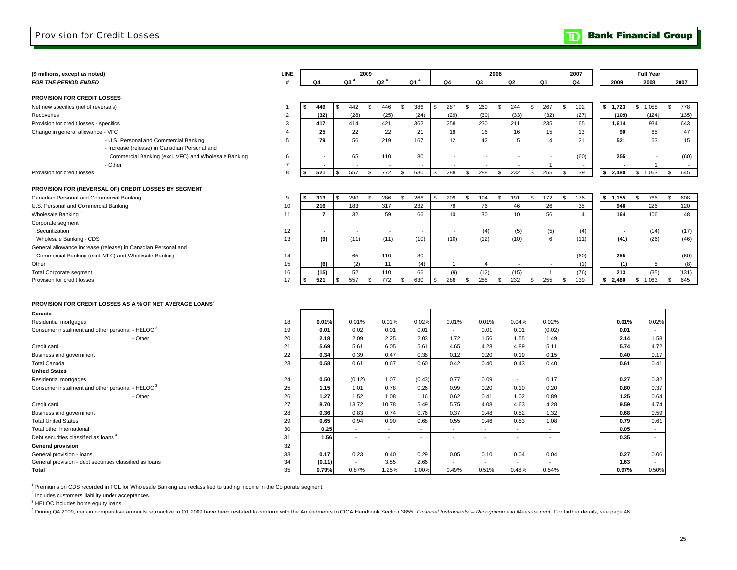**Bank Financial Group**  $\mathbf{D}$ 

| (\$ millions, except as noted)                                       | LINE           |    |                |                 | 2009 |                 |                 |              | 2008           |    |                          |    |                          |     | 2007        |             | <b>Full Year</b>         |           |
|----------------------------------------------------------------------|----------------|----|----------------|-----------------|------|-----------------|-----------------|--------------|----------------|----|--------------------------|----|--------------------------|-----|-------------|-------------|--------------------------|-----------|
| <b>FOR THE PERIOD ENDED</b>                                          | #              |    | Q4             | Q3 <sup>4</sup> |      | Q2 <sup>4</sup> | Q1 <sup>4</sup> | Q4           | Q3             | Q2 |                          | Q1 |                          |     | Q4          | 2009        | 2008                     | 2007      |
|                                                                      |                |    |                |                 |      |                 |                 |              |                |    |                          |    |                          |     |             |             |                          |           |
| PROVISION FOR CREDIT LOSSES                                          |                |    |                |                 |      |                 |                 |              |                |    |                          |    |                          |     |             |             |                          |           |
| Net new specifics (net of reversals)                                 | $\overline{1}$ | ¢. | 449            | \$<br>442       | \$   | 446             | \$<br>386       | \$<br>287    | \$<br>260      | \$ | 244                      | \$ | 267                      | \$  | 192         | \$1,723     | \$1,058                  | \$<br>778 |
| Recoveries                                                           | $\overline{c}$ |    | (32)           | (28)            |      | (25)            | (24)            | (29)         | (30)           |    | (33)                     |    | (32)                     |     | (27)        | (109)       | (124)                    | (135)     |
| Provision for credit losses - specifics                              | 3              |    | 417            | 414             |      | 421             | 362             | 258          | 230            |    | 211                      |    | 235                      |     | 165         | 1,614       | 934                      | 643       |
| Change in general allowance - VFC                                    | $\overline{4}$ |    | 25             | 22              |      | 22              | 21              | 18           | 16             |    | 16                       |    | 15                       |     | 13          | 90          | 65                       | 47        |
| - U.S. Personal and Commercial Banking                               | 5              |    | 79             | 56              |      | 219             | 167             | 12           | 42             |    | 5                        |    | $\overline{4}$           |     | 21          | 521         | 63                       | 15        |
| - Increase (release) in Canadian Personal and                        |                |    |                |                 |      |                 |                 |              |                |    |                          |    |                          |     |             |             |                          |           |
| Commercial Banking (excl. VFC) and Wholesale Banking                 | 6              |    |                | 65              |      | 110             | 80              |              |                |    |                          |    | $\overline{\phantom{a}}$ |     | (60)        | 255         | $\overline{\phantom{a}}$ | (60)      |
| - Other                                                              | $\overline{7}$ |    |                |                 |      |                 |                 |              |                |    |                          |    | $\overline{1}$           |     |             |             | $\overline{1}$           | $\sim$    |
| Provision for credit losses                                          | 8              |    | 521            | \$<br>557       | \$   | 772             | \$<br>630       | \$<br>288    | \$<br>288      | \$ | 232                      | \$ | 255                      | \$. | 139         | \$<br>2,480 | \$1,063                  | 645<br>\$ |
|                                                                      |                |    |                |                 |      |                 |                 |              |                |    |                          |    |                          |     |             |             |                          |           |
| PROVISION FOR (REVERSAL OF) CREDIT LOSSES BY SEGMENT                 |                |    | 313            |                 |      |                 |                 | \$           |                |    |                          |    |                          | \$  |             |             |                          |           |
| Canadian Personal and Commercial Banking                             | 9              |    |                | 290             | \$   | 286             | \$<br>266       | 209          | \$<br>194      | Ŝ. | 191                      | \$ | 172                      |     | 176         | \$1,155     | \$<br>766                | \$<br>608 |
| U.S. Personal and Commercial Banking                                 | 10             |    | 216            | 183             |      | 317             | 232             | 78           | 76             |    | 46                       |    | 26                       |     | 35          | 948         | 226                      | 120       |
| Wholesale Banking                                                    | 11             |    | $\overline{7}$ | 32              |      | 59              | 66              | 10           | 30             |    | 10                       |    | 56                       |     | 4           | 164         | 106                      | 48        |
| Corporate segment                                                    |                |    |                |                 |      |                 |                 |              |                |    |                          |    |                          |     |             |             |                          |           |
| Securitization                                                       | 12             |    |                |                 |      | $\sim$          |                 |              | (4)            |    | (5)                      |    | (5)                      |     | (4)         |             | (14)                     | (17)      |
| Wholesale Banking - CDS                                              | 13             |    | (9)            | (11)            |      | (11)            | (10)            | (10)         | (12)           |    | (10)                     |    | 6                        |     | (11)        | (41)        | (26)                     | (46)      |
| General allowance increase (release) in Canadian Personal and        |                |    |                |                 |      |                 |                 |              |                |    |                          |    |                          |     |             |             |                          |           |
| Commercial Banking (excl. VFC) and Wholesale Banking                 | 14             |    |                | 65              |      | 110             | 80              |              |                |    |                          |    | $\sim$                   |     | (60)        | 255         | ÷,                       | (60)      |
| Other                                                                | 15             |    | (6)            | (2)             |      | 11              | (4)             | $\mathbf{1}$ | $\overline{4}$ |    |                          |    | $\overline{\phantom{a}}$ |     | (1)         | (1)         | 5                        | (8)       |
| <b>Total Corporate segment</b>                                       | 16<br>17       |    | (15)<br>521    | 52<br>557       |      | 110             | 66<br>630       | (9)<br>288   | (12)<br>288    |    | (15)                     |    | $\overline{1}$<br>255    | \$  | (76)<br>139 | 213<br>\$   | (35)                     | (131)     |
| Provision for credit losses                                          |                |    |                |                 | \$   | 772             | \$              | \$           | \$             | \$ | 232                      | \$ |                          |     |             | 2,480       | \$1,063                  | 645<br>\$ |
|                                                                      |                |    |                |                 |      |                 |                 |              |                |    |                          |    |                          |     |             |             |                          |           |
| PROVISION FOR CREDIT LOSSES AS A % OF NET AVERAGE LOANS <sup>2</sup> |                |    |                |                 |      |                 |                 |              |                |    |                          |    |                          |     |             |             |                          |           |
| Canada                                                               |                |    |                |                 |      |                 |                 |              |                |    |                          |    |                          |     |             |             |                          |           |
| Residential mortgages                                                | 18             |    | 0.01%          | 0.01%           |      | 0.01%           | 0.02%           | 0.01%        | 0.01%          |    | 0.04%                    |    | 0.02%                    |     |             | 0.01%       | 0.02%                    |           |
| Consumer instalment and other personal - HELOC <sup>3</sup>          | 19             |    | 0.01           | 0.02            |      | 0.01            | 0.01            | $\sim$       | 0.01           |    | 0.01                     |    | (0.02)                   |     |             | 0.01        | $\overline{\phantom{a}}$ |           |
| - Other                                                              | 20             |    | 2.18           | 2.09            |      | 2.25            | 2.03            | 1.72         | 1.56           |    | 1.55                     |    | 1.49                     |     |             | 2.14        | 1.58                     |           |
| Credit card                                                          | 21             |    | 5.69           | 5.61            |      | 6.05            | 5.61            | 4.65         | 4.28           |    | 4.89                     |    | 5.11                     |     |             | 5.74        | 4.72                     |           |
| Business and government                                              | 22             |    | 0.34           | 0.39            |      | 0.47            | 0.38            | 0.12         | 0.20           |    | 0.19                     |    | 0.15                     |     |             | 0.40        | 0.17                     |           |
| <b>Total Canada</b>                                                  | 23             |    | 0.58           | 0.61            |      | 0.67            | 0.60            | 0.42         | 0.40           |    | 0.43                     |    | 0.40                     |     |             | 0.61        | 0.41                     |           |
| <b>United States</b>                                                 |                |    |                |                 |      |                 |                 |              |                |    |                          |    |                          |     |             |             |                          |           |
| Residential mortgages                                                | 24             |    | 0.50           | (0.12)          |      | 1.07            | (0.43)          | 0.77         | 0.09           |    | $\overline{\phantom{a}}$ |    | 0.17                     |     |             | 0.27        | 0.32                     |           |
| Consumer instalment and other personal - HELOC <sup>3</sup>          | 25             |    | 1.15           | 1.01            |      | 0.78            | 0.26            | 0.99         | 0.20           |    | 0.10                     |    | 0.20                     |     |             | 0.80        | 0.37                     |           |
| - Other                                                              | 26             |    | 1.27           | 1.52            |      | 1.08            | 1.16            | 0.62         | 0.41           |    | 1.02                     |    | 0.89                     |     |             | 1.25        | 0.64                     |           |
| Credit card                                                          | 27             |    | 8.70           | 13.72           |      | 10.78           | 5.49            | 5.75         | 4.08           |    | 4.63                     |    | 4.28                     |     |             | 9.59        | 4.74                     |           |
| Business and government                                              | 28             |    | 0.36           | 0.83            |      | 0.74            | 0.76            | 0.37         | 0.48           |    | 0.52                     |    | 1.32                     |     |             | 0.68        | 0.59                     |           |
| <b>Total United States</b>                                           | 29             |    | 0.65           | 0.94            |      | 0.90            | 0.68            | 0.55         | 0.46           |    | 0.53                     |    | 1.08                     |     |             | 0.79        | 0.61                     |           |
| Total other international                                            | 30             |    | 0.25           | $\overline{a}$  |      | $\sim$          | $\sim$          | $\sim$       | $\sim$         |    | $\sim$                   |    | $\sim$                   |     |             | 0.05        | $\sim$                   |           |
| Debt securities classified as loans <sup>4</sup>                     | 31             |    | 1.56           | $\sim$          |      | $\sim$          | $\sim$          | $\sim$       | $\sim$         |    | $\sim$                   |    | $\sim$                   |     |             | 0.35        | $\sim$                   |           |
| <b>General provision</b>                                             | 32             |    |                |                 |      |                 |                 |              |                |    |                          |    |                          |     |             |             |                          |           |
| General provision - loans                                            | 33             |    | 0.17           | 0.23            |      | 0.40            | 0.29            | 0.05         | 0.10           |    | 0.04                     |    | 0.04                     |     |             | 0.27        | 0.06                     |           |
| General provision - debt securities classified as loans              | 34             |    | (0.11)         |                 |      | 3.55            | 2.66            |              |                |    |                          |    |                          |     |             | 1.63        |                          |           |
| <b>Total</b>                                                         | 35             |    | 0.79%          | 0.87%           |      | 1.25%           | 1.00%           | 0.49%        | 0.51%          |    | 0.48%                    |    | 0.54%                    |     |             | 0.97%       | 0.50%                    |           |
|                                                                      |                |    |                |                 |      |                 |                 |              |                |    |                          |    |                          |     |             |             |                          |           |

<sup>1</sup> Premiums on CDS recorded in PCL for Wholesale Banking are reclassified to trading income in the Corporate segment.

<sup>2</sup> Includes customers' liability under acceptances.

<sup>3</sup> HELOC includes home equity loans.

<sup>4</sup> During Q4 2009, certain comparative amounts retroactive to Q1 2009 have been restated to conform with the Amendments to CICA Handbook Section 3855, Financial Instruments - Recognition and Measurement. For further detai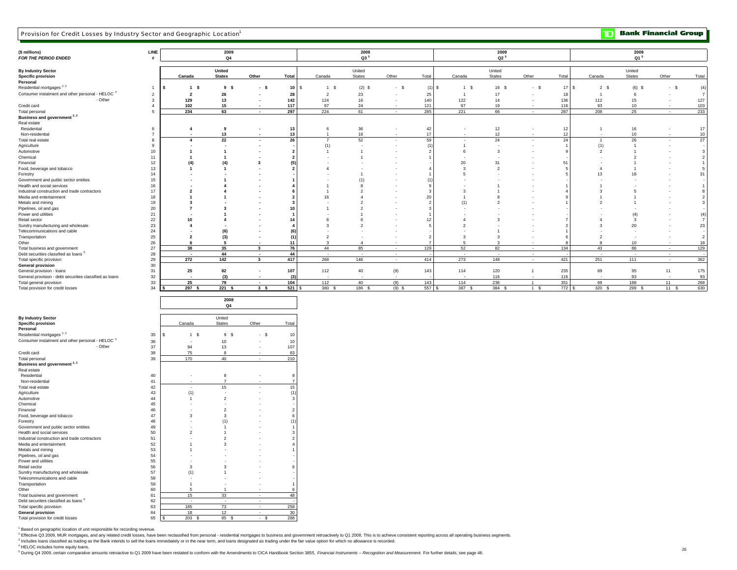| Provision for Credit Losses by Industry Sector and Geographic Location <sup>1</sup>  |                     |                                            |                                    |                                                      |                  |                       |                          |                          |                |                                  |                |                          |            | $\mathbf{D}% _{T}=\mathbf{D}_{T}\times\mathbf{D}_{T}$ |                         | <b>Bank Financial Group</b> |                                |
|--------------------------------------------------------------------------------------|---------------------|--------------------------------------------|------------------------------------|------------------------------------------------------|------------------|-----------------------|--------------------------|--------------------------|----------------|----------------------------------|----------------|--------------------------|------------|-------------------------------------------------------|-------------------------|-----------------------------|--------------------------------|
| (\$ millions)<br>FOR THE PERIOD ENDED                                                | LINE                |                                            | 2009<br>Q <sub>4</sub>             |                                                      |                  |                       | 2009<br>$Q3^5$           |                          |                |                                  | 2009<br>$Q2^5$ |                          |            |                                                       | 2009<br>Q1 <sup>5</sup> |                             |                                |
| <b>By Industry Sector</b>                                                            |                     |                                            | United                             |                                                      |                  |                       | United                   |                          |                |                                  | United         |                          |            |                                                       | United                  |                             |                                |
| <b>Specific provision</b>                                                            |                     | Canada                                     | <b>States</b>                      | Other                                                | Total            | Canada                | States                   | Other                    | Total          | Canada                           | States         | Other                    | Total      | Canada                                                | States                  | Other                       | Total                          |
| Personal<br>Residential mortgages $2,3$                                              | $\overline{1}$      | - S                                        | 9 <sup>5</sup>                     |                                                      | 10               |                       |                          | $-$ \$                   |                | 1 <sup>5</sup>                   | 16 \$          | $\blacksquare$<br>- \$   | 17<br>۱s   | 2S                                                    | s                       |                             |                                |
| Consumer instalment and other personal - HELOC <sup>4</sup>                          |                     | $\overline{1}$                             |                                    | - \$                                                 |                  | 1 \$                  | $(2)$ \$                 |                          | (1)            |                                  |                |                          |            |                                                       | (6)                     | $-$ \$                      | (4)                            |
| - Other                                                                              | $\overline{2}$<br>3 | $\overline{\mathbf{2}}$<br>129             | 26<br>13                           | $\overline{\phantom{a}}$<br>$\overline{\phantom{a}}$ | 28<br>142        | $\overline{2}$<br>124 | 23<br>16                 |                          | 25<br>140      | $\mathbf{1}$<br>122              | 17<br>14       |                          | 18<br>136  | $\overline{1}$<br>112                                 | 6<br>15                 |                             | $\overline{7}$<br>127          |
| Credit card                                                                          | $\overline{4}$      | 102                                        | 15                                 |                                                      | 117              | 97                    | 24                       |                          | 121            | 97                               | 19             |                          | 116        | 93                                                    | 10                      |                             | 103                            |
| Total personal                                                                       | 5                   | 234                                        | 63                                 | $\overline{\phantom{a}}$                             | 297              | 224                   | 61                       | $\overline{\phantom{a}}$ | 285            | 221                              | 66             | $\sim$                   | 287        | 208                                                   | 25                      | $\overline{\phantom{a}}$    | 233                            |
| Business and government <sup>2,3</sup>                                               |                     |                                            |                                    |                                                      |                  |                       |                          |                          |                |                                  |                |                          |            |                                                       |                         |                             |                                |
| Real estate                                                                          |                     |                                            |                                    |                                                      |                  |                       |                          |                          |                |                                  |                |                          |            |                                                       |                         |                             |                                |
| Residential                                                                          | 6                   | $\overline{\mathbf{4}}$                    | 9                                  | $\overline{\phantom{a}}$                             | 13               | 6                     | 36                       |                          | 42             | $\sim$                           | 12             | $\overline{\phantom{a}}$ | 12         | $\overline{1}$                                        | 16                      | $\overline{\phantom{a}}$    | 17                             |
| Non-residential                                                                      | $\overline{7}$      |                                            | 13                                 |                                                      | 13               | -1                    | 16                       |                          | 17             |                                  | 12             |                          | 12         |                                                       | 10                      |                             | 10                             |
| Total real estate                                                                    | $\boldsymbol{8}$    | 4                                          | 22                                 | $\overline{\phantom{a}}$                             | 26               | $\overline{7}$        | 52                       |                          | 59             | $\overline{\phantom{a}}$         | $\mathbf{24}$  | $\overline{\phantom{a}}$ | 24         | -1                                                    | ${\bf 26}$              | $\overline{\phantom{a}}$    | 27                             |
| Agriculture                                                                          | 9                   | $\overline{\phantom{a}}$                   | $\overline{\phantom{a}}$           |                                                      |                  | (1)                   | $\overline{\phantom{a}}$ |                          | (1)            | $\overline{1}$                   | ٠.             |                          | -1         | (1)                                                   | $\overline{1}$          | $\overline{\phantom{a}}$    | $\sim$                         |
| Automotive                                                                           | 10                  | $\mathbf{1}$                               |                                    |                                                      |                  | $\mathbf{1}$          |                          |                          | $\overline{2}$ | 6                                | 3              |                          |            | $\overline{2}$                                        |                         |                             | $\mathbf 3$                    |
| Chemical                                                                             | 11<br>12            | $\mathbf{1}$                               |                                    | 3                                                    | (5               |                       |                          |                          | $\overline{1}$ | 20                               | 31             |                          | 51         |                                                       | 2                       |                             | $\overline{2}$<br>$\mathbf{1}$ |
| Financial<br>Food, beverage and tobacco                                              | 13                  | (4)<br>$\overline{1}$                      | (4)<br>$\mathbf{1}$                |                                                      |                  |                       |                          |                          | $\overline{4}$ | 3                                | $\overline{2}$ |                          |            | $\overline{4}$                                        |                         |                             | $\,$ 5 $\,$                    |
| Forestry                                                                             | 14                  |                                            |                                    |                                                      |                  |                       |                          |                          |                | 5                                |                |                          |            | 13                                                    | 18                      |                             | 31                             |
| Government and public sector entities                                                | 15                  |                                            |                                    |                                                      |                  |                       | (1)                      |                          | (1)            |                                  |                |                          |            |                                                       |                         |                             |                                |
| Health and social services                                                           | 16                  |                                            |                                    |                                                      |                  |                       | 8                        |                          | 9              |                                  |                |                          |            |                                                       |                         |                             | $\overline{1}$                 |
| Industrial construction and trade contractors                                        | 17                  | $\overline{\mathbf{2}}$                    |                                    |                                                      |                  |                       | $\overline{2}$           |                          | $\mathbf{3}$   | 3                                |                |                          |            | -3                                                    | 5                       |                             | $\boldsymbol{8}$               |
| Media and entertainment                                                              | 18                  | $\overline{1}$                             |                                    |                                                      |                  | 16                    |                          |                          | 20             | $\overline{1}$                   | 8              |                          |            |                                                       |                         |                             | $\overline{2}$                 |
| Metals and mining                                                                    | 19                  | $\overline{\mathbf{3}}$                    |                                    |                                                      |                  |                       | 2                        |                          | $\overline{2}$ | (1)                              | $\overline{2}$ |                          |            | $\overline{2}$                                        |                         |                             | $\mathbf 3$                    |
| Pipelines, oil and gas                                                               | 20                  | $\overline{7}$                             | 3                                  |                                                      | 10               |                       |                          |                          | 3              |                                  |                |                          |            |                                                       |                         |                             |                                |
| Power and utilities                                                                  | 21                  |                                            |                                    |                                                      |                  |                       |                          |                          |                |                                  |                |                          |            |                                                       | (4)                     |                             | $\overset{(4)}{7}$             |
| Retail sector<br>Sundry manufacturing and wholesale                                  | 22                  | $10\,$<br>$\overline{\mathbf{4}}$          | 4                                  |                                                      | 14               | 6<br>3                |                          |                          | 12             | $\overline{4}$<br>$\overline{2}$ | 3              |                          |            | $\overline{4}$<br>-3                                  | 3<br>$20\,$             |                             | 23                             |
| Telecommunications and cable                                                         | 23<br>24            |                                            | (6)                                |                                                      | (6               |                       |                          |                          | 5              |                                  | 1              |                          |            |                                                       |                         |                             |                                |
| Transportation                                                                       | 25                  | $\overline{\mathbf{2}}$                    | (3)                                |                                                      | $\left(1\right)$ | $\overline{2}$        |                          |                          | $\overline{2}$ | 3                                | 3              |                          |            | $\overline{2}$                                        |                         |                             | $\frac{1}{2}$                  |
| Other                                                                                | 26                  | 6                                          |                                    |                                                      | 11               |                       | 4                        |                          | $\overline{7}$ | 5                                |                |                          |            |                                                       | 10                      |                             | 18                             |
| Total business and government                                                        | 27                  | 38                                         | 35                                 | $\overline{\mathbf{3}}$                              | 76               | 44                    | 85                       |                          | 129            | 52                               | 82             | $\blacksquare$           | 134        | 43                                                    | 86                      | $\overline{\phantom{a}}$    | 129                            |
| Debt securities classified as loans <sup>5</sup>                                     | 28                  |                                            | 44                                 | $\overline{\phantom{a}}$                             | 44               |                       |                          |                          |                |                                  |                |                          |            |                                                       |                         |                             |                                |
| Total specific provision                                                             | 29                  | 272                                        | 142                                | $\mathbf{3}$                                         | 417              | 268                   | 146                      |                          | 414            | 273                              | 148            |                          | 421        | 251                                                   | 111                     | $\overline{\phantom{a}}$    | 362                            |
| <b>General provision</b>                                                             | 30                  |                                            |                                    |                                                      |                  |                       |                          |                          |                |                                  |                |                          |            |                                                       |                         |                             |                                |
| General provision - loans<br>General provision - debt securities classified as loans | 31<br>32            | 25                                         | 82                                 | $\overline{\phantom{a}}$                             | 107              | 112                   | 40                       | (9)                      | 143            | 114                              | 120<br>116     | $\overline{1}$           | 235<br>116 | 69                                                    | 95<br>93                | 11                          | 175                            |
| Total general provision                                                              | 33                  | 25                                         | (3)<br>79                          | $\overline{\phantom{a}}$                             | (3)<br>104       | 112                   | 40                       | (9)                      | 143            | 114                              | 236            | $\overline{1}$           | 351        | 69                                                    | 188                     | 11                          | 93<br>268                      |
| Total provision for credit losses                                                    | 34                  | 297S                                       | 221S                               | 3S                                                   | 521              | 380 \$                | 186 \$                   | $(9)$ \$                 | 557            | 387 \$                           | 384 \$         | 1 \$                     | $772$ \$   | 320S                                                  | 299 \$                  | 11 \$                       | 630                            |
|                                                                                      |                     |                                            | 2008                               |                                                      |                  |                       |                          |                          |                |                                  |                |                          |            |                                                       |                         |                             |                                |
|                                                                                      |                     |                                            | Q4                                 |                                                      |                  |                       |                          |                          |                |                                  |                |                          |            |                                                       |                         |                             |                                |
| <b>By Industry Sector</b>                                                            |                     |                                            | United                             |                                                      |                  |                       |                          |                          |                |                                  |                |                          |            |                                                       |                         |                             |                                |
| <b>Specific provision</b>                                                            |                     | Canada                                     | States                             | Other                                                | Total            |                       |                          |                          |                |                                  |                |                          |            |                                                       |                         |                             |                                |
| Personal<br>Residential mortgages $2,3$                                              | 35                  | $\overline{1}$<br>- S                      | 9<br>- S                           | ్ష<br>$\overline{\phantom{a}}$                       | 10               |                       |                          |                          |                |                                  |                |                          |            |                                                       |                         |                             |                                |
| Consumer instalment and other personal - HELOC <sup>4</sup>                          | 36                  |                                            | 10                                 |                                                      | 10               |                       |                          |                          |                |                                  |                |                          |            |                                                       |                         |                             |                                |
| - Other                                                                              | 37                  | 94                                         | 13                                 | $\overline{\phantom{a}}$                             | 107              |                       |                          |                          |                |                                  |                |                          |            |                                                       |                         |                             |                                |
| Credit card                                                                          | 38                  | 75                                         | 8                                  |                                                      | 83               |                       |                          |                          |                |                                  |                |                          |            |                                                       |                         |                             |                                |
| Total personal                                                                       | 39                  | 170                                        | 40                                 | $\sim$                                               | 210              |                       |                          |                          |                |                                  |                |                          |            |                                                       |                         |                             |                                |
| Business and government <sup>2,3</sup>                                               |                     |                                            |                                    |                                                      |                  |                       |                          |                          |                |                                  |                |                          |            |                                                       |                         |                             |                                |
| Real estate                                                                          |                     |                                            |                                    |                                                      |                  |                       |                          |                          |                |                                  |                |                          |            |                                                       |                         |                             |                                |
| Residential                                                                          | 40                  |                                            | 8                                  | $\overline{\phantom{a}}$                             | 8                |                       |                          |                          |                |                                  |                |                          |            |                                                       |                         |                             |                                |
| Non-residential                                                                      | 41                  |                                            | -7                                 |                                                      | -7               |                       |                          |                          |                |                                  |                |                          |            |                                                       |                         |                             |                                |
| Total real estate<br>Agriculture                                                     | 42<br>43            | $\overline{\phantom{a}}$<br>(1)            | 15<br>$\overline{\phantom{a}}$     | $\overline{\phantom{a}}$                             | 15<br>(1)        |                       |                          |                          |                |                                  |                |                          |            |                                                       |                         |                             |                                |
| Automotive                                                                           | 44                  | $\mathbf{1}$                               | $\overline{2}$                     |                                                      | -3               |                       |                          |                          |                |                                  |                |                          |            |                                                       |                         |                             |                                |
| Chemical                                                                             | 45                  |                                            |                                    |                                                      |                  |                       |                          |                          |                |                                  |                |                          |            |                                                       |                         |                             |                                |
| Financial                                                                            | 46                  |                                            | $\overline{c}$                     |                                                      |                  |                       |                          |                          |                |                                  |                |                          |            |                                                       |                         |                             |                                |
| Food, beverage and tobacco                                                           | 47                  | 3                                          | 3                                  |                                                      |                  |                       |                          |                          |                |                                  |                |                          |            |                                                       |                         |                             |                                |
| Forestry                                                                             | 48                  |                                            | (1)                                |                                                      | (1)              |                       |                          |                          |                |                                  |                |                          |            |                                                       |                         |                             |                                |
| Government and public sector entities                                                | 49                  |                                            |                                    |                                                      |                  |                       |                          |                          |                |                                  |                |                          |            |                                                       |                         |                             |                                |
| Health and social services                                                           | 50                  | $\overline{2}$                             |                                    |                                                      |                  |                       |                          |                          |                |                                  |                |                          |            |                                                       |                         |                             |                                |
| Industrial construction and trade contractors                                        | 51                  |                                            | $\overline{2}$                     |                                                      |                  |                       |                          |                          |                |                                  |                |                          |            |                                                       |                         |                             |                                |
| Media and entertainment<br>Metals and mining                                         | 52                  | $\mathbf{1}$                               | 3                                  |                                                      |                  |                       |                          |                          |                |                                  |                |                          |            |                                                       |                         |                             |                                |
|                                                                                      | 53<br>54            | $\overline{1}$<br>$\overline{\phantom{a}}$ | $\overline{\phantom{a}}$<br>$\sim$ |                                                      |                  |                       |                          |                          |                |                                  |                |                          |            |                                                       |                         |                             |                                |
| Pipelines, oil and gas<br>Power and utilities                                        | 55                  | $\sim$                                     |                                    |                                                      |                  |                       |                          |                          |                |                                  |                |                          |            |                                                       |                         |                             |                                |
| Retail sector                                                                        | 56                  | $\mathbf{3}$                               | $\mathbf{3}$                       |                                                      | -6               |                       |                          |                          |                |                                  |                |                          |            |                                                       |                         |                             |                                |
| Sundry manufacturing and wholesale                                                   | 57                  | (1)                                        | $\overline{1}$                     |                                                      |                  |                       |                          |                          |                |                                  |                |                          |            |                                                       |                         |                             |                                |
| Telecommunications and cable                                                         | 58                  | $\overline{\phantom{a}}$                   |                                    |                                                      |                  |                       |                          |                          |                |                                  |                |                          |            |                                                       |                         |                             |                                |
| Transportation                                                                       | 59                  | $\mathbf{1}$                               | $\sim$                             | $\sim$                                               | $\overline{1}$   |                       |                          |                          |                |                                  |                |                          |            |                                                       |                         |                             |                                |
| Other                                                                                | 60                  | 5                                          | $\overline{1}$                     |                                                      |                  |                       |                          |                          |                |                                  |                |                          |            |                                                       |                         |                             |                                |
| Total business and government                                                        | 61                  | 15                                         | 33                                 | $\blacksquare$                                       | 48               |                       |                          |                          |                |                                  |                |                          |            |                                                       |                         |                             |                                |
| Debt securities classified as loans <sup>5</sup>                                     | 62                  |                                            |                                    |                                                      |                  |                       |                          |                          |                |                                  |                |                          |            |                                                       |                         |                             |                                |
| Total specific provision<br><b>General provision</b>                                 | 63<br>64            | 185<br>18                                  | 73<br>12                           | $\sim$<br>$\sim$                                     | 258<br>30        |                       |                          |                          |                |                                  |                |                          |            |                                                       |                         |                             |                                |
| Total provision for credit losses                                                    | 65                  | 203S                                       | 85 \$                              | $-$ \$                                               | 288              |                       |                          |                          |                |                                  |                |                          |            |                                                       |                         |                             |                                |
|                                                                                      |                     |                                            |                                    |                                                      |                  |                       |                          |                          |                |                                  |                |                          |            |                                                       |                         |                             |                                |

26

<sup>1</sup> Based on geographic location of unit responsible for recording revenue.

<sup>2</sup> Effective Q3 2009, MUR mortgages, and any related credit losses, have been reclassified from personal - residential mortgages to business and government retroactively to Q1 2008. This is to achieve consistent reporting

<sup>3</sup> Includes loans classified as trading as the Bank intends to sell the loans immediately or in the near term, and loans designated as trading under the fair value option for which no allowance is recorded. 4 HELOC includes home equity loans.

<sup>5</sup> During Q4 2009, certain comparative amounts retroactive to Q1 2009 have been restated to conform with the Amendments to CICA Handbook Section 3855, Financial Instruments - Recognition and Measurement. For further detai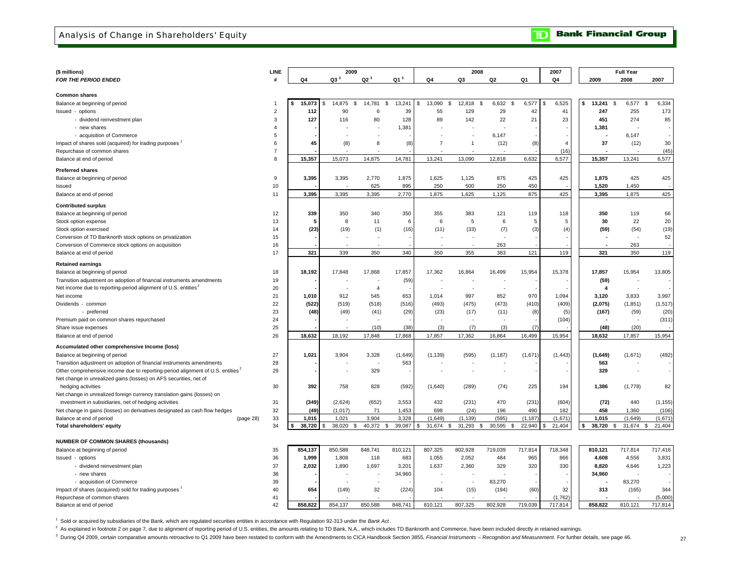Analysis of Change in Shareholders' Equity

**Bank Financial Group**  $\overline{\mathbf{D}}$ 

| (\$ millions)                                                                              | <b>LINE</b>    |              | 2009            |                    |                 |                | 2008                     |                          |                   | 2007           |                          | <b>Full Year</b>         |                        |
|--------------------------------------------------------------------------------------------|----------------|--------------|-----------------|--------------------|-----------------|----------------|--------------------------|--------------------------|-------------------|----------------|--------------------------|--------------------------|------------------------|
| FOR THE PERIOD ENDED                                                                       | #              | Q4           | Q3 <sup>3</sup> | Q2 <sup>3</sup>    | Q1 <sup>3</sup> | Q4             | Q3                       | Q <sub>2</sub>           | Q1                | Q4             | 2009                     | 2008                     | 2007                   |
|                                                                                            |                |              |                 |                    |                 |                |                          |                          |                   |                |                          |                          |                        |
| <b>Common shares</b>                                                                       |                |              |                 |                    |                 |                |                          |                          |                   |                |                          |                          |                        |
| Balance at beginning of period                                                             | $\mathbf{1}$   | 15,073<br>\$ | 14,875<br>\$    | 14,781<br>S.       | 13,241<br>\$    | 13,090<br>\$   | \$<br>12,818<br>- \$     | 6,632                    | 6,577<br><b>S</b> | 6,525          | \$<br>13,241<br>\$       | 6,577                    | 6,334<br>\$            |
| Issued - options                                                                           | $\overline{2}$ | 112          | 90              | 6                  | 39              | 55             | 129                      | 29                       | 42                | 41             | 247                      | 255                      | 173                    |
| - dividend reinvestment plan                                                               | 3              | 127          | 116             | 80                 | 128             | 89             | 142                      | 22                       | 21                | 23             | 451                      | 274                      | 85                     |
| - new shares                                                                               | $\overline{4}$ |              |                 |                    | 1,381           |                |                          |                          |                   |                | 1,381                    |                          |                        |
| - acquisition of Commerce                                                                  | 5              |              |                 |                    |                 |                |                          | 6.147                    |                   |                |                          | 6.147                    | ÷                      |
| Impact of shares sold (acquired) for trading purposes                                      | 6              | 45           | (8)             | 8                  | (8)             | $\overline{7}$ | $\overline{1}$           | (12)                     | (8)               | $\overline{4}$ | 37                       | (12)                     | 30                     |
| Repurchase of common shares                                                                | $\overline{7}$ |              |                 |                    |                 |                |                          |                          |                   | (16)           |                          |                          | (45)                   |
| Balance at end of period                                                                   | 8              | 15,357       | 15,073          | 14,875             | 14,781          | 13,241         | 13,090                   | 12,818                   | 6,632             | 6,577          | 15,357                   | 13,241                   | 6,577                  |
|                                                                                            |                |              |                 |                    |                 |                |                          |                          |                   |                |                          |                          |                        |
| <b>Preferred shares</b>                                                                    |                |              |                 |                    |                 |                |                          |                          |                   |                |                          |                          |                        |
| Balance at beginning of period                                                             | 9              | 3,395        | 3,395           | 2,770              | 1,875           | 1,625          | 1,125                    | 875                      | 425               | 425            | 1,875                    | 425                      | 425                    |
| Issued                                                                                     | 10             |              |                 | 625                | 895             | 250            | 500                      | 250                      | 450               |                | 1,520                    | 1,450                    |                        |
| Balance at end of period                                                                   | 11             | 3,395        | 3,395           | 3,395              | 2,770           | 1,875          | 1,625                    | 1,125                    | 875               | 425            | 3,395                    | 1,875                    | 425                    |
| <b>Contributed surplus</b>                                                                 |                |              |                 |                    |                 |                |                          |                          |                   |                |                          |                          |                        |
| Balance at beginning of period                                                             | 12             | 339          | 350             | 340                | 350             | 355            | 383                      | 121                      | 119               | 118            | 350                      | 119                      | 66                     |
| Stock option expense                                                                       | 13             | 5            | 8               | 11                 | 6               | 6              | 5                        | 6                        | 5                 | 5              | 30                       | 22                       | 20                     |
| Stock option exercised                                                                     | 14             | (23)         | (19)            | (1)                | (16)            | (11)           | (33)                     | (7)                      | (3)               | (4)            | (59)                     | (54)                     | (19)                   |
| Conversion of TD Banknorth stock options on privatization                                  | 15             |              |                 |                    |                 |                | $\overline{\phantom{a}}$ | ÷.                       |                   |                | $\overline{\phantom{a}}$ | $\overline{\phantom{a}}$ | 52                     |
| Conversion of Commerce stock options on acquisition                                        | 16             |              |                 |                    |                 |                |                          | 263                      |                   |                |                          | 263                      |                        |
| Balance at end of period                                                                   | 17             | 321          | 339             | 350                | 340             | 350            | 355                      | 383                      | 121               | 119            | 321                      | 350                      | 119                    |
|                                                                                            |                |              |                 |                    |                 |                |                          |                          |                   |                |                          |                          |                        |
| <b>Retained earnings</b>                                                                   |                |              |                 |                    |                 |                |                          |                          |                   |                |                          |                          |                        |
| Balance at beginning of period                                                             | 18             | 18,192       | 17,848          | 17,868             | 17,857          | 17,362         | 16,864                   | 16,499                   | 15,954            | 15,378         | 17,857                   | 15,954                   | 13,805                 |
| Transition adjustment on adoption of financial instruments amendments                      | 19             |              |                 |                    | (59)            |                |                          |                          |                   |                | (59)                     | ÷,                       |                        |
| Net income due to reporting-period alignment of U.S. entities <sup>2</sup>                 | 20             |              |                 | $\overline{4}$     |                 |                | ÷,                       | $\overline{\phantom{a}}$ |                   |                | $\overline{4}$           | ÷,                       |                        |
| Net income                                                                                 | 21             | 1,010        | 912             | 545                | 653             | 1,014          | 997                      | 852                      | 970               | 1,094          | 3,120                    | 3,833                    | 3,997                  |
| Dividends - common                                                                         | 22             | (522)        | (519)           | (518)              | (516)           | (493)          | (475)                    | (473)                    | (410)             | (409)          | (2,075)                  | (1, 851)                 | (1, 517)               |
| - preferred                                                                                | 23             | (48)         | (49)            | (41)               | (29)            | (23)           | (17)                     | (11)                     | (8)               | (5)            | (167)                    | (59)                     | (20)                   |
| Premium paid on common shares repurchased                                                  | 24             |              |                 |                    |                 |                |                          |                          |                   | (104)          |                          |                          | (311)                  |
| Share issue expenses                                                                       | 25             |              |                 | (10)               | (38)            | (3)            | (7)                      | (3)                      | (7)               |                | (48)                     | (20)                     |                        |
| Balance at end of period                                                                   | 26             | 18,632       | 18,192          | 17,848             | 17,868          | 17,857         | 17,362                   | 16,864                   | 16,499            | 15,954         | 18,632                   | 17,857                   | 15,954                 |
| Accumulated other comprehensive Income (loss)                                              |                |              |                 |                    |                 |                |                          |                          |                   |                |                          |                          |                        |
| Balance at beginning of period                                                             | 27             | 1,021        | 3,904           | 3,328              | (1,649)         | (1, 139)       | (595)                    | (1, 187)                 | (1,671)           | (1, 443)       | (1,649)                  | (1,671)                  | (492)                  |
| Transition adjustment on adoption of financial instruments amendments                      | 28             |              |                 |                    | 563             |                |                          |                          |                   |                | 563                      |                          |                        |
| Other comprehensive income due to reporting-period alignment of U.S. entities <sup>2</sup> | 29             |              |                 | 329                |                 | $\sim$         | $\overline{\phantom{a}}$ | $\overline{a}$           |                   |                | 329                      | $\sim$                   | $\sim$                 |
| Net change in unrealized gains (losses) on AFS securities, net of                          |                |              |                 |                    |                 |                |                          |                          |                   |                |                          |                          |                        |
| hedging activities                                                                         | 30             | 392          | 758             | 828                | (592)           | (1,640)        | (289)                    | (74)                     | 225               | 194            | 1,386                    | (1,778)                  | 82                     |
| Net change in unrealized foreign currency translation gains (losses) on                    |                |              |                 |                    |                 |                |                          |                          |                   |                |                          |                          |                        |
| investment in subsidiaries, net of hedging activities                                      | 31             | (349)        | (2,624)         | (652)              | 3,553           | 432            | (231)                    | 470                      | (231)             | (604)          | (72)                     | 440                      | (1, 155)               |
| Net change in gains (losses) on derivatives designated as cash flow hedges                 | 32             | (49)         | (1, 017)        | 71                 | 1,453           | 698            | (24)                     | 196                      | 490               | 182            | 458                      | 1,360                    | (106)                  |
| Balance at end of period<br>(page 28)                                                      | 33             | 1,015        | 1,021           | 3,904              | 3,328           | (1,649)        | (1, 139)                 | (595)                    | (1, 187)          | (1,671)        | 1,015                    | (1,649)                  | (1,671)                |
| Total shareholders' equity                                                                 | 34             | 38,720       | 38,020<br>\$.   | 40,372<br>\$<br>\$ | 39,087          | 31,674<br>\$   | \$<br>31,293<br>\$       | 30,595                   | 22,940<br>\$      | 21,404         | \$<br>38,720             | 31,674<br>\$             | $\mathbb{S}$<br>21,404 |
|                                                                                            |                |              |                 |                    |                 |                |                          |                          |                   |                |                          |                          |                        |
| <b>NUMBER OF COMMON SHARES (thousands)</b>                                                 |                |              |                 |                    |                 |                |                          |                          |                   |                |                          |                          |                        |
| Balance at beginning of period                                                             | 35             | 854,137      | 850,588         | 848,741            | 810,121         | 807,325        | 802,928                  | 719,039                  | 717,814           | 718,348        | 810,121                  | 717,814                  | 717,416                |
| Issued - options                                                                           | 36             | 1,999        | 1,808           | 118                | 683             | 1,055          | 2,052                    | 484                      | 965               | 866            | 4,608                    | 4,556                    | 3,831                  |
| - dividend reinvestment plan                                                               | 37             | 2,032        | 1,890           | 1,697              | 3,201           | 1,637          | 2,360                    | 329                      | 320               | 330            | 8,820                    | 4,646                    | 1,223                  |
| - new shares                                                                               | 38             |              |                 |                    | 34,960          |                |                          |                          |                   |                | 34,960                   |                          |                        |
| - acquisition of Commerce                                                                  | 39             |              |                 |                    |                 |                |                          | 83,270                   |                   |                |                          | 83,270                   |                        |
| Impact of shares (acquired) sold for trading purposes                                      | 40             | 654          | (149)           | 32                 | (224)           | 104            | (15)                     | (194)                    | (60)              | 32             | 313                      | (165)                    | 344                    |
| Repurchase of common shares                                                                | 41             |              |                 |                    |                 |                |                          |                          |                   | (1,762)        |                          |                          | (5,000)                |
| Balance at end of period                                                                   | 42             | 858,822      | 854,137         | 850,588            | 848,741         | 810,121        | 807,325                  | 802,928                  | 719,039           | 717,814        | 858,822                  | 810,121                  | 717,814                |
|                                                                                            |                |              |                 |                    |                 |                |                          |                          |                   |                |                          |                          |                        |

1 Sold or acquired by subsidiaries of the Bank, which are regulated securities entities in accordance with Regulation 92-313 under the *Bank Act* .

<sup>2</sup> As explained in footnote 2 on page 7, due to alignment of reporting period of U.S. entities, the amounts relating to TD Bank, N.A., which includes TD Banknorth and Commerce, have been included directly in retained earn

<sup>3</sup> During Q4 2009, certain comparative amounts retroactive to Q1 2009 have been restated to conform with the Amendments to CICA Handbook Section 3855, Financial Instruments - Recognition and Measurement. For further detai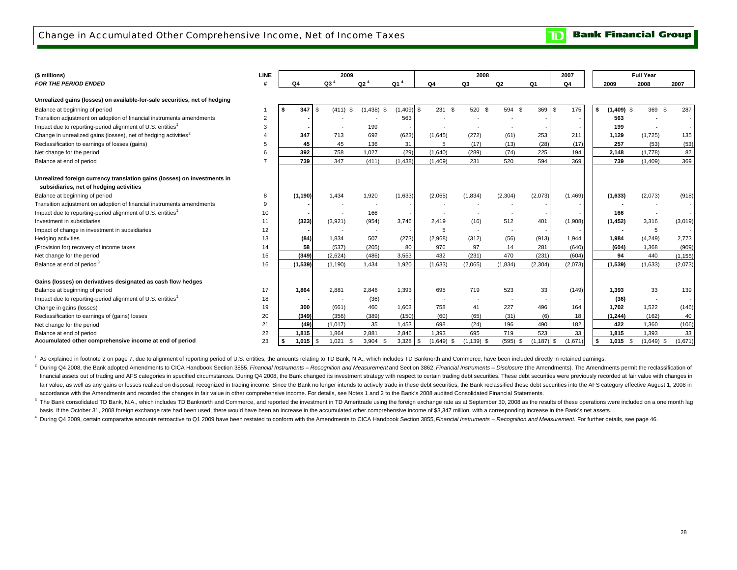Change in Accumulated Other Comprehensive Income, Net of Income Taxes

**Bank Financial Group**  $\mathbf{D}% _{T}=\mathbf{D}_{T}\!\left( \mathbf{1}_{T}% \mathbf{1}_{T}\mathbf{1}_{T}\mathbf{1}_{T}\mathbf{1}_{T}\mathbf{1}_{T}\mathbf{1}_{T}\mathbf{1}_{T}\mathbf{1}_{T}\mathbf{1}_{T}\mathbf{1}_{T}\mathbf{1}_{T}\mathbf{1}_{T}\mathbf{1}_{T}\mathbf{1}_{T}\mathbf{1}_{T}\mathbf{1}_{T}\mathbf{1}_{T}\mathbf{1}_{T}\mathbf{1}_{T}\mathbf{1}_{T}\mathbf{1}_{T}\mathbf{1}_{T}\mathbf{1}_{T}\mathbf{1}_{T}\mathbf{1}_{T}$ 

| (\$ millions)                                                               | LINE           |              | 2009                     |                 |                 |                          | 2008                     |                          |               | 2007     |                    | <b>Full Year</b>         |                          |
|-----------------------------------------------------------------------------|----------------|--------------|--------------------------|-----------------|-----------------|--------------------------|--------------------------|--------------------------|---------------|----------|--------------------|--------------------------|--------------------------|
| <b>FOR THE PERIOD ENDED</b>                                                 |                | Q4           | Q3 <sup>4</sup>          | Q2 <sup>4</sup> | Q1 <sup>4</sup> | Q4                       | Q <sub>3</sub>           | Q2                       | Q1            | Q4       | 2009               | 2008                     | 2007                     |
| Unrealized gains (losses) on available-for-sale securities, net of hedging  |                |              |                          |                 |                 |                          |                          |                          |               |          |                    |                          |                          |
| Balance at beginning of period                                              |                | 347          | $(411)$ \$<br>-\$        | $(1,438)$ \$    | (1.409)         | 231 \$<br>\$             | 520 \$                   | 594 \$                   | 369 \$        | 175      | $(1,409)$ \$<br>\$ | 369 \$                   | 287                      |
| Transition adjustment on adoption of financial instruments amendments       | $\overline{2}$ |              |                          |                 | 563             |                          |                          |                          |               |          | 563                |                          | $\overline{\phantom{a}}$ |
| Impact due to reporting-period alignment of U.S. entities <sup>1</sup>      | 3              |              |                          | 199             |                 |                          |                          |                          |               |          | 199                |                          |                          |
| Change in unrealized gains (losses), net of hedging activities <sup>2</sup> |                | 347          | 713                      | 692             | (623)           | (1,645)                  | (272)                    | (61)                     | 253           | 211      | 1,129              | (1,725)                  | 135                      |
| Reclassification to earnings of losses (gains)                              | 5              | 45           | 45                       | 136             | 31              | 5                        | (17)                     | (13)                     | (28)          | (17)     | 257                | (53)                     | (53)                     |
| Net change for the period                                                   | 6              | 392          | 758                      | 1,027           | (29)            | (1.640)                  | (289)                    | (74)                     | 225           | 194      | 2,148              | (1.778)                  | 82                       |
| Balance at end of period                                                    |                | 739          | 347                      | (411)           | (1, 438)        | (1,409)                  | 231                      | 520                      | 594           | 369      | 739                | (1,409)                  | 369                      |
|                                                                             |                |              |                          |                 |                 |                          |                          |                          |               |          |                    |                          |                          |
| Unrealized foreign currency translation gains (losses) on investments in    |                |              |                          |                 |                 |                          |                          |                          |               |          |                    |                          |                          |
| subsidiaries, net of hedging activities                                     |                |              |                          |                 |                 |                          |                          |                          |               |          |                    |                          |                          |
| Balance at beginning of period                                              | 8              | (1, 190)     | 1,434                    | 1,920           | (1,633)         | (2,065)                  | (1,834)                  | (2,304)                  | (2,073)       | (1, 469) | (1,633)            | (2,073)                  | (918)                    |
| Transition adjustment on adoption of financial instruments amendments       | 9              |              | $\overline{\phantom{a}}$ |                 |                 |                          |                          |                          |               |          |                    |                          |                          |
| Impact due to reporting-period alignment of U.S. entities <sup>1</sup>      | 10             |              |                          | 166             |                 |                          |                          |                          |               |          | 166                | $\overline{\phantom{a}}$ |                          |
| Investment in subsidiaries                                                  | 11             | (323)        | (3,921)                  | (954)           | 3,746           | 2,419                    | (16)                     | 512                      | 401           | (1,908)  | (1, 452)           | 3,316                    | (3,019)                  |
| Impact of change in investment in subsidiaries                              | 12             |              | $\overline{\phantom{a}}$ | $\sim$          |                 | 5                        | $\overline{\phantom{a}}$ | $\overline{\phantom{a}}$ |               |          | $\blacksquare$     | 5                        |                          |
| Hedging activities                                                          | 13             | (84)         | 1,834                    | 507             | (273)           | (2,968)                  | (312)                    | (56)                     | (913)         | 1,944    | 1,984              | (4, 249)                 | 2,773                    |
| (Provision for) recovery of income taxes                                    | 14             | 58           | (537)                    | (205)           | 80              | 976                      | 97                       | 14                       | 281           | (640)    | (604)              | 1,368                    | (909)                    |
| Net change for the period                                                   | 15             | (349)        | (2,624)                  | (486)           | 3,553           | 432                      | (231)                    | 470                      | (231)         | (604)    | 94                 | 440                      | (1, 155)                 |
| Balance at end of period <sup>3</sup>                                       | 16             | (1,539)      | (1.190)                  | 1.434           | 1.920           | (1,633)                  | (2,065)                  | (1,834)                  | (2, 304)      | (2,073)  | (1,539)            | (1,633)                  | (2,073)                  |
|                                                                             |                |              |                          |                 |                 |                          |                          |                          |               |          |                    |                          |                          |
| Gains (losses) on derivatives designated as cash flow hedges                |                |              |                          |                 |                 |                          |                          |                          |               |          |                    |                          |                          |
| Balance at beginning of period                                              | 17             | 1,864        | 2,881                    | 2,846           | 1,393           | 695                      | 719                      | 523                      | 33            | (149)    | 1,393              | 33                       | 139                      |
| Impact due to reporting-period alignment of U.S. entities <sup>1</sup>      | 18             |              |                          | (36)            |                 | $\overline{\phantom{a}}$ | $\overline{\phantom{a}}$ | $\overline{\phantom{a}}$ |               |          | (36)               | ٠                        |                          |
| Change in gains (losses)                                                    | 19             | 300          | (661)                    | 460             | 1,603           | 758                      | 41                       | 227                      | 496           | 164      | 1,702              | 1,522                    | (146)                    |
| Reclassification to earnings of (gains) losses                              | 20             | (349)        | (356)                    | (389)           | (150)           | (60)                     | (65)                     | (31)                     | (6)           | 18       | (1, 244)           | (162)                    | 40                       |
| Net change for the period                                                   | 21             | (49)         | (1,017)                  | 35              | 1,453           | 698                      | (24)                     | 196                      | 490           | 182      | 422                | 1,360                    | (106)                    |
| Balance at end of period                                                    | 22             | 1,815        | 1,864                    | 2,881           | 2,846           | 1,393                    | 695                      | 719                      | 523           | 33       | 1,815              | 1,393                    | 33                       |
| Accumulated other comprehensive income at end of period                     | 23             | $1,015$ \ \$ | 1,021<br>- \$            | 3,904           | $3,328$ \$      | $(1,649)$ \$             | $(1, 139)$ \$            | $(595)$ \$               | $(1, 187)$ \$ | (1,671)  | $1,015$ \$<br>\$   | $(1,649)$ \$             | (1,671)                  |

<sup>1</sup> As explained in footnote 2 on page 7, due to alignment of reporting period of U.S. entities, the amounts relating to TD Bank, N.A., which includes TD Banknorth and Commerce, have been included directly in retained earn

<sup>2</sup> During Q4 2008, the Bank adopted Amendments to CICA Handbook Section 3855, Financial Instruments - Recognition and Measurementand Section 3862, Financial Instruments - Disclosure (the Amendments). The Amendments permit fair value, as well as any gains or losses realized on disposal, recognized in trading income. Since the Bank no longer intends to actively trade in these debt securities, the Bank reclassified these debt securities into t accordance with the Amendments and recorded the changes in fair value in other comprehensive income. For details, see Notes 1 and 2 to the Bank's 2008 audited Consolidated Financial Statements. financial assets out of trading and AFS categories in specified circumstances. During Q4 2008, the Bank changed its investment strategy with respect to certain trading debt securities. These debt securities were previously

<sup>3</sup> The Bank consolidated TD Bank, N.A., which includes TD Banknorth and Commerce, and reported the investment in TD Ameritrade using the foreign exchange rate as at September 30, 2008 as the results of these operations we basis. If the October 31, 2008 foreign exchange rate had been used, there would have been an increase in the accumulated other comprehensive income of \$3,347 million, with a corresponding increase in the Bank's net assets.

4 During Q4 2009, certain comparative amounts retroactive to Q1 2009 have been restated to conform with the Amendments to CICA Handbook Section 3855, Financial Instruments - Recognition and Measurement. For further details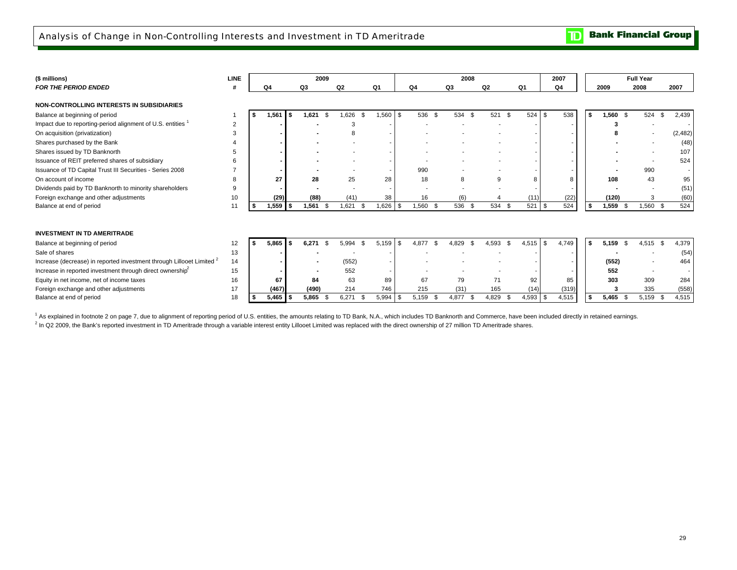### Analysis of Change in Non-Controlling Interests and Investment in TD Ameritrade

**Bank Financial Group**  $\mathbf{D}$ 

| (\$ millions)                                                                    | <b>LINE</b>    |      |                |      | 2009  |                |               |                |      |                         |    | 2008        |                |      |            |      | 2007           |     |            | <b>Full Year</b> |          |          |
|----------------------------------------------------------------------------------|----------------|------|----------------|------|-------|----------------|---------------|----------------|------|-------------------------|----|-------------|----------------|------|------------|------|----------------|-----|------------|------------------|----------|----------|
| <b>FOR THE PERIOD ENDED</b>                                                      |                |      | Q <sub>4</sub> |      | Q3    | Q <sub>2</sub> |               | Q <sub>1</sub> |      | Q4                      | Q3 |             | Q <sub>2</sub> | Q1   |            |      | Q <sub>4</sub> |     | 2009       | 2008             | 2007     |          |
|                                                                                  |                |      |                |      |       |                |               |                |      |                         |    |             |                |      |            |      |                |     |            |                  |          |          |
| <b>NON-CONTROLLING INTERESTS IN SUBSIDIARIES</b>                                 |                |      |                |      |       |                |               |                |      |                         |    |             |                |      |            |      |                |     |            |                  |          |          |
| Balance at beginning of period                                                   |                | - \$ | 1,561          | Ŝ.   | 1,621 | \$             | 1,626<br>- \$ | 1,560          | \$   | 536 \$                  |    | 534<br>. ጽ  | 521            | - \$ | 524        | l \$ | 538            | -\$ | $1,560$ \$ | 524              | \$       | 2,439    |
| Impact due to reporting-period alignment of U.S. entities                        | $\overline{2}$ |      |                |      |       |                | 3             |                |      |                         |    |             |                |      |            |      |                |     |            |                  |          |          |
| On acquisition (privatization)                                                   |                |      |                |      |       |                | 8             |                |      |                         |    |             |                |      |            |      |                |     |            |                  |          | (2, 482) |
| Shares purchased by the Bank                                                     |                |      |                |      |       |                |               |                |      |                         |    |             |                |      |            |      |                |     |            |                  |          | (48)     |
| Shares issued by TD Banknorth                                                    |                |      |                |      |       |                |               |                |      |                         |    |             |                |      |            |      |                |     |            |                  |          | 107      |
| Issuance of REIT preferred shares of subsidiary                                  |                |      |                |      |       |                |               |                |      |                         |    |             |                |      |            |      |                |     |            |                  |          | 524      |
| Issuance of TD Capital Trust III Securities - Series 2008                        |                |      |                |      |       |                |               |                |      | 990                     |    |             |                |      |            |      |                |     |            | 990              |          |          |
| On account of income                                                             | R              |      | 27             |      | 28    |                | 25            | 28             |      | 18                      |    | 8           | 9              |      | 8          |      | 8              |     | 108        | 43               |          | 95       |
| Dividends paid by TD Banknorth to minority shareholders                          |                |      |                |      |       |                |               |                |      | ٠                       |    |             |                |      |            |      |                |     |            |                  |          | (51)     |
| Foreign exchange and other adjustments                                           | 10             |      | (29)           |      | (88)  |                | (41)          | 38             |      | 16                      |    | (6)         |                |      | (11)       |      | (22)           |     | (120)      |                  |          | (60)     |
| Balance at end of period                                                         | 11             |      | 1,559          |      | 1,561 | -\$            | 1,621<br>\$   | 1,626          | \$   | 1,560<br>- \$           |    | 536         | 534            | -9   | 521        | l \$ | 524            |     | 1,559      | $1,560$ \$       |          | 524      |
|                                                                                  |                |      |                |      |       |                |               |                |      |                         |    |             |                |      |            |      |                |     |            |                  |          |          |
|                                                                                  |                |      |                |      |       |                |               |                |      |                         |    |             |                |      |            |      |                |     |            |                  |          |          |
| <b>INVESTMENT IN TD AMERITRADE</b>                                               |                |      |                |      |       |                |               |                |      |                         |    |             |                |      |            |      |                |     |            |                  |          |          |
| Balance at beginning of period                                                   | 12             | S.   | 5,865          | Ŝ.   | 6,271 | $\mathfrak{L}$ | 5,994<br>\$   | 5.159          | \$   | 4.877<br>$\mathfrak{L}$ |    | 4.829       | 4,593          | \$   | 4,515      | -\$  | 4,749          | Ŝ.  | 5,159      | 4,515            | <b>S</b> | 4,379    |
| Sale of shares                                                                   | 13             |      |                |      |       |                |               |                |      |                         |    |             |                |      |            |      |                |     |            |                  |          | (54)     |
| Increase (decrease) in reported investment through Lillooet Limited <sup>2</sup> | 14             |      |                |      |       |                | (552)         |                |      |                         |    |             |                |      |            |      |                |     | (552)      |                  |          | 464      |
| Increase in reported investment through direct ownership <sup>2</sup>            | 15             |      |                |      |       |                | 552           |                |      |                         |    |             |                |      |            |      |                |     | 552        |                  |          |          |
| Equity in net income, net of income taxes                                        | 16             |      | 67             |      | 84    |                | 63            | 89             |      | 67                      |    | 79          | 71             |      | 92         |      | 85             |     | 303        | 309              |          | 284      |
| Foreign exchange and other adjustments                                           | 17             |      | (467)          |      | (490) |                | 214           | 746            |      | 215                     |    | (31)        | 165            |      | (14)       |      | (319)          |     |            | 335              |          | (558)    |
| Balance at end of period                                                         | 18             |      | 5,465          | - \$ | 5,865 | ٩.             | 6,271<br>- \$ | 5,994          | - \$ | 5,159<br>- \$           |    | 4,877<br>۽. | 4,829          |      | $4,593$ \$ |      | 4,515          |     | 5,465      | 5,159            | - \$     | 4,515    |

<sup>1</sup> As explained in footnote 2 on page 7, due to alignment of reporting period of U.S. entities, the amounts relating to TD Bank, N.A., which includes TD Banknorth and Commerce, have been included directly in retained earn

<sup>2</sup> In Q2 2009, the Bank's reported investment in TD Ameritrade through a variable interest entity Lillooet Limited was replaced with the direct ownership of 27 million TD Ameritrade shares.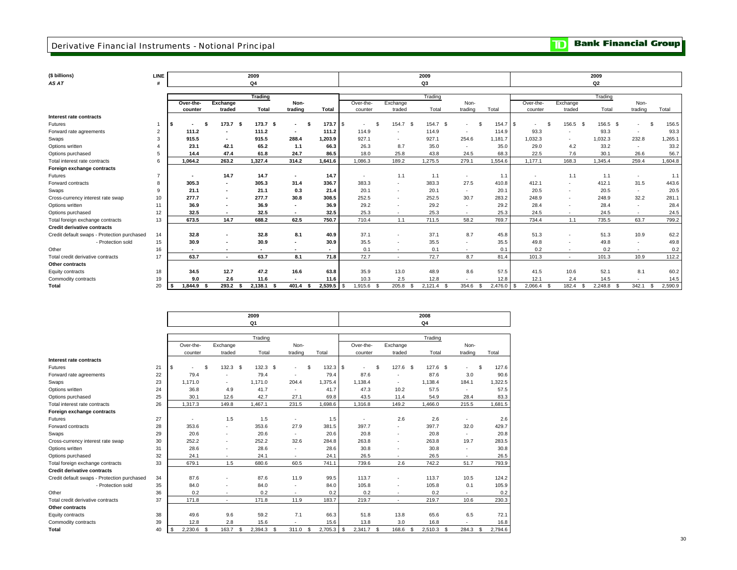### **Derivative Financial Instruments - Notional Principal**

**TD** Bank Financial Group

| (\$ billions)                               | LINE |                |                          | 2009               |                |              |                 |                          | 2009            |               |              |                                     |                          | 2009            |         |                 |
|---------------------------------------------|------|----------------|--------------------------|--------------------|----------------|--------------|-----------------|--------------------------|-----------------|---------------|--------------|-------------------------------------|--------------------------|-----------------|---------|-----------------|
| AS AT                                       |      |                |                          | Q <sub>4</sub>     |                |              |                 |                          | Q3              |               |              |                                     |                          | Q <sub>2</sub>  |         |                 |
|                                             |      |                |                          | <b>Trading</b>     |                |              |                 |                          | Trading         |               |              |                                     |                          | Trading         |         |                 |
|                                             |      | Over-the-      | Exchange                 |                    | Non-           |              | Over-the-       | Exchange                 |                 | Non-          |              | Over-the-                           | Exchange                 |                 | Non-    |                 |
|                                             |      | counter        | traded                   | Total              | trading        | Total        | counter         | traded                   | Total           | trading       | Total        | counter                             | traded                   | Total           | trading | Total           |
| Interest rate contracts                     |      |                |                          |                    |                |              |                 |                          |                 |               |              |                                     |                          |                 |         |                 |
| Futures                                     |      | - \$<br>$\sim$ | 173.7 <sup>5</sup>       | 173.7 <sup>5</sup> | - 95<br>$\sim$ | 173.7 S      | \$.<br>۰.       | 154.7 \$                 | 154.7 \$        | -S<br>٠       | 154.7        | <b>S</b><br>$\mathcal{F}$<br>$\sim$ | 156.5<br>- \$            | 156.5<br>- \$   | ٠       | 156.5<br>£.     |
| Forward rate agreements                     |      | 111.2          | $\blacksquare$           | 111.2              | $\sim$         | 111.2        | 114.9           | $\sim$                   | 114.9           | $\sim$        | 114.9        | 93.3                                |                          | 93.3            | $\sim$  | 93.3            |
| Swaps                                       |      | 915.5          | $\overline{\phantom{a}}$ | 915.5              | 288.4          | 1,203.9      | 927.1           | $\sim$                   | 927.1           | 254.6         | 1.181.7      | 1,032.3                             |                          | 1,032.3         | 232.8   | 1,265.1         |
| Options written                             |      | 23.1           | 42.1                     | 65.2               | 1.1            | 66.3         | 26.3            | 8.7                      | 35.0            | $\sim$        | 35.0         | 29.0                                | 4.2                      | 33.2            | $\sim$  | 33.2            |
| Options purchased                           | 5    | 14.4           | 47.4                     | 61.8               | 24.7           | 86.5         | 18.0            | 25.8                     | 43.8            | 24.5          | 68.3         | 22.5                                | 7.6                      | 30.1            | 26.6    | 56.7            |
| Total interest rate contracts               | 6    | 1.064.2        | 263.2                    | 1,327.4            | 314.2          | 1,641.6      | 1,086.3         | 189.2                    | 1,275.5         | 279.1         | 1,554.6      | 1,177.1                             | 168.3                    | 1,345.4         | 259.4   | 1,604.8         |
| Foreign exchange contracts                  |      |                |                          |                    |                |              |                 |                          |                 |               |              |                                     |                          |                 |         |                 |
| Futures                                     |      |                | 14.7                     | 14.7               | $\sim$         | 14.7         | ۰.              | 1.1                      | 1.1             | ٠             | 1.1          | $\overline{\phantom{a}}$            | 1.1                      | 1.1             | $\sim$  | 1.1             |
| Forward contracts                           | 8    | 305.3          | $\sim$                   | 305.3              | 31.4           | 336.7        | 383.3           | $\sim$                   | 383.3           | 27.5          | 410.8        | 412.1                               | $\sim$                   | 412.1           | 31.5    | 443.6           |
| Swaps                                       | 9    | 21.1           | $\overline{\phantom{a}}$ | 21.1               | 0.3            | 21.4         | 20.1            | $\sim$                   | 20.1            | ×.            | 20.1         | 20.5                                | $\sim$                   | 20.5            | $\sim$  | 20.5            |
| Cross-currency interest rate swap           | 10   | 277.7          | $\overline{\phantom{a}}$ | 277.7              | 30.8           | 308.5        | 252.5           | $\sim$                   | 252.5           | 30.7          | 283.2        | 248.9                               | $\sim$                   | 248.9           | 32.2    | 281.1           |
| Options written                             | 11   | 36.9           | $\blacksquare$           | 36.9               | $\sim$         | 36.9         | 29.2            | $\sim$                   | 29.2            | ٠             | 29.2         | 28.4                                | $\sim$                   | 28.4            | $\sim$  | 28.4            |
| Options purchased                           | 12   | 32.5           | $\sim$                   | 32.5               | $\blacksquare$ | 32.5         | 25.3            |                          | 25.3            |               | 25.3         | 24.5                                |                          | 24.5            | ٠       | 24.5            |
| Total foreign exchange contracts            | 13   | 673.5          | 14.7                     | 688.2              | 62.5           | 750.7        | 710.4           | 1.1                      | 711.5           | 58.2          | 769.7        | 734.4                               | 1.1                      | 735.5           | 63.7    | 799.2           |
| <b>Credit derivative contracts</b>          |      |                |                          |                    |                |              |                 |                          |                 |               |              |                                     |                          |                 |         |                 |
| Credit default swaps - Protection purchased | 14   | 32.8           | $\blacksquare$           | 32.8               | 8.1            | 40.9         | 37.1            | ٠                        | 37.1            | 8.7           | 45.8         | 51.3                                | $\overline{\phantom{a}}$ | 51.3            | 10.9    | 62.2            |
| - Protection sold                           | 15   | 30.9           |                          | 30.9               | ۰              | 30.9         | 35.5            |                          | 35.5            |               | 35.5         | 49.8                                |                          | 49.8            | $\sim$  | 49.8            |
| Other                                       | 16   |                |                          | $\sim$             |                | $\sim$       | 0.1             |                          | 0.1             |               | 0.1          | 0.2                                 |                          | 0.2             | $\sim$  | 0.2             |
| Total credit derivative contracts           | 17   | 63.7           | $\overline{\phantom{a}}$ | 63.7               | 8.1            | 71.8         | 72.7            | $\overline{\phantom{a}}$ | 72.7            | 8.7           | 81.4         | 101.3                               |                          | 101.3           | 10.9    | 112.2           |
| Other contracts                             |      |                |                          |                    |                |              |                 |                          |                 |               |              |                                     |                          |                 |         |                 |
| Equity contracts                            | 18   | 34.5           | 12.7                     | 47.2               | 16.6           | 63.8         | 35.9            | 13.0                     | 48.9            | 8.6           | 57.5         | 41.5                                | 10.6                     | 52.1            | 8.1     | 60.2            |
| Commodity contracts                         | 19   | 9.0            | 2.6                      | 11.6               |                | 11.6         | 10.3            | 2.5                      | 12.8            |               | 12.8         | 12.1                                | 2.4                      | 14.5            |         | 14.5            |
| Total                                       | 20   | 1.844.9        | 293.2 <sup>5</sup>       | 2.138.1            | 401.4          | $2.539.5$ \$ | 1.915.6<br>- \$ | 205.8<br>- \$            | 2.121.4<br>- \$ | 354.6<br>- \$ | $2.476.0$ \$ | 2.066.4<br>- \$                     | 182.4<br>- \$            | 2.248.8<br>- \$ | 342.1   | 2.590.9<br>- \$ |

|                                             |    |                           |                          | 2009          |               |                    |               |                          | 2008              |             |              |
|---------------------------------------------|----|---------------------------|--------------------------|---------------|---------------|--------------------|---------------|--------------------------|-------------------|-------------|--------------|
|                                             |    |                           |                          | Q1            |               |                    |               |                          | Q <sub>4</sub>    |             |              |
|                                             |    |                           |                          | Trading       |               |                    |               |                          | Trading           |             |              |
|                                             |    | Over-the-                 | Exchange                 |               | Non-          |                    | Over-the-     | Exchange                 |                   | Non-        |              |
|                                             |    | counter                   | traded                   | Total         | trading       | Total              | counter       | traded                   | Total             | trading     | Total        |
| Interest rate contracts                     |    |                           |                          |               |               |                    |               |                          |                   |             |              |
| Futures                                     | 21 | \$                        | \$<br>132.3              | \$<br>132.3   | \$            | 132.3<br>\$        | <b>S</b><br>٠ | \$<br>127.6              | <b>S</b><br>127.6 | \$          | 127.6<br>S   |
| Forward rate agreements                     | 22 | 79.4                      |                          | 79.4          |               | 79.4               | 87.6          |                          | 87.6              | 3.0         | 90.6         |
| Swaps                                       | 23 | 1.171.0                   | ٠                        | 1.171.0       | 204.4         | 1.375.4            | 1.138.4       | ٠                        | 1,138.4           | 184.1       | 1,322.5      |
| Options written                             | 24 | 36.8                      | 4.9                      | 41.7          |               | 41.7               | 47.3          | 10.2                     | 57.5              |             | 57.5         |
| Options purchased                           | 25 | 30.1                      | 12.6                     | 42.7          | 27.1          | 69.8               | 43.5          | 11.4                     | 54.9              | 28.4        | 83.3         |
| Total interest rate contracts               | 26 | 1,317.3                   | 149.8                    | 1,467.1       | 231.5         | 1,698.6            | 1,316.8       | 149.2                    | 1,466.0           | 215.5       | 1,681.5      |
| Foreign exchange contracts                  |    |                           |                          |               |               |                    |               |                          |                   |             |              |
| <b>Futures</b>                              | 27 |                           | 1.5                      | 1.5           |               | 1.5                |               | 2.6                      | 2.6               |             | 2.6          |
| Forward contracts                           | 28 | 353.6                     |                          | 353.6         | 27.9          | 381.5              | 397.7         |                          | 397.7             | 32.0        | 429.7        |
| Swaps                                       | 29 | 20.6                      |                          | 20.6          |               | 20.6               | 20.8          |                          | 20.8              |             | 20.8         |
| Cross-currency interest rate swap           | 30 | 252.2                     | ٠                        | 252.2         | 32.6          | 284.8              | 263.8         | ٠                        | 263.8             | 19.7        | 283.5        |
| Options written                             | 31 | 28.6                      |                          | 28.6          |               | 28.6               | 30.8          | ٠                        | 30.8              |             | 30.8         |
| Options purchased                           | 32 | 24.1                      | $\sim$                   | 24.1          | ٠             | 24.1               | 26.5          | ٠                        | 26.5              | ٠           | 26.5         |
| Total foreign exchange contracts            | 33 | 679.1                     | 1.5                      | 680.6         | 60.5          | 741.1              | 739.6         | 2.6                      | 742.2             | 51.7        | 793.9        |
| <b>Credit derivative contracts</b>          |    |                           |                          |               |               |                    |               |                          |                   |             |              |
| Credit default swaps - Protection purchased | 34 | 87.6                      |                          | 87.6          | 11.9          | 99.5               | 113.7         | ×,                       | 113.7             | 10.5        | 124.2        |
| - Protection sold                           | 35 | 84.0                      |                          | 84.0          |               | 84.0               | 105.8         | ×,                       | 105.8             | 0.1         | 105.9        |
| Other                                       | 36 | 0.2                       | $\overline{\phantom{a}}$ | 0.2           |               | 0.2                | 0.2           | ٠                        | 0.2               |             | 0.2          |
| Total credit derivative contracts           | 37 | 171.8                     | $\overline{\phantom{a}}$ | 171.8         | 11.9          | 183.7              | 219.7         | $\overline{\phantom{a}}$ | 219.7             | 10.6        | 230.3        |
| <b>Other contracts</b>                      |    |                           |                          |               |               |                    |               |                          |                   |             |              |
| Equity contracts                            | 38 | 49.6                      | 9.6                      | 59.2          | 7.1           | 66.3               | 51.8          | 13.8                     | 65.6              | 6.5         | 72.1         |
| Commodity contracts                         | 39 | 12.8                      | 2.8                      | 15.6          |               | 15.6               | 13.8          | 3.0                      | 16.8              |             | 16.8         |
| Total                                       | 40 | 2,230.6<br><b>S</b><br>\$ | 163.7                    | 2,394.3<br>\$ | - \$<br>311.0 | $2,705.3$ \$<br>-S | 2,341.7       | \$<br>168.6              | 2,510.3<br>S      | \$<br>284.3 | 2,794.6<br>S |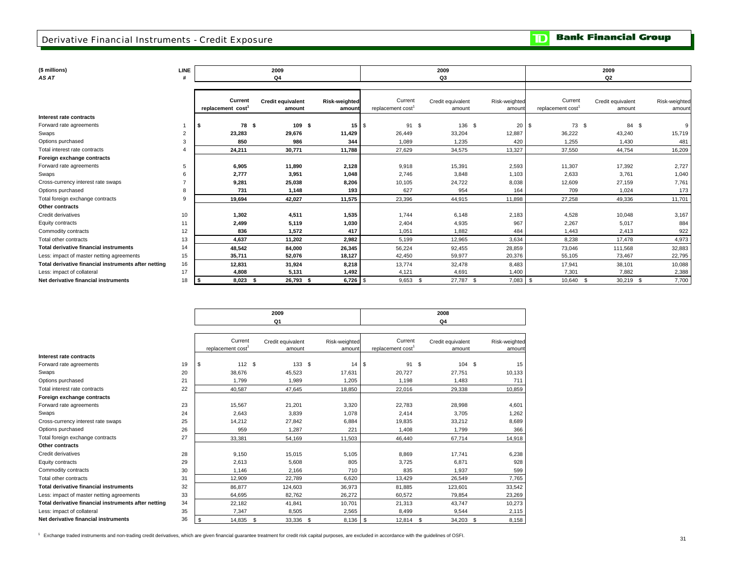### Derivative Financial Instruments - Credit Exposure

**TD** Bank Financial Group

**(\$ millions) LINE**

| AS AT<br>٠ |  |
|------------|--|
|            |  |

| (\$ millions)                                        | LINE |                                          | 2009                               |                         |                             | 2009                        |                         |                             | 2009                        |                         |
|------------------------------------------------------|------|------------------------------------------|------------------------------------|-------------------------|-----------------------------|-----------------------------|-------------------------|-----------------------------|-----------------------------|-------------------------|
| AS AT                                                |      |                                          | Q <sub>4</sub>                     |                         |                             | Q3                          |                         |                             | Q <sub>2</sub>              |                         |
|                                                      |      |                                          |                                    |                         |                             |                             |                         |                             |                             |                         |
|                                                      |      | Current<br>replacement cost <sup>1</sup> | <b>Credit equivalent</b><br>amount | Risk-weighted<br>amount | Current<br>replacement cost | Credit equivalent<br>amount | Risk-weighted<br>amount | Current<br>replacement cost | Credit equivalent<br>amount | Risk-weighted<br>amount |
| Interest rate contracts                              |      |                                          |                                    |                         |                             |                             |                         |                             |                             |                         |
| Forward rate agreements                              |      | 78 \$                                    | 109S                               | $15$ $\sqrt{3}$         | 91 \$                       | 136 \$                      | 20                      | 73 \$<br>l S                | 84 \$                       | $\mathbf{q}$            |
| Swaps                                                |      | 23,283                                   | 29,676                             | 11,429                  | 26,449                      | 33,204                      | 12,887                  | 36,222                      | 43,240                      | 15,719                  |
| Options purchased                                    |      | 850                                      | 986                                | 344                     | 1,089                       | 1,235                       | 420                     | 1,255                       | 1,430                       | 481                     |
| Total interest rate contracts                        |      | 24,211                                   | 30,771                             | 11,788                  | 27,629                      | 34,575                      | 13,327                  | 37,550                      | 44,754                      | 16,209                  |
| Foreign exchange contracts                           |      |                                          |                                    |                         |                             |                             |                         |                             |                             |                         |
| Forward rate agreements                              |      | 6,905                                    | 11,890                             | 2,128                   | 9,918                       | 15,391                      | 2,593                   | 11,307                      | 17,392                      | 2,727                   |
| Swaps                                                |      | 2,777                                    | 3,951                              | 1,048                   | 2,746                       | 3,848                       | 1,103                   | 2,633                       | 3,761                       | 1,040                   |
| Cross-currency interest rate swaps                   |      | 9,281                                    | 25,038                             | 8,206                   | 10,105                      | 24,722                      | 8,038                   | 12,609                      | 27,159                      | 7,761                   |
| Options purchased                                    |      | 731                                      | 1.148                              | 193                     | 627                         | 954                         | 164                     | 709                         | 1.024                       | 173                     |
| Total foreign exchange contracts                     |      | 19.694                                   | 42.027                             | 11,575                  | 23,396                      | 44,915                      | 11.898                  | 27.258                      | 49.336                      | 11,701                  |
| Other contracts                                      |      |                                          |                                    |                         |                             |                             |                         |                             |                             |                         |
| Credit derivatives                                   | 10   | 1,302                                    | 4,511                              | 1,535                   | 1,744                       | 6,148                       | 2,183                   | 4,528                       | 10,048                      | 3,167                   |
| Equity contracts                                     | 11   | 2,499                                    | 5,119                              | 1,030                   | 2,404                       | 4,935                       | 967                     | 2,267                       | 5,017                       | 884                     |
| Commodity contracts                                  | 12   | 836                                      | 1,572                              | 417                     | 1,051                       | 1,882                       | 484                     | 1.443                       | 2,413                       | 922                     |
| Total other contracts                                | 13   | 4.637                                    | 11.202                             | 2,982                   | 5.199                       | 12,965                      | 3,634                   | 8.238                       | 17.478                      | 4,973                   |
| <b>Total derivative financial instruments</b>        | 14   | 48,542                                   | 84,000                             | 26,345                  | 56,224                      | 92,455                      | 28,859                  | 73,046                      | 111,568                     | 32,883                  |
| Less: impact of master netting agreements            | 15   | 35,711                                   | 52,076                             | 18,127                  | 42,450                      | 59,977                      | 20,376                  | 55,105                      | 73,467                      | 22,795                  |
| Total derivative financial instruments after netting | 16   | 12,831                                   | 31,924                             | 8,218                   | 13,774                      | 32,478                      | 8,483                   | 17,941                      | 38,101                      | 10,088                  |
| Less: impact of collateral                           | 17   | 4,808                                    | 5,131                              | 1,492                   | 4,121                       | 4,691                       | 1,400                   | 7,301                       | 7,882                       | 2,388                   |
| Net derivative financial instruments                 | 18   | $8.023$ \$                               | 26,793 \$                          |                         | $9.653$ \$                  | 27.787 \$                   | $7.083$ \$              | 10.640 \$                   | 30,219 \$                   | 7,700                   |

|                                                      |    |                               | 2009              |               |                               | 2008              |               |
|------------------------------------------------------|----|-------------------------------|-------------------|---------------|-------------------------------|-------------------|---------------|
|                                                      |    |                               | Q1                |               |                               | Q4                |               |
|                                                      |    |                               |                   |               |                               |                   |               |
|                                                      |    | Current                       | Credit equivalent | Risk-weighted | Current                       | Credit equivalent | Risk-weighted |
|                                                      |    | replacement cost <sup>1</sup> | amount            | amount        | replacement cost <sup>1</sup> | amount            | amount        |
| Interest rate contracts                              |    |                               |                   |               |                               |                   |               |
| Forward rate agreements                              | 19 | 112S                          | 133S              | 14            | 91<br>\$                      | - \$<br>104S      | 15            |
| Swaps                                                | 20 | 38,676                        | 45,523            | 17,631        | 20,727                        | 27,751            | 10,133        |
| Options purchased                                    | 21 | 1.799                         | 1,989             | 1.205         | 1.198                         | 1.483             | 711           |
| Total interest rate contracts                        | 22 | 40,587                        | 47,645            | 18,850        | 22,016                        | 29,338            | 10,859        |
| Foreign exchange contracts                           |    |                               |                   |               |                               |                   |               |
| Forward rate agreements                              | 23 | 15,567                        | 21,201            | 3,320         | 22,783                        | 28,998            | 4,601         |
| Swaps                                                | 24 | 2.643                         | 3,839             | 1,078         | 2.414                         | 3.705             | 1,262         |
| Cross-currency interest rate swaps                   | 25 | 14,212                        | 27,842            | 6,884         | 19,835                        | 33,212            | 8,689         |
| Options purchased                                    | 26 | 959                           | 1.287             | 221           | 1,408                         | 1.799             | 366           |
| Total foreign exchange contracts                     | 27 | 33,381                        | 54,169            | 11,503        | 46,440                        | 67,714            | 14,918        |
| Other contracts                                      |    |                               |                   |               |                               |                   |               |
| Credit derivatives                                   | 28 | 9,150                         | 15,015            | 5,105         | 8,869                         | 17.741            | 6,238         |
| Equity contracts                                     | 29 | 2,613                         | 5,608             | 805           | 3,725                         | 6,871             | 928           |
| Commodity contracts                                  | 30 | 1.146                         | 2,166             | 710           | 835                           | 1.937             | 599           |
| Total other contracts                                | 31 | 12.909                        | 22,789            | 6.620         | 13.429                        | 26,549            | 7.765         |
| <b>Total derivative financial instruments</b>        | 32 | 86,877                        | 124,603           | 36,973        | 81,885                        | 123,601           | 33,542        |
| Less: impact of master netting agreements            | 33 | 64,695                        | 82,762            | 26,272        | 60,572                        | 79,854            | 23,269        |
| Total derivative financial instruments after netting | 34 | 22.182                        | 41,841            | 10.701        | 21,313                        | 43.747            | 10,273        |
| Less: impact of collateral                           | 35 | 7,347                         | 8,505             | 2,565         | 8,499                         | 9,544             | 2,115         |
| Net derivative financial instruments                 | 36 | \$<br>14,835                  | \$<br>33,336 \$   | 8,136         | \$<br>12,814                  | -S<br>34,203      | \$<br>8,158   |

<sup>1</sup> Exchange traded instruments and non-trading credit derivatives, which are given financial guarantee treatment for credit risk capital purposes, are excluded in accordance with the guidelines of OSFI.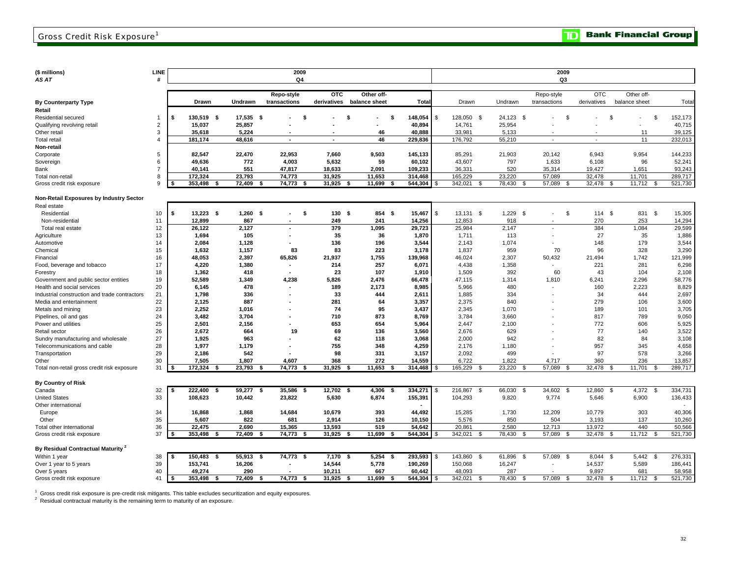**TD** Bank Financial Group

**(\$ millions) LINE**

| (\$ millions)                                 | LINE           |      |                 |            | 2009                     |             |                |      |         |              |                 |              | 2009           |                |               |                |         |
|-----------------------------------------------|----------------|------|-----------------|------------|--------------------------|-------------|----------------|------|---------|--------------|-----------------|--------------|----------------|----------------|---------------|----------------|---------|
| AS AT                                         | #              |      |                 |            | Q4                       |             |                |      |         |              |                 |              | Q3             |                |               |                |         |
|                                               |                |      |                 |            |                          |             |                |      |         |              |                 |              |                |                |               |                |         |
|                                               |                |      |                 |            | Repo-style               | <b>OTC</b>  | Other off-     |      |         |              |                 |              | Repo-style     | <b>OTC</b>     | Other off-    |                |         |
| <b>By Counterparty Type</b>                   |                |      | <b>Drawn</b>    | Undrawn    | transactions             | derivatives | balance sheet  |      | Tota    |              | Drawn           | Undrawn      | transactions   | derivatives    | balance sheet |                | Total   |
| Retail                                        |                |      |                 |            |                          |             |                |      |         |              |                 |              |                |                |               |                |         |
| Residential secured                           | -1             | \$   | 130,519<br>-\$  | 17,535     | - \$<br>Ŝ.               |             | \$             | \$   | 148,054 | -\$          | 128,050 \$      | 24,123 \$    | \$.            |                | \$.           | $\mathfrak{s}$ | 152,173 |
| Qualifying revolving retail                   | 2              |      | 15,037          | 25,857     |                          |             |                |      | 40,894  |              | 14,761          | 25,954       |                |                |               |                | 40,715  |
|                                               | 3              |      | 35.618          | 5.224      |                          |             | 46             |      | 40.888  |              | 33.981          | 5.133        |                |                | 11            |                | 39,125  |
| Other retail                                  | $\overline{4}$ |      |                 |            |                          |             | 46             |      |         |              |                 |              |                |                |               |                |         |
| Total retail                                  |                |      | 181,174         | 48,616     | $\overline{\phantom{a}}$ |             |                |      | 229,836 |              | 176,792         | 55,210       |                |                | 11            |                | 232,013 |
| Non-retail                                    |                |      |                 |            |                          |             |                |      |         |              |                 |              |                |                |               |                |         |
| Corporate                                     | 5              |      | 82.547          | 22,470     | 22.953                   | 7.660       | 9.503          |      | 145.133 |              | 85.291          | 21,903       | 20.142         | 6.943          | 9.954         |                | 144.233 |
| Sovereign                                     | 6              |      | 49,636          | 772        | 4,003                    | 5,632       | 59             |      | 60,102  |              | 43,607          | 797          | 1,633          | 6,108          | 96            |                | 52,241  |
| Bank                                          | $\overline{7}$ |      | 40,141          | 551        | 47,817                   | 18,633      | 2,091          |      | 109,233 |              | 36,331          | 520          | 35,314         | 19,427         | 1,651         |                | 93,243  |
| Total non-retail                              | 8              |      | 172,324         | 23,793     | 74,773                   | 31,925      | 11,653         |      | 314,468 |              | 165,229         | 23,220       | 57,089         | 32,478         | 11,701        |                | 289,717 |
| Gross credit risk exposure                    | 9              | ∣\$  | 353,498<br>- \$ | 72,409     | 74,773<br>- \$<br>- 5    | 31,925      | 11,699<br>- \$ | -S   | 544,304 |              | 342,021<br>- \$ | 78,430       | 57,089         | 32,478<br>- \$ | 11,712        | - \$           | 521,730 |
|                                               |                |      |                 |            |                          |             |                |      |         |              |                 |              |                |                |               |                |         |
| Non-Retail Exposures by Industry Sector       |                |      |                 |            |                          |             |                |      |         |              |                 |              |                |                |               |                |         |
| Real estate                                   |                |      |                 |            |                          |             |                |      |         |              |                 |              |                |                |               |                |         |
| Residential                                   | 10             | \$   | $13.223$ \$     | $1,260$ \$ | -S<br>٠                  | 130S        | 854 \$         |      | 15,467  | - \$         | $13,131$ \$     | $1,229$ \$   | \$             | 114S           | 831 \$        |                | 15,305  |
| Non-residential                               | 11             |      | 12,899          | 867        | $\blacksquare$           | 249         | 241            |      | 14,256  |              | 12,853          | 918          |                | 270            | 253           |                | 14,294  |
| Total real estate                             | 12             |      | 26,122          | 2,127      | ٠                        | 379         | 1,095          |      | 29,723  |              | 25,984          | 2,147        |                | 384            | 1,084         |                | 29,599  |
| Agriculture                                   | 13             |      | 1,694           | 105        |                          | 35          | 36             |      | 1,870   |              | 1,711           | 113          |                | 27             | 35            |                | 1,886   |
| Automotive                                    | 14             |      | 2.084           | 1,128      |                          | 136         | 196            |      | 3,544   |              | 2.143           | 1,074        |                | 148            | 179           |                | 3,544   |
| Chemical                                      | 15             |      | 1,632           | 1,157      | 83                       | 83          | 223            |      | 3,178   |              | 1,837           | 959          | 70             | 96             | 328           |                | 3,290   |
| Financial                                     | 16             |      | 48,053          | 2,397      | 65,826                   | 21,937      | 1,755          |      | 139,968 |              | 46,024          | 2,307        | 50,432         | 21,494         | 1,742         |                | 121,999 |
| Food, beverage and tobacco                    | 17             |      | 4,220           | 1,380      | $\blacksquare$           | 214         | 257            |      | 6,071   |              | 4,438           | 1,358        |                | 221            | 281           |                | 6,298   |
| Forestry                                      | 18             |      | 1,362           | 418        |                          | 23          | 107            |      | 1,910   |              | 1,509           | 392          | 60             | 43             | 104           |                | 2,108   |
| Government and public sector entities         | 19             |      | 52,589          | 1,349      | 4,238                    | 5,826       | 2,476          |      | 66,478  |              | 47,115          | 1,314        | 1,810          | 6,241          | 2,296         |                | 58,776  |
| Health and social services                    | 20             |      | 6,145           | 478        |                          | 189         | 2,173          |      | 8,985   |              | 5,966           | 480          |                | 160            | 2,223         |                | 8,829   |
| Industrial construction and trade contractors | 21             |      | 1,798           | 336        |                          | 33          | 444            |      | 2,611   |              | 1,885           | 334          |                | 34             | 444           |                | 2,697   |
| Media and entertainment                       | 22             |      | 2,125           | 887        |                          | 281         | 64             |      | 3,357   |              | 2,375           | 840          |                | 279            | 106           |                | 3,600   |
| Metals and mining                             | 23             |      | 2,252           | 1,016      |                          | 74          | 95             |      | 3,437   |              | 2,345           | 1,070        |                | 189            | 101           |                | 3,705   |
| Pipelines, oil and gas                        | 24             |      | 3,482           | 3,704      |                          | 710         | 873            |      | 8,769   |              | 3,784           | 3,660        |                | 817            | 789           |                | 9,050   |
| Power and utilities                           | 25             |      | 2,501           | 2,156      | $\blacksquare$           | 653         | 654            |      | 5,964   |              | 2,447           | 2,100        |                | 772            | 606           |                | 5,925   |
|                                               | 26             |      | 2,672           | 664        | 19                       | 69          | 136            |      | 3,560   |              | 2,676           | 629          |                | 77             | 140           |                | 3,522   |
| Retail sector                                 | 27             |      | 1,925           | 963        |                          | 62          | 118            |      | 3,068   |              | 2,000           | 942          |                | 82             | 84            |                | 3,108   |
| Sundry manufacturing and wholesale            |                |      |                 |            |                          |             |                |      |         |              |                 |              |                |                |               |                |         |
| Telecommunications and cable                  | 28             |      | 1,977           | 1,179      |                          | 755         | 348            |      | 4,259   |              | 2,176           | 1,180        |                | 957            | 345           |                | 4,658   |
| Transportation                                | 29             |      | 2,186           | 542        |                          | 98          | 331            |      | 3,157   |              | 2,092           | 499          |                | 97             | 578           |                | 3,266   |
| Other                                         | 30             |      | 7,505           | 1,807      | 4,607                    | 368         | 272            |      | 14,559  |              | 6,722           | 1,822        | 4,717          | 360            | 236           | $\mathfrak{L}$ | 13,857  |
| Total non-retail gross credit risk exposure   | 31             |      | 172,324         | 23,793     | 74,773                   | 31,925      | 11,653         | S    | 314,468 |              | 165,229         | 23,220       | 57,089         | 32,478         | 11,701        |                | 289,717 |
|                                               |                |      |                 |            |                          |             |                |      |         |              |                 |              |                |                |               |                |         |
| <b>By Country of Risk</b>                     |                |      |                 |            |                          |             |                |      |         |              |                 |              |                |                |               |                |         |
| Canada                                        | 32             |      | 222,400<br>-\$  | 59,277     | 35,586<br>- \$<br>- \$   | 12,702 \$   | 4,306          | -9   | 334,271 |              | 216,867<br>\$   | 66,030<br>-S | 34,602<br>\$   | 12,860<br>\$   | 4,372 \$      |                | 334,731 |
| <b>United States</b>                          | 33             |      | 108,623         | 10,442     | 23.822                   | 5,630       | 6.874          |      | 155,391 |              | 104,293         | 9,820        | 9,774          | 5,646          | 6,900         |                | 136,433 |
| Other international                           |                |      |                 |            |                          |             |                |      |         |              |                 |              |                |                |               |                |         |
| Europe                                        | 34             |      | 16,868          | 1,868      | 14,684                   | 10,679      | 393            |      | 44,492  |              | 15,285          | 1,730        | 12,209         | 10,779         | 303           |                | 40,306  |
| Other                                         | 35             |      | 5,607           | 822        | 681                      | 2,914       | 126            |      | 10,150  |              | 5,576           | 850          | 504            | 3,193          | 137           |                | 10,260  |
| Total other international                     | 36             |      | 22.475          | 2,690      | 15,365                   | 13,593      | 519            |      | 54,642  |              | 20,861          | 2,580        | 12.713         | 13.972         | 440           |                | 50,566  |
| Gross credit risk exposure                    | 37             |      | 353,498<br>-S   | 72,409     | 74,773<br>- \$           | 31,925      | 11,699         | - \$ | 544,304 |              | 342,021<br>- \$ | 78,430<br>-S | 57,089<br>-\$  | 32,478<br>- \$ | 11,712        | -\$            | 521,730 |
|                                               |                |      |                 |            |                          |             |                |      |         |              |                 |              |                |                |               |                |         |
| By Residual Contractual Maturity <sup>2</sup> |                |      |                 |            |                          |             |                |      |         |              |                 |              |                |                |               |                |         |
| Within 1 year                                 | 38             |      | 150,483<br>-\$  | 55,913     | 74,773 \$<br>-\$         | 7,170       | 5,254<br>- \$  | -\$  | 293,593 | $\mathbf{f}$ | 143,860<br>\$   | 61,896<br>-S | 57,089<br>\$   | 8,044 \$       | 5,442         | \$             | 276,331 |
| Over 1 year to 5 years                        | 39             |      | 153,741         | 16,206     |                          | 14,544      | 5,778          |      | 190,269 |              | 150,068         | 16,247       |                | 14,537         | 5,589         |                | 186,441 |
| Over 5 years                                  | 40             |      | 49,274          | 290        |                          | 10,211      | 667            |      | 60,442  |              | 48,093          | 287          |                | 9,897          | 681           |                | 58,958  |
| Gross credit risk exposure                    | 41             | l \$ | 353,498<br>\$   | 72,409     | 74,773<br>\$<br>- \$     | 31,925      | 11,699<br>- \$ | \$   | 544,304 | \$           | 342,021<br>- \$ | 78,430<br>-S | 57,089<br>- \$ | 32,478<br>-\$  | 11,712        | \$             | 521,730 |

 $^1\,$  Gross credit risk exposure is pre-credit risk mitigants. This table excludes securitization and equity exposures.<br><sup>2</sup> Residual contractual maturity is the remaining term to maturity of an exposure.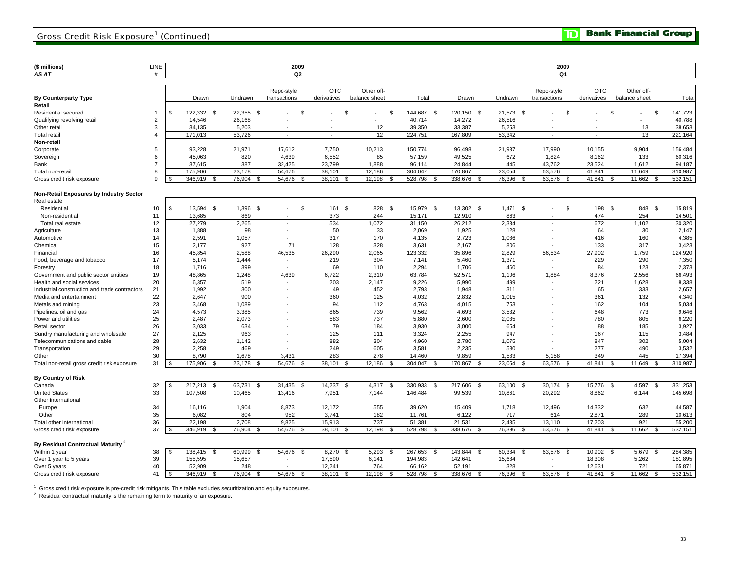**TD** Bank Financial Group

| (\$ millions)<br>AS AT                         | LINE<br>#      |                |                     |                      |              | 2009<br>Q <sub>2</sub>   |                        |               |            |            |                |                |                      |              |              | 2009<br>Q1               |                    |                |      |               |                |                |
|------------------------------------------------|----------------|----------------|---------------------|----------------------|--------------|--------------------------|------------------------|---------------|------------|------------|----------------|----------------|----------------------|--------------|--------------|--------------------------|--------------------|----------------|------|---------------|----------------|----------------|
|                                                |                |                |                     |                      |              |                          |                        |               |            |            |                |                |                      |              |              |                          |                    |                |      |               |                |                |
|                                                |                |                |                     |                      | Repo-style   |                          | <b>OTC</b>             |               | Other off- |            |                |                |                      |              |              | Repo-style               |                    | <b>OTC</b>     |      | Other off-    |                |                |
| <b>By Counterparty Type</b>                    |                |                | Drawn               | Undrawn              | transactions |                          | derivatives            | balance sheet |            |            | Tota           |                | Drawn                | Undrawn      |              | transactions             |                    | derivatives    |      | balance sheet |                | Total          |
| Retail                                         |                |                |                     |                      |              |                          |                        |               |            |            |                |                |                      |              |              |                          |                    |                |      |               |                |                |
| Residential secured                            | 1              | \$             | 122,332 \$          | 22,355 \$            |              |                          | \$                     | \$            |            | \$         | 144,687        | \$             | 120,150 \$           | 21,573 \$    |              |                          | \$                 |                | - \$ |               | \$             | 141,723        |
| Qualifying revolving retail                    | $\overline{2}$ |                | 14,546              | 26,168               |              |                          |                        |               |            |            | 40,714         |                | 14,272               | 26,516       |              |                          |                    |                |      |               |                | 40,788         |
| Other retail                                   | 3              |                | 34,135              | 5,203                |              |                          |                        |               | 12         |            | 39,350         |                | 33,387               | 5,253        |              |                          |                    |                |      | 13            |                | 38,653         |
| <b>Total retail</b>                            | $\overline{4}$ |                | 171,013             | 53,726               |              | $\sim$                   | $\sim$                 |               | 12         |            | 224,751        |                | 167,809              | 53,342       |              | $\sim$                   |                    | $\overline{a}$ |      | 13            |                | 221,164        |
| Non-retail                                     |                |                |                     |                      |              |                          |                        |               |            |            |                |                |                      |              |              |                          |                    |                |      |               |                |                |
| Corporate                                      | 5              |                | 93,228              | 21,971               | 17,612       |                          | 7,750                  |               | 10,213     |            | 150,774        |                | 96,498               | 21,937       |              | 17,990                   |                    | 10,155         |      | 9,904         |                | 156,484        |
| Sovereign                                      | 6              |                | 45,063              | 820                  |              | 4,639                    | 6,552                  |               | 85         |            | 57,159         |                | 49,525               | 672          |              | 1,824                    |                    | 8,162          |      | 133           |                | 60,316         |
| Bank                                           | $\overline{7}$ |                | 37,615              | 387                  | 32,425       |                          | 23,799                 |               | 1,888      |            | 96,114         |                | 24,844               | 445          |              | 43,762                   |                    | 23,524         |      | 1,612         |                | 94,187         |
| Total non-retail                               | 8              |                | 175,906             | 23,178               | 54,676       |                          | 38,101                 |               | 12,186     |            | 304,047        |                | 170,867              | 23,054       |              | 63,576                   |                    | 41,841         |      | 11,649        |                | 310,987        |
| Gross credit risk exposure                     | 9              |                | 346,919             | \$<br>76,904<br>- \$ |              | 54,676                   | 38,101<br>- \$         | \$            | 12,198     | - \$       | 528,798        | - \$           | 338,676<br>- \$      | 76,396       | - \$         | 63,576                   | - \$               | 41,841         | \$   | 11,662        | - \$           | 532,151        |
|                                                |                |                |                     |                      |              |                          |                        |               |            |            |                |                |                      |              |              |                          |                    |                |      |               |                |                |
| <b>Non-Retail Exposures by Industry Sector</b> |                |                |                     |                      |              |                          |                        |               |            |            |                |                |                      |              |              |                          |                    |                |      |               |                |                |
| Real estate                                    |                |                |                     |                      |              |                          |                        |               |            |            |                |                |                      |              |              |                          |                    |                |      |               |                |                |
| Residential                                    | 10             | \$             | 13,594 \$           | 1,396<br>\$          |              |                          | \$<br>161              | -\$           | 828        | $^{\circ}$ | 15,979         | \$             | 13,302 \$            | $1,471$ \$   |              | $\blacksquare$           | \$                 | 198            | \$   | 848 \$        |                | 15,819         |
| Non-residential                                | 11             |                | 13,685              | 869                  |              |                          | 373                    |               | 244        |            | 15,171         |                | 12,910               | 863          |              |                          |                    | 474            |      | 254           |                | 14,501         |
| Total real estate                              | 12             |                | 27,279              | 2,265                |              | $\overline{\phantom{a}}$ | 534                    |               | 1,072      |            | 31,150         |                | 26,212               | 2,334        |              | $\overline{\phantom{a}}$ |                    | 672            |      | 1,102         |                | 30,320         |
| Agriculture                                    | 13             |                | 1,888               | 98                   |              |                          | 50                     |               | 33         |            | 2,069          |                | 1,925                | 128          |              |                          |                    | 64             |      | 30            |                | 2,147          |
| Automotive                                     | 14             |                | 2,591               | 1,057                |              |                          | 317                    |               | 170        |            | 4,135          |                | 2,723                | 1,086        |              |                          |                    | 416            |      | 160           |                | 4,385          |
| Chemical                                       | 15             |                | 2,177               | 927                  |              | 71                       | 128                    |               | 328        |            | 3,631          |                | 2,167                | 806          |              |                          |                    | 133            |      | 317           |                | 3,423          |
| Financial                                      | 16             |                | 45,854              | 2,588                | 46,535       |                          | 26,290                 |               | 2,065      |            | 123,332        |                | 35,896               | 2,829        |              | 56,534                   |                    | 27,902         |      | 1,759         |                | 124,920        |
| Food, beverage and tobacco                     | 17             |                | 5,174               | 1,444                |              |                          | 219                    |               | 304        |            | 7,141          |                | 5,460                | 1,371        |              |                          |                    | 229            |      | 290           |                | 7,350          |
| Forestry                                       | 18             |                | 1,716               | 399                  |              | $\overline{\phantom{a}}$ | 69                     |               | 110        |            | 2,294          |                | 1,706                | 460          |              | $\overline{\phantom{a}}$ |                    | 84             |      | 123           |                | 2,373          |
| Government and public sector entities          | 19             |                | 48,865              | 1,248                |              | 4,639                    | 6,722                  |               | 2,310      |            | 63,784         |                | 52,571               | 1,106        |              | 1,884                    |                    | 8,376          |      | 2,556         |                | 66,493         |
| Health and social services                     | 20             |                | 6,357               | 519                  |              |                          | 203                    |               | 2,147      |            | 9,226          |                | 5,990                | 499          |              |                          |                    | 221            |      | 1,628         |                | 8,338          |
| Industrial construction and trade contractors  | 21             |                | 1,992               | 300                  |              |                          | 49                     |               | 452        |            | 2,793          |                | 1,948                | 311          |              |                          |                    | 65             |      | 333           |                | 2,657          |
| Media and entertainment                        | 22             |                | 2,647               | 900                  |              |                          | 360                    |               | 125        |            | 4,032          |                | 2,832                | 1,015        |              |                          |                    | 361            |      | 132           |                | 4,340          |
| Metals and mining                              | 23             |                | 3,468               | 1,089                |              |                          | 94                     |               | 112        |            | 4,763          |                | 4,015                | 753          |              |                          |                    | 162            |      | 104           |                | 5,034          |
| Pipelines, oil and gas                         | 24             |                | 4,573               | 3,385                |              |                          | 865                    |               | 739        |            | 9,562          |                | 4,693                | 3,532        |              |                          |                    | 648            |      | 773           |                | 9,646          |
| Power and utilities                            | 25             |                | 2,487               | 2,073                |              |                          | 583                    |               | 737        |            | 5,880          |                | 2,600                | 2,035        |              |                          |                    | 780            |      | 805           |                | 6,220          |
| Retail sector                                  | 26             |                | 3,033               | 634                  |              |                          | 79                     |               | 184        |            | 3,930          |                | 3,000                | 654<br>947   |              |                          |                    | 88             |      | 185           |                | 3,927          |
| Sundry manufacturing and wholesale             | 27<br>28       |                | 2,125<br>2.632      | 963                  |              |                          | 125<br>882             |               | 111<br>304 |            | 3,324          |                | 2,255                |              |              |                          |                    | 167<br>847     |      | 115<br>302    |                | 3,484          |
| Telecommunications and cable                   | 29             |                | 2,258               | 1,142<br>469         |              |                          | 249                    |               | 605        |            | 4,960<br>3,581 |                | 2,780<br>2,235       | 1,075<br>530 |              |                          |                    | 277            |      | 490           |                | 5,004<br>3,532 |
| Transportation<br>Other                        | 30             |                | 8,790               | 1,678                |              | 3,431                    | 283                    |               | 278        |            | 14,460         |                | 9,859                | 1,583        |              | 5,158                    |                    | 349            |      | 445           |                | 17,394         |
| Total non-retail gross credit risk exposure    | 31             |                | 175,906             | 23,178<br>£.         |              | 54,676                   | 38,101                 | \$            | 12,186     |            | 304,047        | -\$            | 170,867              | 23,054       |              | 63,576                   |                    | 41,841         |      | 11,649        |                | 310,987        |
|                                                |                |                |                     |                      |              |                          |                        |               |            |            |                |                |                      |              |              |                          |                    |                |      |               |                |                |
| <b>By Country of Risk</b>                      |                |                |                     |                      |              |                          |                        |               |            |            |                |                |                      |              |              |                          |                    |                |      |               |                |                |
| Canada                                         | 32             | \$.            | 217,213<br><b>S</b> | 63,731<br>\$         |              | 31,435                   | 14,237<br>\$           | \$            | 4,317      | <b>S</b>   | 330,933        | \$             | 217,606<br><b>S</b>  | 63,100       | $\mathbf{s}$ | 30,174                   | $\mathbf{s}$       | 15,776         | \$   | 4,597         | \$             | 331,253        |
| <b>United States</b>                           | 33             |                | 107,508             | 10,465               |              | 13,416                   | 7,951                  |               | 7,144      |            | 146,484        |                | 99,539               | 10,861       |              | 20,292                   |                    | 8,862          |      | 6,144         |                | 145,698        |
| Other international                            |                |                |                     |                      |              |                          |                        |               |            |            |                |                |                      |              |              |                          |                    |                |      |               |                |                |
| Europe                                         | 34             |                | 16,116              | 1,904                |              | 8,873                    | 12,172                 |               | 555        |            | 39,620         |                | 15,409               | 1,718        |              | 12,496                   |                    | 14,332         |      | 632           |                | 44,587         |
| Other                                          | 35             |                | 6.082               | 804                  |              | 952                      | 3,741                  |               | 182        |            | 11,761         |                | 6,122                | 717          |              | 614                      |                    | 2,871          |      | 289           |                | 10,613         |
| Total other international                      | 36             |                | 22.198              | 2,708                |              | 9,825                    | 15,913                 |               | 737        |            | 51,381         |                | 21,531               | 2,435        |              | 13.110                   |                    | 17,203         |      | 921           |                | 55,200         |
| Gross credit risk exposure                     | 37             |                | 346,919<br>-\$      | 76,904<br>-\$        |              | 54,676                   | 38,101<br>- \$         | - \$          | 12,198     | - \$       | 528,798        | - \$           | 338,676<br>- \$      | 76,396       | -\$          | 63,576                   | - \$               | 41,841         | -\$  | 11,662        | \$             | 532,151        |
|                                                |                |                |                     |                      |              |                          |                        |               |            |            |                |                |                      |              |              |                          |                    |                |      |               |                |                |
| By Residual Contractual Maturity <sup>2</sup>  |                |                |                     |                      |              |                          |                        |               |            |            |                |                |                      |              |              |                          |                    |                |      |               |                |                |
| Within 1 year                                  | 38             | \$             | 138,415 \$          | 60,999<br>- \$       |              | 54,676                   | 8,270 \$<br><b>S</b>   |               | 5,293      | - \$       | 267,653        | \$             | 143,844<br><b>\$</b> | 60,384       | - \$         | 63,576                   | - \$               | 10,902 \$      |      | 5,679 \$      |                | 284,385        |
| Over 1 year to 5 years                         | 39             |                | 155,595             | 15,657               |              |                          | 17,590                 |               | 6,141      |            | 194,983        |                | 142,641              | 15,684       |              |                          |                    | 18,308         |      | 5,262         |                | 181,895        |
| Over 5 years                                   | 40             |                | 52.909              | 248                  |              |                          | 12.241                 |               | 764        |            | 66,162         |                | 52.191               | 328          |              |                          |                    | 12,631         |      | 721           |                | 65,871         |
| Gross credit risk exposure                     | 41             | $\mathfrak{s}$ | 346.919<br>- \$     | 76.904<br>\$         |              | 54.676                   | $\mathbf{s}$<br>38.101 | $\mathbf{s}$  | 12.198     | \$         | 528,798        | $\mathfrak{s}$ | 338.676              | 76.396       |              | 63.576                   | $\mathbf{\hat{z}}$ | 41.841         | - \$ | 11.662        | $\mathfrak{s}$ | 532.151        |

 $^1\,$  Gross credit risk exposure is pre-credit risk mitigants. This table excludes securitization and equity exposures.<br><sup>2</sup> Residual contractual maturity is the remaining term to maturity of an exposure.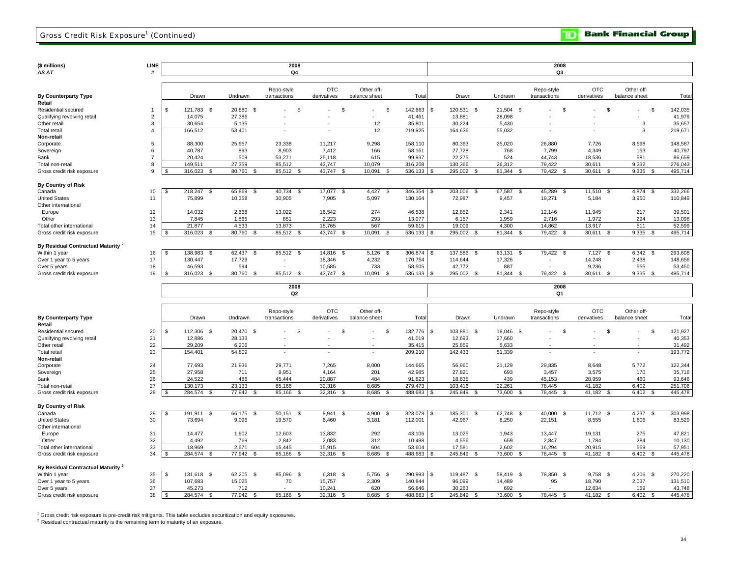| (\$ millions)<br>AS AT                        | <b>LINE</b>            |      |                          |                    | 2008<br>Q4     |                    |               |                 |      |                     |                         | 2008<br>Q3     |                |                |         |
|-----------------------------------------------|------------------------|------|--------------------------|--------------------|----------------|--------------------|---------------|-----------------|------|---------------------|-------------------------|----------------|----------------|----------------|---------|
|                                               |                        |      |                          |                    |                |                    |               |                 |      |                     |                         |                |                |                |         |
|                                               |                        |      |                          |                    | Repo-style     | <b>OTC</b>         | Other off-    |                 |      |                     |                         | Repo-style     | <b>OTC</b>     | Other off-     |         |
| <b>By Counterparty Type</b>                   |                        |      | Drawn                    | Undrawn            | transactions   | derivatives        | balance sheet | Total           |      | Drawn               | Undrawn                 | transactions   | derivatives    | balance sheet  | Tota    |
| Retail                                        |                        |      |                          |                    |                |                    |               |                 |      |                     |                         |                |                |                |         |
| Residential secured                           | $\overline{1}$         | -S   | 121,783 \$               | 20,880 \$          | <b>S</b>       | -S                 |               | - \$<br>142,663 |      | \$<br>120,531 \$    | $21,504$ \$             | \$.            | S.             | -S             | 142,035 |
| Qualifying revolving retail                   | $\overline{2}$         |      | 14,075                   | 27,386             |                |                    |               | 41,461          |      | 13,881              | 28,098                  |                |                | $\sim$         | 41,979  |
| Other retail                                  | 3                      |      | 30,654                   | 5,135              |                |                    | 12            | 35,801          |      | 30,224              | 5,430                   |                |                | 3              | 35,657  |
| <b>Total retail</b>                           | $\boldsymbol{\Lambda}$ |      | 166.512                  | 53.401             |                |                    | 12            | 219.925         |      | 164,636             | 55.032                  |                |                | $\mathbf{3}$   | 219,671 |
| Non-retail                                    |                        |      |                          |                    |                |                    |               |                 |      |                     |                         |                |                |                |         |
| Corporate                                     | 5                      |      | 88,300                   | 25,957             | 23,338         | 11,217             | 9,298         | 158,110         |      | 80,363              | 25,020                  | 26,880         | 7,726          | 8,598          | 148,587 |
| Sovereign                                     | 6                      |      | 40,787                   | 893                | 8,903          | 7,412              | 166           | 58,161          |      | 27,728              | 768                     | 7,799          | 4,349          | 153            | 40,797  |
| Bank                                          | $\overline{7}$         |      | 20,424                   | 509                | 53,271         | 25,118             | 615           | 99,937          |      | 22,275              | 524                     | 44,743         | 18,536         | 581            | 86,659  |
| Total non-retail                              | 8                      |      | 149.511                  | 27.359             | 85.512         | 43,747             | 10.079        | 316.208         |      | 130.366             | 26.312                  | 79.422         | 30.611         | 9,332          | 276,043 |
| Gross credit risk exposure                    | 9                      |      | 316.023<br>- \$          | 80.760<br>- S      | 85,512 \$      | 43.747<br>- \$     | 10.091        | 536.133<br>- \$ | - \$ | 295.002<br>- \$     | 81.344 \$               | 79.422 \$      | 30.611<br>- \$ | 9.335<br>-S    | 495.714 |
| <b>By Country of Risk</b>                     |                        |      |                          |                    |                |                    |               |                 |      |                     |                         |                |                |                |         |
| Canada                                        | 10                     |      | 218,247<br>-S            | 65,869<br>-S       | 40,734<br>-S   | 17,077<br><b>S</b> | 4,427         | 346,354<br>- \$ |      | 203,006<br>s.<br>\$ | 67,587<br>-S            | 45,289<br>S.   | 11,510<br>-S   | 4,874<br>-S    | 332,266 |
| <b>United States</b>                          | 11                     |      | 75,899                   | 10,358             | 30,905         | 7,905              | 5,097         | 130,164         |      | 72,987              | 9,457                   | 19,271         | 5,184          | 3,950          | 110,849 |
| Other international                           |                        |      |                          |                    |                |                    |               |                 |      |                     |                         |                |                |                |         |
| Europe                                        | 12                     |      | 14,032                   | 2,668              | 13,022         | 16,542             | 274           | 46,538          |      | 12,852              | 2,341                   | 12,146         | 11,945         | 217            | 39,501  |
| Other                                         | 13                     |      | 7.845                    | 1,865              | 851            | 2.223              | 293           | 13.077          |      | 6,157               | 1.959                   | 2.716          | 1.972          | 294            | 13,098  |
| Total other international                     | 14                     |      | 21,877                   | 4,533              | 13,873         | 18,765             | 567           | 59,615          |      | 19,009              | 4,300                   | 14,862         | 13,917         | 511            | 52,599  |
| Gross credit risk exposure                    | 15                     |      | 316,023                  | 80,760<br><b>R</b> | 85,512 \$      | 43,747<br>- \$     | 10,091        | 536,133<br>- \$ |      | 295,002<br>-9       | 81,344<br>$\mathcal{S}$ | 79,422         | 30,611<br>£.   | 9,335          | 495,714 |
|                                               |                        |      |                          |                    |                |                    |               |                 |      |                     |                         |                |                |                |         |
| By Residual Contractual Maturity <sup>2</sup> |                        |      |                          |                    |                |                    |               |                 |      |                     |                         |                |                |                |         |
| Within 1 year                                 | 16                     | - \$ | 138,983<br>- \$          | 62,437<br>-S       | 85,512 \$      | 14,816 \$          | 5,126         | 306,874<br>- \$ | \$   | 137,586<br>- \$     | 63,131<br>- \$          | 79,422<br>- \$ | 7,127<br>\$    | 6,342<br>- \$  | 293,608 |
| Over 1 year to 5 years                        | 17                     |      | 130,447<br>46.593        | 17,729             |                | 18,346             | 4,232         | 170,754         |      | 114,644             | 17,326                  | $\sim$         | 14,248         | 2,438          | 148,656 |
| Over 5 years                                  | 18                     |      |                          | 594                | $\sim$         | 10,585             | 733           | 58,505          |      | 42,772              | 887                     | $\sim$         | 9,236          | 555            | 53,450  |
| Gross credit risk exposure                    | 19                     |      | 316.023<br>- \$          | 80,760<br>- \$     | 85.512 \$      | 43,747<br>- \$     | 10,091        | 536,133<br>- \$ | \$.  | 295,002 \$          | 81,344 \$               | 79.422 \$      | 30,611<br>-S   | 9,335<br>- \$  | 495,714 |
|                                               |                        |      |                          |                    | 2008           |                    |               |                 |      |                     |                         | 2008           |                |                |         |
|                                               |                        |      |                          |                    | Q2             |                    |               |                 |      |                     |                         | Q1             |                |                |         |
|                                               |                        |      |                          |                    |                |                    |               |                 |      |                     |                         |                |                |                |         |
|                                               |                        |      |                          |                    | Repo-style     | <b>OTC</b>         | Other off-    |                 |      |                     |                         | Repo-style     | <b>OTC</b>     | Other off-     |         |
| <b>By Counterparty Type</b>                   |                        |      | Drawn                    | Undrawn            | transactions   | derivatives        | balance sheet | Total           |      | Drawn               | Undrawn                 | transactions   | derivatives    | balance sheet  | Tota    |
| Retail                                        |                        |      |                          |                    |                |                    |               |                 |      |                     |                         |                |                |                |         |
| Residential secured                           | 20                     | -S   | 112.306 \$               | 20,470 \$          | -S             | \$                 |               | 132.776<br>Ŝ.   |      | \$<br>103,881 \$    | 18.046 \$               | S              | S.             | - \$<br>$\sim$ | 121,927 |
| Qualifying revolving retail                   | 21                     |      | 12,886                   | 28,133             |                |                    |               | 41,019          |      | 12,693              | 27,660                  |                |                |                | 40,353  |
| Other retail                                  | 22                     |      | 29,209                   | 6,206              | $\overline{a}$ | $\sim$             |               | 35,415          |      | 25,859              | 5,633                   |                |                |                | 31,492  |
| <b>Total retail</b>                           | 23                     |      | 154,401                  | 54.809             |                |                    |               | 209,210         |      | 142,433             | 51.339                  |                |                |                | 193,772 |
| Non-retail                                    |                        |      |                          |                    |                |                    |               |                 |      |                     |                         |                |                |                |         |
| Corporate                                     | 24                     |      | 77,693                   | 21,936             | 29,771         | 7,265              | 8,000         | 144,665         |      | 56,960              | 21,129                  | 29,835         | 8,648          | 5,772          | 122,344 |
| Sovereign                                     | 25                     |      | 27,958                   | 711                | 9,951          | 4,164              | 201           | 42,985          |      | 27,821              | 693                     | 3,457          | 3,575          | 170            | 35,716  |
| Bank                                          | 26                     |      | 24,522                   | 486                | 45.444         | 20,887             | 484           | 91,823          |      | 18,635              | 439                     | 45,153         | 28,959         | 460            | 93,646  |
| Total non-retail                              | 27                     |      | 130.173                  | 23,133             | 85,166         | 32,316             | 8,685         | 279.473         |      | 103,416             | 22,261                  | 78.445         | 41.182         | 6.402          | 251,706 |
| Gross credit risk exposure                    | 28                     |      | 284,574<br>$\mathcal{S}$ | 77,942<br>- \$     | 85,166<br>- \$ | 32,316<br>- \$     | 8,685         | 488,683<br>- \$ | \$.  | 245,849<br>- \$     | 73,600<br>S.            | 78,445<br>- SS | 41,182<br>- \$ | 6,402<br>-96   | 445,478 |
| <b>By Country of Risk</b>                     |                        |      |                          |                    |                |                    |               |                 |      |                     |                         |                |                |                |         |

29 191,911 \$ 66,175 \$ 50,151 \$ 9,941 \$ 4,900 \$ 323,078 \$ 185,301 \$ 62,748 \$ 40,000 \$ 11,712 \$ 4,237 \$ 303,998 \$ 30 73,694 9,096 19,570 6,460 3,181 112,001 42,967 8,250 22,151 8,555 1,606 83,529 31 14,477 1,902 12,603 13,832 292 43,106 13,025 1,943 13,447 19,131 275 47,821 32 4,492 769 2,842 2,083 312 10,498 4,556 659 2,847 1,784 284 10,130 33 18,969 2,671 15,445 15,915 604 53,604 17,581 2,602 16,294 20,915 559 57,951 Gross credit risk exposure 34 | \$ 284,574 \$ 77,942 \$ 85,166 \$ 32,316 \$ 8,685 \$ 488,683 | \$ 245,849 \$ 73,600 \$ 78,445 \$ 41,182 \$ 6,402 \$ 445,478 35 131,618 \$ 62,205 \$ 85,096 \$ 6,318 \$ 5,756 \$ 290,993 \$ 119,487 \$ 58,419 \$ 78,350 \$ 9,758 \$ 4,206 \$ 270,220 \$ Over 1 year to 5 years 36 | 107,683 15,025 70 15,757 2,309 140,844 | 96,099 14,489 95 18,790 2,037 131,510 Over 5 years 37 | 45,273 712 - 10,241 620 56,846 | 30,263 692 - 12,634 159 43,748 Total other international Canada United States Within 1 year<br>Over 1 year to 5 years Gross credit risk exposure Other international Other **By Residual Contractual Maturity <sup>2</sup>** Europe

38 284,574 \$ 77,942 \$ 85,166 \$ 32,316 \$ 8,685 \$ 488,683 \$ 245,849 \$ 73,600 \$ 78,445 \$ 41,182 \$ 6,402 \$ 445,478 \$

<sup>1</sup> Gross credit risk exposure is pre-credit risk mitigants. This table excludes securitization and equity exposures.

 $2$  Residual contractual maturity is the remaining term to maturity of an exposure.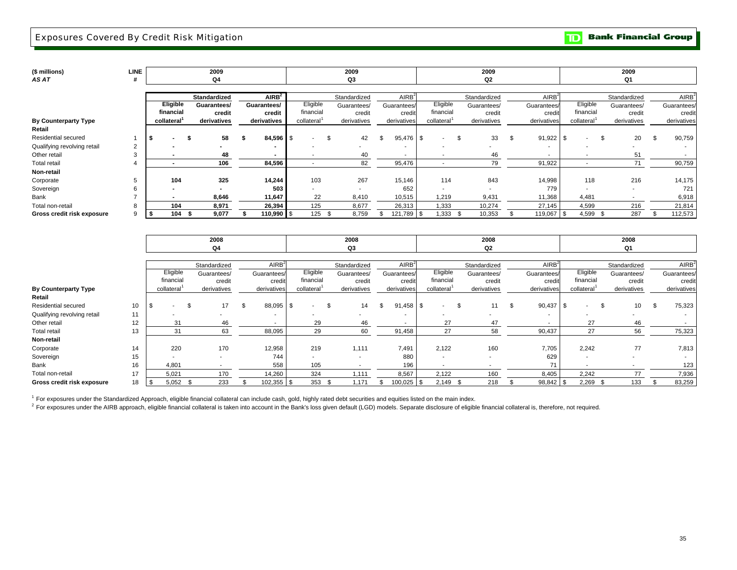**Bank Financial Group**  $\mathbf{D}$ 

| AS AT                                         |                 |      | 2009<br>Q <sub>4</sub> |                   |            |      | 2009<br>Q3               |                   |                          | 2009<br>Q2   |                   |            |                          |      | 2009<br>Q1               |                   |
|-----------------------------------------------|-----------------|------|------------------------|-------------------|------------|------|--------------------------|-------------------|--------------------------|--------------|-------------------|------------|--------------------------|------|--------------------------|-------------------|
|                                               |                 |      |                        |                   |            |      |                          |                   |                          |              |                   |            |                          |      |                          |                   |
|                                               |                 |      | Standardized           | AIRB <sup>2</sup> |            |      | Standardized             | AlRB <sup>2</sup> |                          | Standardized | AlRB <sup>2</sup> |            |                          |      | Standardized             | AIRB <sup>2</sup> |
|                                               | <b>Eligible</b> |      | Guarantees/            | Guarantees/       | Eligible   |      | Guarantees/              | Guarantees/       | Eligible                 | Guarantees/  | Guarantees/       |            | Eligible                 |      | Guarantees/              | Guarantees/       |
|                                               | financial       |      | credit                 | credit            | financial  |      | credit                   | credit            | financial                | credit       | credit            |            | financial                |      | credit                   | credit            |
| <b>By Counterparty Type</b>                   | collateral      |      | derivatives            | derivatives       | collateral |      | derivatives              | derivatives       | collateral <sup>1</sup>  | derivatives  | derivatives       |            | collateral               |      | derivatives              | derivatives       |
| Retail                                        |                 |      |                        |                   |            |      |                          |                   |                          |              |                   |            |                          |      |                          |                   |
| Residential secured<br>בו                     |                 |      | 58                     | $84,596$ \ \$     | $\sim$     | \$   | 42                       | \$<br>95,476 \$   | $\sim$                   | 33           | 91,922            | $\sqrt{3}$ |                          | \$   | 20                       | 90,759            |
| Qualifying revolving retail<br>$\overline{2}$ |                 |      | $\blacksquare$         |                   |            |      |                          |                   |                          |              |                   |            |                          |      |                          |                   |
| Other retail<br>3                             |                 |      | 48                     | $\sim$            |            |      | 40                       |                   | $\overline{\phantom{a}}$ | 46           | $\sim$            |            | $\overline{\phantom{a}}$ |      | 51                       |                   |
| <b>Total retail</b><br>4                      |                 |      | 106                    | 84,596            |            |      | 82                       | 95,476            | $\overline{\phantom{a}}$ | 79           | 91,922            |            | $\overline{\phantom{a}}$ |      | 71                       | 90,759            |
| Non-retail                                    |                 |      |                        |                   |            |      |                          |                   |                          |              |                   |            |                          |      |                          |                   |
| Corporate<br>5                                | 104             |      | 325                    | 14,244            | 103        |      | 267                      | 15,146            | 114                      | 843          | 14,998            |            | 118                      |      | 216                      | 14,175            |
| Sovereign                                     |                 |      | $\blacksquare$         | 503               |            |      | $\overline{\phantom{a}}$ | 652               | $\sim$                   | $\sim$       | 779               |            | $\overline{\phantom{a}}$ |      | $\overline{\phantom{a}}$ | 721               |
| Bank                                          | $\sim$          |      | 8,646                  | 11,647            | 22         |      | 8,410                    | 10,515            | 1,219                    | 9,431        | 11,368            |            | 4,481                    |      | $\overline{\phantom{a}}$ | 6,918             |
| Total non-retail<br>8                         | 104             |      | 8,971                  | 26,394            | 125        |      | 8,677                    | 26,313            | 1,333                    | 10,274       | 27,145            |            | 4,599                    |      | 216                      | 21,814            |
| Gross credit risk exposure<br>9<br>ıъ         | 104             | - 55 | 9,077                  | 110,990 \$        | 125        | - \$ | 8,759                    | 121,789 \$        | 1,333                    | 10,353       | 119,067           |            | 4,599                    | - \$ | 287                      | 112,573           |

|                             |    |    |            | 2008                     |                          |      |                          |      | 2008                     |                          |      |                          |      | 2008                     |                   |            | 2008         |                   |
|-----------------------------|----|----|------------|--------------------------|--------------------------|------|--------------------------|------|--------------------------|--------------------------|------|--------------------------|------|--------------------------|-------------------|------------|--------------|-------------------|
|                             |    |    |            | Q4                       |                          |      |                          |      | Q3                       |                          |      |                          |      | Q <sub>2</sub>           |                   |            | Q1           |                   |
|                             |    |    |            |                          |                          |      |                          |      |                          |                          |      |                          |      |                          |                   |            |              |                   |
|                             |    |    |            | Standardized             | AIRB <sup>2</sup>        |      |                          |      | Standardized             | AIRB <sup>2</sup>        |      |                          |      | Standardized             | AIRB <sup>2</sup> |            | Standardized | AIRB <sup>2</sup> |
|                             |    |    | Eligible   | Guarantees/              | Guarantees/              |      | Eligible                 |      | Guarantees/              | Guarantees/              |      | Eligible                 |      | Guarantees/              | Guarantees/       | Eligible   | Guarantees/  | Guarantees/       |
|                             |    |    | financial  | credit                   | credit                   |      | financial                |      | credit                   | credit                   |      | financial                |      | credit                   | credit            | financial  | credit       | credit            |
| <b>By Counterparty Type</b> |    |    | collateral | derivatives              | derivatives              |      | collateral               |      | derivatives              | derivatives              |      | collateral               |      | derivatives              | derivatives       | collateral | derivatives  | derivatives       |
| Retail                      |    |    |            |                          |                          |      |                          |      |                          |                          |      |                          |      |                          |                   |            |              |                   |
| Residential secured         | 10 | \$ |            | 17                       | 88,095                   | l \$ | $\overline{\phantom{a}}$ | \$   | 14                       | 91,458                   | l \$ | $\overline{\phantom{a}}$ |      | 11                       | \$<br>90,437      | ۰.         | 10           | 75,323            |
| Qualifying revolving retail | 11 |    |            |                          | $\overline{\phantom{a}}$ |      |                          |      | . .                      | $\overline{\phantom{a}}$ |      | $\overline{\phantom{a}}$ |      |                          |                   |            |              |                   |
| Other retail                | 12 |    | 31         | 46                       | ۰.                       |      | 29                       |      | 46                       |                          |      | 27                       |      | 47                       |                   | 27         | 46           |                   |
| Total retail                | 13 |    | 31         | 63                       | 88,095                   |      | 29                       |      | 60                       | 91,458                   |      | 27                       |      | 58                       | 90,437            | 27         | 56           | 75,323            |
| Non-retail                  |    |    |            |                          |                          |      |                          |      |                          |                          |      |                          |      |                          |                   |            |              |                   |
| Corporate                   | 14 |    | 220        | 170                      | 12,958                   |      | 219                      |      | 1,111                    | 7,491                    |      | 2,122                    |      | 160                      | 7,705             | 2,242      | 77           | 7,813             |
| Sovereign                   | 15 |    |            | $\overline{\phantom{a}}$ | 744                      |      | ۰.                       |      | $\overline{\phantom{a}}$ | 880                      |      | $\blacksquare$           |      | $\overline{\phantom{a}}$ | 629               | . .        | . .          |                   |
| Bank                        | 16 |    | 4,801      |                          | 558                      |      | 105                      |      |                          | 196                      |      | $\overline{\phantom{a}}$ |      |                          | 71                |            |              | 123               |
| Total non-retail            | 17 |    | 5,021      | 170                      | 14,260                   |      | 324                      |      | 1,111                    | 8,567                    |      | 2,122                    |      | 160                      | 8,405             | 2,242      | 77           | 7,936             |
| Gross credit risk exposure  | 18 | S. | 5,052      | 233                      | 102,355 \$               |      | 353                      | - 56 | 1.171                    | 100,025                  |      | 2,149                    | - 96 | 218                      | 98,842            | 2,269      | 133          | 83,259            |

<sup>1</sup> For exposures under the Standardized Approach, eligible financial collateral can include cash, gold, highly rated debt securities and equities listed on the main index.

<sup>2</sup> For exposures under the AIRB approach, eligible financial collateral is taken into account in the Bank's loss given default (LGD) models. Separate disclosure of eligible financial collateral is, therefore, not required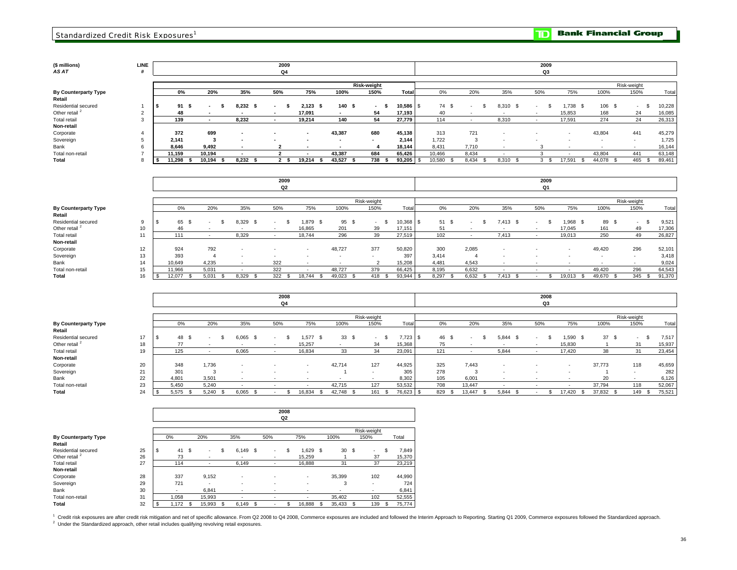## **(\$ millions) LINE** *AS AT* **#**

**Total Retail**  Residential secured Total non-retail Other retail<sup>2</sup> **By Counterparty Type** Total retail **Non-retail** Sovereign Bank Corporate

| .INE<br>#      |                |      |                                 |                                    |     | 2009<br>Q4     |                                    |                          |      |                            |                         |                |     |                                            |                      |      |        | 2009<br>Q3 |                          |                                 |             |                      |        |                  |
|----------------|----------------|------|---------------------------------|------------------------------------|-----|----------------|------------------------------------|--------------------------|------|----------------------------|-------------------------|----------------|-----|--------------------------------------------|----------------------|------|--------|------------|--------------------------|---------------------------------|-------------|----------------------|--------|------------------|
|                | 0%             |      | 20%                             | 35%                                |     | 50%            | 75%                                | 100%                     |      | <b>Risk-weight</b><br>150% | Total                   | 0%             |     | 20%                                        | 35%                  |      | 50%    |            | 75%                      | 100%                            | Risk-weight | 150%                 |        | Total            |
| 2              | 91<br>48       | - \$ | . .<br>$\overline{\phantom{a}}$ | 8,232<br>$\overline{\phantom{a}}$  | - 5 | $\sim$<br>- 55 | 2,123<br>17.091                    | - \$<br>$\sim$           | 140S | - 5<br>54                  | $10,586$ \ \$<br>17.193 | 74 \$<br>40    |     | $\overline{a}$<br>$\overline{\phantom{a}}$ | 8,310<br>$\sim$      | - \$ | $\sim$ |            | $1.738$ \$<br>15.853     | 106<br>168                      | - \$        | - \$<br>$\sim$<br>24 |        | 10,228<br>16,085 |
| 3              | 139            |      |                                 | 8,232                              |     |                | 19,214                             | 140                      |      | 54                         | 27,779                  | 114            |     |                                            | 8,310                |      |        |            | 17,591                   | 274                             |             | 24                   | 26,313 |                  |
| $\overline{4}$ | 372            |      | 699                             | $\overline{\phantom{a}}$           |     |                | $\sim$                             | 43,387                   |      | 680                        | 45,138                  | 313            |     | 721                                        |                      |      |        |            |                          | 43,804                          |             | 441                  | 45,279 |                  |
| 5<br>6         | 2,141<br>8.646 |      | 3<br>9,492                      | $\overline{\phantom{a}}$<br>$\sim$ |     |                | $\overline{\phantom{a}}$<br>$\sim$ | $\overline{\phantom{a}}$ |      |                            | 2,144<br>18,144         | 1,722<br>8,431 |     | 3<br>7,710                                 | <b>COL</b><br>$\sim$ |      |        |            | $\overline{\phantom{a}}$ | . .<br>$\overline{\phantom{a}}$ |             | a.                   | 16,144 | 1,725            |
| $\rightarrow$  | 11,159         |      | 10,194                          | $\overline{\phantom{a}}$           |     |                | $\sim$                             | 43,387                   |      | 684                        | 65,426                  | 10,466         |     | 8,434                                      |                      |      |        |            |                          | 43,804                          |             | 441                  | 63,148 |                  |
| 8              | 11,298         |      | 10,194                          | 8,232                              |     |                | 19,214                             | 43,527<br>- 55           |      | 738                        | $93,205$ \$             | 10,580         | . ድ | 8,434                                      | 8,310                |      |        | - 26       | 17,591                   | 44,078                          |             | 465                  | 89,461 |                  |

|                             |                 |   |        |       |               | 2009<br>Q2 |                          |            |             |           |            |                          |               | 2009<br>Q <sub>1</sub> |                          |        |             |        |
|-----------------------------|-----------------|---|--------|-------|---------------|------------|--------------------------|------------|-------------|-----------|------------|--------------------------|---------------|------------------------|--------------------------|--------|-------------|--------|
|                             |                 |   |        |       |               |            |                          |            |             |           |            |                          |               |                        |                          |        |             |        |
|                             |                 |   |        |       |               |            |                          |            | Risk-weight |           |            |                          |               |                        |                          |        | Risk-weight |        |
| <b>By Counterparty Type</b> |                 |   | 0%     | 20%   | 35%           | 50%        | 75%                      | 100%       | 150%        | Tota      | 0%         | 20%                      | 35%           | 50%                    | 75%                      | 100%   | 150%        | Total  |
| Retail                      |                 |   |        |       |               |            |                          |            |             |           |            |                          |               |                        |                          |        |             |        |
| Residential secured         | 9               |   | 65     |       | 8.329<br>- \$ |            | .879<br>- \$             | 95<br>- \$ |             | 10,368 \$ | 51<br>- 56 | $\overline{\phantom{a}}$ | 7.413<br>- \$ |                        | 1,968                    | 89 \$  | . .         | 9,521  |
| Other retail <sup>2</sup>   |                 |   | 46     |       |               |            | 16,865                   | 201        | 39          | 17,151    | 51         |                          | . .           |                        | 17,045                   | 161    | 49          | 17,306 |
| Total retail                | 11              |   | 111    |       | 8,329         |            | 18,744                   | 296        | 39          | 27,519    | 102        |                          | 7.413         |                        | 19,013                   | 250    | 49          | 26,827 |
| Non-retail                  |                 |   |        |       |               |            |                          |            |             |           |            |                          |               |                        |                          |        |             |        |
| Corporate                   | 12 <sup>2</sup> |   | 924    | 792   |               |            | $\overline{\phantom{a}}$ | 48,727     | 377         | 50,820    | 300        | 2,085                    |               |                        |                          | 49,420 | 296         | 52,101 |
| Sovereign                   | 13              |   | 393    |       | <b>.</b>      |            |                          | . .        |             | 397       | 3,414      | 4                        |               |                        | $\overline{\phantom{a}}$ | . .    | . .         | 3,418  |
| Bank                        | 14              |   | 10,649 | 4,235 |               | 322        |                          | $\sim$     |             | 15,208    | 4,481      | 4,543                    | . .           |                        |                          | $\sim$ |             | 9,024  |
| Total non-retail            |                 |   | 11.966 | 5.031 |               | 322        |                          | 48,727     | 379         | 66,425    | 8,195      | 6,632                    |               |                        |                          | 49.420 | 296         | 64,543 |
| Total                       | 16              | Œ | 12.077 | 5.031 | 8,329<br>- \$ | 322 \$     | 18,744                   | 49,023     | 418         | 93,944    | 8,297      | 6,632                    | 7.413         |                        | 19,013<br>- \$           | 49,670 | 345<br>ა    | 91,370 |

|                             |    |      |       |                          |          |                          | 2008 |                          |                          |             |    |            |       |      |        |      |              |     | 2008 |                          |           |             |      |        |
|-----------------------------|----|------|-------|--------------------------|----------|--------------------------|------|--------------------------|--------------------------|-------------|----|------------|-------|------|--------|------|--------------|-----|------|--------------------------|-----------|-------------|------|--------|
|                             |    |      |       |                          |          |                          | Q4   |                          |                          |             |    |            |       |      |        |      |              |     | Q3   |                          |           |             |      |        |
|                             |    |      |       |                          |          |                          |      |                          |                          |             |    |            |       |      |        |      |              |     |      |                          |           |             |      |        |
|                             |    |      |       |                          |          |                          |      |                          |                          | Risk-weight |    |            |       |      |        |      |              |     |      |                          |           | Risk-weight |      |        |
| <b>By Counterparty Type</b> |    |      | 0%    | 20%                      | 35%      | 50%                      |      | 75%                      | 100%                     | 150%        |    | Total      | 0%    |      | 20%    |      | 35%          | 50% |      | 75%                      | 100%      | 150%        |      | Total  |
| Retail                      |    |      |       |                          |          |                          |      |                          |                          |             |    |            |       |      |        |      |              |     |      |                          |           |             |      |        |
| Residential secured         | 17 | - 35 | 48    | $\overline{\phantom{a}}$ | 6,065    | $\sim$                   |      | 577 \$                   | 33S                      | <b>COL</b>  | -S | $7,723$ \$ | 46 \$ |      |        |      | 5,844<br>- S | - 1 |      | 1,590                    | 37S       | $\sim$      | - \$ | 7,517  |
| Other retail <sup>2</sup>   | 18 |      | 77    | . .                      | . .      | $\overline{\phantom{a}}$ |      | 15,257                   | $\overline{\phantom{a}}$ | 34          |    | 15,368     | 75    |      |        |      |              |     |      | 15,830                   |           | 31          |      | 15,937 |
| Total retail                | 19 |      | 125   |                          | 6,065    |                          |      | 16,834                   | 33                       | 34          |    | 23,091     | 121   |      |        |      | 5,844        |     |      | 17,420                   | 38        | 31          |      | 23,454 |
| Non-retail                  |    |      |       |                          |          |                          |      |                          |                          |             |    |            |       |      |        |      |              |     |      |                          |           |             |      |        |
| Corporate                   | 20 |      | 348   | 1,736                    | <b>.</b> |                          |      | $\overline{\phantom{a}}$ | 42,714                   | 127         |    | 44,925     | 325   |      | 7,443  |      |              | . . |      | $\overline{\phantom{a}}$ | 37,773    | 118         |      | 45,659 |
| Sovereign                   | 21 |      | 301   |                          | . .      | . .                      |      |                          |                          |             |    | 305        | 278   |      | 3      |      | <b>.</b>     | . . |      |                          |           |             |      | 282    |
| Bank                        | 22 |      | 4,801 | 3,501                    | . .      |                          |      | $\sim$                   |                          |             |    | 8,302      | 105   |      | 6,001  |      |              | . . |      | $\sim$                   | 20        |             |      | 6,126  |
| Total non-retail            | 23 |      | 5,450 | 5.240                    | . .      | . .                      |      | $\overline{\phantom{a}}$ | 42,715                   | 127         |    | 53,532     | 708   |      | 13,447 |      |              |     |      | $\sim$                   | 37,794    | 118         |      | 52,067 |
| Total                       | 24 |      | 5,575 | 5,240                    | 6,065    |                          |      | 16,834                   | 42,748 \$                | 161         |    | 76,623 \$  | 829   | - 25 | 13.447 | - \$ | 5,844        |     |      | 17.420                   | 37,832 \$ | 149S        |      | 75,521 |

|                                       |    |                |    |        |             |      |                          | 2008<br>Q2 |        |              |      |             |   |        |
|---------------------------------------|----|----------------|----|--------|-------------|------|--------------------------|------------|--------|--------------|------|-------------|---|--------|
|                                       |    |                |    |        |             |      |                          |            |        |              |      | Risk-weight |   |        |
| <b>By Counterparty Type</b><br>Retail |    | 0%             |    | 20%    | 35%         |      | 50%                      |            | 75%    | 100%         |      | 150%        |   | Total  |
| Residential secured                   | 25 | \$<br>41       | s. | ۰.     | \$<br>6,149 | - \$ | $\overline{\phantom{a}}$ | \$         | 1.629  | \$<br>30     | - \$ |             | S | 7,849  |
| Other retail <sup>2</sup>             | 26 | 73             |    |        | ۰           |      |                          |            | 15.259 |              |      | 37          |   | 15,370 |
| <b>Total retail</b>                   | 27 | 114            |    | ٠      | 6,149       |      | ٠                        |            | 16,888 | 31           |      | 37          |   | 23,219 |
| Non-retail                            |    |                |    |        |             |      |                          |            |        |              |      |             |   |        |
| Corporate                             | 28 | 337            |    | 9,152  | ۰           |      |                          |            | ۰      | 35,399       |      | 102         |   | 44,990 |
| Sovereign                             | 29 | 721            |    | ٠      | ۰           |      |                          |            | $\sim$ | 3            |      | ۰           |   | 724    |
| Bank                                  | 30 | $\overline{a}$ |    | 6.841  |             |      |                          |            | ۰      | ٠            |      | ۰           |   | 6,841  |
| Total non-retail                      | 31 | 1.058          |    | 15,993 | ٠           |      |                          |            | $\sim$ | 35.402       |      | 102         |   | 52,555 |
| Total                                 | 32 | \$<br>1,172    |    | 15,993 | 6.149       | - \$ | $\overline{a}$           |            | 16,888 | \$<br>35,433 | - \$ | 139         |   | 75,774 |

<sup>1</sup> Credit risk exposures are after credit risk mitigation and net of specific allowance. From Q2 2008 to Q4 2008, Commerce exposures are included and followed the Interim Approach to Reporting. Starting Q1 2009, Commerce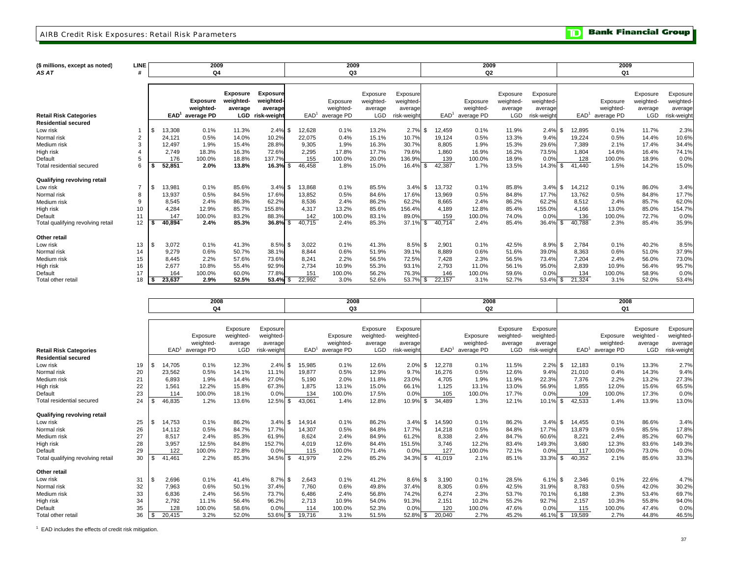#### AIRB Credit Risk Exposures: Retail Risk Parameters

**Bank Financial Group** וסד

| (\$ millions, except as noted)                              | <b>LINE</b>     |                  | 2009            |                 |                 |                  | 2009       |            |             |                  | 2009           |           |             |     |                  | 2009       |            |             |
|-------------------------------------------------------------|-----------------|------------------|-----------------|-----------------|-----------------|------------------|------------|------------|-------------|------------------|----------------|-----------|-------------|-----|------------------|------------|------------|-------------|
| <b>AS AT</b>                                                |                 |                  | Q4              |                 |                 |                  | Q3         |            |             |                  | Q <sub>2</sub> |           |             |     |                  | Q1         |            |             |
|                                                             |                 |                  |                 |                 |                 |                  |            |            |             |                  |                |           |             |     |                  |            |            |             |
|                                                             |                 |                  |                 | <b>Exposure</b> | <b>Exposure</b> |                  |            | Exposure   | Exposure    |                  |                | Exposure  | Exposure    |     |                  |            | Exposure   | Exposure    |
|                                                             |                 |                  | <b>Exposure</b> | weighted-       | weighted-       |                  | Exposure   | weighted-  | weighted-   |                  | Exposure       | weighted- | weighted-   |     |                  | Exposure   | weighted-  | weighted-   |
|                                                             |                 |                  | weighted-       | average         | average         |                  | weighted-  | average    | average     |                  | weighted-      | average   | average     |     |                  | weighted-  | average    | average     |
| <b>Retail Risk Categories</b><br><b>Residential secured</b> |                 | EAD <sup>1</sup> | average PD      | <b>LGD</b>      | risk-weight     | EAD <sup>1</sup> | average PD | <b>LGD</b> | risk-weight | EAD <sup>1</sup> | average PD     | LGD       | risk-weight |     | EAD <sup>1</sup> | average PD | <b>LGD</b> | risk-weight |
| Low risk                                                    |                 | 3,308            | 0.1%            | 11.3%           | $2.4\%$ \$      | 12,628           | 0.1%       | 13.2%      | 2.7%        | 12.459<br>-\$    | 0.1%           | 11.9%     | 2.4%        | \$  | 12,895           | 0.1%       | 11.7%      | 2.3%        |
| Normal risk                                                 | $\overline{2}$  | 24.121           | 0.5%            | 14.0%           | 10.2%           | 22,075           | 0.4%       | 15.1%      | 10.7%       | 19,124           | 0.5%           | 13.3%     | 9.4%        |     | 19,224           | 0.5%       | 14.4%      | 10.6%       |
| Medium risk                                                 | $\mathcal{R}$   | 12,497           | 1.9%            | 15.4%           | 28.8%           | 9,305            | 1.9%       | 16.3%      | 30.7%       | 8.805            | 1.9%           | 15.3%     | 29.6%       |     | 7,389            | 2.1%       | 17.4%      | 34.4%       |
| High risk                                                   |                 | 2.749            | 18.3%           | 16.3%           | 72.6%           | 2.295            | 17.8%      | 17.7%      | 79.6%       | 1.860            | 16.9%          | 16.2%     | 73.5%       |     | 1.804            | 14.6%      | 16.4%      | 74.1%       |
| Default                                                     |                 | 176              | 100.0%          | 18.8%           | 137.7%          | 155              | 100.0%     | 20.0%      | 136.9%      | 139              | 100.0%         | 18.9%     | 0.0%        |     | 128              | 100.0%     | 18.9%      | 0.0%        |
| Total residential secured                                   |                 | 52,851           | 2.0%            | 13.8%           | $16.3\%$ \$     | 46,458           | 1.8%       | 15.0%      | 16.4%       | 42,387<br>\$     | 1.7%           | 13.5%     | 14.3%       | \$. | 41.440           | 1.5%       | 14.2%      | 15.0%       |
| Qualifying revolving retail                                 |                 |                  |                 |                 |                 |                  |            |            |             |                  |                |           |             |     |                  |            |            |             |
| Low risk                                                    | $\overline{ }$  | 13,981           | 0.1%            | 85.6%           | $3.4\%$ \$      | 13,868           | 0.1%       | 85.5%      | 3.4%        | 13,732<br>-\$    | 0.1%           | 85.8%     | 3.4%        | \$  | 14,212           | 0.1%       | 86.0%      | 3.4%        |
| Normal risk                                                 |                 | 13,937           | 0.5%            | 84.5%           | 17.6%           | 13.852           | 0.5%       | 84.6%      | 17.6%       | 13.969           | 0.5%           | 84.8%     | 17.7%       |     | 13,762           | 0.5%       | 84.8%      | 17.7%       |
| Medium risk                                                 | 9               | 8,545            | 2.4%            | 86.3%           | 62.2%           | 8,536            | 2.4%       | 86.2%      | 62.2%       | 8,665            | 2.4%           | 86.2%     | 62.2%       |     | 8,512            | 2.4%       | 85.7%      | 62.0%       |
| High risk                                                   | 10 <sup>1</sup> | 4.284            | 12.9%           | 85.7%           | 155.8%          | 4.317            | 13.2%      | 85.6%      | 156.4%      | 4.189            | 12.8%          | 85.4%     | 155.0%      |     | 4,166            | 13.0%      | 85.0%      | 154.7%      |
| Default                                                     | 11              | 147              | 100.0%          | 83.2%           | 88.3%           | 142              | 100.0%     | 83.1%      | 89.0%       | 159              | 100.0%         | 74.0%     | 0.0%        |     | 136              | 100.0%     | 72.7%      | 0.0%        |
| Total qualifying revolving retail                           | 12              | 40.894           | 2.4%            | 85.3%           | $36.8\%$ \$     | 40.715           | 2.4%       | 85.3%      | 37.1%       | \$<br>40.714     | 2.4%           | 85.4%     | 36.4%       | \$  | 40.788           | 2.3%       | 85.4%      | 35.9%       |
| Other retail                                                |                 |                  |                 |                 |                 |                  |            |            |             |                  |                |           |             |     |                  |            |            |             |
| Low risk                                                    | 13              | 3,072            | 0.1%            | 41.3%           | 8.5% \$         | 3,022            | 0.1%       | 41.3%      | 8.5%        | \$<br>2,901      | 0.1%           | 42.5%     | $8.9\%$ \$  |     | 2,784            | 0.1%       | 40.2%      | 8.5%        |
| Normal risk                                                 | 14              | 9.279            | 0.6%            | 50.7%           | 38.1%           | 8.844            | 0.6%       | 51.9%      | 39.1%       | 8.889            | 0.6%           | 51.6%     | 39.0%       |     | 8.363            | 0.6%       | 51.0%      | 37.9%       |
| Medium risk                                                 | 15              | 8.445            | 2.2%            | 57.6%           | 73.6%           | 8.241            | 2.2%       | 56.5%      | 72.5%       | 7.428            | 2.3%           | 56.5%     | 73.4%       |     | 7.204            | 2.4%       | 56.0%      | 73.0%       |
| High risk                                                   | 16              | 2.677            | 10.8%           | 55.4%           | 92.9%           | 2.734            | 10.9%      | 55.3%      | 93.1%       | 2.793            | 11.0%          | 56.1%     | 95.0%       |     | 2,839            | 10.9%      | 56.4%      | 95.7%       |
| Default                                                     | 17              | 164              | 100.0%          | 60.0%           | 77.8%           | 151              | 100.0%     | 56.2%      | 76.3%       | 146              | 100.0%         | 59.6%     | 0.0%        |     | 134              | 100.0%     | 58.9%      | 0.0%        |
| Total other retail                                          | 18              | 23.637           | 2.9%            | 52.5%           | $53.4\%$ \$     | 22.992           | 3.0%       | 52.6%      | 53.7%       | 22,157<br>\$     | 3.1%           | 52.7%     | 53.4% \$    |     | 21.324           | 3.1%       | 52.0%      | 53.4%       |

|                                   |    |      |                  | 2008                  |                                  |                                  |                  | 2008                  |                                  |                                   |                                   | 2008                  |                                  |                                  |                  | 2008                  |                                   |                                  |
|-----------------------------------|----|------|------------------|-----------------------|----------------------------------|----------------------------------|------------------|-----------------------|----------------------------------|-----------------------------------|-----------------------------------|-----------------------|----------------------------------|----------------------------------|------------------|-----------------------|-----------------------------------|----------------------------------|
|                                   |    |      |                  | Q4                    |                                  |                                  |                  | Q3                    |                                  |                                   |                                   | Q <sub>2</sub>        |                                  |                                  |                  | Q1                    |                                   |                                  |
|                                   |    |      |                  |                       |                                  |                                  |                  |                       |                                  |                                   |                                   |                       |                                  |                                  |                  |                       |                                   |                                  |
|                                   |    |      |                  | Exposure<br>weighted- | Exposure<br>weighted-<br>average | Exposure<br>weighted-<br>average |                  | Exposure<br>weighted- | Exposure<br>weighted-<br>average | Exposure<br>weighted-<br>averagel |                                   | Exposure<br>weighted- | Exposure<br>weighted-<br>average | Exposure<br>weighted-<br>average |                  | Exposure<br>weighted- | Exposure<br>weighted -<br>average | Exposure<br>weighted-<br>average |
| <b>Retail Risk Categories</b>     |    |      | EAD <sup>1</sup> | average PD            | <b>LGD</b>                       | risk-weight                      | EAD <sup>1</sup> | average PD            | <b>LGD</b>                       | risk-weight                       |                                   | $EAD1$ average PD     | <b>LGD</b>                       | risk-weight                      | EAD <sup>1</sup> | average PD            | <b>LGD</b>                        | risk-weight                      |
| <b>Residential secured</b>        |    |      |                  |                       |                                  |                                  |                  |                       |                                  |                                   |                                   |                       |                                  |                                  |                  |                       |                                   |                                  |
| Low risk                          | 19 | - S  | 14.705           | 0.1%                  | 12.3%                            | $2.4\%$ \$                       | 15.985           | 0.1%                  | 12.6%                            | 2.0%                              | \$<br>12,278                      | 0.1%                  | 11.5%                            | 2.2%                             | \$<br>12.183     | 0.1%                  | 13.3%                             | 2.7%                             |
| Normal risk                       | 20 |      | 23,562           | 0.5%                  | 14.1%                            | 11.1%                            | 19,877           | 0.5%                  | 12.9%                            | 9.7%                              | 16,276                            | 0.5%                  | 12.6%                            | 9.4%                             | 21,010           | 0.4%                  | 14.3%                             | 9.4%                             |
| Medium risk                       | 21 |      | 6.893            | 1.9%                  | 14.4%                            | 27.0%                            | 5,190            | 2.0%                  | 11.8%                            | 23.0%                             | 4,705                             | 1.9%                  | 11.9%                            | 22.3%                            | 7,376            | 2.2%                  | 13.2%                             | 27.3%                            |
| High risk                         | 22 |      | 1,561            | 12.2%                 | 15.8%                            | 67.3%                            | 1,875            | 13.1%                 | 15.0%                            | 66.1%                             | 1,125                             | 13.1%                 | 13.0%                            | 56.9%                            | 1,855            | 12.0%                 | 15.6%                             | 65.5%                            |
| Default                           | 23 |      | 114              | 100.0%                | 18.1%                            | 0.0%                             | 134              | 100.0%                | 17.5%                            | 0.0%                              | 105                               | 100.0%                | 17.7%                            | 0.0%                             | 109              | 100.0%                | 17.3%                             | 0.0%                             |
| Total residential secured         | 24 |      | 46,835           | 1.2%                  | 13.6%                            | 12.5% \$                         | 43.061           | 1.4%                  | 12.8%                            | 10.9%                             | \$<br>34.489                      | 1.3%                  | 12.1%                            | 10.1%                            | \$<br>42,533     | 1.4%                  | 13.9%                             | 13.0%                            |
| Qualifying revolving retail       |    |      |                  |                       |                                  |                                  |                  |                       |                                  |                                   |                                   |                       |                                  |                                  |                  |                       |                                   |                                  |
| Low risk                          | 25 |      | 14.753           | 0.1%                  | 86.2%                            | $3.4\%$ \$                       | 14.914           | 0.1%                  | 86.2%                            | 3.4%                              | $\mathbf{\mathfrak{L}}$<br>14.590 | 0.1%                  | 86.2%                            | 3.4%                             | \$<br>14,455     | 0.1%                  | 86.6%                             | 3.4%                             |
| Normal risk                       | 26 |      | 14,112           | 0.5%                  | 84.7%                            | 17.7%                            | 14,307           | 0.5%                  | 84.8%                            | 17.7%                             | 14,218                            | 0.5%                  | 84.8%                            | 17.7%                            | 13,879           | 0.5%                  | 85.5%                             | 17.8%                            |
| Medium risk                       | 27 |      | 8,517            | 2.4%                  | 85.3%                            | 61.9%                            | 8,624            | 2.4%                  | 84.9%                            | 61.2%                             | 8,338                             | 2.4%                  | 84.7%                            | 60.6%                            | 8,221            | 2.4%                  | 85.2%                             | 60.7%                            |
| High risk                         | 28 |      | 3,957            | 12.5%                 | 84.8%                            | 152.7%                           | 4,019            | 12.6%                 | 84.4%                            | 151.5%                            | 3.746                             | 12.2%                 | 83.4%                            | 149.3%                           | 3,680            | 12.3%                 | 83.6%                             | 149.3%                           |
| Default                           | 29 |      | 122              | 100.0%                | 72.8%                            | 0.0%                             | 115              | 100.0%                | 71.4%                            | 0.0%                              | 127                               | 100.0%                | 72.1%                            | 0.0%                             | 117              | 100.0%                | 73.0%                             | 0.0%                             |
| Total qualifying revolving retail | 30 | - \$ | 41.461           | 2.2%                  | 85.3%                            | 34.5% \$                         | 41,979           | 2.2%                  | 85.2%                            | 34.3%                             | 41,019<br>\$                      | 2.1%                  | 85.1%                            | 33.3%                            | \$<br>40,352     | 2.1%                  | 85.6%                             | 33.3%                            |
| Other retail                      |    |      |                  |                       |                                  |                                  |                  |                       |                                  |                                   |                                   |                       |                                  |                                  |                  |                       |                                   |                                  |
| Low risk                          | 31 | - \$ | 2,696            | 0.1%                  | 41.4%                            | $8.7\%$ \$                       | 2,643            | 0.1%                  | 41.2%                            | 8.6%                              | 3,190<br>\$                       | 0.1%                  | 28.5%                            | $6.1\%$ \$                       | 2,346            | 0.1%                  | 22.6%                             | 4.7%                             |
| Normal risk                       | 32 |      | 7,963            | 0.6%                  | 50.1%                            | 37.4%                            | 7.760            | 0.6%                  | 49.8%                            | 37.4%                             | 8,305                             | 0.6%                  | 42.5%                            | 31.9%                            | 8.783            | 0.5%                  | 42.0%                             | 30.2%                            |
| Medium risk                       | 33 |      | 6,836            | 2.4%                  | 56.5%                            | 73.7%                            | 6,486            | 2.4%                  | 56.8%                            | 74.2%                             | 6,274                             | 2.3%                  | 53.7%                            | 70.1%                            | 6.188            | 2.3%                  | 53.4%                             | 69.7%                            |
| High risk                         | 34 |      | 2.792            | 11.1%                 | 56.4%                            | 96.2%                            | 2,713            | 10.9%                 | 54.0%                            | 91.3%                             | 2,151                             | 10.2%                 | 55.2%                            | 92.7%                            | 2,157            | 10.3%                 | 55.8%                             | 94.0%                            |
| Default                           | 35 |      | 128              | 100.0%                | 58.6%                            | 0.0%                             | 114              | 100.0%                | 52.3%                            | 0.0%                              | 120                               | 100.0%                | 47.6%                            | 0.0%                             | 115              | 100.0%                | 47.4%                             | 0.0%                             |
| Total other retai                 | 36 |      | 20,415           | 3.2%                  | 52.0%                            | 53.6% \$                         | 19,716           | 3.1%                  | 51.5%                            | 52.8%                             | 20,040<br>\$                      | 2.7%                  | 45.2%                            | 46.1%                            | 19,589<br>\$     | 2.7%                  | 44.8%                             | 46.5%                            |

1 EAD includes the effects of credit risk mitigation.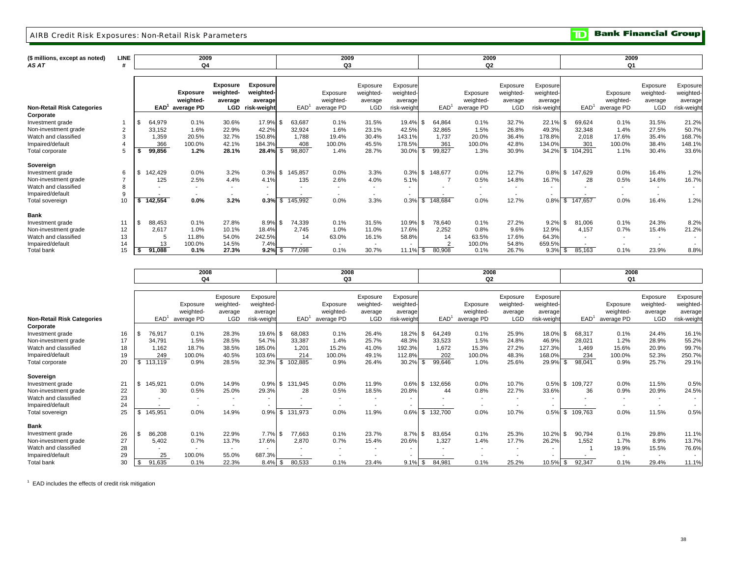#### AIRB Credit Risk Exposures: Non-Retail Risk Parameters

**TD** Bank Financial Group

| (\$ millions, except as noted)<br>AS AT | LINE |                  | 2009<br>Q4                   |                                         |                                         |      |                  | 2009<br>Q3               |                                  |                                 |     |                  | 2009<br>Q2               |                                  |                                  |     |                  | 2009<br>Q1               |                                  |                                  |
|-----------------------------------------|------|------------------|------------------------------|-----------------------------------------|-----------------------------------------|------|------------------|--------------------------|----------------------------------|---------------------------------|-----|------------------|--------------------------|----------------------------------|----------------------------------|-----|------------------|--------------------------|----------------------------------|----------------------------------|
|                                         |      |                  |                              |                                         |                                         |      |                  |                          |                                  |                                 |     |                  |                          |                                  |                                  |     |                  |                          |                                  |                                  |
|                                         |      |                  | <b>Exposure</b><br>weighted- | <b>Exposure</b><br>weighted-<br>average | <b>Exposure</b><br>weighted-<br>average |      |                  | Exposure<br>weighted-    | Exposure<br>weighted-<br>average | Exposure<br>weighted<br>average |     |                  | Exposure<br>weighted-    | Exposure<br>weighted-<br>average | Exposure<br>weighted-<br>average |     |                  | Exposure<br>weighted-    | Exposure<br>weighted-<br>average | Exposure<br>weighted-<br>average |
| <b>Non-Retail Risk Categories</b>       |      | EAD <sup>1</sup> | average PD                   | LGD                                     | risk-weight                             |      | EAD <sup>1</sup> | average PD               | <b>LGD</b>                       | risk-weiaht                     |     | EAD <sup>1</sup> | average PD               | LGD                              | risk-weight                      |     | EAD <sup>1</sup> | average PD               | <b>LGD</b>                       | risk-weight                      |
| Corporate                               |      |                  |                              |                                         |                                         |      |                  |                          |                                  |                                 |     |                  |                          |                                  |                                  |     |                  |                          |                                  |                                  |
| Investment grade                        |      | \$<br>64,979     | 0.1%                         | 30.6%                                   | 17.9%                                   |      | 63,687           | 0.1%                     | 31.5%                            | 19.4%                           |     | 64,864           | 0.1%                     | 32.7%                            | 22.1%                            |     | 69,624           | 0.1%                     | 31.5%                            | 21.2%                            |
| Non-investment grade                    | 2    | 33,152           | 1.6%                         | 22.9%                                   | 42.2%                                   |      | 32,924           | 1.6%                     | 23.1%                            | 42.5%                           |     | 32,865           | 1.5%                     | 26.8%                            | 49.3%                            |     | 32,348           | 1.4%                     | 27.5%                            | 50.7%                            |
| Watch and classified                    | 3    | 1,359            | 20.5%                        | 32.7%                                   | 150.8%                                  |      | 1,788            | 19.4%                    | 30.4%                            | 143.1%                          |     | 1.737            | 20.0%                    | 36.4%                            | 178.8%                           |     | 2,018            | 17.6%                    | 35.4%                            | 168.7%                           |
| Impaired/default                        |      | 366              | 100.0%                       | 42.1%                                   | 184.3%                                  |      | 408              | 100.0%                   | 45.5%                            | 178.5%                          |     | 361              | 100.0%                   | 42.8%                            | 134.0%                           |     | 301              | 100.0%                   | 38.4%                            | 148.1%                           |
| Total corporate                         |      | 99,856           | 1.2%                         | 28.1%                                   | 28.4%                                   | -\$  | 98,807           | 1.4%                     | 28.7%                            | 30.0%                           |     | 99,827           | 1.3%                     | 30.9%                            | 34.2%                            | \$  | 104,291          | 1.1%                     | 30.4%                            | 33.6%                            |
| Sovereign                               |      |                  |                              |                                         |                                         |      |                  |                          |                                  |                                 |     |                  |                          |                                  |                                  |     |                  |                          |                                  |                                  |
| Investment grade                        | 6    | 142,429          | 0.0%                         | 3.2%                                    | 0.3%                                    | \$.  | 145,857          | 0.0%                     | 3.3%                             | 0.3%                            | \$  | 148,677          | 0.0%                     | 12.7%                            | 0.8%                             | \$  | 147,629          | 0.0%                     | 16.4%                            | 1.2%                             |
| Non-investment grade                    |      | 125              | 2.5%                         | 4.4%                                    | 4.1%                                    |      | 135              | 2.6%                     | 4.0%                             | 5.1%                            |     |                  | 0.5%                     | 14.8%                            | 16.7%                            |     | 28               | 0.5%                     | 14.6%                            | 16.7%                            |
| Watch and classified                    | 8    |                  |                              | $\overline{\phantom{a}}$                |                                         |      |                  | $\overline{\phantom{a}}$ | $\overline{\phantom{a}}$         | $\sim$                          |     |                  | $\overline{\phantom{a}}$ | $\overline{\phantom{a}}$         |                                  |     |                  | $\sim$                   |                                  |                                  |
| Impaired/default                        | 9    |                  |                              |                                         |                                         |      |                  | $\overline{\phantom{a}}$ | $\overline{\phantom{a}}$         | $\sim$                          |     |                  | $\overline{\phantom{a}}$ | $\overline{\phantom{a}}$         |                                  |     |                  | $\overline{\phantom{0}}$ |                                  |                                  |
| Total sovereign                         | 10   | 142,554          | $0.0\%$                      | 3.2%                                    | 0.3%                                    | \$.  | 145,992          | 0.0%                     | 3.3%                             | 0.3%                            | \$. | 148,684          | 0.0%                     | 12.7%                            | $0.8\%$                          | \$. | 147,657          | 0.0%                     | 16.4%                            | 1.2%                             |
| <b>Bank</b>                             |      |                  |                              |                                         |                                         |      |                  |                          |                                  |                                 |     |                  |                          |                                  |                                  |     |                  |                          |                                  |                                  |
| Investment grade                        | 11   | \$<br>88,453     | 0.1%                         | 27.8%                                   | 8.9%                                    | \$   | 74,339           | 0.1%                     | 31.5%                            | 10.9% \$                        |     | 78,640           | 0.1%                     | 27.2%                            | 9.2%                             |     | 81,006           | 0.1%                     | 24.3%                            | 8.2%                             |
| Non-investment grade                    | 12   | 2,617            | 1.0%                         | 10.1%                                   | 18.4%                                   |      | 2,745            | 1.0%                     | 11.0%                            | 17.6%                           |     | 2,252            | 0.8%                     | 9.6%                             | 12.9%                            |     | 4,157            | 0.7%                     | 15.4%                            | 21.2%                            |
| Watch and classified                    | 13   |                  | 11.8%                        | 54.0%                                   | 242.5%                                  |      | 14               | 63.0%                    | 16.1%                            | 58.8%                           |     | 14               | 63.5%                    | 17.6%                            | 64.3%                            |     |                  | $\overline{\phantom{a}}$ |                                  |                                  |
| Impaired/default                        | 14   | 13               | 100.0%                       | 14.5%                                   | 7.4%                                    |      |                  | $\overline{\phantom{a}}$ | $\overline{\phantom{a}}$         |                                 |     |                  | 100.0%                   | 54.8%                            | 659.5%                           |     |                  |                          |                                  |                                  |
| Total bank                              | 15   | 91.088           | 0.1%                         | 27.3%                                   | 9.2%                                    | . SI | 77,098           | 0.1%                     | 30.7%                            | $11.1\%$ \$                     |     | 80.908           | 0.1%                     | 26.7%                            | 9.3%                             | \$  | 85,163           | 0.1%                     | 23.9%                            | 8.8%                             |

|                                   |             | 2008             |                          | 2008                     |                          |    |                          | 2008                     |                          |                          |          |                  | 2008                     |                          |                          |  |                          |                          |                          |             |
|-----------------------------------|-------------|------------------|--------------------------|--------------------------|--------------------------|----|--------------------------|--------------------------|--------------------------|--------------------------|----------|------------------|--------------------------|--------------------------|--------------------------|--|--------------------------|--------------------------|--------------------------|-------------|
|                                   |             |                  | Q4                       |                          |                          |    |                          | Q3                       |                          |                          |          |                  | Q2                       |                          |                          |  |                          | Q1                       |                          |             |
|                                   |             |                  |                          |                          |                          |    |                          |                          |                          |                          |          |                  |                          |                          |                          |  |                          |                          |                          |             |
|                                   |             |                  |                          | Exposure                 | Exposure                 |    |                          |                          | Exposure                 | Exposure                 |          |                  |                          | Exposure                 | Exposure                 |  |                          |                          | Exposure                 | Exposure    |
|                                   |             |                  | Exposure                 | weighted-                | weighted-                |    |                          | Exposure                 | weighted-                | weighted-                |          |                  | Exposure                 | weighted-                | weighted-                |  |                          | Exposure                 | weighted-                | weighted-   |
|                                   |             |                  | weighted-                | average                  | average                  |    |                          | weighted-                | average                  | average                  |          |                  | weighted-                | average                  | average                  |  |                          | weighted-                | average                  | average     |
| <b>Non-Retail Risk Categories</b> |             | EAD <sup>1</sup> | average PD               | <b>LGD</b>               | risk-weight              |    | EAD <sup>1</sup>         | average PD               | <b>LGD</b>               | risk-weight              |          | EAD <sup>1</sup> | average PD               | LGD                      | risk-weight              |  | EAD <sup>1</sup>         | average PD               | <b>LGD</b>               | risk-weight |
| Corporate                         |             |                  |                          |                          |                          |    |                          |                          |                          |                          |          |                  |                          |                          |                          |  |                          |                          |                          |             |
| Investment grade                  | 16          | 76,917           | 0.1%                     | 28.3%                    | 19.6%                    |    | 68,083                   | 0.1%                     | 26.4%                    | 18.2%                    |          | 64.249           | 0.1%                     | 25.9%                    | 18.0%                    |  | 68,317                   | 0.1%                     | 24.4%                    | 16.1%       |
| Non-investment grade              | 17          | 34.791           | 1.5%                     | 28.5%                    | 54.7%                    |    | 33,387                   | 1.4%                     | 25.7%                    | 48.3%                    |          | 33,523           | 1.5%                     | 24.8%                    | 46.9%                    |  | 28,021                   | 1.2%                     | 28.9%                    | 55.2%       |
| Watch and classified              | 18          | 1.162            | 18.7%                    | 38.5%                    | 185.0%                   |    | 1.201                    | 15.2%                    | 41.0%                    | 192.3%                   |          | 1,672            | 15.3%                    | 27.2%                    | 127.3%                   |  | 1.469                    | 15.6%                    | 20.9%                    | 99.7%       |
| Impaired/default                  | 19          | 249              | 100.0%                   | 40.5%                    | 103.6%                   |    | 214                      | 100.0%                   | 49.1%                    | 112.8%                   |          | 202              | 100.0%                   | 48.3%                    | 168.0%                   |  | 234                      | 100.0%                   | 52.3%                    | 250.7%      |
| Total corporate                   | 20          | \$<br>113,119    | 0.9%                     | 28.5%                    | 32.3%                    | \$ | 102,885                  | 0.9%                     | 26.4%                    | 30.2%                    | \$.      | 99,646           | 1.0%                     | 25.6%                    | 29.9%                    |  | 98,041                   | 0.9%                     | 25.7%                    | 29.1%       |
| Sovereign                         |             |                  |                          |                          |                          |    |                          |                          |                          |                          |          |                  |                          |                          |                          |  |                          |                          |                          |             |
| Investment grade                  | $2^{\circ}$ | \$<br>145,921    | 0.0%                     | 14.9%                    | 0.9%                     | \$ | 131,945                  | 0.0%                     | 11.9%                    | 0.6%                     | \$       | 132,656          | 0.0%                     | 10.7%                    | 0.5%                     |  | 109,727                  | 0.0%                     | 11.5%                    | 0.5%        |
| Non-investment grade              | 22          | 30               | 0.5%                     | 25.0%                    | 29.3%                    |    | 28                       | 0.5%                     | 18.5%                    | 20.8%                    |          | 44               | 0.8%                     | 22.7%                    | 33.6%                    |  | 36                       | 0.9%                     | 20.9%                    | 24.5%       |
| Watch and classified              | 23          |                  |                          | $\overline{\phantom{a}}$ | $\overline{\phantom{a}}$ |    |                          | $\overline{\phantom{0}}$ | $\overline{\phantom{a}}$ | $\overline{\phantom{a}}$ |          |                  | $\sim$                   | $\overline{\phantom{0}}$ | $\overline{\phantom{a}}$ |  |                          | $\overline{\phantom{a}}$ |                          |             |
| Impaired/default                  | 24          |                  |                          |                          | $\overline{\phantom{a}}$ |    |                          | $\overline{\phantom{a}}$ | $\overline{\phantom{a}}$ | $\overline{\phantom{a}}$ |          |                  | $\overline{\phantom{a}}$ |                          | $\overline{\phantom{0}}$ |  |                          |                          |                          |             |
| Total sovereign                   | 25          | \$<br>145,951    | 0.0%                     | 14.9%                    | 0.9%                     | \$ | 131,973                  | 0.0%                     | 11.9%                    | 0.6%                     | \$       | 132.700          | 0.0%                     | 10.7%                    | 0.5%                     |  | 109.763                  | 0.0%                     | 11.5%                    | 0.5%        |
| <b>Bank</b>                       |             |                  |                          |                          |                          |    |                          |                          |                          |                          |          |                  |                          |                          |                          |  |                          |                          |                          |             |
| Investment grade                  | 26          | 86,208           | 0.1%                     | 22.9%                    | 7.7%                     |    | 77,663                   | 0.1%                     | 23.7%                    | 8.7%                     | <b>β</b> | 83,654           | 0.1%                     | 25.3%                    | 10.2%                    |  | 90,794                   | 0.1%                     | 29.8%                    | 11.1%       |
| Non-investment grade              | 27          | 5,402            | 0.7%                     | 13.7%                    | 17.6%                    |    | 2,870                    | 0.7%                     | 15.4%                    | 20.6%                    |          | 1,327            | 1.4%                     | 17.7%                    | 26.2%                    |  | 1,552                    | 1.7%                     | 8.9%                     | 13.7%       |
| Watch and classified              | 28          |                  | $\overline{\phantom{a}}$ | $\sim$                   | $\overline{\phantom{a}}$ |    | $\overline{\phantom{0}}$ | $\overline{\phantom{0}}$ | $\overline{\phantom{a}}$ | $\overline{\phantom{a}}$ |          |                  | $\sim$                   | $\overline{\phantom{0}}$ | $\overline{\phantom{a}}$ |  |                          | 19.9%                    | 15.5%                    | 76.6%       |
| Impaired/default                  | 29          | 25               | 100.0%                   | 55.0%                    | 687.3%                   |    | $\overline{\phantom{a}}$ | $\overline{\phantom{a}}$ | $\overline{\phantom{a}}$ | $\overline{\phantom{a}}$ |          | $\sim$           | $\overline{\phantom{a}}$ |                          | $\overline{\phantom{a}}$ |  | $\overline{\phantom{a}}$ |                          | $\overline{\phantom{a}}$ |             |
| <b>Total bank</b>                 | 30          | \$<br>91,635     | 0.1%                     | 22.3%                    | $8.4\%$ \$               |    | 80,533                   | 0.1%                     | 23.4%                    | $9.1\%$ \$               |          | 84,981           | 0.1%                     | 25.2%                    | 10.5% \$                 |  | 92,347                   | 0.1%                     | 29.4%                    | 11.1%       |

1 EAD includes the effects of credit risk mitigation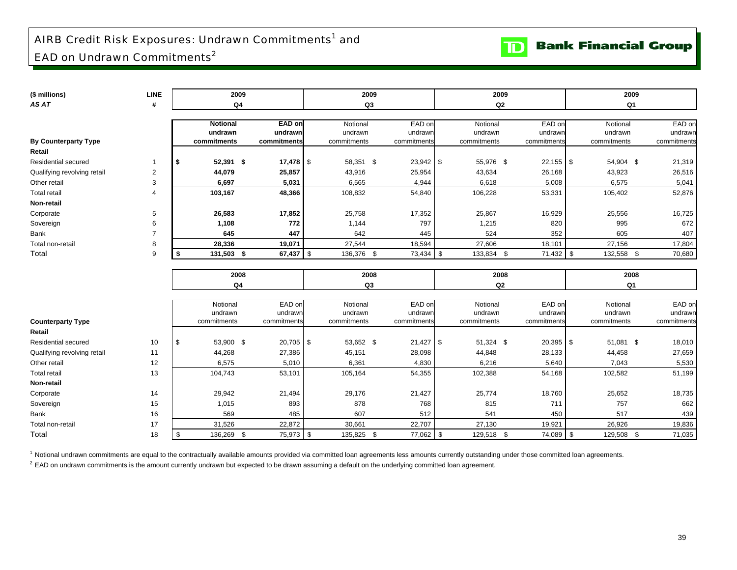## AIRB Credit Risk Exposures: Undrawn Commitments<sup>1</sup> and EAD on Undrawn Commitments<sup>2</sup>

| (\$ millions)               | <b>LINE</b>    | 2009             |               | 2009           |             | 2009           |               | 2009 |                |             |  |  |
|-----------------------------|----------------|------------------|---------------|----------------|-------------|----------------|---------------|------|----------------|-------------|--|--|
| AS AT                       | #              | Q4               |               | Q3             |             | Q <sub>2</sub> |               |      | Q <sub>1</sub> |             |  |  |
|                             |                |                  |               |                |             |                |               |      |                |             |  |  |
|                             |                | <b>Notional</b>  | <b>EAD on</b> | Notional       | EAD or      | Notional       | EAD on        |      | Notional       | EAD on      |  |  |
|                             |                | undrawn          | undrawn       | undrawn        | undrawr     | undrawn        | undrawn       |      | undrawn        | undrawn     |  |  |
| <b>By Counterparty Type</b> |                | commitments      | commitments   | commitments    | commitments | commitments    | commitments   |      | commitments    | commitments |  |  |
| Retail                      |                |                  |               |                |             |                |               |      |                |             |  |  |
| Residential secured         | 1              | 52,391 \$<br>\$  |               | 58,351 \$      | $23,942$ \$ | 55,976 \$      | $22,155$ \ \$ |      | 54,904 \$      | 21,319      |  |  |
| Qualifying revolving retail | 2              | 44,079           | 25,857        | 43,916         | 25,954      | 43,634         | 26,168        |      | 43,923         | 26,516      |  |  |
| Other retail                | 3              | 6,697            | 5,031         | 6,565          | 4,944       | 6,618          | 5,008         |      | 6,575          | 5,041       |  |  |
| <b>Total retail</b>         | 4              | 103,167          | 48,366        | 108,832        | 54,840      | 106,228        | 53,331        |      | 105,402        | 52,876      |  |  |
| Non-retail                  |                |                  |               |                |             |                |               |      |                |             |  |  |
| Corporate                   | 5              | 26,583           | 17,852        | 25,758         | 17,352      | 25,867         | 16,929        |      | 25,556         | 16,725      |  |  |
| Sovereign                   | 6              | 1,108            | 772           | 1,144          | 797         | 1,215          | 820           |      | 995            | 672         |  |  |
| Bank                        | $\overline{7}$ | 645              | 447           | 642            | 445         | 524            | 352           |      | 605            | 407         |  |  |
| Total non-retail            | 8              | 28,336           | 19,071        | 27,544         | 18,594      | 27,606         | 18,101        |      | 27,156         | 17,804      |  |  |
| Total                       | 9              | 131,503 \$<br>\$ | $67,437$ \$   | 136,376 \$     | 73,434 \$   | 133,834 \$     | 71,432        | l \$ | 132,558<br>\$  | 70,680      |  |  |
|                             |                | 2008             |               | 2008           |             | 2008           |               |      | 2008           |             |  |  |
|                             |                | Q4               |               | Q <sub>3</sub> |             | Q <sub>2</sub> |               |      | Q <sub>1</sub> |             |  |  |
|                             |                |                  |               |                |             |                |               |      |                |             |  |  |
|                             |                | Notional         | EAD on        | Notional       | EAD on      | Notional       | EAD on        |      | Notional       | EAD on      |  |  |
|                             |                | undrawn          | undrawn       | undrawn        | undrawn     | undrawn        | undrawn       |      | undrawn        | undrawn     |  |  |
| <b>Counterparty Type</b>    |                | commitments      | commitments   | commitments    | commitments | commitments    | commitments   |      | commitments    | commitments |  |  |
| Retail                      |                |                  |               |                |             |                |               |      |                |             |  |  |
| Residential secured         | 10             | \$<br>53,900 \$  | $20,705$ \$   | 53,652 \$      | $21,427$ \$ | 51,324 \$      | $20,395$ \$   |      | 51,081 \$      | 18,010      |  |  |
| Qualifying revolving retail | 11             | 44,268           | 27,386        | 45,151         | 28,098      | 44,848         | 28,133        |      | 44,458         | 27,659      |  |  |
| Other retail                | 12             | 6,575            | 5,010         | 6,361          | 4,830       | 6,216          | 5,640         |      | 7,043          | 5,530       |  |  |
| <b>Total retail</b>         | 13             | 104,743          | 53,101        | 105,164        | 54,355      | 102,388        | 54,168        |      | 102,582        | 51,199      |  |  |
| Non-retail                  |                |                  |               |                |             |                |               |      |                |             |  |  |
| Corporate                   | 14             | 29,942           | 21,494        | 29,176         | 21,427      | 25,774         | 18,760        |      | 25,652         | 18,735      |  |  |
| Sovereign                   | 15             | 1,015            | 893           | 878            | 768         | 815            | 711           |      | 757            | 662         |  |  |
| Bank                        | 16             | 569              | 485           | 607            | 512         | 541            | 450           |      | 517            | 439         |  |  |
| Total non-retail            | 17             | 31,526           | 22,872        | 30,661         | 22,707      | 27,130         | 19,921        |      | 26,926         | 19,836      |  |  |
| Total                       | 18             | \$<br>136,269 \$ | 75,973 \$     | 135,825 \$     | 77,062 \$   | 129,518 \$     | 74,089 \$     |      | 129,508 \$     | 71,035      |  |  |

 $<sup>1</sup>$  Notional undrawn commitments are equal to the contractually available amounts provided via committed loan agreements less amounts currently outstanding under those committed loan agreements.</sup>

 $<sup>2</sup>$  EAD on undrawn commitments is the amount currently undrawn but expected to be drawn assuming a default on the underlying committed loan agreement.</sup>

**TD** Bank Financial Group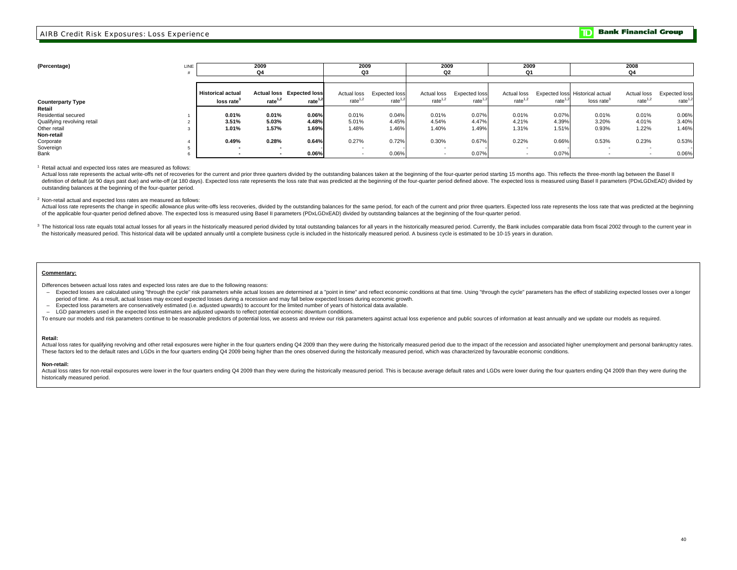**2008**

**2009**

| (Percentage)<br>LINE               |  |                                                    | 2009<br>Q4 |                                                | 2009<br>Q3                |                             | 2009<br>Q2                |                             | 2009<br>Q1                |            |                                                           | 2008<br>Q4                |                            |
|------------------------------------|--|----------------------------------------------------|------------|------------------------------------------------|---------------------------|-----------------------------|---------------------------|-----------------------------|---------------------------|------------|-----------------------------------------------------------|---------------------------|----------------------------|
|                                    |  | <b>Historical actual</b><br>loss rate <sup>3</sup> | rate $1,2$ | <b>Actual loss Expected loss</b><br>rate $1,2$ | Actual loss<br>rate $1,2$ | Expected loss<br>rate $1,2$ | Actual loss<br>rate $1,2$ | Expected loss<br>rate $1,2$ | Actual loss<br>rate $1,2$ | rate $1,2$ | Expected loss Historical actual<br>loss rate <sup>3</sup> | Actual loss<br>rate $1,2$ | Expected loss<br>rate $1,$ |
| <b>Counterparty Type</b><br>Retail |  |                                                    |            |                                                |                           |                             |                           |                             |                           |            |                                                           |                           |                            |
| Residential secured                |  | 0.01%                                              | 0.01%      | 0.06%                                          | 0.01%                     | 0.04%                       | 0.01%                     | 0.07%                       | 0.01%                     | 0.07%      | 0.01%                                                     | 0.01%                     | 0.06%                      |
| Qualifying revolving retail        |  | 3.51%                                              | 5.03%      | 4.48%                                          | 5.01%                     | 4.45%                       | 4.54%                     | 4.47%                       | 4.21%                     | 4.39%      | 3.20%                                                     | 4.01%                     | 3.40%                      |
| Other retail<br>Non-retail         |  | 1.01%                                              | 1.57%      | 1.69%                                          | 1.48%                     | 1.46%                       | 1.40%                     | 1.49%                       | 1.31%                     | 1.51%      | 0.93%                                                     | 1.22%                     | 1.46%                      |
| Corporate                          |  | 0.49%                                              | 0.28%      | 0.64%                                          | 0.27%                     | 0.72%                       | 0.30%                     | 0.67%                       | 0.22%                     | 0.66%      | 0.53%                                                     | 0.23%                     | 0.53%                      |
| Sovereign<br>Bank                  |  |                                                    |            | 0.06%                                          |                           | 0.06%                       |                           | 0.07%                       |                           | 0.07%      |                                                           |                           | 0.06%                      |
|                                    |  |                                                    |            |                                                |                           |                             |                           |                             |                           |            |                                                           |                           |                            |

**2009**

**2009**

1 Retail actual and expected loss rates are measured as follows:

Actual loss rate represents the actual write-offs net of recoveries for the current and prior three quarters divided by the outstanding balances taken at the beginning of the four-quarter period starting 15 months ago. Thi definition of default (at 90 days past due) and write-off (at 180 days). Expected loss rate represents the loss rate that was predicted at the beginning of the four-quarter period defined above. The expected loss is measur outstanding balances at the beginning of the four-quarter period.

2 Non-retail actual and expected loss rates are measured as follows:

Actual loss rate represents the change in specific allowance plus write-offs less recoveries, divided by the outstanding balances for the same period, for each of the current and prior three quarters. Expected loss rate re of the applicable four-quarter period defined above. The expected loss is measured using Basel II parameters (PDxLGDxEAD) divided by outstanding balances at the beginning of the four-quarter period.

3 The historical loss rate equals total actual losses for all years in the historically measured period divided by total outstanding balances for all years in the historically measured period. Currently, the Bank includes the historically measured period. This historical data will be updated annually until a complete business cycle is included in the historically measured period. A business cycle is estimated to be 10-15 years in duration.

#### **Commentary:**

Differences between actual loss rates and expected loss rates are due to the following reasons:

- Expected losses are calculated using "through the cycle" risk parameters while actual losses are determined at a "point in time" and reflect economic conditions at that time. Using "through the cycle" parameters has the period of time. As a result, actual losses may exceed expected losses during a recession and may fall below expected losses during economic growth.
- Expected loss parameters are conservatively estimated (i.e. adjusted upwards) to account for the limited number of years of historical data available.

**2009**

LGD parameters used in the expected loss estimates are adjusted upwards to reflect potential economic downturn conditions.

To ensure our models and risk parameters continue to be reasonable predictors of potential loss, we assess and review our risk parameters against actual loss experience and public sources of information at least annually a

#### **Retail:**

Actual loss rates for qualifying revolving and other retail exposures were higher in the four quarters ending Q4 2009 than they were during the historically measured period due to the impact of the recession and associated These factors led to the default rates and LGDs in the four quarters ending Q4 2009 being higher than the ones observed during the historically measured period, which was characterized by favourable economic conditions.

#### **Non-retail:**

Actual loss rates for non-retail exposures were lower in the four quarters ending Q4 2009 than they were during the historically measured period. This is because average default rates and LGDs were lower during the four qu historically measured period.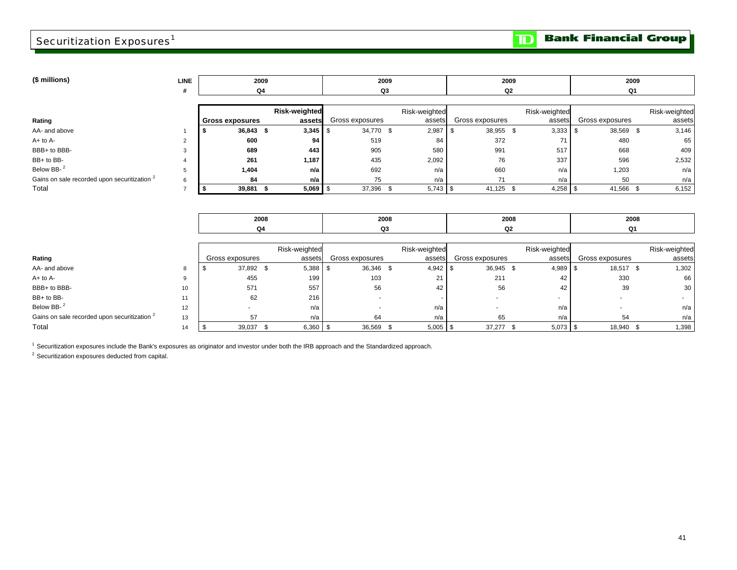## Securitization Exposures<sup>1</sup>

 $\mathbf{D}$ 

| LINE |    |  |                                                                                           |     |                                                            |                                                         |     | 2009                                  |                                                           |                                                                                                   |  |
|------|----|--|-------------------------------------------------------------------------------------------|-----|------------------------------------------------------------|---------------------------------------------------------|-----|---------------------------------------|-----------------------------------------------------------|---------------------------------------------------------------------------------------------------|--|
| #    | Q4 |  |                                                                                           |     |                                                            |                                                         |     |                                       |                                                           |                                                                                                   |  |
|      |    |  |                                                                                           |     |                                                            |                                                         |     |                                       |                                                           |                                                                                                   |  |
|      |    |  |                                                                                           |     |                                                            |                                                         |     |                                       |                                                           | Risk-weighted                                                                                     |  |
|      |    |  |                                                                                           |     |                                                            |                                                         |     |                                       |                                                           | assets                                                                                            |  |
|      |    |  |                                                                                           |     |                                                            | 2,987                                                   |     |                                       |                                                           | 3,146                                                                                             |  |
|      |    |  | 94                                                                                        | 519 |                                                            | 84                                                      | 372 |                                       | 480                                                       | 65                                                                                                |  |
|      |    |  | 443                                                                                       | 905 |                                                            | 580                                                     | 991 | 517                                   | 668                                                       | 409                                                                                               |  |
|      |    |  | 1,187                                                                                     | 435 |                                                            | 2,092                                                   | 76  | 337                                   | 596                                                       | 2,532                                                                                             |  |
|      |    |  | n/a                                                                                       | 692 |                                                            | n/a                                                     | 660 | n/a                                   | 1,203                                                     | n/a                                                                                               |  |
| 6    |    |  | n/a                                                                                       | 75  |                                                            | n/a                                                     | 71  | n/a                                   | 50                                                        | n/a                                                                                               |  |
|      |    |  |                                                                                           |     |                                                            |                                                         |     |                                       |                                                           | 6,152                                                                                             |  |
|      |    |  |                                                                                           |     |                                                            |                                                         |     |                                       |                                                           |                                                                                                   |  |
|      |    |  | 2009<br><b>Gross exposures</b><br>36,843 \$<br>600<br>689<br>261<br>1,404<br>84<br>39,881 |     | <b>Risk-weighted</b><br>assets<br>$3,345$ \$<br>$5,069$ \$ | 2009<br>Q3<br>Gross exposures<br>34,770 \$<br>37,396 \$ |     | Risk-weighted<br>assets<br>$5,743$ \$ | 2009<br>Q2<br>Gross exposures<br>38,955 \$<br>$41,125$ \$ | Q1<br>Risk-weighted<br>Gross exposures<br>assets<br>38,569 \$<br>3,333<br>$4,258$ \$<br>41,566 \$ |  |

| 2008     | 2008   | 2008 | 2008 |
|----------|--------|------|------|
| $\Omega$ | ~<br>w | ~~   |      |

|                                                         |    |                 | Risk-weighted  |                 | Risk-weighted |                 | Risk-weighted |                 | Risk-weighted |
|---------------------------------------------------------|----|-----------------|----------------|-----------------|---------------|-----------------|---------------|-----------------|---------------|
| Rating                                                  |    | Gross exposures | assets         | Gross exposures | assets        | Gross exposures | assets        | Gross exposures | assets        |
| AA- and above                                           |    | 37,892 \$       | $5,388$ \ \ \$ | 36,346 \$       | $4,942$ \$    | 36,945 \$       | $4,989$ \ \$  | 18,517 \$       | 1,302         |
| $A+$ to $A-$                                            |    | 455             | 199            | 103             | 21            | 211             | 42            | 330             | 66            |
| BBB+ to BBB-                                            | 10 | 571             | 557            | 56              | 42            | 56              | 42            | 39              | 30            |
| BB+ to BB-                                              |    | 62              | 216            |                 |               |                 |               |                 |               |
| Below BB- <sup>2</sup>                                  | 12 |                 | n/a            |                 | n/a           |                 | n/a           |                 | n/a           |
| Gains on sale recorded upon securitization <sup>2</sup> | 13 |                 | n/a            | 64              | n/a           | 65              | n/a           | 54              | n/a           |
| Total                                                   | 14 | 39,037          | $6,360$   \$   | 36,569          | $5,005$ \$    | 37,277          |               | 18,940 \$       | 1,398         |

 $<sup>1</sup>$  Securitization exposures include the Bank's exposures as originator and investor under both the IRB approach and the Standardized approach.</sup>

 $2$  Securitization exposures deducted from capital.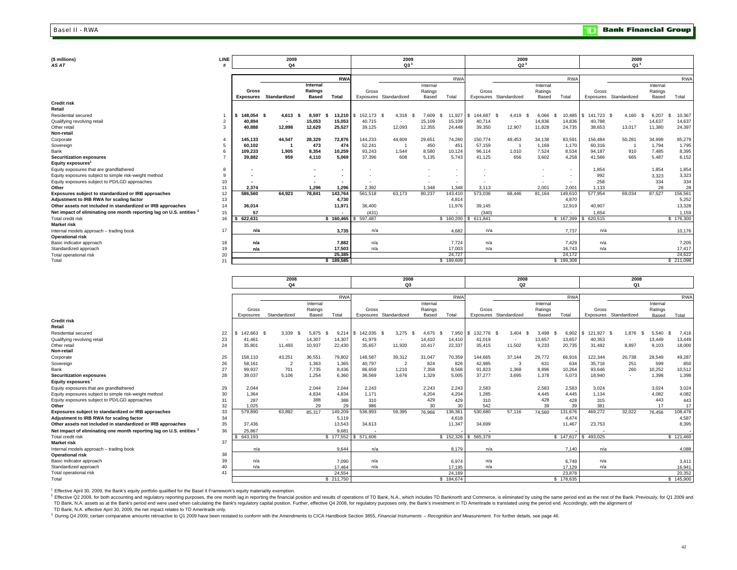| (\$ millions)<br>AS AT                                                          | LINE |            | 2009<br>Q4               |              | 2009<br>$Q3^3$ |         |                          |          | 2009<br>Q2 <sup>3</sup> |                     |                        | 2009<br>$Q1^3$ |              |               |                          |          |            |
|---------------------------------------------------------------------------------|------|------------|--------------------------|--------------|----------------|---------|--------------------------|----------|-------------------------|---------------------|------------------------|----------------|--------------|---------------|--------------------------|----------|------------|
|                                                                                 |      |            |                          |              |                |         |                          |          |                         |                     |                        |                |              |               |                          |          |            |
|                                                                                 |      |            |                          |              | <b>RWA</b>     |         |                          |          | RW/                     |                     |                        |                | <b>RWA</b>   |               |                          |          | <b>RWA</b> |
|                                                                                 |      |            |                          | Internal     |                |         |                          | Internal |                         |                     |                        | Internal       |              |               |                          | Internal |            |
|                                                                                 |      | Gross      |                          | Ratings      |                | Gross   |                          | Ratings  |                         | Gross               |                        | Ratings        |              | Gross         |                          | Ratings  |            |
|                                                                                 |      |            | Exposures Standardized   | <b>Based</b> | Total          |         | Exposures Standardized   | Based    | Total                   |                     | Exposures Standardized | Based          | Total        |               | Exposures Standardized   | Based    | Total      |
| <b>Credit risk</b>                                                              |      |            |                          |              |                |         |                          |          |                         |                     |                        |                |              |               |                          |          |            |
| Retail                                                                          |      |            |                          |              |                |         |                          |          |                         |                     |                        |                |              |               |                          |          |            |
| Residential secured                                                             |      | 148,054 \$ | 4.613                    | 8,597        | 13.210         | 152,173 | 4,318                    | 7.609    | 11,927                  | 144.687             | 4.419<br>- \$          | 6,066          | 10,485<br>-8 | 141,723<br>\$ | 4.160                    | 6,207    | 10,367     |
| Qualifying revolving retail                                                     |      | 40,894     | $\overline{\phantom{a}}$ | 15,053       | 15,053         | 40,715  | $\overline{\phantom{a}}$ | 15,109   | 15,109                  | 40,714              | $\sim$                 | 14,836         | 14,836       | 40,788        | $\overline{\phantom{a}}$ | 14,637   | 14,637     |
| Other retail                                                                    | з    | 40.888     | 12.898                   | 12,629       | 25,527         | 39.125  | 12,093                   | 12,355   | 24.448                  | 39,350              | 12,907                 | 11.828         | 24,735       | 38.653        | 13.017                   | 11,380   | 24,397     |
| Non-retail                                                                      |      |            |                          |              |                |         |                          |          |                         |                     |                        |                |              |               |                          |          |            |
| Corporate                                                                       |      | 145,133    | 44.547                   | 28,329       | 72,876         | 144,233 | 44,609                   | 29,651   | 74,260                  | 150,774             | 49,453                 | 34,138         | 83,591       | 156,484       | 50,281                   | 34,998   | 85,279     |
| Sovereign                                                                       |      | 60,102     |                          | 473          | 474            | 52,241  |                          | 450      | 45'                     | 57,159              |                        | 1,169          | 1,170        | 60.316        |                          | 1,794    | 1,795      |
| Bank                                                                            |      | 109,233    | 1.905                    | 8.354        | 10.259         | 93.243  | 1,544                    | 8,580    | 10.124                  | 96,114              | 1,010                  | 7,524          | 8,534        | 94.187        | 910                      | 7.485    | 8,395      |
| <b>Securitization exposures</b>                                                 |      | 39,882     | 959                      | 4,110        | 5,069          | 37.396  | 608                      | 5,135    | 5.743                   | 41,125              | 656                    | 3,602          | 4,258        | 41,566        | 665                      | 5,487    | 6,152      |
| Equity exposures                                                                |      |            |                          |              |                |         |                          |          |                         |                     |                        |                |              |               |                          |          |            |
| Equity exposures that are grandfathered                                         | 8    |            |                          |              |                |         |                          |          |                         |                     |                        |                | $\sim$       | 1,854         |                          | 1,854    | 1,854      |
| Equity exposures subject to simple risk-weight method                           | 9    |            |                          |              |                |         |                          |          |                         |                     |                        |                |              | 992           |                          | 3,323    | 3,323      |
| Equity exposures subject to PD/LGD approaches                                   | 10   |            |                          |              |                |         |                          |          | $\sim$                  |                     |                        |                |              | 258           |                          | 334      | 334        |
| Other                                                                           | 11   | 2.374      |                          | 1,296        | 1,296          | 2,392   |                          | 1,348    | 1,348                   | 3,113               |                        | 2,001          | 2,001        | 1,133         |                          | 28       | 28         |
| Exposures subject to standardized or IRB approaches                             | 12   | 586,560    | 64.923                   | 78,841       | 143,764        | 561,518 | 63,173                   | 80,237   | 143,410                 | 573,036             | 68,446                 | 81,164         | 149,610      | 577,954       | 69,034                   | 87,527   | 156,561    |
| Adjustment to IRB RWA for scaling factor                                        | 13   |            |                          |              | 4,730          |         |                          |          | 4,814                   |                     |                        |                | 4,870        |               |                          |          | 5,252      |
| Other assets not included in standardized or IRB approaches                     | 14   | 36,014     |                          |              | 11,971         | 36,400  |                          |          | 11,976                  | 39,145              |                        |                | 12,919       | 40,907        |                          |          | 13,328     |
| Net impact of eliminating one month reporting lag on U.S. entities <sup>2</sup> | 15   | 57         |                          |              |                | (431)   |                          |          |                         | (340)               |                        |                | $\sim$       | 1,654         |                          |          | 1,159      |
| Total credit risk                                                               | 16   | 622.631    |                          |              | \$160.465      | 597.487 |                          |          |                         | \$160,200 \$611,841 |                        |                | \$167,399    | \$ 620,515    |                          |          | \$176,300  |
| <b>Market risk</b>                                                              |      |            |                          |              |                |         |                          |          |                         |                     |                        |                |              |               |                          |          |            |
| Internal models approach - trading book                                         | 17   | n/a        |                          |              | 3.735          | n/a     |                          |          | 4.682                   | n/a                 |                        |                | 7,737        | n/a           |                          |          | 10,176     |
| <b>Operational risk</b>                                                         |      |            |                          |              |                |         |                          |          |                         |                     |                        |                |              |               |                          |          |            |
| Basic indicator approach                                                        | 18   | n/a        |                          |              | 7,882          | n/a     |                          |          | 7,724                   | n/a                 |                        |                | 7,429        | n/a           |                          |          | 7,205      |
| Standardized approach                                                           | 19   | n/a        |                          |              | 17,503         | n/a     |                          |          | 17,003                  | n/a                 |                        |                | 16,743       | n/a           |                          |          | 17,417     |
| Total operational risk                                                          | 20   |            |                          |              | 25,385         |         |                          |          | 24,727                  |                     |                        |                | 24,172       |               |                          |          | 24,622     |
| Total                                                                           | 21   |            |                          |              | \$189,585      |         |                          |          | \$189,609               |                     |                        |                | \$199,308    |               |                          |          | \$211,098  |

|                                                                                 |    |            | 2008                     | 2008                |                         |         |                          |                     | 2008                |            |                        | 2008                |                     |           |                        |                     |                     |
|---------------------------------------------------------------------------------|----|------------|--------------------------|---------------------|-------------------------|---------|--------------------------|---------------------|---------------------|------------|------------------------|---------------------|---------------------|-----------|------------------------|---------------------|---------------------|
|                                                                                 |    |            | Q <sub>4</sub>           |                     |                         |         | Q3                       |                     |                     |            | Q2                     |                     |                     |           | Q1                     |                     |                     |
|                                                                                 |    |            |                          |                     |                         |         |                          |                     | <b>RWA</b>          |            |                        |                     | <b>RWA</b>          |           |                        |                     | <b>RWA</b>          |
|                                                                                 |    |            |                          |                     | <b>RWA</b>              |         |                          |                     |                     |            |                        |                     |                     |           |                        |                     |                     |
|                                                                                 |    | Gross      |                          | Internal<br>Ratings |                         | Gross   |                          | Internal<br>Ratings |                     | Gross      |                        | Internal<br>Ratings |                     | Gross     |                        | Internal<br>Ratings |                     |
|                                                                                 |    | Exposures  | Standardized             | Based               | Total                   |         | Exposures Standardized   | Based               | Total               |            | Exposures Standardized | Based               | Total               |           | Exposures Standardized | Based               | Total               |
| <b>Credit risk</b>                                                              |    |            |                          |                     |                         |         |                          |                     |                     |            |                        |                     |                     |           |                        |                     |                     |
| Retail                                                                          |    |            |                          |                     |                         |         |                          |                     |                     |            |                        |                     |                     |           |                        |                     |                     |
| <b>Residential secured</b>                                                      | 22 | 142.663 \$ | 3,339<br>S               | 5.875               | $9.214$ \$              | 142.035 | 3.275<br>-96             | 4.675               | 7,950               | 132,776 \$ | 3.404<br>-S            | 3.498               | 6,902               | \$121.927 | 1,876<br>-8            | 5.540               | 7.416               |
| Qualifying revolving retail                                                     | 23 | 41,461     | $\overline{\phantom{a}}$ | 14,307              | 14,307                  | 41,979  | $\overline{\phantom{a}}$ | 14,410              | 14,410              | 41,019     | $\sim$                 | 13,657              | 13,657              | 40,353    |                        | 13,449              | 13,449              |
| Other retail                                                                    | 24 | 35,801     | 11.493                   | 10,937              | 22,430                  | 35.657  | 11,920                   | 10,417              | 22,337              | 35,415     | 11,502                 | 9.233               | 20,735              | 31,492    | 8.897                  | 9,103               | 18,000              |
| Non-retail                                                                      |    |            |                          |                     |                         |         |                          |                     |                     |            |                        |                     |                     |           |                        |                     |                     |
| Corporate                                                                       | 25 | 158.110    | 43,251                   | 36,551              | 79,802                  | 148,587 | 39,312                   | 31,047              | 70,359              | 144,665    | 37,144                 | 29,772              | 66,916              | 122,344   | 20,738                 | 28,549              | 49,287              |
| Sovereign                                                                       | 26 | 58.161     | $\overline{2}$           | 1,363               | 1,365                   | 40.797  | $\overline{2}$           | 824                 | 826                 | 42,985     | 3                      | 631                 | 634                 | 35.716    | 251                    | 599                 | 850                 |
| Bank                                                                            | 27 | 99.937     | 701                      | 7.735               | 8.436                   | 86.659  | 1.210                    | 7,358               | 8.568               | 91.823     | 1.368                  | 8.896               | 10,264              | 93.646    | 260                    | 10,252              | 10,512              |
| <b>Securitization exposures</b>                                                 | 28 | 39,037     | 5,106                    | 1,254               | 6,360                   | 36.569  | 3.676                    | 1,329               | 5.005               | 37,277     | 3.695                  | 1.378               | 5,073               | 18,940    |                        | 1,398               | 1,398               |
| Equity exposures <sup>1</sup>                                                   |    |            |                          |                     |                         |         |                          |                     |                     |            |                        |                     |                     |           |                        |                     |                     |
| Equity exposures that are grandfathered                                         | 29 | 2.044      |                          | 2,044               | 2,044                   | 2.243   |                          | 2.243               | 2.243               | 2,583      |                        | 2.583               | 2,583               | 3,024     |                        | 3,024               | 3,024               |
| Equity exposures subject to simple risk-weight method                           | 30 | 1.364      |                          | 4,834               | 4,834                   | 1.171   |                          | 4,204               | 4,204               | 1,285      |                        | 4.445               | 4.445               | 1,134     |                        | 4,082               | 4,082               |
| Equity exposures subject to PD/LGD approaches                                   | 31 | 287        |                          | 388                 | 388                     | 310     |                          | 429                 | 429                 | 310        |                        | 428                 | 428                 | 315       |                        | 443                 | 443                 |
| Other                                                                           | 32 | 1.025      |                          | 29                  | 29                      | 986     |                          | 30                  | 30                  | 542        |                        | 39                  | 39                  | 381       |                        | 17                  | 17                  |
| Exposures subject to standardized or IRB approaches                             | 33 | 579,890    | 63.892                   | 85,317              | 149,209                 | 536.993 | 59.395                   | 76,966              | 136,361             | 530,680    | 57,116                 | 74.560              | 131,676             | 469,272   | 32.022                 | 76,456              | 108,478             |
| Adjustment to IRB RWA for scaling factor                                        | 34 |            |                          |                     | 5.119                   |         |                          |                     | 4.618               |            |                        |                     | 4,474               |           |                        |                     | 4,587               |
| Other assets not included in standardized or IRB approaches                     | 35 | 37,436     |                          |                     | 13,543                  | 34,613  |                          |                     | 11,347              | 34,699     |                        |                     | 11,467              | 23,753    |                        |                     | 8,395               |
| Net impact of eliminating one month reporting lag on U.S. entities <sup>2</sup> | 36 | 25.867     |                          |                     | 9.681                   |         |                          |                     |                     |            |                        |                     |                     |           |                        |                     |                     |
| Total credit risk                                                               |    | 643.193    |                          |                     | $\overline{\$}$ 177,552 | 571.606 |                          |                     | \$152,326           | \$565,379  |                        |                     | \$147,617           | \$493.025 |                        |                     | \$121,460           |
| <b>Market risk</b>                                                              | 37 |            |                          |                     |                         |         |                          |                     |                     |            |                        |                     |                     |           |                        |                     |                     |
| Internal models approach - trading book                                         |    | n/a        |                          |                     | 9.644                   | n/a     |                          |                     | 8.179               | n/a        |                        |                     | 7.140               | n/a       |                        |                     | 4,088               |
| <b>Operational risk</b>                                                         | 38 |            |                          |                     |                         |         |                          |                     |                     |            |                        |                     |                     |           |                        |                     |                     |
| Basic indicator approach                                                        | 39 | n/a        |                          |                     | 7,090                   | n/a     |                          |                     | 6,974               | n/a        |                        |                     | 6,749               | n/a       |                        |                     | 3,411               |
| Standardized approach                                                           | 40 | n/a        |                          |                     | 17.464                  | n/a     |                          |                     | 17.195              | n/a        |                        |                     | 17.129              | n/a       |                        |                     | 16.941              |
| Total operational risk<br>Total                                                 | 41 |            |                          |                     | 24.554<br>\$211,750     |         |                          |                     | 24.169<br>\$184,674 |            |                        |                     | 23.878<br>\$178,635 |           |                        |                     | 20.352<br>\$145,900 |
|                                                                                 |    |            |                          |                     |                         |         |                          |                     |                     |            |                        |                     |                     |           |                        |                     |                     |

<sup>1</sup> Effective April 30, 2009, the Bank's equity portfolio qualified for the Basel II Framework's equity materiality exemption.

TD Bank, N.A. assets as at the Bank's period end were used when calculating the Bank's regulatory capital position. Further, effective Q4 2008, for regulatory purposes only, the Bank's investment in TD Ameritrade is transl <sup>2</sup> Effective Q2 2009, for both accounting and regulatory reporting purposes, the one month lag in reporting the financial position and results of operations of TD Bank, N.A., which includes TD Bankmorth and Commerce, is e

<sup>3</sup> During Q4 2009, certain comparative amounts retroactive to Q1 2009 have been restated to conform with the Amendments to CICA Handbook Section 3855, Financial Instruments - Recognition and Measurement. For further detai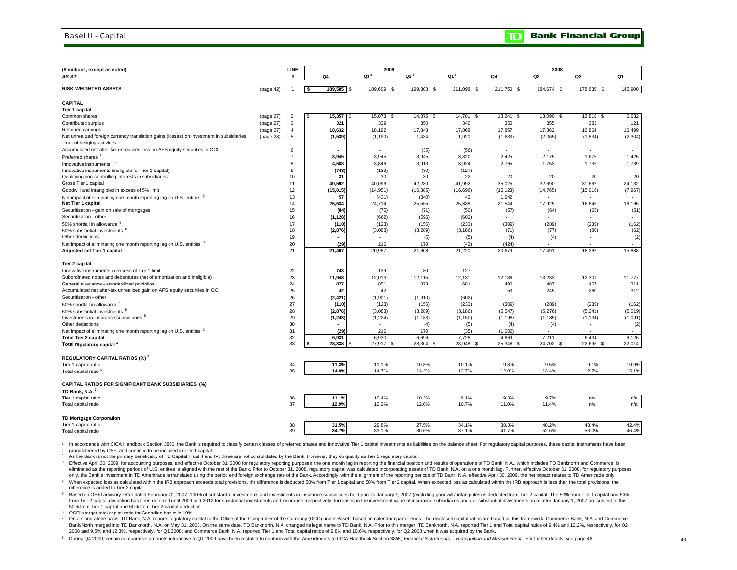#### Basel II - Capital

| (\$ millions, except as noted)                                                                                             |           | <b>LINE</b>    |                         | 2009                     |                     |                   |                   | 2008                |                          |                    |
|----------------------------------------------------------------------------------------------------------------------------|-----------|----------------|-------------------------|--------------------------|---------------------|-------------------|-------------------|---------------------|--------------------------|--------------------|
| AS AT                                                                                                                      |           | н              | Q <sub>4</sub>          | $Q3^8$                   | $Q2^8$              | $Q1^8$            | Q4                | Q3                  | Q2                       | Q <sub>1</sub>     |
|                                                                                                                            |           |                |                         |                          |                     |                   |                   |                     |                          |                    |
| <b>RISK-WEIGHTED ASSETS</b>                                                                                                | (page 42) |                | 189,585<br>$\mathbf{s}$ | 189,609 \$               | 199,308 \$          | 211,098 \$        | 211,750 \$        | 184,674 \$          | 178,635 \$               | 145,900            |
| <b>CAPITAL</b>                                                                                                             |           |                |                         |                          |                     |                   |                   |                     |                          |                    |
| Tier 1 capital                                                                                                             |           |                |                         |                          |                     |                   |                   |                     |                          |                    |
| Common shares                                                                                                              | (page 27) | $\overline{c}$ | 15,357<br><b>S</b>      | 15,073<br>- \$           | 14,875 \$           | 14,781<br>\$.     | 13,241<br>-\$     | 13,090<br>-S        | 12,818<br>-S             | 6,632              |
| Contributed surplus                                                                                                        | (page 27) | 3              | 321                     | 339                      | 350                 | 340               | 350               | 355                 | 383                      | 121                |
| Retained earnings                                                                                                          | (page 27) | $\overline{4}$ | 18,632                  | 18,192                   | 17,848              | 17,868            | 17,857            | 17,362              | 16,864                   | 16,499             |
| Net unrealized foreign currency translation gains (losses) on investment in subsidiaries,<br>net of hedging activities     | (page 28) | 5              | (1, 539)                | (1, 190)                 | 1,434               | 1,920             | (1,633)           | (2,065)             | (1, 834)                 | (2, 304)           |
| Accumulated net after-tax unrealized loss on AFS equity securities in OCI                                                  |           | 6              |                         | $\overline{\phantom{a}}$ | (35)                | (56)              | ٠                 | $\sim$              | $\overline{\phantom{a}}$ |                    |
| Preferred shares                                                                                                           |           | $\overline{7}$ | 3,945                   | 3,945                    | 3,945               | 3,320             | 2,425             | 2,175               | 1,675                    | 1,425              |
| Innovative instruments <sup>1,2</sup>                                                                                      |           | 8              | 4,588                   | 3,846                    | 3,913               | 3,924             | 2,765             | 1,753               | 1,736                    | 1,739              |
| Innovative instruments (ineligible for Tier 1 capital)                                                                     |           | 9              | (743)                   | (139)                    | (80)                | (127)             | ٠                 |                     | $\overline{\phantom{a}}$ | $\sim$             |
| Qualifying non-controlling interests in subsidiaries                                                                       |           | 10             | 31                      | 30                       | 30                  | 22                | 20                | 20                  | 20                       | 20                 |
| Gross Tier 1 capital                                                                                                       |           | 11             | 40,592                  | 40,096                   | 42,280              | 41,992            | 35,025            | 32,690              | 31,662                   | 24,132             |
| Goodwill and intangibles in excess of 5% limit                                                                             |           | 12             | (15,015)                | (14, 951)                | (16, 385)           | (16, 696)         | (15, 123)         | (14, 765)           | (15,016)                 | (7, 967)           |
| Net impact of eliminating one month reporting lag on U.S. entities <sup>3</sup>                                            |           | 13             | 57                      | (431)                    | (340)               | 42                | 1,642             |                     |                          |                    |
| Net Tier 1 capital                                                                                                         |           | 14             | 25,634                  | 24,714                   | 25,555              | 25,338            | 21,544            | 17,925              | 16,646                   | 16,165             |
| Securitization - gain on sale of mortgages                                                                                 |           | 15             | (84)                    | (75)                     | (71)                | (50)              | (57)              | (64)                | (65)                     | (51)               |
| Securitization - other                                                                                                     |           | 16             | (1, 128)                | (662)                    | (596)               | (602)             |                   |                     |                          |                    |
| 50% shortfall in allowance '                                                                                               |           | 17             | (110)                   | (123)                    | (156)               | (233)             | (309)             | (289)               | (239)                    | (162)              |
| 50% substantial investments <sup>5</sup>                                                                                   |           | 18             | (2,876)                 | (3,083)                  | (3,289)             | (3, 186)          | (71)              | (77)                | (80)                     | (62)               |
| Other deductions                                                                                                           |           | 19             |                         |                          | (5)                 | (5)               | (4)               | (4)                 | $\sim$                   | (2)                |
| Net impact of eliminating one month reporting lag on U.S. entities <sup>3</sup>                                            |           | 20             | (29)                    | 216                      | 170                 | (42)              | (424)             |                     |                          |                    |
| Adjusted net Tier 1 capital                                                                                                |           | 21             | 21,407                  | 20,987                   | 21,608              | 21,220            | 20,679            | 17,491              | 16,262                   | 15,888             |
|                                                                                                                            |           |                |                         |                          |                     |                   |                   |                     |                          |                    |
| Tier 2 capital                                                                                                             |           |                |                         |                          |                     |                   |                   |                     |                          |                    |
| Innovative instruments in excess of Tier 1 limit<br>Subordinated notes and debentures (net of amortization and ineligible) |           | 22             | 743                     | 139                      | 80                  | 127               |                   |                     |                          |                    |
|                                                                                                                            |           | 23<br>24       | 11,948<br>877           | 12,013<br>851            | 12,115              | 12,131            | 12,186<br>490     | 13,233<br>487       | 12,301<br>467            | 11,777<br>311      |
| General allowance - standardized portfolios                                                                                |           | 25             | 42                      | 42                       | 873                 | 681               | 53                | 245                 | 280                      | 312                |
| Accumulated net after-tax unrealized gain on AFS equity securities in OCI<br>Securitization - other                        |           | 26             |                         |                          |                     |                   |                   |                     |                          |                    |
|                                                                                                                            |           | 27             | (2, 421)                | (1,901)                  | (1, 910)            | (602)             |                   |                     |                          |                    |
| 50% shortfall in allowance                                                                                                 |           | 28             | (110)                   | (123)<br>(3,083)         | (156)               | (233)<br>(3, 186) | (309)<br>(5, 547) | (289)               | (239)                    | (162)              |
| 50% substantial investments <sup>5</sup>                                                                                   |           | 29             | (2,876)                 | (1, 224)                 | (3,289)<br>(1, 183) |                   | (1, 198)          | (5,276)<br>(1, 185) | (5, 241)                 | (5,019)<br>(1,091) |
| Investments in insurance subsidiaries <sup>5</sup><br>Other deductions                                                     |           | 30             | (1, 243)                |                          | (4)                 | (1, 150)          | (4)               | (4)                 | (1, 134)                 | (2)                |
|                                                                                                                            |           | 31             | (29)                    | 216                      | 170                 | (5)<br>(35)       | (1,002)           |                     |                          |                    |
| Net impact of eliminating one month reporting lag on U.S. entities <sup>3</sup><br><b>Total Tier 2 capital</b>             |           | 32             | 6,931                   | 6,930                    | 6,696               | 7,728             | 4,669             | 7,211               | 6,434                    | 6,126              |
| Total regulatory capital <sup>3</sup>                                                                                      |           | 33             | 28,338                  | 27,917 \$                | 28,304 \$           | 28,948            | 25,348 \$         | 24,702 \$           | 22,696                   | 22,014             |
|                                                                                                                            |           |                |                         |                          |                     |                   |                   |                     |                          |                    |
| <b>REGULATORY CAPITAL RATIOS (%)<sup>3</sup></b>                                                                           |           |                |                         |                          |                     |                   |                   |                     |                          |                    |
| Tier 1 capital ratio                                                                                                       |           | 34             | 11.3%                   | 11.1%                    | 10.8%               | 10.1%             | 9.8%              | 9.5%                | 9.1%                     | 10.9%              |
| Total capital ratio <sup>b</sup>                                                                                           |           | 35             | 14.9%                   | 14.7%                    | 14.2%               | 13.7%             | 12.0%             | 13.4%               | 12.7%                    | 15.1%              |
| <b>CAPITAL RATIOS FOR SIGNIFICANT BANK SUBSIDIARIES (%)</b>                                                                |           |                |                         |                          |                     |                   |                   |                     |                          |                    |
| TD Bank, N.A. <sup>7</sup>                                                                                                 |           |                |                         |                          |                     |                   |                   |                     |                          |                    |
| Tier 1 capital ratio                                                                                                       |           | 36             | 11.1%                   | 10.4%                    | 10.3%               | 9.1%              | 9.3%              | 9.7%                | n/a                      | n/a                |
| Total capital ratio                                                                                                        |           | 37             | 12.9%                   | 12.2%                    | 12.0%               | 10.7%             | 11.0%             | 11.4%               | n/a                      | n/a                |
| <b>TD Mortgage Corporation</b>                                                                                             |           |                |                         |                          |                     |                   |                   |                     |                          |                    |
| Tier 1 capital ratio                                                                                                       |           | 38             | 31.5%                   | 29.8%                    | 27.5%               | 34.1%             | 38.3%             | 48.2%               | 48.4%                    | 42.4%              |
| Total capital ratio                                                                                                        |           | 39             | 34.7%                   | 33.1%                    | 30.6%               | 37.1%             | 41.7%             | 52.6%               | 53.0%                    | 46.4%              |

1 In accordance with CICA Handbook Section 3860, the Bank is required to classify certain classes of preferred shares and innovative Tier 1 capital investments as liabilities on the balance sheet. For regulatory capital pu grandfathered by OSFI and continue to be included in Tier 1 capital.

 $2$  As the Bank is not the primary beneficiary of TD Capital Trust II and IV, these are not consolidated by the Bank. However, they do qualify as Tier 1 regulatory capital.

3 Effective April 30, 2009, for accounting purposes, and effective October 31, 2008 for regulatory reporting purposes, the one month lag in reporting the financial position and results of operations of TD Bank, N.A., which eliminated as the reporting periods of U.S. entities is aligned with the rest of the Bank. Prior to October 31, 2008, requiatory capital was calculated incorporating assets of TD Bank, N.A. on a one month lag. Further, eff only, the Bank's investment in TD Ameritrade is translated using the period end foreign exchange rate of the Bank. Accordingly, with the alignment of the reporting period sof TD Bank. N.A. effective April 30, 2009, the net

4 When expected loss as calculated within the IRB approach exceeds total provisions, the difference is deducted 50% from Tier 1 capital and 50% from Tier 2 capital. When expected loss as calculated within the IRB approach difference is added to Tier 2 capital.

5 Based on OSFI advisory letter dated February 20, 2007, 100% of substantial investments and investments and investments in insurance subsidiaries held prior to January 1, 2007 (excluding goodwill / intangibles) is deduct from Tier 2 capital deduction has been deferred until 2009 and 2012 for substantial investments and insurance, respectively. Increases in the investment value of insurance subsidiaries and / or substantial investments on o 50% from Tier 1 capital and 50% from Tier 2 capital deduction.

6 OSFI's target total capital ratio for Canadian banks is 10%.

7 On a stand-alone basis, TD Bank, N.A. reports regulatory capital to the Office of the Comptroller of the Currency (OCC) under Basel I based on calendar quarter ends. The disclosed capital ratios are based on this framewo Bank/North merged into TD Banknorth, N.A. on May 31, 2008. On the same date, TD Banknorth, N.A. changed its legal name to TD Bank, N.A. Prior to this merger, TD Banknorth, N.A. changed its 1 and Total capital ratios of 9.4 2008 and 9.5% and 12.3%, respectively, for Q1 2008; and Commerce Bank, N.A. reported Tier 1 and Total capital ratios of 9.8% and 10.6%, respectively, for Q2 2008 when it was acquired by the Bank.

<sup>8</sup> During Q4 2009, certain comparative amounts retroactive to Q1 2009 have been restated to conform with the Amendments to CICA Handbook Section 3855, Financial Instruments - Recognition and Measurement. For further detai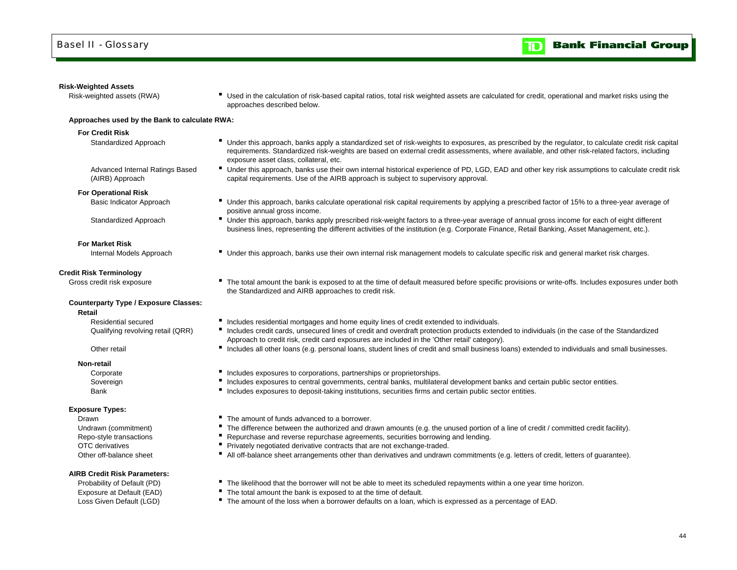#### **Risk-Weighted Assets**

Risk-weighted assets (RWA) **F** Used in the calculation of risk-based capital ratios, total risk weighted assets are calculated for credit, operational and market risks using the approaches described below.

#### **Approaches used by the Bank to calculate RWA:**

#### **For Credit Risk**

- 
- Standardized Approach **IF** Under this approach, banks apply a standardized set of risk-weights to exposures, as prescribed by the regulator, to calculate credit risk capital requirements. Standardized risk-weights are based on external credit assessments, where available, and other risk-related factors, including exposure asset class, collateral, etc.
- Advanced Internal Ratings Based Under this approach, banks use their own internal historical experience of PD, LGD, EAD and other key risk assumptions to calculate credit risk capital requirements. Use of the AIRB approach is subject to supervisory approval.
- (AIRB) Approach **For Operational Risk**

- Basic Indicator Approach **E** Under this approach, banks calculate operational risk capital requirements by applying a prescribed factor of 15% to a three-year average of positive annual gross income.
- Standardized Approach **IDCO CONFERGATE:** Under this approach, banks apply prescribed risk-weight factors to a three-year average of annual gross income for each of eight different business lines, representing the different activities of the institution (e.g. Corporate Finance, Retail Banking, Asset Management, etc.).
- Internal Models Approach **Internal Trainglet Conder this approach**, banks use their own internal risk management models to calculate specific risk and general market risk charges.

#### **Credit Risk Terminology**

**For Market Risk**

Gross credit risk exposure **The total amount the bank is exposed to at the time of default measured before specific provisions or write-offs. Includes exposures under both** 

#### **Counterparty Type / Exposure Classes:**

**Retail**

Residential secured

#### Other retail

**Non-retail**

Bank

#### **Exposure Types:**

DrawnOTC derivativesOther off-balance sheet

### **AIRB Credit Risk Parameters:**

- Includes residential mortgages and home equity lines of credit extended to individuals.
- Qualifying revolving retail (QRR) <sup>I</sup>ncludes credit cards, unsecured lines of credit and overdraft protection products extended to individuals (in the case of the Standardized Approach to credit risk, credit card exposures are included in the 'Other retail' category).
	- Includes all other loans (e.g. personal loans, student lines of credit and small business loans) extended to individuals and small businesses.
- Corporate **Includes exposures to corporations, partnerships or proprietorships.**

the Standardized and AIRB approaches to credit risk.

- Sovereign **Includes exposures to central governments**, central banks, multilateral development banks and certain public sector entities.
	- Includes exposures to deposit-taking institutions, securities firms and certain public sector entities.
	- The amount of funds advanced to a borrower.
- Undrawn (commitment) **F** The difference between the authorized and drawn amounts (e.g. the unused portion of a line of credit / committed credit facility).
- Repo-style transactions **F** Repurchase and reverse repurchase agreements, securities borrowing and lending.
	- **Privately negotiated derivative contracts that are not exchange-traded.**
	- All off-balance sheet arrangements other than derivatives and undrawn commitments (e.g. letters of credit, letters of guarantee).
- Probability of Default (PD) **The likelihood that the borrower will not be able to meet its scheduled repayments within a one year time horizon.**
- Exposure at Default (EAD) The total amount the bank is exposed to at the time of default.
- Loss Given Default (LGD) **The amount of the loss when a borrower defaults on a loan, which is expressed as a percentage of EAD.**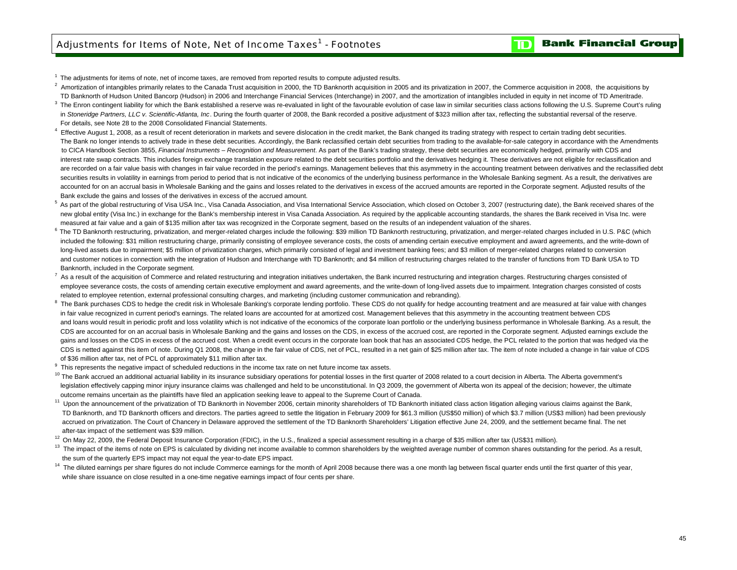$<sup>1</sup>$  The adjustments for items of note, net of income taxes, are removed from reported results to compute adjusted results.</sup>

- $^2$  Amortization of intangibles primarily relates to the Canada Trust acquisition in 2000, the TD Banknorth acquisition in 2005 and its privatization in 2007, the Commerce acquisition in 2008, the acquisitions by TD Banknorth of Hudson United Bancorp (Hudson) in 2006 and Interchange Financial Services (Interchange) in 2007, and the amortization of intangibles included in equity in net income of TD Ameritrade.
- <sup>3</sup> The Enron contingent liability for which the Bank established a reserve was re-evaluated in light of the favourable evolution of case law in similar securities class actions following the U.S. Supreme Court's ruling in *Stoneridge Partners, LLC v. Scientific-Atlanta, Inc*. During the fourth quarter of 2008, the Bank recorded a positive adjustment of \$323 million after tax, reflecting the substantial reversal of the reserve. For details, see Note 28 to the 2008 Consolidated Financial Statements.
- <sup>4</sup> Effective August 1, 2008, as a result of recent deterioration in markets and severe dislocation in the credit market, the Bank changed its trading strategy with respect to certain trading debt securities. The Bank no longer intends to actively trade in these debt securities. Accordingly, the Bank reclassified certain debt securities from trading to the available-for-sale category in accordance with the Amendments to CICA Handbook Section 3855, *Financial Instruments – Recognition and Measurement*. As part of the Bank's trading strategy, these debt securities are economically hedged, primarily with CDS and interest rate swap contracts. This includes foreign exchange translation exposure related to the debt securities portfolio and the derivatives hedging it. These derivatives are not eligible for reclassification and are recorded on a fair value basis with changes in fair value recorded in the period's earnings. Management believes that this asymmetry in the accounting treatment between derivatives and the reclassified debt securities results in volatility in earnings from period to period that is not indicative of the economics of the underlying business performance in the Wholesale Banking segment. As a result, the derivatives are accounted for on an accrual basis in Wholesale Banking and the gains and losses related to the derivatives in excess of the accrued amounts are reported in the Corporate segment. Adjusted results of the Bank exclude the gains and losses of the derivatives in excess of the accrued amount.
- <sup>5</sup> As part of the global restructuring of Visa USA Inc., Visa Canada Association, and Visa International Service Association, which closed on October 3, 2007 (restructuring date), the Bank received shares of the new global entity (Visa Inc.) in exchange for the Bank's membership interest in Visa Canada Association. As required by the applicable accounting standards, the shares the Bank received in Visa Inc. were measured at fair value and a gain of \$135 million after tax was recognized in the Corporate segment, based on the results of an independent valuation of the shares.
- 6 The TD Banknorth restructuring, privatization, and merger-related charges include the following: \$39 million TD Banknorth restructuring, privatization, and merger-related charges included in U.S. P&C (which included the following: \$31 million restructuring charge, primarily consisting of employee severance costs, the costs of amending certain executive employment and award agreements, and the write-down of long-lived assets due to impairment; \$5 million of privatization charges, which primarily consisted of legal and investment banking fees; and \$3 million of merger-related charges related to conversion and customer notices in connection with the integration of Hudson and Interchange with TD Banknorth; and \$4 million of restructuring charges related to the transfer of functions from TD Bank USA to TD Banknorth, included in the Corporate segment.
- $^7$  As a result of the acquisition of Commerce and related restructuring and integration initiatives undertaken, the Bank incurred restructuring and integration charges. Restructuring charges consisted of employee severance costs, the costs of amending certain executive employment and award agreements, and the write-down of long-lived assets due to impairment. Integration charges consisted of costs related to employee retention, external professional consulting charges, and marketing (including customer communication and rebranding).
- <sup>8</sup> The Bank purchases CDS to hedge the credit risk in Wholesale Banking's corporate lending portfolio. These CDS do not qualify for hedge accounting treatment and are measured at fair value with changes in fair value recognized in current period's earnings. The related loans are accounted for at amortized cost. Management believes that this asymmetry in the accounting treatment between CDS and loans would result in periodic profit and loss volatility which is not indicative of the economics of the corporate loan portfolio or the underlying business performance in Wholesale Banking. As a result, the CDS are accounted for on an accrual basis in Wholesale Banking and the gains and losses on the CDS, in excess of the accrued cost, are reported in the Corporate segment. Adjusted earnings exclude the gains and losses on the CDS in excess of the accrued cost. When a credit event occurs in the corporate loan book that has an associated CDS hedge, the PCL related to the portion that was hedged via the CDS is netted against this item of note. During Q1 2008, the change in the fair value of CDS, net of PCL, resulted in a net gain of \$25 million after tax. The item of note included a change in fair value of CDS of \$36 million after tax, net of PCL of approximately \$11 million after tax.
- <sup>9</sup> This represents the negative impact of scheduled reductions in the income tax rate on net future income tax assets.
- <sup>10</sup> The Bank accrued an additional actuarial liability in its insurance subsidiary operations for potential losses in the first quarter of 2008 related to a court decision in Alberta. The Alberta government's legislation effectively capping minor injury insurance claims was challenged and held to be unconstitutional. In Q3 2009, the government of Alberta won its appeal of the decision; however, the ultimate outcome remains uncertain as the plaintiffs have filed an application seeking leave to appeal to the Supreme Court of Canada.
- <sup>11</sup> Upon the announcement of the privatization of TD Banknorth in November 2006, certain minority shareholders of TD Banknorth initiated class action litigation alleging various claims against the Bank, TD Banknorth, and TD Banknorth officers and directors. The parties agreed to settle the litigation in February 2009 for \$61.3 million (US\$50 million) of which \$3.7 million (US\$3 million) had been previously accrued on privatization. The Court of Chancery in Delaware approved the settlement of the TD Banknorth Shareholders' Litigation effective June 24, 2009, and the settlement became final. The net after-tax impact of the settlement was \$39 million.
- <sup>12</sup> On May 22, 2009, the Federal Deposit Insurance Corporation (FDIC), in the U.S., finalized a special assessment resulting in a charge of \$35 million after tax (US\$31 million).
- <sup>13</sup> The impact of the items of note on EPS is calculated by dividing net income available to common shareholders by the weighted average number of common shares outstanding for the period. As a result, the sum of the quarterly EPS impact may not equal the year-to-date EPS impact.
- <sup>14</sup> The diluted earnings per share figures do not include Commerce earnings for the month of April 2008 because there was a one month lag between fiscal quarter ends until the first quarter of this year, while share issuance on close resulted in a one-time negative earnings impact of four cents per share.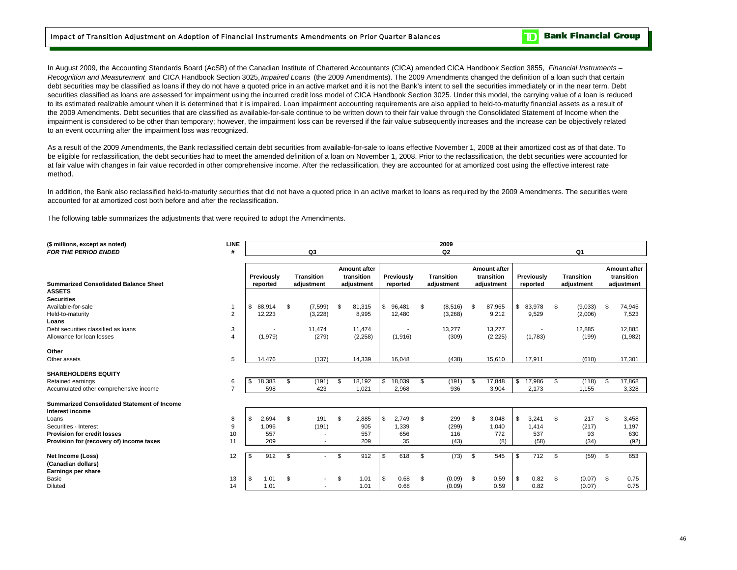In August 2009, the Accounting Standards Board (AcSB) of the Canadian Institute of Chartered Accountants (CICA) amended CICA Handbook Section 3855, *Financial Instruments – Recognition and Measurement* and CICA Handbook Section 3025, *Impaired Loans* (the 2009 Amendments). The 2009 Amendments changed the definition of a loan such that certain debt securities may be classified as loans if they do not have a quoted price in an active market and it is not the Bank's intent to sell the securities immediately or in the near term. Debt securities classified as loans are assessed for impairment using the incurred credit loss model of CICA Handbook Section 3025. Under this model, the carrying value of a loan is reduced to its estimated realizable amount when it is determined that it is impaired. Loan impairment accounting requirements are also applied to held-to-maturity financial assets as a result of the 2009 Amendments. Debt securities that are classified as available-for-sale continue to be written down to their fair value through the Consolidated Statement of Income when the impairment is considered to be other than temporary; however, the impairment loss can be reversed if the fair value subsequently increases and the increase can be objectively related to an event occurring after the impairment loss was recognized.

As a result of the 2009 Amendments, the Bank reclassified certain debt securities from available-for-sale to loans effective November 1, 2008 at their amortized cost as of that date. To be eligible for reclassification, the debt securities had to meet the amended definition of a loan on November 1, 2008. Prior to the reclassification, the debt securities were accounted for at fair value with changes in fair value recorded in other comprehensive income. After the reclassification, they are accounted for at amortized cost using the effective interest rate method.

In addition, the Bank also reclassified held-to-maturity securities that did not have a quoted price in an active market to loans as required by the 2009 Amendments. The securities were accounted for at amortized cost both before and after the reclassification.

The following table summarizes the adjustments that were required to adopt the Amendments.

| (\$ millions, except as noted)<br><b>FOR THE PERIOD ENDED</b>         | <b>LINE</b><br>#        | Q3 |                        |    |                                 |    |                                                 | 2009<br>Q <sub>2</sub> |                        |              |                          |      |                                                 | Q1 |                          |    |                                 |      |                                                 |
|-----------------------------------------------------------------------|-------------------------|----|------------------------|----|---------------------------------|----|-------------------------------------------------|------------------------|------------------------|--------------|--------------------------|------|-------------------------------------------------|----|--------------------------|----|---------------------------------|------|-------------------------------------------------|
| <b>Summarized Consolidated Balance Sheet</b>                          |                         |    | Previously<br>reported |    | <b>Transition</b><br>adjustment |    | <b>Amount after</b><br>transition<br>adjustment |                        | Previously<br>reported |              | Transition<br>adjustment |      | <b>Amount after</b><br>transition<br>adjustment |    | Previously<br>reported   |    | <b>Transition</b><br>adjustment |      | <b>Amount after</b><br>transition<br>adjustment |
| <b>ASSETS</b>                                                         |                         |    |                        |    |                                 |    |                                                 |                        |                        |              |                          |      |                                                 |    |                          |    |                                 |      |                                                 |
| <b>Securities</b>                                                     |                         |    |                        |    |                                 |    |                                                 |                        |                        |              |                          |      |                                                 |    |                          |    |                                 |      |                                                 |
| Available-for-sale                                                    |                         |    | \$88,914               | \$ | (7,599)                         | \$ | 81,315                                          | \$                     | 96,481                 | Ŝ.           | (8,516)                  | \$   | 87,965                                          | \$ | 83,978                   | \$ | (9,033)                         | \$   | 74,945                                          |
| Held-to-maturity                                                      | 2                       |    | 12,223                 |    | (3,228)                         |    | 8,995                                           |                        | 12,480                 |              | (3,268)                  |      | 9,212                                           |    | 9,529                    |    | (2,006)                         |      | 7,523                                           |
| Loans                                                                 |                         |    |                        |    |                                 |    |                                                 |                        |                        |              |                          |      |                                                 |    |                          |    |                                 |      |                                                 |
| Debt securities classified as loans                                   | 3                       |    |                        |    | 11,474                          |    | 11.474                                          |                        |                        |              | 13,277                   |      | 13,277                                          |    | $\overline{\phantom{a}}$ |    | 12,885                          |      | 12,885                                          |
| Allowance for loan losses                                             | $\overline{\mathbf{A}}$ |    | (1,979)                |    | (279)                           |    | (2,258)                                         |                        | (1,916)                |              | (309)                    |      | (2, 225)                                        |    | (1,783)                  |    | (199)                           |      | (1,982)                                         |
| Other                                                                 |                         |    |                        |    |                                 |    |                                                 |                        |                        |              |                          |      |                                                 |    |                          |    |                                 |      |                                                 |
| Other assets                                                          | 5                       |    | 14,476                 |    | (137)                           |    | 14,339                                          |                        | 16,048                 |              | (438)                    |      | 15,610                                          |    | 17,911                   |    | (610)                           |      | 17,301                                          |
| <b>SHAREHOLDERS EQUITY</b>                                            |                         |    |                        |    |                                 |    |                                                 |                        |                        |              |                          |      |                                                 |    |                          |    |                                 |      |                                                 |
| Retained earnings                                                     | 6                       | \$ | 18,383                 | \$ | (191)                           |    | 18,192                                          | S.                     | 18,039                 | S            | (191)                    | \$   | 17,848                                          | \$ | 17,986                   | S. | (118)                           | Ŝ.   | 17,868                                          |
| Accumulated other comprehensive income                                | $\overline{7}$          |    | 598                    |    | 423                             |    | 1,021                                           |                        | 2,968                  |              | 936                      |      | 3,904                                           |    | 2,173                    |    | 1,155                           |      | 3,328                                           |
| <b>Summarized Consolidated Statement of Income</b><br>Interest income |                         |    |                        |    |                                 |    |                                                 |                        |                        |              |                          |      |                                                 |    |                          |    |                                 |      |                                                 |
| Loans                                                                 | 8                       | \$ | 2,694                  | \$ | 191                             | \$ | 2,885                                           | \$                     | 2,749                  | $\mathbf{s}$ | 299                      | \$   | 3,048                                           | \$ | 3,241                    | \$ | 217                             | \$   | 3,458                                           |
| Securities - Interest                                                 | 9                       |    | 1,096                  |    | (191)                           |    | 905                                             |                        | 1,339                  |              | (299)                    |      | 1,040                                           |    | 1,414                    |    | (217)                           |      | 1,197                                           |
| <b>Provision for credit losses</b>                                    | 10                      |    | 557                    |    | $\overline{\phantom{a}}$        |    | 557                                             |                        | 656                    |              | 116                      |      | 772                                             |    | 537                      |    | 93                              |      | 630                                             |
| Provision for (recovery of) income taxes                              | 11                      |    | 209                    |    |                                 |    | 209                                             |                        | 35                     |              | (43)                     |      | (8)                                             |    | (58)                     |    | (34)                            |      | (92)                                            |
| Net Income (Loss)<br>(Canadian dollars)<br>Earnings per share         | 12                      | \$ | 912                    | \$ |                                 | \$ | 912                                             | \$                     | 618                    | S.           | (73)                     | \$   | 545                                             | \$ | 712                      | \$ | (59)                            | \$   | 653                                             |
| Basic                                                                 | 13                      | \$ | 1.01                   | \$ | $\overline{\phantom{a}}$        | \$ | 1.01                                            | \$                     | 0.68                   | -S           | (0.09)                   | - \$ | 0.59                                            | \$ | 0.82                     | \$ | (0.07)                          | - \$ | 0.75                                            |
| <b>Diluted</b>                                                        | 14                      |    | 1.01                   |    |                                 |    | 1.01                                            |                        | 0.68                   |              | (0.09)                   |      | 0.59                                            |    | 0.82                     |    | (0.07)                          |      | 0.75                                            |